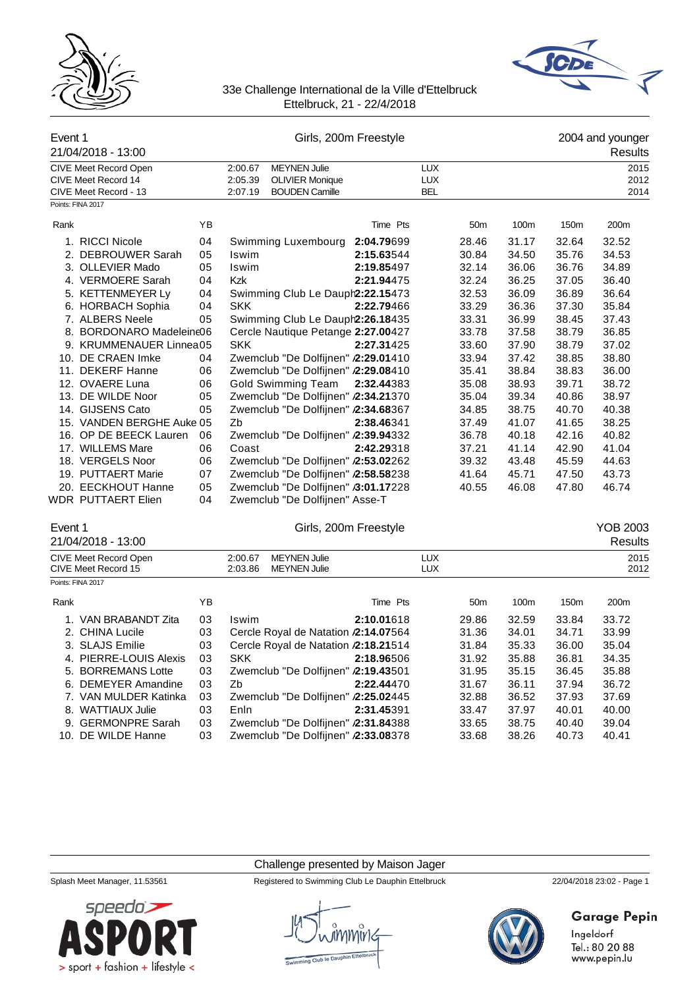



| Event 1 | 21/04/2018 - 13:00                                                                                                                                                                                                         |          |                                     | Girls, 200m Freestyle    |  |                 |                |                      | 2004 and younger<br>Results |
|---------|----------------------------------------------------------------------------------------------------------------------------------------------------------------------------------------------------------------------------|----------|-------------------------------------|--------------------------|--|-----------------|----------------|----------------------|-----------------------------|
|         | <b>MEYNEN Julie</b><br><b>LUX</b><br>CIVE Meet Record Open<br>2:00.67<br>CIVE Meet Record 14<br>2:05.39<br><b>OLIVIER Monique</b><br><b>LUX</b><br>CIVE Meet Record - 13<br><b>BOUDEN Camille</b><br><b>BEL</b><br>2:07.19 |          |                                     |                          |  |                 |                | 2015<br>2012<br>2014 |                             |
|         | Points: FINA 2017                                                                                                                                                                                                          |          |                                     |                          |  |                 |                |                      |                             |
| Rank    |                                                                                                                                                                                                                            | YB       |                                     | Time Pts                 |  | 50 <sub>m</sub> | 100m           | 150m                 | 200m                        |
|         | 1. RICCI Nicole<br>2. DEBROUWER Sarah                                                                                                                                                                                      | 04<br>05 | Swimming Luxembourg<br>Iswim        | 2:04.79699<br>2:15.63544 |  | 28.46<br>30.84  | 31.17<br>34.50 | 32.64<br>35.76       | 32.52<br>34.53              |
|         | 3. OLLEVIER Mado                                                                                                                                                                                                           | 05       | Iswim                               | 2:19.85497               |  | 32.14           | 36.06          | 36.76                | 34.89                       |
|         | 4. VERMOERE Sarah                                                                                                                                                                                                          | 04       | <b>Kzk</b>                          | 2:21.94475               |  | 32.24           | 36.25          | 37.05                | 36.40                       |
|         | 5. KETTENMEYER Ly                                                                                                                                                                                                          | 04       | Swimming Club Le Dauph2:22.15473    |                          |  | 32.53           | 36.09          | 36.89                | 36.64                       |
|         | 6. HORBACH Sophia                                                                                                                                                                                                          | 04       | <b>SKK</b>                          | 2:22.79466               |  | 33.29           | 36.36          | 37.30                | 35.84                       |
|         | 7. ALBERS Neele                                                                                                                                                                                                            | 05       | Swimming Club Le Dauph2:26.18435    |                          |  | 33.31           | 36.99          | 38.45                | 37.43                       |
|         | 8. BORDONARO Madeleine06                                                                                                                                                                                                   |          | Cercle Nautique Petange 2:27.00427  |                          |  | 33.78           | 37.58          | 38.79                | 36.85                       |
|         | 9. KRUMMENAUER Linnea05                                                                                                                                                                                                    |          | <b>SKK</b>                          | 2:27.31425               |  | 33.60           | 37.90          | 38.79                | 37.02                       |
|         | 10. DE CRAEN Imke                                                                                                                                                                                                          | 04       | Zwemclub "De Dolfijnen" /2:29.01410 |                          |  | 33.94           | 37.42          | 38.85                | 38.80                       |
|         | 11. DEKERF Hanne                                                                                                                                                                                                           | 06       | Zwemclub "De Dolfijnen" /2:29.08410 |                          |  | 35.41           | 38.84          | 38.83                | 36.00                       |
|         | 12. OVAERE Luna                                                                                                                                                                                                            | 06       | Gold Swimming Team                  | 2:32.44383               |  | 35.08           | 38.93          | 39.71                | 38.72                       |
|         | 13. DE WILDE Noor                                                                                                                                                                                                          | 05       | Zwemclub "De Dolfijnen" /2:34.21370 |                          |  | 35.04           | 39.34          | 40.86                | 38.97                       |
|         | 14. GIJSENS Cato                                                                                                                                                                                                           | 05       | Zwemclub "De Dolfijnen" /2:34.68367 |                          |  | 34.85           | 38.75          | 40.70                | 40.38                       |
|         | 15. VANDEN BERGHE Auke 05                                                                                                                                                                                                  |          | Zb                                  | 2:38.46341               |  | 37.49           | 41.07          | 41.65                | 38.25                       |
|         | 16. OP DE BEECK Lauren                                                                                                                                                                                                     | 06       | Zwemclub "De Dolfijnen" /2:39.94332 |                          |  | 36.78           | 40.18          | 42.16                | 40.82                       |
|         | 17. WILLEMS Mare                                                                                                                                                                                                           | 06       | Coast                               | 2:42.29318               |  | 37.21           | 41.14          | 42.90                | 41.04                       |
|         | 18. VERGELS Noor                                                                                                                                                                                                           | 06       | Zwemclub "De Dolfijnen" /2:53.02262 |                          |  | 39.32           | 43.48          | 45.59                | 44.63                       |
|         | 19. PUTTAERT Marie                                                                                                                                                                                                         | 07       | Zwemclub "De Dolfijnen" /2:58.58238 |                          |  | 41.64           | 45.71          | 47.50                | 43.73                       |
|         | 20. EECKHOUT Hanne                                                                                                                                                                                                         | 05       | Zwemclub "De Dolfijnen" /3:01.17228 |                          |  | 40.55           | 46.08          | 47.80                | 46.74                       |
|         | WDR PUTTAERT Elien                                                                                                                                                                                                         | 04       | Zwemclub "De Dolfijnen" Asse-T      |                          |  |                 |                |                      |                             |

# Event 1 Girls, 200m Freestyle **Communication Communication** Communication Communication Communication Communication Communication Communication Communication Communication Communication Communication Communication Communic

|      | 21/04/2018 - 13:00                                  |    |                                                                  |            |                          |                 |                  |                  | Results          |  |
|------|-----------------------------------------------------|----|------------------------------------------------------------------|------------|--------------------------|-----------------|------------------|------------------|------------------|--|
|      | <b>CIVE Meet Record Open</b><br>CIVE Meet Record 15 |    | <b>MEYNEN Julie</b><br>2:00.67<br><b>MEYNEN Julie</b><br>2:03.86 |            | <b>LUX</b><br><b>LUX</b> |                 |                  |                  | 2015<br>2012     |  |
|      | Points: FINA 2017                                   |    |                                                                  |            |                          |                 |                  |                  |                  |  |
| Rank |                                                     | ΥB |                                                                  | Time Pts   |                          | 50 <sub>m</sub> | 100 <sub>m</sub> | 150 <sub>m</sub> | 200 <sub>m</sub> |  |
|      | VAN BRABANDT Zita                                   | 03 | Iswim                                                            | 2:10.01618 |                          | 29.86           | 32.59            | 33.84            | 33.72            |  |
|      | 2. CHINA Lucile                                     | 03 | Cercle Royal de Natation /2:14.07564                             |            |                          | 31.36           | 34.01            | 34.71            | 33.99            |  |
|      | 3. SLAJS Emilie                                     | 03 | Cercle Royal de Natation /2:18.21514                             |            |                          | 31.84           | 35.33            | 36.00            | 35.04            |  |
|      | 4. PIERRE-LOUIS Alexis                              | 03 | <b>SKK</b>                                                       | 2:18.96506 |                          | 31.92           | 35.88            | 36.81            | 34.35            |  |
|      | 5. BORREMANS Lotte                                  | 03 | Zwemclub "De Dolfijnen" 2:19.43501                               |            |                          | 31.95           | 35.15            | 36.45            | 35.88            |  |
|      | 6. DEMEYER Amandine                                 | 03 | Zb                                                               | 2:22.44470 |                          | 31.67           | 36.11            | 37.94            | 36.72            |  |
|      | 7. VAN MULDER Katinka                               | 03 | Zwemclub "De Dolfijnen" /2:25.02445                              |            |                          | 32.88           | 36.52            | 37.93            | 37.69            |  |
|      | 8. WATTIAUX Julie                                   | 03 | Enln                                                             | 2:31.45391 |                          | 33.47           | 37.97            | 40.01            | 40.00            |  |
|      | 9. GERMONPRE Sarah                                  | 03 | Zwemclub "De Dolfijnen" /2:31.84388                              |            |                          | 33.65           | 38.75            | 40.40            | 39.04            |  |
|      | 10. DE WILDE Hanne                                  | 03 | Zwemclub "De Dolfijnen" /2:33.08378                              |            |                          | 33.68           | 38.26            | 40.73            | 40.41            |  |

# Challenge presented by Maison Jager

Splash Meet Manager, 11.53561 Registered to Swimming Club Le Dauphin Ettelbruck 22/04/2018 23:02 - Page 1



**Garage Pepin** Ingeldorf

Tel.: 80 20 88 www.pepin.lu



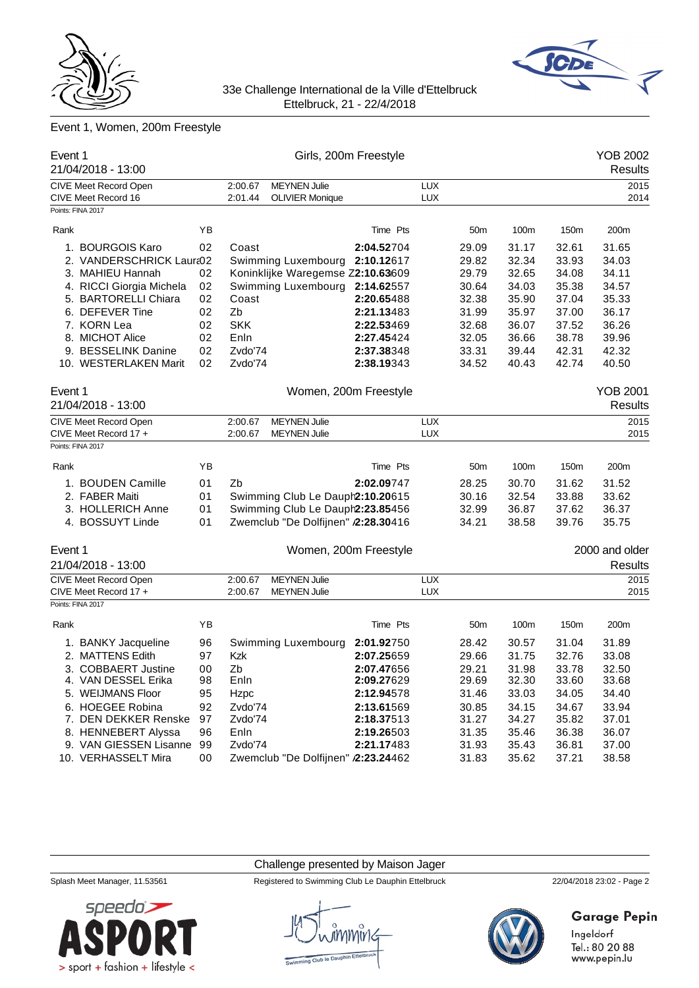



# Event 1, Women, 200m Freestyle

| Event 1<br>21/04/2018 - 13:00                 |          |                    |                                               | Girls, 200m Freestyle    |                          |                 |                |                | <b>YOB 2002</b><br><b>Results</b> |
|-----------------------------------------------|----------|--------------------|-----------------------------------------------|--------------------------|--------------------------|-----------------|----------------|----------------|-----------------------------------|
| CIVE Meet Record Open<br>CIVE Meet Record 16  |          | 2:00.67<br>2:01.44 | <b>MEYNEN Julie</b><br><b>OLIVIER Monique</b> |                          | <b>LUX</b><br><b>LUX</b> |                 |                |                | 2015<br>2014                      |
| Points: FINA 2017                             |          |                    |                                               |                          |                          |                 |                |                |                                   |
| Rank                                          | ΥB       |                    |                                               | Time Pts                 |                          | 50m             | 100m           | 150m           | 200m                              |
| 1. BOURGOIS Karo                              | 02       | Coast              |                                               | 2:04.52704               |                          | 29.09           | 31.17          | 32.61          | 31.65                             |
| 2. VANDERSCHRICK Laura02                      |          |                    | Swimming Luxembourg                           | 2:10.12617               |                          | 29.82           | 32.34          | 33.93          | 34.03                             |
| 3. MAHIEU Hannah                              | 02       |                    | Koninklijke Waregemse Z2:10.63609             |                          |                          | 29.79           | 32.65          | 34.08          | 34.11                             |
| 4. RICCI Giorgia Michela                      | 02       |                    | Swimming Luxembourg                           | 2:14.62557               |                          | 30.64           | 34.03          | 35.38          | 34.57                             |
| 5. BARTORELLI Chiara                          | 02       | Coast              |                                               | 2:20.65488               |                          | 32.38           | 35.90          | 37.04          | 35.33                             |
| 6. DEFEVER Tine                               | 02       | Zb                 |                                               | 2:21.13483               |                          | 31.99           | 35.97          | 37.00          | 36.17                             |
| 7. KORN Lea                                   | 02       | <b>SKK</b>         |                                               | 2:22.53469               |                          | 32.68           | 36.07          | 37.52          | 36.26                             |
| 8. MICHOT Alice<br>9. BESSELINK Danine        | 02<br>02 | Enln<br>Zvdo'74    |                                               | 2:27.45424<br>2:37.38348 |                          | 32.05<br>33.31  | 36.66<br>39.44 | 38.78<br>42.31 | 39.96<br>42.32                    |
| 10. WESTERLAKEN Marit                         | 02       | Zvdo'74            |                                               | 2:38.19343               |                          | 34.52           | 40.43          | 42.74          | 40.50                             |
|                                               |          |                    |                                               |                          |                          |                 |                |                |                                   |
| Event 1                                       |          |                    |                                               | Women, 200m Freestyle    |                          |                 |                |                | <b>YOB 2001</b>                   |
| 21/04/2018 - 13:00                            |          |                    |                                               |                          |                          |                 |                |                | <b>Results</b>                    |
| CIVE Meet Record Open                         |          | 2:00.67            | <b>MEYNEN Julie</b>                           |                          | <b>LUX</b>               |                 |                |                | 2015                              |
| CIVE Meet Record 17 +                         |          | 2:00.67            | <b>MEYNEN Julie</b>                           |                          | <b>LUX</b>               |                 |                |                | 2015                              |
| Points: FINA 2017                             |          |                    |                                               |                          |                          |                 |                |                |                                   |
| Rank                                          | YB       |                    |                                               | Time Pts                 |                          | 50 <sub>m</sub> | 100m           | 150m           | 200m                              |
| 1. BOUDEN Camille                             | 01       | Zb                 |                                               | 2:02.09747               |                          | 28.25           | 30.70          | 31.62          | 31.52                             |
| 2. FABER Maiti                                | 01       |                    | Swimming Club Le Dauph2:10.20615              |                          |                          | 30.16           | 32.54          | 33.88          | 33.62                             |
| 3. HOLLERICH Anne                             | 01       |                    | Swimming Club Le Dauph2:23.85456              |                          |                          | 32.99           | 36.87          | 37.62          | 36.37                             |
| 4. BOSSUYT Linde                              | 01       |                    | Zwemclub "De Dolfijnen" /2:28.30416           |                          |                          | 34.21           | 38.58          | 39.76          | 35.75                             |
| Event 1                                       |          |                    |                                               | Women, 200m Freestyle    |                          |                 |                |                | 2000 and older                    |
| 21/04/2018 - 13:00                            |          |                    |                                               |                          |                          |                 |                |                | Results                           |
| CIVE Meet Record Open                         |          | 2:00.67            | <b>MEYNEN Julie</b>                           |                          | <b>LUX</b>               |                 |                |                | 2015                              |
| CIVE Meet Record 17 +                         |          | 2:00.67            | <b>MEYNEN Julie</b>                           |                          | <b>LUX</b>               |                 |                |                | 2015                              |
| Points: FINA 2017                             |          |                    |                                               |                          |                          |                 |                |                |                                   |
| Rank                                          | ΥB       |                    |                                               | Time Pts                 |                          | 50 <sub>m</sub> | 100m           | 150m           | 200m                              |
| 1. BANKY Jacqueline                           | 96       |                    | Swimming Luxembourg                           | 2:01.92750               |                          | 28.42           | 30.57          | 31.04          | 31.89                             |
| 2. MATTENS Edith                              | 97       | Kzk                |                                               | 2:07.25659               |                          | 29.66           | 31.75          | 32.76          | 33.08                             |
| 3. COBBAERT Justine                           | 00       | Zb                 |                                               | 2:07.47656               |                          | 29.21           | 31.98          | 33.78          | 32.50                             |
| 4. VAN DESSEL Erika                           | 98       | Enln               |                                               | 2:09.27629               |                          | 29.69           | 32.30          | 33.60          | 33.68                             |
| 5. WEIJMANS Floor                             | 95       | Hzpc               |                                               | 2:12.94578               |                          | 31.46           | 33.03          | 34.05          | 34.40                             |
| 6. HOEGEE Robina                              | 92       | Zvdo'74            |                                               | 2:13.61569               |                          | 30.85           | 34.15          | 34.67          | 33.94                             |
| 7. DEN DEKKER Renske                          | 97       | Zvdo'74            |                                               | 2:18.37513               |                          | 31.27           | 34.27          | 35.82          | 37.01                             |
| 8. HENNEBERT Alyssa                           | 96       | Enln               |                                               | 2:19.26503               |                          | 31.35           | 35.46          | 36.38          | 36.07                             |
| 9. VAN GIESSEN Lisanne<br>10. VERHASSELT Mira | 99       | Zvdo'74            | Zwemclub "De Dolfijnen" /2:23.24462           | 2:21.17483               |                          | 31.93           | 35.43          | 36.81          | 37.00                             |
|                                               | 00       |                    |                                               |                          |                          | 31.83           | 35.62          | 37.21          | 38.58                             |

Challenge presented by Maison Jager



# Splash Meet Manager, 11.53561 Registered to Swimming Club Le Dauphin Ettelbruck 22/04/2018 23:02 - Page 2



# **Garage Pepin**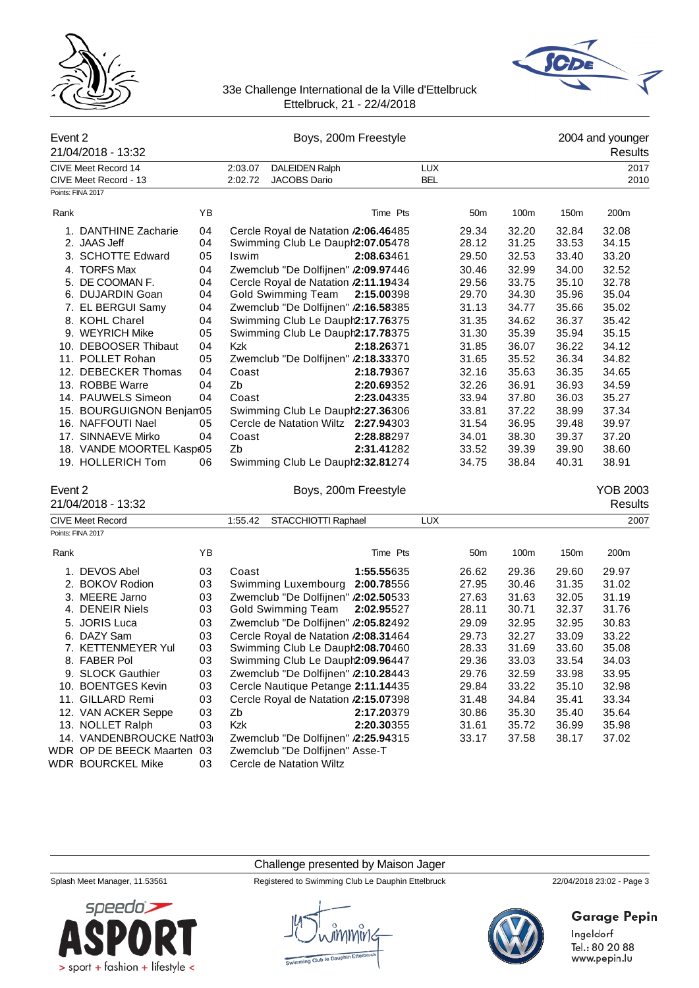



| Event 2 |                                            |    |            |                                      | Boys, 200m Freestyle |            |                 |       |       | 2004 and younger           |
|---------|--------------------------------------------|----|------------|--------------------------------------|----------------------|------------|-----------------|-------|-------|----------------------------|
|         | 21/04/2018 - 13:32                         |    |            |                                      |                      |            |                 |       |       | Results                    |
|         | CIVE Meet Record 14                        |    | 2:03.07    | <b>DALEIDEN Ralph</b>                |                      | <b>LUX</b> |                 |       |       | 2017                       |
|         | CIVE Meet Record - 13<br>Points: FINA 2017 |    | 2:02.72    | <b>JACOBS Dario</b>                  |                      | <b>BEL</b> |                 |       |       | 2010                       |
|         |                                            |    |            |                                      |                      |            |                 |       |       |                            |
| Rank    |                                            | YB |            |                                      | Time Pts             |            | 50 <sub>m</sub> | 100m  | 150m  | 200m                       |
|         | 1. DANTHINE Zacharie                       | 04 |            | Cercle Royal de Natation /2:06.46485 |                      |            | 29.34           | 32.20 | 32.84 | 32.08                      |
|         | 2. JAAS Jeff                               | 04 |            | Swimming Club Le Dauph2:07.05478     |                      |            | 28.12           | 31.25 | 33.53 | 34.15                      |
|         | 3. SCHOTTE Edward                          | 05 | Iswim      |                                      | 2:08.63461           |            | 29.50           | 32.53 | 33.40 | 33.20                      |
|         | 4. TORFS Max                               | 04 |            | Zwemclub "De Dolfijnen" /2:09.97446  |                      |            | 30.46           | 32.99 | 34.00 | 32.52                      |
|         | 5. DE COOMAN F.                            | 04 |            | Cercle Royal de Natation /2:11.19434 |                      |            | 29.56           | 33.75 | 35.10 | 32.78                      |
|         | 6. DUJARDIN Goan                           | 04 |            | Gold Swimming Team                   | 2:15.00398           |            | 29.70           | 34.30 | 35.96 | 35.04                      |
|         | 7. EL BERGUI Samy                          | 04 |            | Zwemclub "De Dolfijnen" /2:16.58385  |                      |            | 31.13           | 34.77 | 35.66 | 35.02                      |
|         | 8. KOHL Charel                             | 04 |            | Swimming Club Le Dauph2:17.76375     |                      |            | 31.35           | 34.62 | 36.37 | 35.42                      |
|         | 9. WEYRICH Mike                            | 05 |            | Swimming Club Le Dauph2:17.78375     |                      |            | 31.30           | 35.39 | 35.94 | 35.15                      |
|         | 10. DEBOOSER Thibaut                       | 04 | <b>Kzk</b> |                                      | 2:18.26371           |            | 31.85           | 36.07 | 36.22 | 34.12                      |
|         | 11. POLLET Rohan                           | 05 |            | Zwemclub "De Dolfijnen" /2:18.33370  |                      |            | 31.65           | 35.52 | 36.34 | 34.82                      |
|         | 12. DEBECKER Thomas                        | 04 | Coast      |                                      | 2:18.79367           |            | 32.16           | 35.63 | 36.35 | 34.65                      |
|         | 13. ROBBE Warre                            | 04 | Zb         |                                      | 2:20.69352           |            | 32.26           | 36.91 | 36.93 | 34.59                      |
|         | 14. PAUWELS Simeon                         | 04 | Coast      |                                      | 2:23.04335           |            | 33.94           | 37.80 | 36.03 | 35.27                      |
|         | 15. BOURGUIGNON Benjam05                   |    |            | Swimming Club Le Dauph2:27.36306     |                      |            | 33.81           | 37.22 | 38.99 | 37.34                      |
|         | 16. NAFFOUTI Nael                          | 05 |            | Cercle de Natation Wiltz 2:27.94303  |                      |            | 31.54           | 36.95 | 39.48 | 39.97                      |
|         | 17. SINNAEVE Mirko                         | 04 | Coast      |                                      | 2:28.88297           |            | 34.01           | 38.30 | 39.37 | 37.20                      |
|         | 18. VANDE MOORTEL Kasp(05                  |    | Zb         |                                      | 2:31.41282           |            | 33.52           | 39.39 | 39.90 | 38.60                      |
|         | 19. HOLLERICH Tom                          | 06 |            | Swimming Club Le Dauph2:32.81274     |                      |            | 34.75           | 38.84 | 40.31 | 38.91                      |
| Event 2 | 21/04/2018 - 13:32                         |    |            |                                      | Boys, 200m Freestyle |            |                 |       |       | <b>YOB 2003</b><br>Results |
|         | <b>CIVE Meet Record</b>                    |    | 1:55.42    | STACCHIOTTI Raphael                  |                      | <b>LUX</b> |                 |       |       | 2007                       |
|         | Points: FINA 2017                          |    |            |                                      |                      |            |                 |       |       |                            |
| Rank    |                                            | ΥB |            |                                      | Time Pts             |            | 50 <sub>m</sub> | 100m  | 150m  | 200m                       |
|         | 1. DEVOS Abel                              | 03 | Coast      |                                      | 1:55.55635           |            | 26.62           | 29.36 | 29.60 | 29.97                      |
|         | 2. BOKOV Rodion                            | 03 |            | Swimming Luxembourg 2:00.78556       |                      |            | 27.95           | 30.46 | 31.35 | 31.02                      |
|         | 3. MEERE Jarno                             | 03 |            | Zwemclub "De Dolfijnen" /2:02.50533  |                      |            | 27.63           | 31.63 | 32.05 | 31.19                      |
|         | 4. DENEIR Niels                            | 03 |            | Gold Swimming Team                   | 2:02.95527           |            | 28.11           | 30.71 | 32.37 | 31.76                      |
|         | 5. JORIS Luca                              | 03 |            | Zwemclub "De Dolfijnen" /2:05.82492  |                      |            | 29.09           | 32.95 | 32.95 | 30.83                      |
|         | 6. DAZY Sam                                | 03 |            | Cercle Royal de Natation /2:08.31464 |                      |            | 29.73           | 32.27 | 33.09 | 33.22                      |
|         | 7. KETTENMEYER Yul                         | 03 |            | Swimming Club Le Dauph2:08.70460     |                      |            | 28.33           | 31.69 | 33.60 | 35.08                      |
|         | 8. FABER Pol                               | 03 |            | Swimming Club Le Dauph2:09.96447     |                      |            | 29.36           | 33.03 | 33.54 | 34.03                      |
|         | 9. SLOCK Gauthier                          | 03 |            | Zwemclub "De Dolfijnen" /2:10.28443  |                      |            | 29.76           | 32.59 | 33.98 | 33.95                      |
|         | 10. BOENTGES Kevin                         | 03 |            | Cercle Nautique Petange 2:11.14435   |                      |            | 29.84           | 33.22 | 35.10 | 32.98                      |
|         | 11. GILLARD Remi                           | 03 |            | Cercle Royal de Natation /2:15.07398 |                      |            | 31.48           | 34.84 | 35.41 | 33.34                      |
|         | 12. VAN ACKER Seppe                        | 03 | Zb         |                                      | 2:17.20379           |            | 30.86           | 35.30 | 35.40 | 35.64                      |
|         | 13. NOLLET Ralph                           | 03 | Kzk        |                                      | 2:20.30355           |            | 31.61           | 35.72 | 36.99 | 35.98                      |
|         | 14. VANDENBROUCKE Natr03                   |    |            | Zwemclub "De Dolfijnen" /2:25.94315  |                      |            | 33.17           | 37.58 | 38.17 | 37.02                      |
|         | WDR OP DE BEECK Maarten 03                 |    |            | Zwemclub "De Dolfijnen" Asse-T       |                      |            |                 |       |       |                            |
|         | <b>WDR BOURCKEL Mike</b>                   | 03 |            | Cercle de Natation Wiltz             |                      |            |                 |       |       |                            |

Challenge presented by Maison Jager

Splash Meet Manager, 11.53561 Registered to Swimming Club Le Dauphin Ettelbruck 22/04/2018 23:02 - Page 3





# Garage Pepin

Ingeldorf<br>Tel.: 80 20 88<br>www.pepin.lu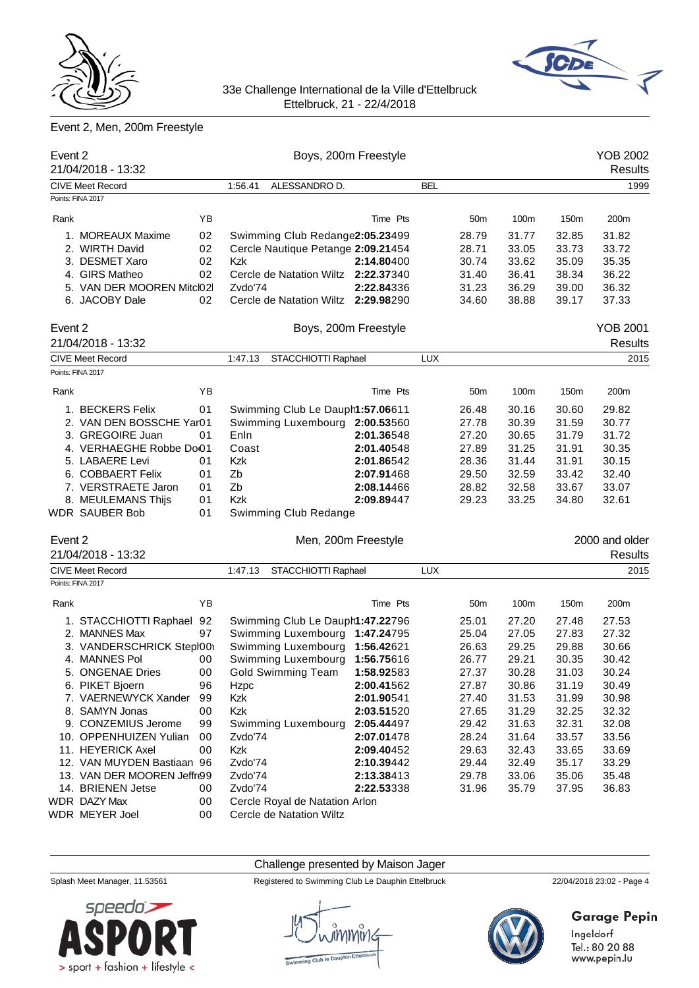



# Event 2, Men, 200m Freestyle

| Event 2 | 21/04/2018 - 13:32          |    |                                     | Boys, 200m Freestyle |            |                 |       |       | YOB 2002<br><b>Results</b> |
|---------|-----------------------------|----|-------------------------------------|----------------------|------------|-----------------|-------|-------|----------------------------|
|         | <b>CIVE Meet Record</b>     |    | 1:56.41<br>ALESSANDRO D.            |                      | BEL        |                 |       |       | 1999                       |
|         | Points: FINA 2017           |    |                                     |                      |            |                 |       |       |                            |
| Rank    |                             | ΥB |                                     | Time Pts             |            | 50m             | 100m  | 150m  | 200m                       |
|         | 1. MOREAUX Maxime           | 02 | Swimming Club Redange2:05.23499     |                      |            | 28.79           | 31.77 | 32.85 | 31.82                      |
|         | 2. WIRTH David              | 02 | Cercle Nautique Petange 2:09.21454  |                      |            | 28.71           | 33.05 | 33.73 | 33.72                      |
|         | 3. DESMET Xaro              | 02 | Kzk                                 | 2:14.80400           |            | 30.74           | 33.62 | 35.09 | 35.35                      |
|         | 4. GIRS Matheo              | 02 | Cercle de Natation Wiltz 2:22.37340 |                      |            | 31.40           | 36.41 | 38.34 | 36.22                      |
|         | 5. VAN DER MOOREN Mitcl02   |    | Zvdo'74                             | 2:22.84336           |            | 31.23           | 36.29 | 39.00 | 36.32                      |
|         | 6. JACOBY Dale              | 02 | Cercle de Natation Wiltz 2:29.98290 |                      |            | 34.60           | 38.88 | 39.17 | 37.33                      |
| Event 2 |                             |    |                                     | Boys, 200m Freestyle |            |                 |       |       | <b>YOB 2001</b>            |
|         | 21/04/2018 - 13:32          |    |                                     |                      |            |                 |       |       | <b>Results</b>             |
|         | <b>CIVE Meet Record</b>     |    | STACCHIOTTI Raphael<br>1:47.13      |                      | <b>LUX</b> |                 |       |       | 2015                       |
|         | Points: FINA 2017           |    |                                     |                      |            |                 |       |       |                            |
| Rank    |                             | ΥB |                                     | Time Pts             |            | 50 <sub>m</sub> | 100m  | 150m  | 200m                       |
|         | 1. BECKERS Felix            | 01 | Swimming Club Le Dauph1:57.06611    |                      |            | 26.48           | 30.16 | 30.60 | 29.82                      |
|         | 2. VAN DEN BOSSCHE Yar01    |    | Swimming Luxembourg 2:00.53560      |                      |            | 27.78           | 30.39 | 31.59 | 30.77                      |
|         | 3. GREGOIRE Juan            | 01 | Enln                                | 2:01.36548           |            | 27.20           | 30.65 | 31.79 | 31.72                      |
|         | 4. VERHAEGHE Robbe Do01     |    | Coast                               | 2:01.40548           |            | 27.89           | 31.25 | 31.91 | 30.35                      |
|         | 5. LABAERE Levi             | 01 | Kzk                                 | 2:01.86542           |            | 28.36           | 31.44 | 31.91 | 30.15                      |
|         | 6. COBBAERT Felix           | 01 | Zb                                  | 2:07.91468           |            | 29.50           | 32.59 | 33.42 | 32.40                      |
|         | 7. VERSTRAETE Jaron         | 01 | Zb                                  | 2:08.14466           |            | 28.82           | 32.58 | 33.67 | 33.07                      |
|         | 8. MEULEMANS Thijs          | 01 | <b>Kzk</b>                          | 2:09.89447           |            | 29.23           | 33.25 | 34.80 | 32.61                      |
|         | WDR SAUBER Bob              | 01 | Swimming Club Redange               |                      |            |                 |       |       |                            |
| Event 2 |                             |    |                                     | Men, 200m Freestyle  |            |                 |       |       | 2000 and older             |
|         | 21/04/2018 - 13:32          |    |                                     |                      |            |                 |       |       | <b>Results</b>             |
|         | <b>CIVE Meet Record</b>     |    | STACCHIOTTI Raphael<br>1:47.13      |                      | <b>LUX</b> |                 |       |       | 2015                       |
|         | Points: FINA 2017           |    |                                     |                      |            |                 |       |       |                            |
| Rank    |                             | ΥB |                                     | Time Pts             |            | 50 <sub>m</sub> | 100m  | 150m  | 200m                       |
|         | 1. STACCHIOTTI Raphael      | 92 | Swimming Club Le Dauph1:47.22796    |                      |            | 25.01           | 27.20 | 27.48 | 27.53                      |
|         | 2. MANNES Max               | 97 | Swimming Luxembourg 1:47.24795      |                      |            | 25.04           | 27.05 | 27.83 | 27.32                      |
|         | 3. VANDERSCHRICK Stepł00    |    | Swimming Luxembourg                 | 1:56.42621           |            | 26.63           | 29.25 | 29.88 | 30.66                      |
|         | 4. MANNES Pol               | 00 | Swimming Luxembourg 1:56.75616      |                      |            | 26.77           | 29.21 | 30.35 | 30.42                      |
|         | 5. ONGENAE Dries            | 00 | Gold Swimming Team 1:58.92583       |                      |            | 27.37           | 30.28 | 31.03 | 30.24                      |
|         | 6. PIKET Bjoern             | 96 | Hzpc                                | 2:00.41562           |            | 27.87           | 30.86 | 31.19 | 30.49                      |
|         | 7. VAERNEWYCK Xander        | 99 | Kzk                                 | 2:01.90541           |            | 27.40           | 31.53 | 31.99 | 30.98                      |
|         | 8. SAMYN Jonas              | 00 | Kzk                                 | 2:03.51520           |            | 27.65           | 31.29 | 32.25 | 32.32                      |
|         | 9. CONZEMIUS Jerome         | 99 | Swimming Luxembourg                 | 2:05.44497           |            | 29.42           | 31.63 | 32.31 | 32.08                      |
|         | 10. OPPENHUIZEN Yulian      | 00 | Zvdo'74                             | 2:07.01478           |            | 28.24           | 31.64 | 33.57 | 33.56                      |
|         | 11. HEYERICK Axel           | 00 | Kzk                                 | 2:09.40452           |            | 29.63           | 32.43 | 33.65 | 33.69                      |
|         | 12. VAN MUYDEN Bastiaan 96  |    | Zvdo'74                             | 2:10.39442           |            | 29.44           | 32.49 | 35.17 | 33.29                      |
|         | 13. VAN DER MOOREN Jeffre99 |    | Zvdo'74                             | 2:13.38413           |            | 29.78           | 33.06 | 35.06 | 35.48                      |
|         | 14. BRIENEN Jetse           | 00 | Zvdo'74                             | 2:22.53338           |            | 31.96           | 35.79 | 37.95 | 36.83                      |
|         | WDR DAZY Max                | 00 | Cercle Royal de Natation Arlon      |                      |            |                 |       |       |                            |
|         | WDR MEYER Joel              | 00 | Cercle de Natation Wiltz            |                      |            |                 |       |       |                            |

Challenge presented by Maison Jager Splash Meet Manager, 11.53561 Registered to Swimming Club Le Dauphin Ettelbruck 22/04/2018 23:02 - Page 4  $s$ *peedo* $\geq$ 

> sport + fashion + lifestyle <

# **Garage Pepin**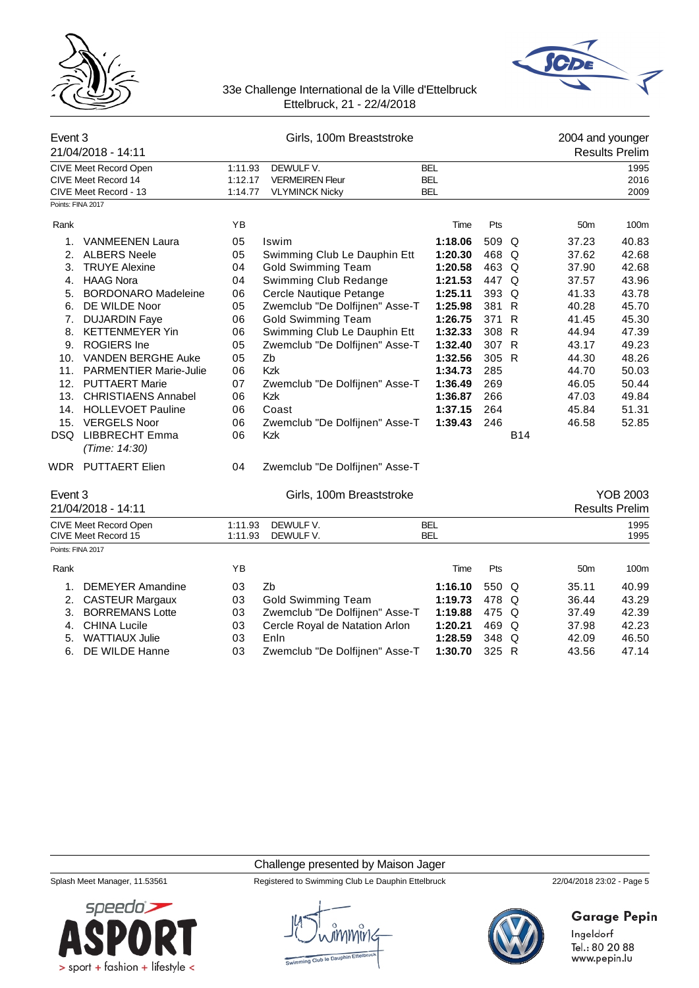



| Event 3           | 21/04/2018 - 14:11                                                    | Girls, 100m Breaststroke      |                                                              |                                        |       |              | 2004 and younger<br><b>Results Prelim</b> |                       |  |
|-------------------|-----------------------------------------------------------------------|-------------------------------|--------------------------------------------------------------|----------------------------------------|-------|--------------|-------------------------------------------|-----------------------|--|
|                   | CIVE Meet Record Open<br>CIVE Meet Record 14<br>CIVE Meet Record - 13 | 1:11.93<br>1:12.17<br>1:14.77 | DEWULF V.<br><b>VERMEIREN Fleur</b><br><b>VLYMINCK Nicky</b> | <b>BEL</b><br><b>BEL</b><br><b>BEL</b> |       |              |                                           | 1995<br>2016<br>2009  |  |
| Points: FINA 2017 |                                                                       |                               |                                                              |                                        |       |              |                                           |                       |  |
| Rank              |                                                                       | YB                            |                                                              | Time                                   | Pts   |              | 50 <sub>m</sub>                           | 100m                  |  |
| 1.                | <b>VANMEENEN Laura</b>                                                | 05                            | Iswim                                                        | 1:18.06                                | 509 Q |              | 37.23                                     | 40.83                 |  |
| 2.                | <b>ALBERS Neele</b>                                                   | 05                            | Swimming Club Le Dauphin Ett                                 | 1:20.30                                | 468 Q |              | 37.62                                     | 42.68                 |  |
| 3.                | <b>TRUYE Alexine</b>                                                  | 04                            | <b>Gold Swimming Team</b>                                    | 1:20.58                                | 463 Q |              | 37.90                                     | 42.68                 |  |
| 4.                | <b>HAAG Nora</b>                                                      | 04                            | Swimming Club Redange                                        | 1:21.53                                | 447 Q |              | 37.57                                     | 43.96                 |  |
| 5.                | <b>BORDONARO Madeleine</b>                                            | 06                            | Cercle Nautique Petange                                      | 1:25.11                                | 393 Q |              | 41.33                                     | 43.78                 |  |
| 6.                | DE WILDE Noor                                                         | 05                            | Zwemclub "De Dolfijnen" Asse-T                               | 1:25.98                                | 381   | $\mathsf{R}$ | 40.28                                     | 45.70                 |  |
| 7.                | <b>DUJARDIN Faye</b>                                                  | 06                            | <b>Gold Swimming Team</b>                                    | 1:26.75                                | 371 R |              | 41.45                                     | 45.30                 |  |
| 8.                | <b>KETTENMEYER Yin</b>                                                | 06                            | Swimming Club Le Dauphin Ett                                 | 1:32.33                                | 308 R |              | 44.94                                     | 47.39                 |  |
| 9.                | <b>ROGIERS</b> Ine                                                    | 05                            | Zwemclub "De Dolfijnen" Asse-T                               | 1:32.40                                | 307 R |              | 43.17                                     | 49.23                 |  |
| 10.               | VANDEN BERGHE Auke                                                    | 05                            | Zb                                                           | 1:32.56                                | 305 R |              | 44.30                                     | 48.26                 |  |
| 11.               | <b>PARMENTIER Marie-Julie</b>                                         | 06                            | Kzk                                                          | 1:34.73                                | 285   |              | 44.70                                     | 50.03                 |  |
| 12.               | <b>PUTTAERT Marie</b>                                                 | 07                            | Zwemclub "De Dolfijnen" Asse-T                               | 1:36.49                                | 269   |              | 46.05                                     | 50.44                 |  |
| 13.               | <b>CHRISTIAENS Annabel</b>                                            | 06                            | Kzk                                                          | 1:36.87                                | 266   |              | 47.03                                     | 49.84                 |  |
|                   | 14. HOLLEVOET Pauline                                                 | 06                            | Coast                                                        | 1:37.15                                | 264   |              | 45.84                                     | 51.31                 |  |
| 15.               | <b>VERGELS Noor</b>                                                   | 06                            | Zwemclub "De Dolfijnen" Asse-T                               | 1:39.43                                | 246   |              | 46.58                                     | 52.85                 |  |
| DSQ               | LIBBRECHT Emma<br>(Time: 14:30)                                       | 06                            | <b>Kzk</b>                                                   |                                        |       | <b>B14</b>   |                                           |                       |  |
|                   | WDR PUTTAERT Elien                                                    | 04                            | Zwemclub "De Dolfijnen" Asse-T                               |                                        |       |              |                                           |                       |  |
| Event 3           |                                                                       |                               | Girls, 100m Breaststroke                                     |                                        |       |              |                                           | <b>YOB 2003</b>       |  |
|                   | 21/04/2018 - 14:11                                                    |                               |                                                              |                                        |       |              |                                           | <b>Results Prelim</b> |  |
|                   | <b>CIVE Meet Record Open</b><br>CIVE Meet Record 15                   | 1:11.93<br>1:11.93            | DEWULF V.<br>DEWULF V.                                       | <b>BEL</b><br><b>BEL</b>               |       |              |                                           | 1995<br>1995          |  |
| Points: FINA 2017 |                                                                       |                               |                                                              |                                        |       |              |                                           |                       |  |
| Rank              |                                                                       | YB                            |                                                              | Time                                   | Pts   |              | 50 <sub>m</sub>                           | 100m                  |  |
| 1.                | <b>DEMEYER Amandine</b>                                               | 03                            | Zb                                                           | 1:16.10                                | 550 Q |              | 35.11                                     | 40.99                 |  |
| 2.                | <b>CASTEUR Margaux</b>                                                | 03                            | <b>Gold Swimming Team</b>                                    | 1:19.73                                | 478   | Q            | 36.44                                     | 43.29                 |  |
| 3.                | <b>BORREMANS Lotte</b>                                                | 03                            | Zwemclub "De Dolfijnen" Asse-T                               | 1:19.88                                | 475   | Q            | 37.49                                     | 42.39                 |  |
| 4.                | <b>CHINA Lucile</b>                                                   | 03                            | Cercle Royal de Natation Arlon                               | 1:20.21                                | 469   | Q            | 37.98                                     | 42.23                 |  |
| 5.                | <b>WATTIAUX Julie</b>                                                 | 03                            | Enln                                                         | 1:28.59                                | 348 Q |              | 42.09                                     | 46.50                 |  |
| 6.                | DE WILDE Hanne                                                        | 03                            | Zwemclub "De Dolfijnen" Asse-T                               | 1:30.70                                | 325 R |              | 43.56                                     | 47.14                 |  |

### Challenge presented by Maison Jager

Splash Meet Manager, 11.53561 Registered to Swimming Club Le Dauphin Ettelbruck 22/04/2018 23:02 - Page 5



# Garage Pepin

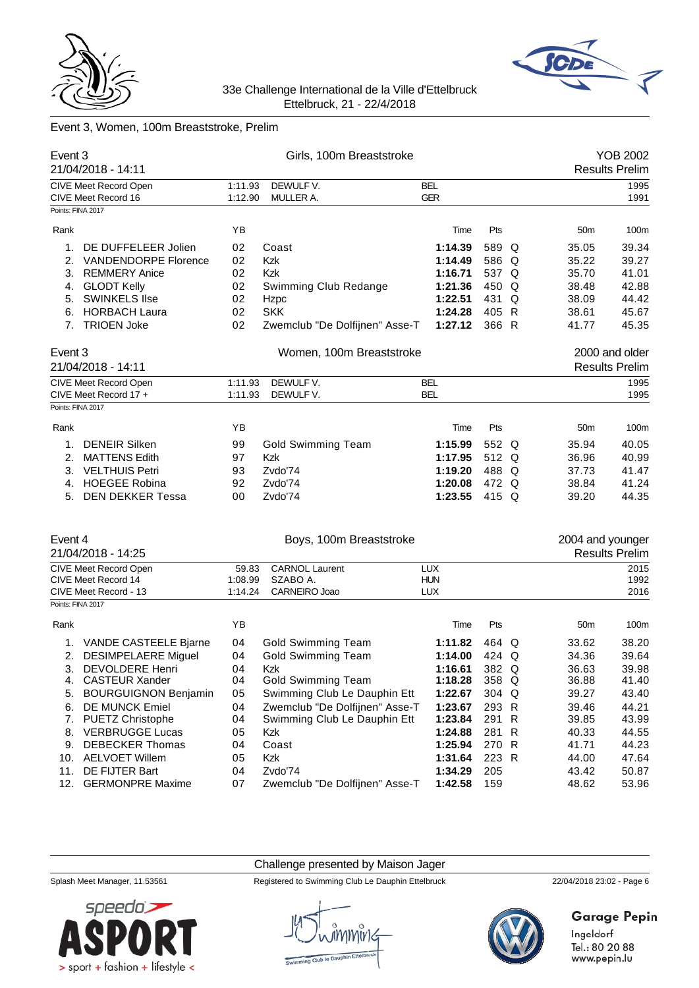



# Event 3, Women, 100m Breaststroke, Prelim

| Event 3<br>21/04/2018 - 14:11 |                                              |                    | Girls, 100m Breaststroke       | <b>YOB 2002</b><br><b>Results Prelim</b> |       |                  |                       |
|-------------------------------|----------------------------------------------|--------------------|--------------------------------|------------------------------------------|-------|------------------|-----------------------|
|                               | CIVE Meet Record Open<br>CIVE Meet Record 16 | 1:11.93<br>1:12.90 | DEWULF V.<br>MULLER A.         | <b>BEL</b><br><b>GER</b>                 |       |                  | 1995<br>1991          |
| Points: FINA 2017             |                                              |                    |                                |                                          |       |                  |                       |
| Rank                          |                                              | ΥB                 |                                | Time                                     | Pts   | 50 <sub>m</sub>  | 100m                  |
| 1.                            | DE DUFFELEER Jolien                          | 02                 | Coast                          | 1:14.39                                  | 589 Q | 35.05            | 39.34                 |
| 2.                            | <b>VANDENDORPE Florence</b>                  | 02                 | Kzk                            | 1:14.49                                  | 586 Q | 35.22            | 39.27                 |
| 3.                            | <b>REMMERY Anice</b>                         | 02                 | Kzk                            | 1:16.71                                  | 537 Q | 35.70            | 41.01                 |
| 4.                            | <b>GLODT Kelly</b>                           | 02                 | Swimming Club Redange          | 1:21.36                                  | 450 Q | 38.48            | 42.88                 |
| 5.                            | <b>SWINKELS Ilse</b>                         | 02                 | Hzpc                           | 1:22.51                                  | 431 Q | 38.09            | 44.42                 |
| 6.                            | <b>HORBACH Laura</b>                         | 02                 | <b>SKK</b>                     | 1:24.28                                  | 405 R | 38.61            | 45.67                 |
|                               | 7. TRIOEN Joke                               | 02                 | Zwemclub "De Dolfijnen" Asse-T | 1:27.12                                  | 366 R | 41.77            | 45.35                 |
| Event 3                       |                                              |                    | Women, 100m Breaststroke       |                                          |       |                  | 2000 and older        |
| 21/04/2018 - 14:11            |                                              |                    |                                |                                          |       |                  | <b>Results Prelim</b> |
|                               | CIVE Meet Record Open                        | 1:11.93            | DEWULF V.                      | <b>BEL</b>                               |       |                  | 1995                  |
|                               | CIVE Meet Record 17 +                        | 1:11.93            | DEWULF V.                      | <b>BEL</b>                               |       |                  | 1995                  |
| Points: FINA 2017             |                                              |                    |                                |                                          |       |                  |                       |
| Rank                          |                                              | ΥB                 |                                | Time                                     | Pts   | 50 <sub>m</sub>  | 100m                  |
| 1.                            | <b>DENEIR Silken</b>                         | 99                 | <b>Gold Swimming Team</b>      | 1:15.99                                  | 552 Q | 35.94            | 40.05                 |
| 2.                            | <b>MATTENS Edith</b>                         | 97                 | Kzk                            | 1:17.95                                  | 512 Q | 36.96            | 40.99                 |
| 3.                            | <b>VELTHUIS Petri</b>                        | 93                 | Zvdo'74                        | 1:19.20                                  | 488 Q | 37.73            | 41.47                 |
|                               | 4. HOEGEE Robina                             | 92                 | Zvdo'74                        | 1:20.08                                  | 472 Q | 38.84            | 41.24                 |
|                               | 5. DEN DEKKER Tessa                          | 00                 | Zvdo'74                        | 1:23.55                                  | 415 Q | 39.20            | 44.35                 |
|                               |                                              |                    |                                |                                          |       |                  |                       |
| Event 4                       |                                              |                    | Boys, 100m Breaststroke        |                                          |       | 2004 and younger |                       |
|                               | 21/04/2018 - 14:25                           |                    |                                |                                          |       |                  | <b>Results Prelim</b> |
|                               | CIVE Meet Record Open                        | 59.83              | <b>CARNOL Laurent</b>          | <b>LUX</b>                               |       |                  | 2015                  |
|                               | CIVE Meet Record 14                          | 1:08.99            | SZABO A.                       | <b>HUN</b>                               |       |                  | 1992                  |
|                               | CIVE Meet Record - 13                        | 1:14.24            | CARNEIRO Joao                  | <b>LUX</b>                               |       |                  | 2016                  |
| Points: FINA 2017             |                                              |                    |                                |                                          |       |                  |                       |
| Rank                          |                                              | YB                 |                                | Time                                     | Pts   | 50 <sub>m</sub>  | 100m                  |
| 1.                            | VANDE CASTEELE Bjarne                        | 04                 | <b>Gold Swimming Team</b>      | 1:11.82                                  | 464 Q | 33.62            | 38.20                 |
|                               | 2. DESIMPELAERE Miguel                       | 04                 | <b>Gold Swimming Team</b>      | 1:14.00                                  | 424 Q | 34.36            | 39.64                 |
|                               | 3. DEVOLDERE Henri                           | 04                 | Kzk                            | 1:16.61                                  | 382 Q | 36.63            | 39.98                 |
|                               | 4. CASTEUR Xander                            | 04                 | <b>Gold Swimming Team</b>      | 1:18.28                                  | 358 Q | 36.88            | 41.40                 |
| 5.                            | <b>BOURGUIGNON Benjamin</b>                  | 05                 | Swimming Club Le Dauphin Ett   | 1:22.67                                  | 304 Q | 39.27            | 43.40                 |
| 6.                            | DE MUNCK Emiel                               | 04                 | Zwemclub "De Dolfijnen" Asse-T | 1:23.67                                  | 293 R | 39.46            | 44.21                 |
| 7.                            | <b>PUETZ Christophe</b>                      | 04                 | Swimming Club Le Dauphin Ett   | 1:23.84                                  | 291 R | 39.85            | 43.99                 |
| 8.                            | <b>VERBRUGGE Lucas</b>                       | 05                 | Kzk                            | 1:24.88                                  | 281 R | 40.33            | 44.55                 |
| 9.                            | <b>DEBECKER Thomas</b>                       | 04                 | Coast                          | 1:25.94                                  | 270 R | 41.71            | 44.23                 |
|                               | 10. AELVOET Willem                           | 05                 | Kzk                            | 1:31.64                                  | 223 R | 44.00            | 47.64                 |
| 11.                           | DE FIJTER Bart                               | 04                 | Zvdo'74                        | 1:34.29                                  | 205   | 43.42            | 50.87                 |
| 12.                           | <b>GERMONPRE Maxime</b>                      | 07                 | Zwemclub "De Dolfijnen" Asse-T | 1:42.58                                  | 159   | 48.62            | 53.96                 |
|                               |                                              |                    |                                |                                          |       |                  |                       |

Challenge presented by Maison Jager

Splash Meet Manager, 11.53561 Registered to Swimming Club Le Dauphin Ettelbruck 22/04/2018 23:02 - Page 6





# **Garage Pepin**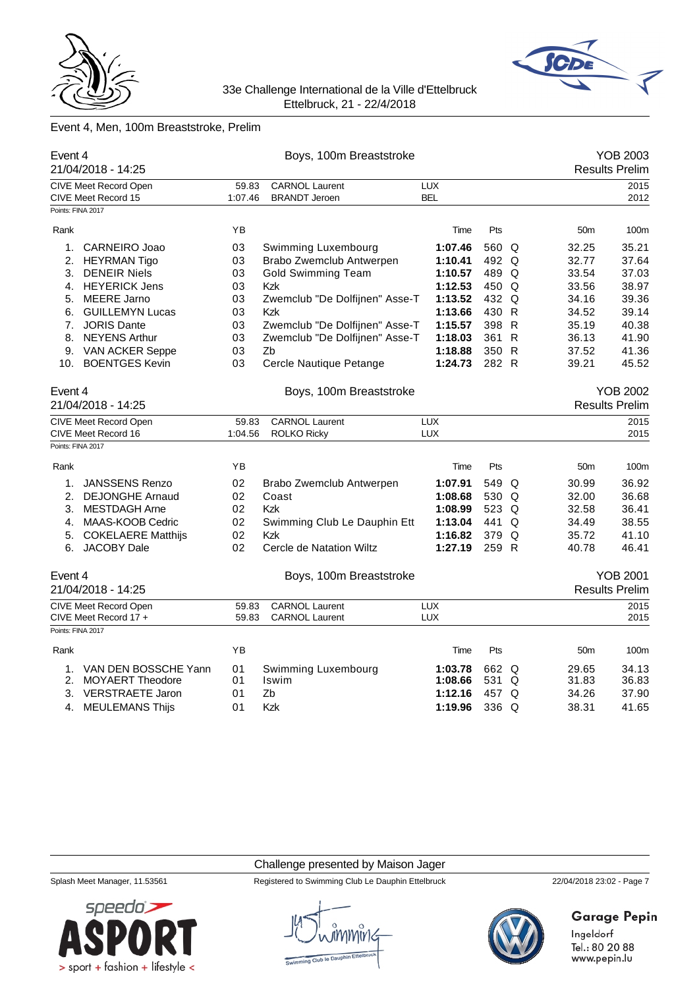



# Event 4, Men, 100m Breaststroke, Prelim

| Event 4           | 21/04/2018 - 14:25           |                                 | Boys, 100m Breaststroke        |            | YOB 2003<br><b>Results Prelim</b> |   |                 |                       |  |
|-------------------|------------------------------|---------------------------------|--------------------------------|------------|-----------------------------------|---|-----------------|-----------------------|--|
|                   | <b>CIVE Meet Record Open</b> | 59.83                           | <b>CARNOL Laurent</b>          | <b>LUX</b> |                                   |   |                 | 2015                  |  |
|                   | CIVE Meet Record 15          | <b>BRANDT Jeroen</b><br>1:07.46 |                                | <b>BEL</b> |                                   |   | 2012            |                       |  |
| Points: FINA 2017 |                              |                                 |                                |            |                                   |   |                 |                       |  |
| Rank              |                              | YB                              |                                | Time       | Pts                               |   | 50 <sub>m</sub> | 100m                  |  |
| 1.                | CARNEIRO Joao                | 03                              | Swimming Luxembourg            | 1:07.46    | 560 Q                             |   | 32.25           | 35.21                 |  |
| 2.                | <b>HEYRMAN Tigo</b>          | 03                              | Brabo Zwemclub Antwerpen       | 1:10.41    | 492 Q                             |   | 32.77           | 37.64                 |  |
| 3.                | <b>DENEIR Niels</b>          | 03                              | <b>Gold Swimming Team</b>      | 1:10.57    | 489 Q                             |   | 33.54           | 37.03                 |  |
|                   | 4. HEYERICK Jens             | 03                              | Kzk                            | 1:12.53    | 450 Q                             |   | 33.56           | 38.97                 |  |
| 5.                | <b>MEERE Jarno</b>           | 03                              | Zwemclub "De Dolfijnen" Asse-T | 1:13.52    | 432 Q                             |   | 34.16           | 39.36                 |  |
| 6.                | <b>GUILLEMYN Lucas</b>       | 03                              | <b>Kzk</b>                     | 1:13.66    | 430 R                             |   | 34.52           | 39.14                 |  |
| 7.                | <b>JORIS Dante</b>           | 03                              | Zwemclub "De Dolfijnen" Asse-T | 1:15.57    | 398 R                             |   | 35.19           | 40.38                 |  |
| 8.                | <b>NEYENS Arthur</b>         | 03                              | Zwemclub "De Dolfijnen" Asse-T | 1:18.03    | 361 R                             |   | 36.13           | 41.90                 |  |
|                   | 9. VAN ACKER Seppe           | 03                              | Zb                             | 1:18.88    | 350 R                             |   | 37.52           | 41.36                 |  |
| 10.               | <b>BOENTGES Kevin</b>        | 03                              | Cercle Nautique Petange        | 1:24.73    | 282 R                             |   | 39.21           | 45.52                 |  |
| Event 4           |                              |                                 | Boys, 100m Breaststroke        |            |                                   |   |                 | <b>YOB 2002</b>       |  |
|                   | 21/04/2018 - 14:25           |                                 |                                |            |                                   |   |                 | <b>Results Prelim</b> |  |
|                   | CIVE Meet Record Open        | 59.83                           | <b>CARNOL Laurent</b>          | <b>LUX</b> |                                   |   |                 | 2015                  |  |
|                   | CIVE Meet Record 16          | 1:04.56                         | <b>ROLKO Ricky</b>             | <b>LUX</b> |                                   |   |                 | 2015                  |  |
| Points: FINA 2017 |                              |                                 |                                |            |                                   |   |                 |                       |  |
| Rank              |                              | YB                              |                                | Time       | Pts                               |   | 50 <sub>m</sub> | 100m                  |  |
| 1.                | <b>JANSSENS Renzo</b>        | 02                              | Brabo Zwemclub Antwerpen       | 1:07.91    | 549 Q                             |   | 30.99           | 36.92                 |  |
| 2.                | <b>DEJONGHE Arnaud</b>       | 02                              | Coast                          | 1:08.68    | 530 Q                             |   | 32.00           | 36.68                 |  |
| 3.                | <b>MESTDAGH Arne</b>         | 02                              | <b>Kzk</b>                     | 1:08.99    | 523 Q                             |   | 32.58           | 36.41                 |  |
| 4.                | MAAS-KOOB Cedric             | 02                              | Swimming Club Le Dauphin Ett   | 1:13.04    | 441                               | Q | 34.49           | 38.55                 |  |
|                   | 5. COKELAERE Matthijs        | 02                              | <b>Kzk</b>                     | 1:16.82    | 379 Q                             |   | 35.72           | 41.10                 |  |
| 6.                | <b>JACOBY Dale</b>           | 02                              | Cercle de Natation Wiltz       | 1:27.19    | 259 R                             |   | 40.78           | 46.41                 |  |
| Event 4           |                              |                                 | Boys, 100m Breaststroke        |            |                                   |   |                 | <b>YOB 2001</b>       |  |
|                   | 21/04/2018 - 14:25           |                                 |                                |            |                                   |   |                 | <b>Results Prelim</b> |  |
|                   | <b>CIVE Meet Record Open</b> | 59.83                           | <b>CARNOL Laurent</b>          | <b>LUX</b> |                                   |   |                 | 2015                  |  |
| Points: FINA 2017 | CIVE Meet Record 17 +        | 59.83                           | <b>CARNOL Laurent</b>          | <b>LUX</b> |                                   |   |                 | 2015                  |  |
|                   |                              |                                 |                                |            |                                   |   |                 |                       |  |
| Rank              |                              | YB                              |                                | Time       | Pts                               |   | 50 <sub>m</sub> | 100m                  |  |
| 1.                | VAN DEN BOSSCHE Yann         | 01                              | Swimming Luxembourg            | 1:03.78    | 662 Q                             |   | 29.65           | 34.13                 |  |
| 2.                | <b>MOYAERT Theodore</b>      | 01                              | Iswim                          | 1:08.66    | 531                               | Q | 31.83           | 36.83                 |  |
| 3.                | <b>VERSTRAETE Jaron</b>      | 01                              | Zb                             | 1:12.16    | 457 Q                             |   | 34.26           | 37.90                 |  |
|                   | 4. MEULEMANS Thijs           | 01                              | <b>Kzk</b>                     | 1:19.96    | $336$ Q                           |   | 38.31           | 41.65                 |  |

Challenge presented by Maison Jager



Splash Meet Manager, 11.53561 Registered to Swimming Club Le Dauphin Ettelbruck 22/04/2018 23:02 - Page 7



# **Garage Pepin**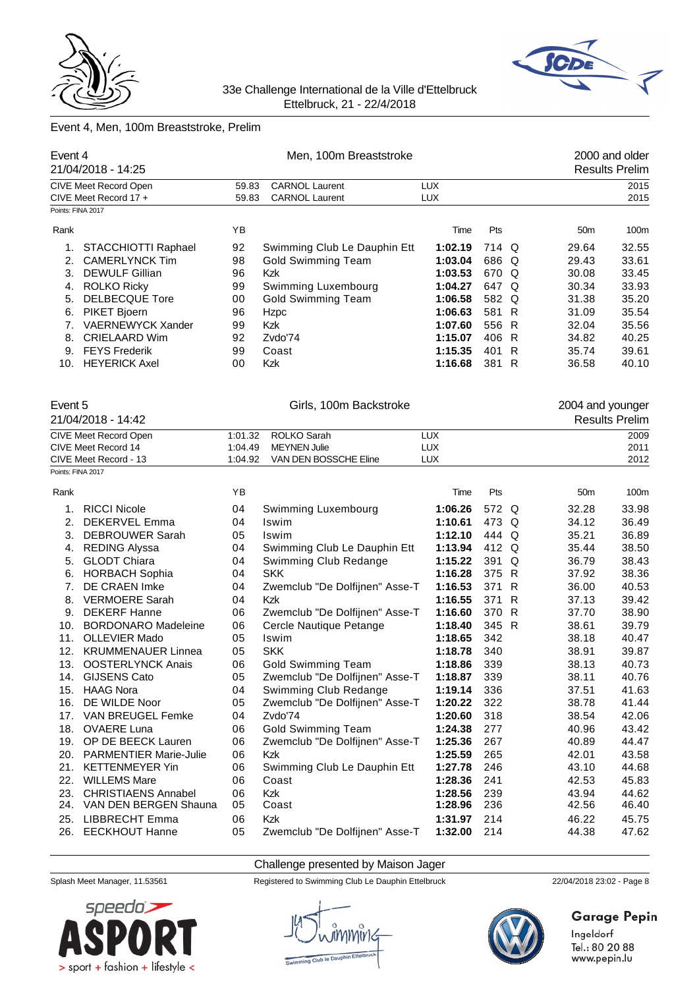



# Event 4, Men, 100m Breaststroke, Prelim

| Event 4           | 21/04/2018 - 14:25         |         | Men, 100m Breaststroke         |            |       |              |                  | 2000 and older<br><b>Results Prelim</b> |
|-------------------|----------------------------|---------|--------------------------------|------------|-------|--------------|------------------|-----------------------------------------|
|                   | CIVE Meet Record Open      | 59.83   | <b>CARNOL Laurent</b>          | <b>LUX</b> |       |              |                  | 2015                                    |
|                   | CIVE Meet Record 17 +      | 59.83   | <b>CARNOL Laurent</b>          | <b>LUX</b> |       |              |                  | 2015                                    |
| Points: FINA 2017 |                            |         |                                |            |       |              |                  |                                         |
| Rank              |                            | YB      |                                | Time       | Pts   |              | 50 <sub>m</sub>  | 100m                                    |
| 1.                | STACCHIOTTI Raphael        | 92      | Swimming Club Le Dauphin Ett   | 1:02.19    | 714 Q |              | 29.64            | 32.55                                   |
| 2.                | <b>CAMERLYNCK Tim</b>      | 98      | <b>Gold Swimming Team</b>      | 1:03.04    | 686 Q |              | 29.43            | 33.61                                   |
| 3.                | <b>DEWULF Gillian</b>      | 96      | Kzk                            | 1:03.53    | 670 Q |              | 30.08            | 33.45                                   |
| 4.                | <b>ROLKO Ricky</b>         | 99      | Swimming Luxembourg            | 1:04.27    | 647 Q |              | 30.34            | 33.93                                   |
| 5.                | <b>DELBECQUE Tore</b>      | 00      | <b>Gold Swimming Team</b>      | 1:06.58    | 582 Q |              | 31.38            | 35.20                                   |
| 6.                | PIKET Bjoern               | 96      | Hzpc                           | 1:06.63    | 581 R |              | 31.09            | 35.54                                   |
| 7.                | VAERNEWYCK Xander          | 99      | Kzk                            | 1:07.60    | 556 R |              | 32.04            | 35.56                                   |
| 8.                | <b>CRIELAARD Wim</b>       | 92      | Zvdo'74                        | 1:15.07    | 406 R |              | 34.82            | 40.25                                   |
| 9.                | <b>FEYS Frederik</b>       | 99      | Coast                          | 1:15.35    | 401   | $\mathsf{R}$ | 35.74            | 39.61                                   |
|                   | 10. HEYERICK Axel          | 00      | <b>Kzk</b>                     | 1:16.68    | 381 R |              | 36.58            | 40.10                                   |
| Event 5           | 21/04/2018 - 14:42         |         | Girls, 100m Backstroke         |            |       |              | 2004 and younger | <b>Results Prelim</b>                   |
|                   | CIVE Meet Record Open      | 1:01.32 | <b>ROLKO Sarah</b>             | <b>LUX</b> |       |              |                  | 2009                                    |
|                   | CIVE Meet Record 14        | 1:04.49 | <b>MEYNEN Julie</b>            | <b>LUX</b> |       |              |                  | 2011                                    |
|                   | CIVE Meet Record - 13      | 1:04.92 | VAN DEN BOSSCHE Eline          | <b>LUX</b> |       |              |                  | 2012                                    |
| Points: FINA 2017 |                            |         |                                |            |       |              |                  |                                         |
| Rank              |                            | YB      |                                | Time       | Pts   |              | 50m              | 100m                                    |
| 1.                | <b>RICCI Nicole</b>        | 04      | Swimming Luxembourg            | 1:06.26    | 572 Q |              | 32.28            | 33.98                                   |
| 2.                | DEKERVEL Emma              | 04      | Iswim                          | 1:10.61    | 473 Q |              | 34.12            | 36.49                                   |
| 3.                | DEBROUWER Sarah            | 05      | Iswim                          | 1:12.10    | 444 Q |              | 35.21            | 36.89                                   |
| 4.                | <b>REDING Alyssa</b>       | 04      | Swimming Club Le Dauphin Ett   | 1:13.94    | 412 Q |              | 35.44            | 38.50                                   |
| 5.                | <b>GLODT Chiara</b>        | 04      | Swimming Club Redange          | 1:15.22    | 391   | Q            | 36.79            | 38.43                                   |
| 6.                | <b>HORBACH Sophia</b>      | 04      | <b>SKK</b>                     | 1:16.28    | 375 R |              | 37.92            | 38.36                                   |
| 7.                | DE CRAEN Imke              | 04      | Zwemclub "De Dolfijnen" Asse-T | 1:16.53    | 371 R |              | 36.00            | 40.53                                   |
| 8.                | <b>VERMOERE Sarah</b>      | 04      | Kzk                            | 1:16.55    | 371   | $\mathsf{R}$ | 37.13            | 39.42                                   |
| 9.                | <b>DEKERF Hanne</b>        | 06      | Zwemclub "De Dolfijnen" Asse-T | 1:16.60    | 370   | $\mathsf{R}$ | 37.70            | 38.90                                   |
| 10.               | <b>BORDONARO Madeleine</b> | 06      | Cercle Nautique Petange        | 1:18.40    | 345 R |              | 38.61            | 39.79                                   |
| 11.               | <b>OLLEVIER Mado</b>       | 05      | Iswim                          | 1:18.65    | 342   |              | 38.18            | 40.47                                   |
| 12.               | <b>KRUMMENAUER Linnea</b>  | 05      | <b>SKK</b>                     | 1:18.78    | 340   |              | 38.91            | 39.87                                   |
| 13.               | <b>OOSTERLYNCK Anais</b>   | 06      | Gold Swimming Team             | 1:18.86    | 339   |              | 38.13            | 40.73                                   |
|                   | 14. GIJSENS Cato           | 05      | Zwemclub "De Dolfijnen" Asse-T | 1:18.87    | 339   |              | 38.11            | 40.76                                   |
|                   | 15. HAAG Nora              | 04      | Swimming Club Redange          | 1:19.14    | 336   |              | 37.51            | 41.63                                   |
| 16.               | DE WILDE Noor              | 05      | Zwemclub "De Dolfijnen" Asse-T | 1:20.22    | 322   |              | 38.78            | 41.44                                   |
| 17.               | VAN BREUGEL Femke          | 04      | Zvdo'74                        | 1:20.60    | 318   |              | 38.54            | 42.06                                   |
| 18.               | <b>OVAERE Luna</b>         | 06      | <b>Gold Swimming Team</b>      | 1:24.38    | 277   |              | 40.96            | 43.42                                   |
|                   | 19. OP DE BEECK Lauren     | 06      | Zwemclub "De Dolfijnen" Asse-T | 1:25.36    | 267   |              | 40.89            | 44.47                                   |
|                   | 20. PARMENTIER Marie-Julie | 06      | Kzk                            | 1:25.59    | 265   |              | 42.01            | 43.58                                   |
| 21.               | <b>KETTENMEYER Yin</b>     | 06      | Swimming Club Le Dauphin Ett   | 1:27.78    | 246   |              | 43.10            | 44.68                                   |
| 22.               | <b>WILLEMS Mare</b>        | 06      | Coast                          | 1:28.36    | 241   |              | 42.53            | 45.83                                   |
| 23.               | <b>CHRISTIAENS Annabel</b> | 06      | Kzk                            | 1:28.56    | 239   |              | 43.94            | 44.62                                   |
|                   | 24. VAN DEN BERGEN Shauna  | 05      | Coast                          | 1:28.96    | 236   |              | 42.56            | 46.40                                   |
| 25.               | <b>LIBBRECHT Emma</b>      | 06      | Kzk                            | 1:31.97    | 214   |              | 46.22            | 45.75                                   |
|                   | 26. EECKHOUT Hanne         | 05      | Zwemclub "De Dolfijnen" Asse-T | 1:32.00    | 214   |              | 44.38            | 47.62                                   |

Challenge presented by Maison Jager



Splash Meet Manager, 11.53561 Registered to Swimming Club Le Dauphin Ettelbruck 22/04/2018 23:02 - Page 8



# **Garage Pepin**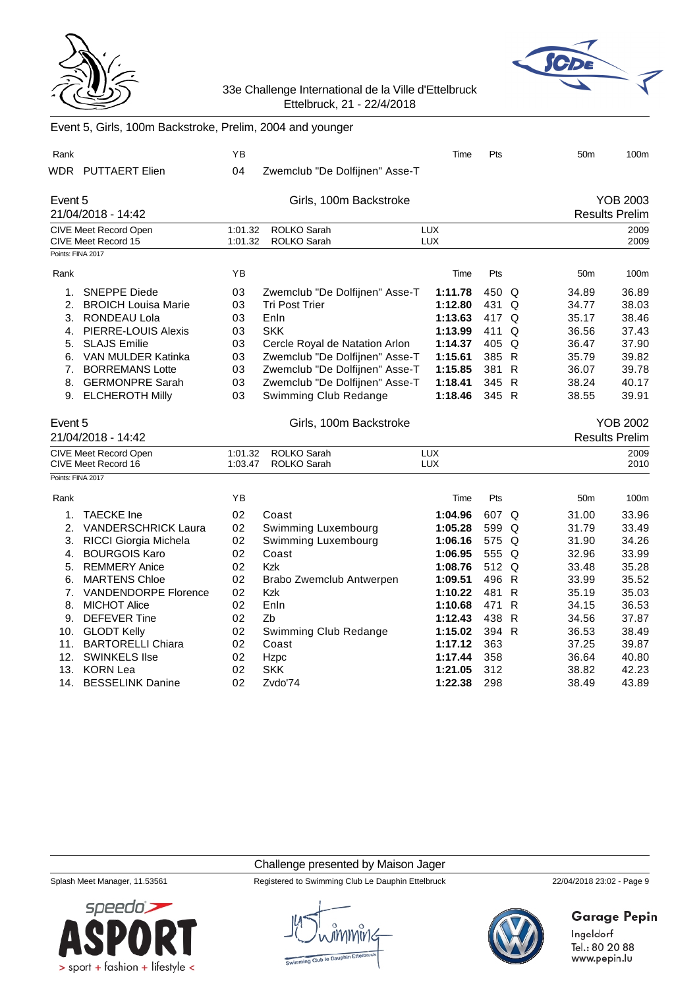



| Event 5, Gins, Toom Backstroke, Freilin, 2004 and younger |                                                     |                    |                                          |                          |            |   |                 |                       |
|-----------------------------------------------------------|-----------------------------------------------------|--------------------|------------------------------------------|--------------------------|------------|---|-----------------|-----------------------|
| Rank                                                      |                                                     | ΥB                 |                                          | Time                     | Pts        |   | 50 <sub>m</sub> | 100m                  |
|                                                           | WDR PUTTAERT Elien                                  | 04                 | Zwemclub "De Dolfijnen" Asse-T           |                          |            |   |                 |                       |
| Event 5                                                   |                                                     |                    | Girls, 100m Backstroke                   |                          |            |   |                 | YOB 2003              |
|                                                           | 21/04/2018 - 14:42                                  |                    |                                          |                          |            |   |                 | <b>Results Prelim</b> |
|                                                           | <b>CIVE Meet Record Open</b><br>CIVE Meet Record 15 | 1:01.32<br>1:01.32 | <b>ROLKO Sarah</b><br><b>ROLKO Sarah</b> | <b>LUX</b><br><b>LUX</b> |            |   |                 | 2009<br>2009          |
| Points: FINA 2017                                         |                                                     |                    |                                          |                          |            |   |                 |                       |
| Rank                                                      |                                                     | YB                 |                                          | Time                     | Pts        |   | 50 <sub>m</sub> | 100m                  |
| 1.                                                        | <b>SNEPPE Diede</b>                                 | 03                 | Zwemclub "De Dolfijnen" Asse-T           | 1:11.78                  | 450 Q      |   | 34.89           | 36.89                 |
| 2.                                                        | <b>BROICH Louisa Marie</b>                          | 03                 | <b>Tri Post Trier</b>                    | 1:12.80                  | 431        | Q | 34.77           | 38.03                 |
|                                                           | 3. RONDEAU Lola                                     | 03                 | Enln                                     | 1:13.63                  | 417 Q      |   | 35.17           | 38.46                 |
| 4.                                                        | <b>PIERRE-LOUIS Alexis</b>                          | 03                 | <b>SKK</b>                               | 1:13.99                  | 411        | Q | 36.56           | 37.43                 |
| 5.                                                        | <b>SLAJS Emilie</b>                                 | 03                 | Cercle Royal de Natation Arlon           | 1:14.37                  | 405 Q      |   | 36.47           | 37.90                 |
| 6.                                                        | VAN MULDER Katinka                                  | 03                 | Zwemclub "De Dolfijnen" Asse-T           | 1:15.61                  | 385 R      |   | 35.79           | 39.82                 |
| 7.                                                        | <b>BORREMANS Lotte</b>                              | 03                 | Zwemclub "De Dolfijnen" Asse-T           | 1:15.85                  | 381 R      |   | 36.07           | 39.78                 |
| 8.                                                        | <b>GERMONPRE Sarah</b>                              | 03                 | Zwemclub "De Dolfijnen" Asse-T           | 1:18.41                  | 345 R      |   | 38.24           | 40.17                 |
| 9.                                                        | <b>ELCHEROTH Milly</b>                              | 03                 | Swimming Club Redange                    | 1:18.46                  | 345 R      |   | 38.55           | 39.91                 |
|                                                           |                                                     |                    |                                          |                          |            |   |                 |                       |
| Event 5                                                   |                                                     |                    | Girls, 100m Backstroke                   |                          |            |   |                 | <b>YOB 2002</b>       |
|                                                           | 21/04/2018 - 14:42                                  |                    |                                          |                          |            |   |                 | <b>Results Prelim</b> |
|                                                           | CIVE Meet Record Open                               | 1:01.32            | ROLKO Sarah                              | <b>LUX</b>               |            |   |                 | 2009                  |
|                                                           | CIVE Meet Record 16                                 | 1:03.47            | ROLKO Sarah                              | <b>LUX</b>               |            |   |                 | 2010                  |
| Points: FINA 2017                                         |                                                     |                    |                                          |                          |            |   |                 |                       |
| Rank                                                      |                                                     | YB                 |                                          | Time                     | Pts        |   | 50 <sub>m</sub> | 100m                  |
| 1.                                                        | <b>TAECKE</b> Ine                                   | 02                 | Coast                                    | 1:04.96                  | 607 Q      |   | 31.00           | 33.96                 |
| 2.                                                        | <b>VANDERSCHRICK Laura</b>                          | 02                 | Swimming Luxembourg                      | 1:05.28                  | 599 Q      |   | 31.79           | 33.49                 |
| 3.                                                        | RICCI Giorgia Michela                               | 02                 | Swimming Luxembourg                      | 1:06.16                  | 575 Q      |   | 31.90           | 34.26                 |
| 4.                                                        | <b>BOURGOIS Karo</b>                                | 02                 | Coast                                    | 1:06.95                  | 555 Q      |   | 32.96           | 33.99                 |
| 5.                                                        | <b>REMMERY Anice</b>                                | 02                 | Kzk                                      | 1:08.76                  | 512 Q      |   | 33.48           | 35.28                 |
| 6.                                                        | <b>MARTENS Chloe</b>                                | 02                 | Brabo Zwemclub Antwerpen                 | 1:09.51                  | 496 R      |   | 33.99           | 35.52                 |
|                                                           | 7. VANDENDORPE Florence                             | 02                 | Kzk                                      | 1:10.22                  | 481 R      |   | 35.19           | 35.03                 |
| 8.                                                        | <b>MICHOT Alice</b>                                 | 02                 | Enln                                     | 1:10.68                  | 471 R      |   | 34.15           | 36.53                 |
| 9.                                                        | <b>DEFEVER Tine</b>                                 | 02                 | Zb                                       | 1:12.43                  | 438 R      |   | 34.56           | 37.87                 |
| 10.                                                       | <b>GLODT Kelly</b>                                  | 02                 | Swimming Club Redange                    | 1:15.02                  | 394 R      |   | 36.53           | 38.49                 |
| 11.                                                       | <b>BARTORELLI Chiara</b>                            | 02                 | Coast                                    | 1:17.12                  | 363        |   | 37.25           | 39.87                 |
| 12.                                                       | <b>SWINKELS Ilse</b>                                | 02                 | Hzpc                                     | 1:17.44                  | 358        |   | 36.64           | 40.80                 |
| 13.<br>14.                                                | <b>KORN Lea</b><br><b>BESSELINK Danine</b>          | 02<br>02           | <b>SKK</b><br>Zvdo'74                    | 1:21.05<br>1:22.38       | 312<br>298 |   | 38.82<br>38.49  | 42.23<br>43.89        |

### Event 5, Girls, 100m Backstroke, Prelim, 2004 and younger

Challenge presented by Maison Jager



Splash Meet Manager, 11.53561 Registered to Swimming Club Le Dauphin Ettelbruck 22/04/2018 23:02 - Page 9



# **Garage Pepin**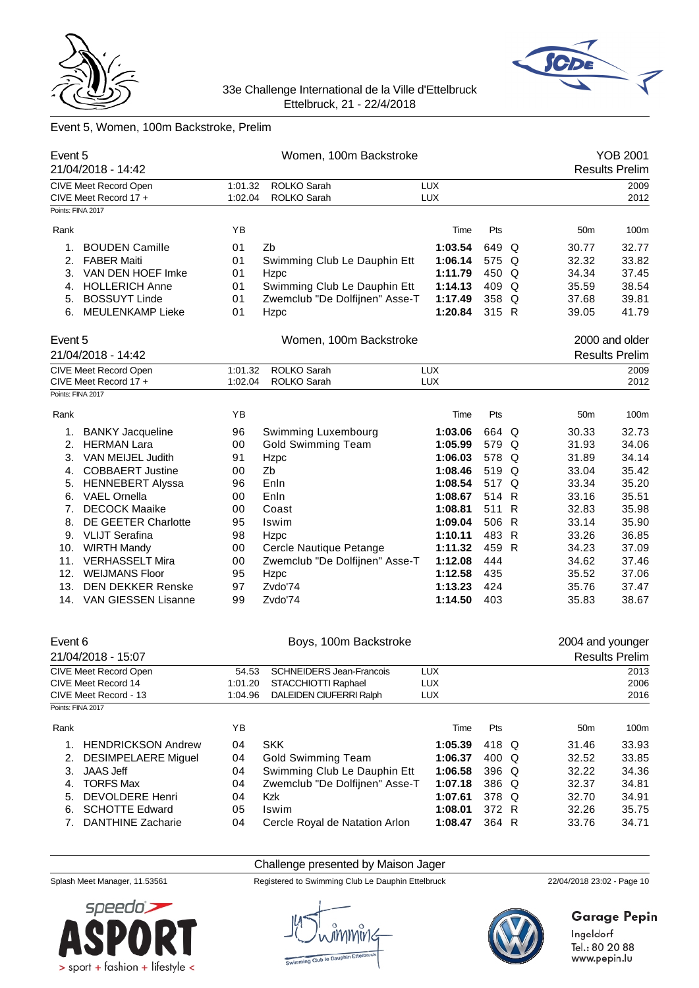



# Event 5, Women, 100m Backstroke, Prelim

| Event 5 | 21/04/2018 - 14:42         |         | Women, 100m Backstroke          |             |       |                  | YOB 2001<br><b>Results Prelim</b> |
|---------|----------------------------|---------|---------------------------------|-------------|-------|------------------|-----------------------------------|
|         | CIVE Meet Record Open      | 1:01.32 | ROLKO Sarah                     | <b>LUX</b>  |       |                  | 2009                              |
|         | CIVE Meet Record 17 +      | 1:02.04 | ROLKO Sarah                     | <b>LUX</b>  |       |                  | 2012                              |
|         | Points: FINA 2017          |         |                                 |             |       |                  |                                   |
| Rank    |                            | YB      |                                 | Time        | Pts   | 50 <sub>m</sub>  | 100m                              |
| 1.      | <b>BOUDEN Camille</b>      | 01      | Zb                              | 1:03.54     | 649 Q | 30.77            | 32.77                             |
| 2.      | <b>FABER Maiti</b>         | 01      | Swimming Club Le Dauphin Ett    | 1:06.14     | 575 Q | 32.32            | 33.82                             |
| 3.      | VAN DEN HOEF Imke          | 01      | Hzpc                            | 1:11.79     | 450 Q | 34.34            | 37.45                             |
|         | 4. HOLLERICH Anne          | 01      | Swimming Club Le Dauphin Ett    | 1:14.13     | 409 Q | 35.59            | 38.54                             |
| 5.      | <b>BOSSUYT Linde</b>       | 01      | Zwemclub "De Dolfijnen" Asse-T  | 1:17.49     | 358 Q | 37.68            | 39.81                             |
|         | 6. MEULENKAMP Lieke        | 01      | Hzpc                            | 1:20.84     | 315 R | 39.05            | 41.79                             |
| Event 5 |                            |         | Women, 100m Backstroke          |             |       |                  | 2000 and older                    |
|         | 21/04/2018 - 14:42         |         |                                 |             |       |                  | <b>Results Prelim</b>             |
|         | CIVE Meet Record Open      | 1:01.32 | <b>ROLKO Sarah</b>              | <b>LUX</b>  |       |                  | 2009                              |
|         | CIVE Meet Record 17 +      | 1:02.04 | <b>ROLKO Sarah</b>              | <b>LUX</b>  |       |                  | 2012                              |
|         | Points: FINA 2017          |         |                                 |             |       |                  |                                   |
| Rank    |                            | YB      |                                 | Time        | Pts   | 50 <sub>m</sub>  | 100m                              |
|         |                            |         |                                 |             |       |                  |                                   |
| 1.      | <b>BANKY Jacqueline</b>    | 96      | Swimming Luxembourg             | 1:03.06     | 664 Q | 30.33            | 32.73                             |
|         | 2. HERMAN Lara             | 00      | <b>Gold Swimming Team</b>       | 1:05.99     | 579 Q | 31.93            | 34.06                             |
|         | 3. VAN MEIJEL Judith       | 91      | Hzpc                            | 1:06.03     | 578 Q | 31.89            | 34.14                             |
|         | 4. COBBAERT Justine        | 00      | Zb                              | 1:08.46     | 519 Q | 33.04            | 35.42                             |
|         | 5. HENNEBERT Alyssa        | 96      | Enln                            | 1:08.54     | 517 Q | 33.34            | 35.20                             |
|         | 6. VAEL Ornella            | 00      | Enln                            | 1:08.67     | 514 R | 33.16            | 35.51                             |
| 7.      | <b>DECOCK Maaike</b>       | 00      | Coast                           | 1:08.81     | 511 R | 32.83            | 35.98                             |
| 8.      | <b>DE GEETER Charlotte</b> | 95      | Iswim                           | 1:09.04     | 506 R | 33.14            | 35.90                             |
|         | 9. VLIJT Serafina          | 98      | Hzpc                            | 1:10.11     | 483 R | 33.26            | 36.85                             |
|         | 10. WIRTH Mandy            | 00      | Cercle Nautique Petange         | 1:11.32     | 459 R | 34.23            | 37.09                             |
| 11.     | <b>VERHASSELT Mira</b>     | 00      | Zwemclub "De Dolfijnen" Asse-T  | 1:12.08     | 444   | 34.62            | 37.46                             |
|         | 12. WEIJMANS Floor         | 95      | Hzpc                            | 1:12.58     | 435   | 35.52            | 37.06                             |
| 13.     | <b>DEN DEKKER Renske</b>   | 97      | Zvdo'74                         | 1:13.23     | 424   | 35.76            | 37.47                             |
|         | 14. VAN GIESSEN Lisanne    | 99      | Zvdo'74                         | 1:14.50     | 403   | 35.83            | 38.67                             |
| Event 6 |                            |         | Boys, 100m Backstroke           |             |       | 2004 and younger |                                   |
|         | 21/04/2018 - 15:07         |         |                                 |             |       |                  | <b>Results Prelim</b>             |
|         | CIVE Meet Record Open      | 54.53   | <b>SCHNEIDERS Jean-Francois</b> | <b>LUX</b>  |       |                  | 2013                              |
|         | CIVE Moot Pocord 14        | 1.01.20 | STACCHIOTTI Panhael             | <b>TIIY</b> |       |                  | 2006                              |

|      | CIVE Meet Record 14       | 1:01.20 | STACCHIOTTI Raphael            | <b>LUX</b> |            |  |                 | 2006  |
|------|---------------------------|---------|--------------------------------|------------|------------|--|-----------------|-------|
|      | CIVE Meet Record - 13     | 1:04.96 | DALEIDEN CIUFERRI Ralph        | <b>LUX</b> |            |  |                 | 2016  |
|      | Points: FINA 2017         |         |                                |            |            |  |                 |       |
| Rank |                           | YΒ      |                                | Time       | <b>Pts</b> |  | 50 <sub>m</sub> | 100m  |
|      | <b>HENDRICKSON Andrew</b> | 04      | <b>SKK</b>                     | 1:05.39    | 418 Q      |  | 31.46           | 33.93 |
| 2.   | DESIMPELAERE Miquel       | 04      | <b>Gold Swimming Team</b>      | 1:06.37    | 400 Q      |  | 32.52           | 33.85 |
| 3.   | JAAS Jeff                 | 04      | Swimming Club Le Dauphin Ett   | 1:06.58    | 396 Q      |  | 32.22           | 34.36 |
| 4.   | <b>TORFS Max</b>          | 04      | Zwemclub "De Dolfijnen" Asse-T | 1:07.18    | 386 Q      |  | 32.37           | 34.81 |
| 5.   | DEVOLDERE Henri           | 04      | Kzk                            | 1:07.61    | 378 Q      |  | 32.70           | 34.91 |
| 6.   | <b>SCHOTTE Edward</b>     | 05      | Iswim                          | 1:08.01    | 372 R      |  | 32.26           | 35.75 |
| 7.   | <b>DANTHINE Zacharie</b>  | 04      | Cercle Royal de Natation Arlon | 1:08.47    | 364 R      |  | 33.76           | 34.71 |

# Challenge presented by Maison Jager



Splash Meet Manager, 11.53561 Registered to Swimming Club Le Dauphin Ettelbruck 22/04/2018 23:02 - Page 10



# **Garage Pepin**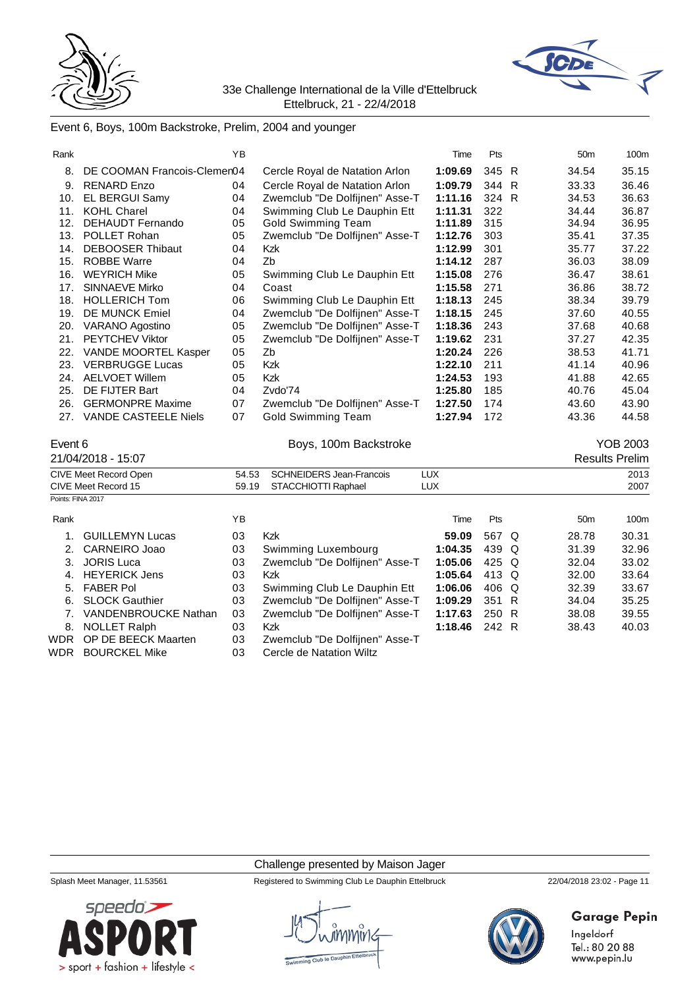



# Event 6, Boys, 100m Backstroke, Prelim, 2004 and younger

| Rank              |                              | YB    |                                 | Time       | Pts   | 50 <sub>m</sub> | 100m                  |
|-------------------|------------------------------|-------|---------------------------------|------------|-------|-----------------|-----------------------|
| 8.                | DE COOMAN Francois-Clemen04  |       | Cercle Royal de Natation Arlon  | 1:09.69    | 345 R | 34.54           | 35.15                 |
| 9.                | <b>RENARD Enzo</b>           | 04    | Cercle Royal de Natation Arlon  | 1:09.79    | 344 R | 33.33           | 36.46                 |
|                   | 10. EL BERGUI Samy           | 04    | Zwemclub "De Dolfijnen" Asse-T  | 1:11.16    | 324 R | 34.53           | 36.63                 |
| 11.               | <b>KOHL Charel</b>           | 04    | Swimming Club Le Dauphin Ett    | 1:11.31    | 322   | 34.44           | 36.87                 |
| 12.               | <b>DEHAUDT Fernando</b>      | 05    | <b>Gold Swimming Team</b>       | 1:11.89    | 315   | 34.94           | 36.95                 |
| 13.               | POLLET Rohan                 | 05    | Zwemclub "De Dolfijnen" Asse-T  | 1:12.76    | 303   | 35.41           | 37.35                 |
| 14.               | <b>DEBOOSER Thibaut</b>      | 04    | <b>Kzk</b>                      | 1:12.99    | 301   | 35.77           | 37.22                 |
| 15.               | <b>ROBBE Warre</b>           | 04    | Zb                              | 1:14.12    | 287   | 36.03           | 38.09                 |
| 16.               | <b>WEYRICH Mike</b>          | 05    | Swimming Club Le Dauphin Ett    | 1:15.08    | 276   | 36.47           | 38.61                 |
| 17.               | <b>SINNAEVE Mirko</b>        | 04    | Coast                           | 1:15.58    | 271   | 36.86           | 38.72                 |
| 18.               | <b>HOLLERICH Tom</b>         | 06    | Swimming Club Le Dauphin Ett    | 1:18.13    | 245   | 38.34           | 39.79                 |
| 19.               | DE MUNCK Emiel               | 04    | Zwemclub "De Dolfijnen" Asse-T  | 1:18.15    | 245   | 37.60           | 40.55                 |
|                   | 20. VARANO Agostino          | 05    | Zwemclub "De Dolfijnen" Asse-T  | 1:18.36    | 243   | 37.68           | 40.68                 |
| 21.               | <b>PEYTCHEV Viktor</b>       | 05    | Zwemclub "De Dolfijnen" Asse-T  | 1:19.62    | 231   | 37.27           | 42.35                 |
| 22.               | VANDE MOORTEL Kasper         | 05    | Zb                              | 1:20.24    | 226   | 38.53           | 41.71                 |
|                   | 23. VERBRUGGE Lucas          | 05    | Kzk                             | 1:22.10    | 211   | 41.14           | 40.96                 |
|                   | 24. AELVOET Willem           | 05    | Kzk                             | 1:24.53    | 193   | 41.88           | 42.65                 |
| 25.               | DE FIJTER Bart               | 04    | Zvdo'74                         | 1:25.80    | 185   | 40.76           | 45.04                 |
|                   | 26. GERMONPRE Maxime         | 07    | Zwemclub "De Dolfijnen" Asse-T  | 1:27.50    | 174   | 43.60           | 43.90                 |
|                   | 27. VANDE CASTEELE Niels     | 07    | <b>Gold Swimming Team</b>       | 1:27.94    | 172   | 43.36           | 44.58                 |
| Event 6           |                              |       | Boys, 100m Backstroke           |            |       |                 | <b>YOB 2003</b>       |
|                   | 21/04/2018 - 15:07           |       |                                 |            |       |                 | <b>Results Prelim</b> |
|                   | <b>CIVE Meet Record Open</b> | 54.53 | <b>SCHNEIDERS Jean-Francois</b> | <b>LUX</b> |       |                 | 2013                  |
|                   | CIVE Meet Record 15          | 59.19 | STACCHIOTTI Raphael             | <b>LUX</b> |       |                 | 2007                  |
| Points: FINA 2017 |                              |       |                                 |            |       |                 |                       |
|                   |                              |       |                                 |            |       |                 |                       |
| Rank              |                              | YB    |                                 | Time       | Pts   | 50 <sub>m</sub> | 100m                  |
| 1.                | <b>GUILLEMYN Lucas</b>       | 03    | Kzk                             | 59.09      | 567 Q | 28.78           | 30.31                 |
| 2.                | CARNEIRO Joao                | 03    | Swimming Luxembourg             | 1:04.35    | 439 Q | 31.39           | 32.96                 |
| 3.                | <b>JORIS Luca</b>            | 03    | Zwemclub "De Dolfijnen" Asse-T  | 1:05.06    | 425 Q | 32.04           | 33.02                 |
| 4.                | <b>HEYERICK Jens</b>         | 03    | Kzk                             | 1:05.64    | 413 Q | 32.00           | 33.64                 |
| 5.                | <b>FABER Pol</b>             | 03    | Swimming Club Le Dauphin Ett    | 1:06.06    | 406 Q | 32.39           | 33.67                 |
| 6.                | <b>SLOCK Gauthier</b>        | 03    | Zwemclub "De Dolfijnen" Asse-T  | 1:09.29    | 351 R | 34.04           | 35.25                 |
| 7.                | <b>VANDENBROUCKE Nathan</b>  | 03    | Zwemclub "De Dolfijnen" Asse-T  | 1:17.63    | 250 R | 38.08           | 39.55                 |
| 8.                | <b>NOLLET Ralph</b>          | 03    | Kzk                             | 1:18.46    | 242 R | 38.43           | 40.03                 |
| <b>WDR</b>        | OP DE BEECK Maarten          | 03    | Zwemclub "De Dolfijnen" Asse-T  |            |       |                 |                       |
| <b>WDR</b>        | <b>BOURCKEL Mike</b>         | 03    | Cercle de Natation Wiltz        |            |       |                 |                       |

Challenge presented by Maison Jager



Splash Meet Manager, 11.53561 Registered to Swimming Club Le Dauphin Ettelbruck 22/04/2018 23:02 - Page 11



# **Garage Pepin**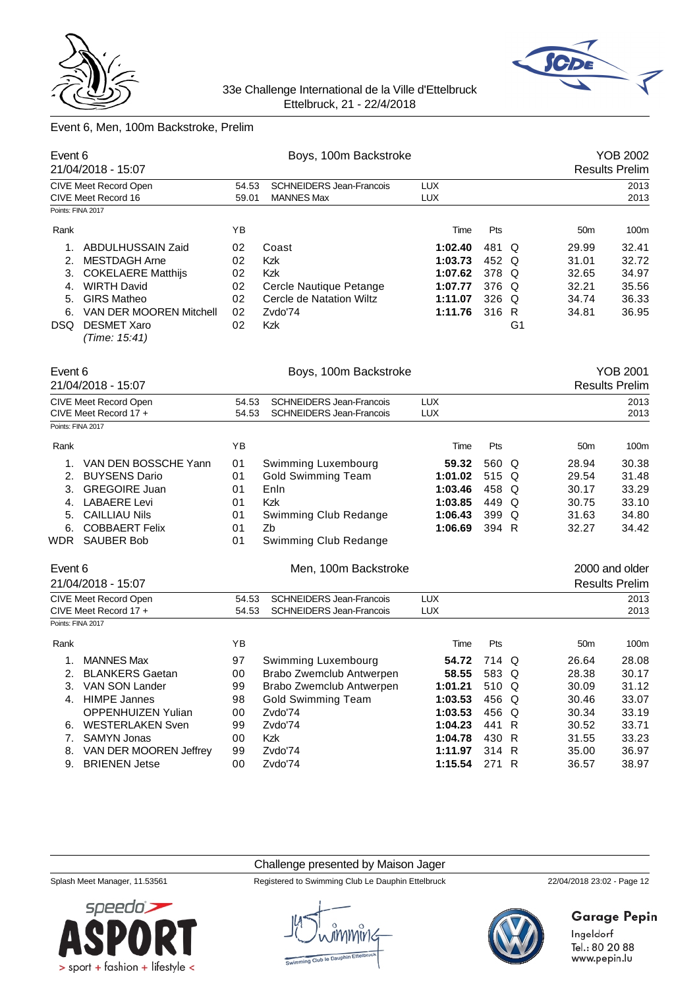



# Event 6, Men, 100m Backstroke, Prelim

| Event 6                          | 21/04/2018 - 15:07                                                                                                                                                                |                                        | Boys, 100m Backstroke                                                                                      |                                                                |                                                  |                     |                                                    | <b>YOB 2002</b><br><b>Results Prelim</b>           |
|----------------------------------|-----------------------------------------------------------------------------------------------------------------------------------------------------------------------------------|----------------------------------------|------------------------------------------------------------------------------------------------------------|----------------------------------------------------------------|--------------------------------------------------|---------------------|----------------------------------------------------|----------------------------------------------------|
|                                  | <b>CIVE Meet Record Open</b><br>CIVE Meet Record 16                                                                                                                               | 54.53<br>59.01                         | <b>SCHNEIDERS Jean-Francois</b><br><b>MANNES Max</b>                                                       | <b>LUX</b><br><b>LUX</b>                                       |                                                  |                     |                                                    | 2013<br>2013                                       |
| Points: FINA 2017                |                                                                                                                                                                                   |                                        |                                                                                                            |                                                                |                                                  |                     |                                                    |                                                    |
| Rank                             |                                                                                                                                                                                   | ΥB                                     |                                                                                                            | Time                                                           | Pts                                              |                     | 50 <sub>m</sub>                                    | 100m                                               |
| 1.<br>2.<br>3.<br>4.<br>5.<br>6. | ABDULHUSSAIN Zaid<br><b>MESTDAGH Arne</b><br><b>COKELAERE Matthijs</b><br><b>WIRTH David</b><br><b>GIRS Matheo</b><br>VAN DER MOOREN Mitchell<br>DSQ DESMET Xaro<br>(Time: 15:41) | 02<br>02<br>02<br>02<br>02<br>02<br>02 | Coast<br><b>Kzk</b><br><b>Kzk</b><br>Cercle Nautique Petange<br>Cercle de Natation Wiltz<br>Zvdo'74<br>Kzk | 1:02.40<br>1:03.73<br>1:07.62<br>1:07.77<br>1:11.07<br>1:11.76 | 481<br>452 Q<br>378 Q<br>376 Q<br>326 Q<br>316 R | Q<br>G <sub>1</sub> | 29.99<br>31.01<br>32.65<br>32.21<br>34.74<br>34.81 | 32.41<br>32.72<br>34.97<br>35.56<br>36.33<br>36.95 |
| Event 6                          | 21/04/2018 - 15:07                                                                                                                                                                |                                        | Boys, 100m Backstroke                                                                                      |                                                                |                                                  |                     |                                                    | <b>YOB 2001</b><br><b>Results Prelim</b>           |
|                                  | <b>CIVE Meet Record Open</b>                                                                                                                                                      | 54.53                                  | <b>SCHNEIDERS Jean-Francois</b>                                                                            | <b>LUX</b>                                                     |                                                  |                     |                                                    | 2013                                               |
|                                  | CIVE Meet Record 17 +                                                                                                                                                             | 54.53                                  | <b>SCHNEIDERS Jean-Francois</b>                                                                            | <b>LUX</b>                                                     |                                                  |                     |                                                    | 2013                                               |
| Points: FINA 2017                |                                                                                                                                                                                   |                                        |                                                                                                            |                                                                |                                                  |                     |                                                    |                                                    |
| Rank                             |                                                                                                                                                                                   | ΥB                                     |                                                                                                            | Time                                                           | Pts                                              |                     | 50 <sub>m</sub>                                    | 100m                                               |
| 1.                               | VAN DEN BOSSCHE Yann                                                                                                                                                              | 01                                     | Swimming Luxembourg                                                                                        | 59.32                                                          | 560 Q                                            |                     | 28.94                                              | 30.38                                              |
| 2.                               | <b>BUYSENS Dario</b>                                                                                                                                                              | 01                                     | <b>Gold Swimming Team</b>                                                                                  | 1:01.02                                                        | 515 Q                                            |                     | 29.54                                              | 31.48                                              |
| 3.                               | <b>GREGOIRE Juan</b>                                                                                                                                                              | 01                                     | Enln                                                                                                       | 1:03.46                                                        | 458 Q                                            |                     | 30.17                                              | 33.29                                              |
|                                  | 4. LABAERE Levi                                                                                                                                                                   | 01                                     | <b>Kzk</b>                                                                                                 | 1:03.85                                                        | 449 Q                                            |                     | 30.75                                              | 33.10                                              |
| 5.                               | <b>CAILLIAU Nils</b>                                                                                                                                                              | 01                                     | Swimming Club Redange                                                                                      | 1:06.43                                                        | 399 Q                                            |                     | 31.63                                              | 34.80                                              |
| 6.<br>WDR                        | <b>COBBAERT Felix</b><br><b>SAUBER Bob</b>                                                                                                                                        | 01<br>01                               | Zb<br>Swimming Club Redange                                                                                | 1:06.69                                                        | 394 R                                            |                     | 32.27                                              | 34.42                                              |
|                                  |                                                                                                                                                                                   |                                        |                                                                                                            |                                                                |                                                  |                     |                                                    |                                                    |
| Event 6                          | 21/04/2018 - 15:07                                                                                                                                                                |                                        | Men, 100m Backstroke                                                                                       |                                                                |                                                  |                     |                                                    | 2000 and older<br><b>Results Prelim</b>            |
|                                  | <b>CIVE Meet Record Open</b>                                                                                                                                                      | 54.53                                  | <b>SCHNEIDERS Jean-Francois</b>                                                                            | <b>LUX</b>                                                     |                                                  |                     |                                                    | 2013                                               |
|                                  | CIVE Meet Record 17 +                                                                                                                                                             | 54.53                                  | <b>SCHNEIDERS Jean-Francois</b>                                                                            | <b>LUX</b>                                                     |                                                  |                     |                                                    | 2013                                               |
| Points: FINA 2017                |                                                                                                                                                                                   |                                        |                                                                                                            |                                                                |                                                  |                     |                                                    |                                                    |
| Rank                             |                                                                                                                                                                                   | ΥB                                     |                                                                                                            | Time                                                           | Pts                                              |                     | 50 <sub>m</sub>                                    | 100m                                               |
| 1.                               | <b>MANNES Max</b>                                                                                                                                                                 | 97                                     | Swimming Luxembourg                                                                                        | 54.72                                                          | 714 Q                                            |                     | 26.64                                              | 28.08                                              |
|                                  | 2. BLANKERS Gaetan                                                                                                                                                                | 00                                     | Brabo Zwemclub Antwerpen                                                                                   | 58.55                                                          | 583 Q                                            |                     | 28.38                                              | 30.17                                              |
| 3.                               | VAN SON Lander                                                                                                                                                                    | 99                                     | Brabo Zwemclub Antwerpen                                                                                   | 1:01.21                                                        | 510 Q                                            |                     | 30.09                                              | 31.12                                              |
|                                  | 4. HIMPE Jannes                                                                                                                                                                   | 98                                     | <b>Gold Swimming Team</b>                                                                                  | 1:03.53                                                        | 456 Q                                            |                     | 30.46                                              | 33.07                                              |
|                                  | <b>OPPENHUIZEN Yulian</b>                                                                                                                                                         | 00                                     | Zvdo'74                                                                                                    | 1:03.53                                                        | 456 Q                                            |                     | 30.34                                              | 33.19                                              |
|                                  | 6. WESTERLAKEN Sven                                                                                                                                                               | 99                                     | Zvdo'74                                                                                                    | 1:04.23                                                        | 441 R                                            |                     | 30.52                                              | 33.71                                              |
| 7.                               | <b>SAMYN Jonas</b>                                                                                                                                                                | 00                                     | Kzk                                                                                                        | 1:04.78                                                        | 430 R                                            |                     | 31.55                                              | 33.23                                              |
| 8.                               | VAN DER MOOREN Jeffrey                                                                                                                                                            | 99                                     | Zvdo'74                                                                                                    | 1:11.97                                                        | 314 R                                            |                     | 35.00                                              | 36.97                                              |
| 9.                               | <b>BRIENEN Jetse</b>                                                                                                                                                              | 00                                     | Zvdo'74                                                                                                    | 1:15.54                                                        | 271 R                                            |                     | 36.57                                              | 38.97                                              |

### Challenge presented by Maison Jager



Splash Meet Manager, 11.53561 Registered to Swimming Club Le Dauphin Ettelbruck 22/04/2018 23:02 - Page 12



# **Garage Pepin**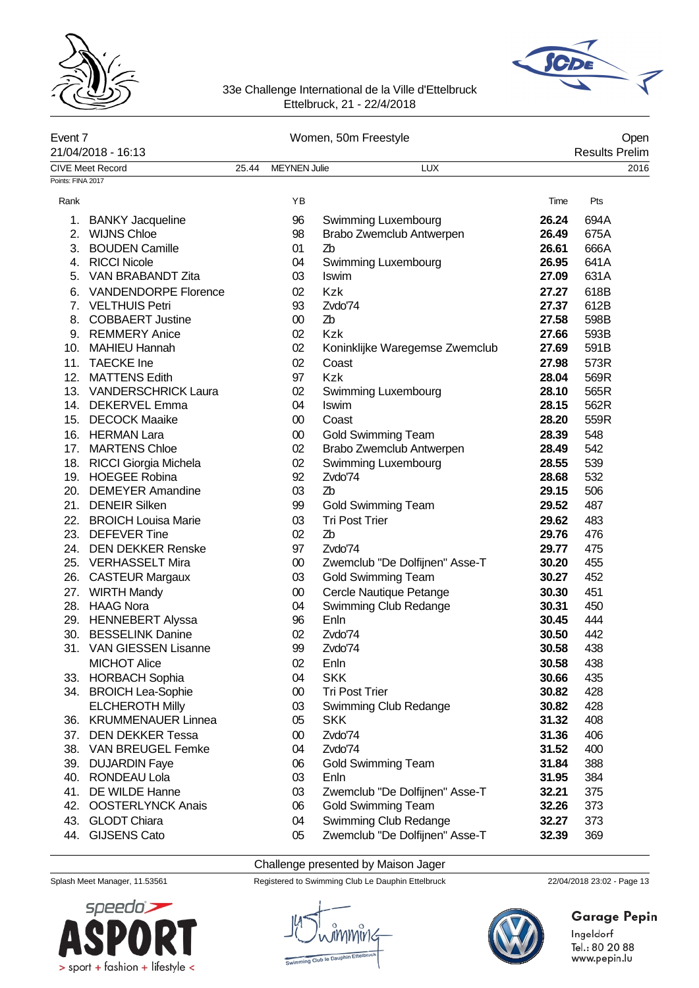



| Event 7<br>21/04/2018 - 16:13<br><b>CIVE Meet Record</b> |                             |       |                     | Women, 50m Freestyle           |       | Open<br><b>Results Prelim</b> |  |
|----------------------------------------------------------|-----------------------------|-------|---------------------|--------------------------------|-------|-------------------------------|--|
|                                                          |                             | 25.44 | <b>MEYNEN Julie</b> | <b>LUX</b>                     |       | 2016                          |  |
| Points: FINA 2017                                        |                             |       |                     |                                |       |                               |  |
| Rank                                                     |                             |       | ΥB                  |                                | Time  | Pts                           |  |
| 1.                                                       | <b>BANKY Jacqueline</b>     |       | 96                  | Swimming Luxembourg            | 26.24 | 694A                          |  |
| 2.                                                       | <b>WIJNS Chloe</b>          |       | 98                  | Brabo Zwemclub Antwerpen       | 26.49 | 675A                          |  |
|                                                          | 3. BOUDEN Camille           |       | 01                  | Zb                             | 26.61 | 666A                          |  |
|                                                          | 4. RICCI Nicole             |       | 04                  | Swimming Luxembourg            | 26.95 | 641A                          |  |
| 5.                                                       | VAN BRABANDT Zita           |       | 03                  | <b>Iswim</b>                   | 27.09 | 631A                          |  |
| 6.                                                       | <b>VANDENDORPE Florence</b> |       | 02                  | <b>Kzk</b>                     | 27.27 | 618B                          |  |
|                                                          | 7. VELTHUIS Petri           |       | 93                  | Zvdo'74                        | 27.37 | 612B                          |  |
| 8.                                                       | <b>COBBAERT Justine</b>     |       | $00\,$              | Zb                             | 27.58 | 598B                          |  |
|                                                          | 9. REMMERY Anice            |       | 02                  | Kzk                            | 27.66 | 593B                          |  |
| 10.                                                      | <b>MAHIEU Hannah</b>        |       | 02                  | Koninklijke Waregemse Zwemclub | 27.69 | 591B                          |  |
| 11.                                                      | <b>TAECKE</b> Ine           |       | 02                  | Coast                          | 27.98 | 573R                          |  |
|                                                          | 12. MATTENS Edith           |       | 97                  | <b>Kzk</b>                     | 28.04 | 569R                          |  |
|                                                          | 13. VANDERSCHRICK Laura     |       | 02                  |                                | 28.10 | 565R                          |  |
|                                                          |                             |       |                     | Swimming Luxembourg            |       |                               |  |
|                                                          | 14. DEKERVEL Emma           |       | 04                  | Iswim<br>Coast                 | 28.15 | 562R                          |  |
|                                                          | 15. DECOCK Maaike           |       | $00\,$              |                                | 28.20 | 559R                          |  |
|                                                          | 16. HERMAN Lara             |       | $00\,$              | <b>Gold Swimming Team</b>      | 28.39 | 548                           |  |
|                                                          | 17. MARTENS Chloe           |       | 02                  | Brabo Zwemclub Antwerpen       | 28.49 | 542                           |  |
|                                                          | 18. RICCI Giorgia Michela   |       | 02                  | Swimming Luxembourg            | 28.55 | 539                           |  |
|                                                          | 19. HOEGEE Robina           |       | 92                  | Zvdo'74                        | 28.68 | 532                           |  |
|                                                          | 20. DEMEYER Amandine        |       | 03                  | Z <sub>b</sub>                 | 29.15 | 506                           |  |
|                                                          | 21. DENEIR Silken           |       | 99                  | <b>Gold Swimming Team</b>      | 29.52 | 487                           |  |
|                                                          | 22. BROICH Louisa Marie     |       | 03                  | <b>Tri Post Trier</b>          | 29.62 | 483                           |  |
|                                                          | 23. DEFEVER Tine            |       | 02                  | Z <sub>b</sub>                 | 29.76 | 476                           |  |
|                                                          | 24. DEN DEKKER Renske       |       | 97                  | Zvdo'74                        | 29.77 | 475                           |  |
|                                                          | 25. VERHASSELT Mira         |       | $00\,$              | Zwemclub "De Dolfijnen" Asse-T | 30.20 | 455                           |  |
|                                                          | 26. CASTEUR Margaux         |       | 03                  | <b>Gold Swimming Team</b>      | 30.27 | 452                           |  |
|                                                          | 27. WIRTH Mandy             |       | $00\,$              | Cercle Nautique Petange        | 30.30 | 451                           |  |
|                                                          | 28. HAAG Nora               |       | 04                  | Swimming Club Redange          | 30.31 | 450                           |  |
|                                                          | 29. HENNEBERT Alyssa        |       | 96                  | Enln                           | 30.45 | 444                           |  |
| 30.                                                      | <b>BESSELINK Danine</b>     |       | 02                  | Zvdo'74                        | 30.50 | 442                           |  |
|                                                          | 31. VAN GIESSEN Lisanne     |       | 99                  | Zvdo'74                        | 30.58 | 438                           |  |
|                                                          | <b>MICHOT Alice</b>         |       | 02                  | Enln                           | 30.58 | 438                           |  |
|                                                          | 33. HORBACH Sophia          |       | 04                  | <b>SKK</b>                     | 30.66 | 435                           |  |
|                                                          | 34. BROICH Lea-Sophie       |       | $00\,$              | <b>Tri Post Trier</b>          | 30.82 | 428                           |  |
|                                                          | <b>ELCHEROTH Milly</b>      |       | 03                  | Swimming Club Redange          | 30.82 | 428                           |  |
| 36.                                                      | <b>KRUMMENAUER Linnea</b>   |       | 05                  | <b>SKK</b>                     | 31.32 | 408                           |  |
| 37.                                                      | <b>DEN DEKKER Tessa</b>     |       | $00\,$              | Zvdo'74                        | 31.36 | 406                           |  |
| 38.                                                      | VAN BREUGEL Femke           |       | 04                  | Zvdo'74                        | 31.52 | 400                           |  |
| 39.                                                      | <b>DUJARDIN Faye</b>        |       | 06                  | <b>Gold Swimming Team</b>      | 31.84 | 388                           |  |
|                                                          | 40. RONDEAU Lola            |       | 03                  | Enln                           | 31.95 | 384                           |  |
| 41.                                                      | DE WILDE Hanne              |       | 03                  | Zwemclub "De Dolfijnen" Asse-T | 32.21 | 375                           |  |
| 42.                                                      | <b>OOSTERLYNCK Anais</b>    |       | 06                  | <b>Gold Swimming Team</b>      | 32.26 | 373                           |  |
|                                                          |                             |       |                     |                                |       |                               |  |
| 43.                                                      | <b>GLODT Chiara</b>         |       | 04                  | Swimming Club Redange          | 32.27 | 373                           |  |
| 44.                                                      | <b>GIJSENS Cato</b>         |       | 05                  | Zwemclub "De Dolfijnen" Asse-T | 32.39 | 369                           |  |

Challenge presented by Maison Jager

Splash Meet Manager, 11.53561 Registered to Swimming Club Le Dauphin Ettelbruck 22/04/2018 23:02 - Page 13





# Garage Pepin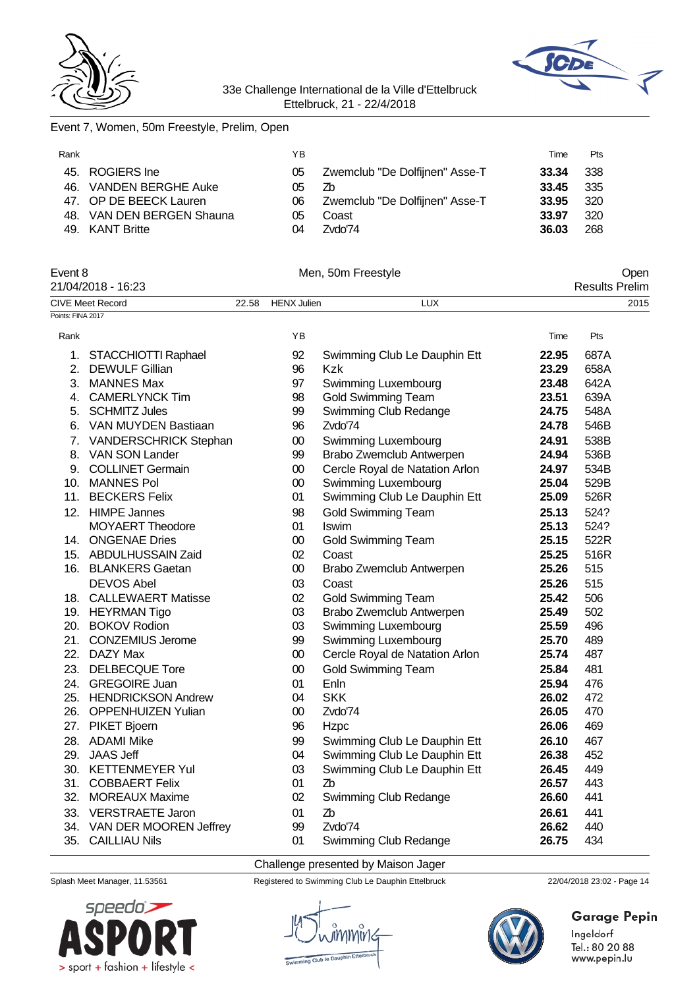



# Event 7, Women, 50m Freestyle, Prelim, Open

| Rank |                           | ΥB |                                | Time  | Pts   |
|------|---------------------------|----|--------------------------------|-------|-------|
|      | 45. ROGIERS Ine           | 05 | Zwemclub "De Dolfijnen" Asse-T | 33.34 | - 338 |
|      | 46. VANDEN BERGHE Auke    | 05 | Zb                             | 33.45 | - 335 |
|      | 47. OP DE BEECK Lauren    | 06 | Zwemclub "De Dolfijnen" Asse-T | 33.95 | - 320 |
|      | 48. VAN DEN BERGEN Shauna | 05 | Coast                          | 33.97 | -320  |
|      | 49. KANT Britte           | 04 | Zvdo'74                        | 36.03 | 268   |
|      |                           |    |                                |       |       |

| Event 8<br>21/04/2018 - 16:23 |                            | Men, 50m Freestyle |                    |                                | Open<br><b>Results Prelim</b> |      |  |
|-------------------------------|----------------------------|--------------------|--------------------|--------------------------------|-------------------------------|------|--|
|                               |                            |                    |                    |                                |                               |      |  |
| Points: FINA 2017             | <b>CIVE Meet Record</b>    | 22.58              | <b>HENX Julien</b> | <b>LUX</b>                     |                               | 2015 |  |
|                               |                            |                    |                    |                                |                               |      |  |
| Rank                          |                            |                    | YB                 |                                | Time                          | Pts  |  |
|                               | 1. STACCHIOTTI Raphael     |                    | 92                 | Swimming Club Le Dauphin Ett   | 22.95                         | 687A |  |
|                               | 2. DEWULF Gillian          |                    | 96                 | <b>Kzk</b>                     | 23.29                         | 658A |  |
|                               | 3. MANNES Max              |                    | 97                 | Swimming Luxembourg            | 23.48                         | 642A |  |
|                               | 4. CAMERLYNCK Tim          |                    | 98                 | <b>Gold Swimming Team</b>      | 23.51                         | 639A |  |
|                               | 5. SCHMITZ Jules           |                    | 99                 | Swimming Club Redange          | 24.75                         | 548A |  |
|                               | 6. VAN MUYDEN Bastiaan     |                    | 96                 | Zvdo'74                        | 24.78                         | 546B |  |
|                               | 7. VANDERSCHRICK Stephan   |                    | $00\,$             | Swimming Luxembourg            | 24.91                         | 538B |  |
|                               | 8. VAN SON Lander          |                    | 99                 | Brabo Zwemclub Antwerpen       | 24.94                         | 536B |  |
|                               | 9. COLLINET Germain        |                    | $00\,$             | Cercle Royal de Natation Arlon | 24.97                         | 534B |  |
|                               | 10. MANNES Pol             |                    | 00                 | <b>Swimming Luxembourg</b>     | 25.04                         | 529B |  |
|                               | 11. BECKERS Felix          |                    | 01                 | Swimming Club Le Dauphin Ett   | 25.09                         | 526R |  |
|                               | 12. HIMPE Jannes           |                    | 98                 | <b>Gold Swimming Team</b>      | 25.13                         | 524? |  |
|                               | <b>MOYAERT Theodore</b>    |                    | 01                 | Iswim                          | 25.13                         | 524? |  |
|                               | 14. ONGENAE Dries          |                    | $00\,$             | <b>Gold Swimming Team</b>      | 25.15                         | 522R |  |
|                               | 15. ABDULHUSSAIN Zaid      |                    | 02                 | Coast                          | 25.25                         | 516R |  |
|                               | 16. BLANKERS Gaetan        |                    | $00\,$             | Brabo Zwemclub Antwerpen       | 25.26                         | 515  |  |
|                               | <b>DEVOS Abel</b>          |                    | 03                 | Coast                          | 25.26                         | 515  |  |
|                               | 18. CALLEWAERT Matisse     |                    | 02                 | <b>Gold Swimming Team</b>      | 25.42                         | 506  |  |
|                               | 19. HEYRMAN Tigo           |                    | 03                 | Brabo Zwemclub Antwerpen       | 25.49                         | 502  |  |
|                               | 20. BOKOV Rodion           |                    | 03                 | Swimming Luxembourg            | 25.59                         | 496  |  |
|                               | 21. CONZEMIUS Jerome       |                    | 99                 | Swimming Luxembourg            | 25.70                         | 489  |  |
|                               | 22. DAZY Max               |                    | $00\,$             | Cercle Royal de Natation Arlon | 25.74                         | 487  |  |
|                               | 23. DELBECQUE Tore         |                    | $00\,$             | <b>Gold Swimming Team</b>      | 25.84                         | 481  |  |
|                               | 24. GREGOIRE Juan          |                    | 01                 | Enln                           | 25.94                         | 476  |  |
|                               | 25. HENDRICKSON Andrew     |                    | 04                 | <b>SKK</b>                     | 26.02                         | 472  |  |
|                               | 26. OPPENHUIZEN Yulian     |                    | $00\,$             | Zvdo'74                        | 26.05                         | 470  |  |
|                               | 27. PIKET Bjoern           |                    | 96                 | Hzpc                           | 26.06                         | 469  |  |
|                               | 28. ADAMI Mike             |                    | 99                 | Swimming Club Le Dauphin Ett   | 26.10                         | 467  |  |
|                               | 29. JAAS Jeff              |                    | 04                 | Swimming Club Le Dauphin Ett   | 26.38                         | 452  |  |
|                               | 30. KETTENMEYER Yul        |                    | 03                 | Swimming Club Le Dauphin Ett   | 26.45                         | 449  |  |
|                               | 31. COBBAERT Felix         |                    | 01                 | Z <sub>b</sub>                 | 26.57                         | 443  |  |
|                               | 32. MOREAUX Maxime         |                    | 02                 | Swimming Club Redange          | 26.60                         | 441  |  |
|                               | 33. VERSTRAETE Jaron       |                    | 01                 | Z <sub>b</sub>                 | 26.61                         | 441  |  |
|                               | 34. VAN DER MOOREN Jeffrey |                    | 99                 | Zvdo'74                        | 26.62                         | 440  |  |
|                               | 35. CAILLIAU Nils          |                    | 01                 | Swimming Club Redange          | 26.75                         | 434  |  |

Challenge presented by Maison Jager



Splash Meet Manager, 11.53561 Registered to Swimming Club Le Dauphin Ettelbruck 22/04/2018 23:02 - Page 14





# **Garage Pepin**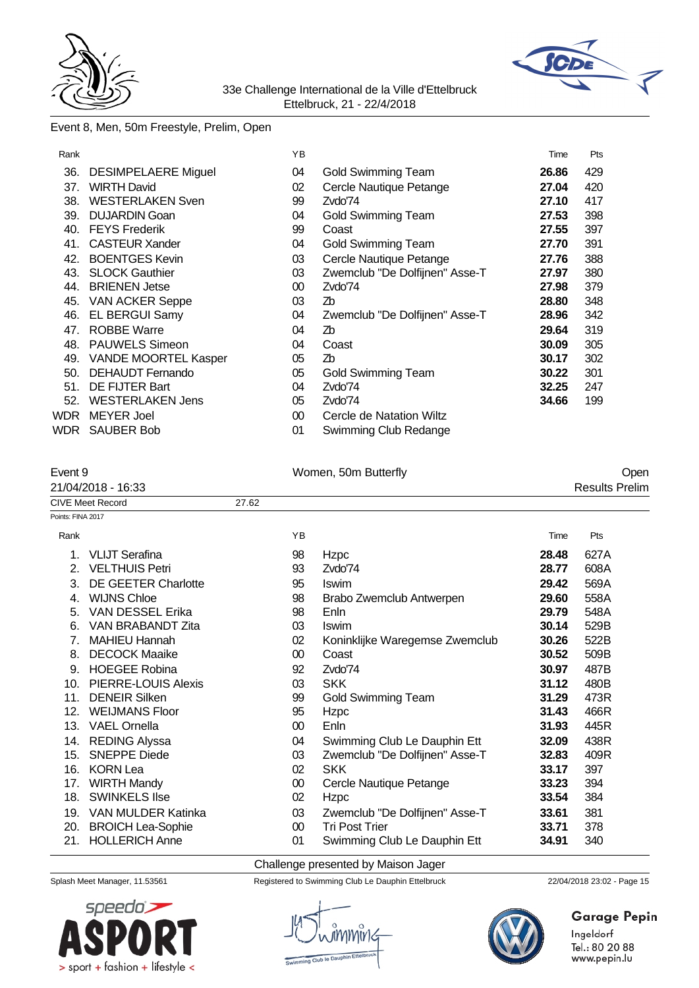



# Event 8, Men, 50m Freestyle, Prelim, Open

| Rank |                             | ΥB     |                                | Time  | Pts |
|------|-----------------------------|--------|--------------------------------|-------|-----|
| 36.  | <b>DESIMPELAERE Miguel</b>  | 04     | Gold Swimming Team             | 26.86 | 429 |
| 37.  | <b>WIRTH David</b>          | 02     | Cercle Nautique Petange        | 27.04 | 420 |
| 38.  | <b>WESTERLAKEN Sven</b>     | 99     | Zvdo'74                        | 27.10 | 417 |
| 39.  | <b>DUJARDIN Goan</b>        | 04     | <b>Gold Swimming Team</b>      | 27.53 | 398 |
| 40.  | <b>FEYS Frederik</b>        | 99     | Coast                          | 27.55 | 397 |
| 41.  | <b>CASTEUR Xander</b>       | 04     | Gold Swimming Team             | 27.70 | 391 |
| 42.  | <b>BOENTGES Kevin</b>       | 03     | Cercle Nautique Petange        | 27.76 | 388 |
| 43.  | <b>SLOCK Gauthier</b>       | 03     | Zwemclub "De Dolfijnen" Asse-T | 27.97 | 380 |
| 44.  | <b>BRIENEN Jetse</b>        | $00\,$ | Zvdo'74                        | 27.98 | 379 |
| 45.  | <b>VAN ACKER Seppe</b>      | 03     | Zb                             | 28.80 | 348 |
| 46.  | EL BERGUI Samy              | 04     | Zwemclub "De Dolfijnen" Asse-T | 28.96 | 342 |
| 47.  | <b>ROBBE Warre</b>          | 04     | Zb                             | 29.64 | 319 |
| 48.  | <b>PAUWELS Simeon</b>       | 04     | Coast                          | 30.09 | 305 |
| 49.  | <b>VANDE MOORTEL Kasper</b> | 05     | Zb                             | 30.17 | 302 |
| 50.  | <b>DEHAUDT Fernando</b>     | 05     | <b>Gold Swimming Team</b>      | 30.22 | 301 |
| 51.  | DE FIJTER Bart              | 04     | Zvdo'74                        | 32.25 | 247 |
| 52.  | <b>WESTERLAKEN Jens</b>     | 05     | Zvdo'74                        | 34.66 | 199 |
| WDR. | <b>MEYER Joel</b>           | $00\,$ | Cercle de Natation Wiltz       |       |     |
| WDR  | <b>SAUBER Bob</b>           | 01     | Swimming Club Redange          |       |     |

### Event 9 Communication of the UV Communication of the UV Communication of the UV Communication of the UV Communication of the UV Communication of the UV Communication of the UV Communication of the UV Communication of the U

# 21/04/2018 - 16:33 Results Prelim

|                   | <b>CIVE Meet Record</b>    | 27.62  |                                |       |      |
|-------------------|----------------------------|--------|--------------------------------|-------|------|
| Points: FINA 2017 |                            |        |                                |       |      |
| Rank              |                            | YB     |                                | Time  | Pts  |
| 1.                | <b>VLIJT Serafina</b>      | 98     | Hzpc                           | 28.48 | 627A |
| 2.                | <b>VELTHUIS Petri</b>      | 93     | Zvdo'74                        | 28.77 | 608A |
| 3.                | <b>DE GEETER Charlotte</b> | 95     | Iswim                          | 29.42 | 569A |
| 4.                | <b>WIJNS Chloe</b>         | 98     | Brabo Zwemclub Antwerpen       | 29.60 | 558A |
| 5.                | VAN DESSEL Erika           | 98     | Enln                           | 29.79 | 548A |
| 6.                | VAN BRABANDT Zita          | 03     | <b>Iswim</b>                   | 30.14 | 529B |
| 7.                | <b>MAHIEU Hannah</b>       | 02     | Koninklijke Waregemse Zwemclub | 30.26 | 522B |
| 8.                | <b>DECOCK Maaike</b>       | 00     | Coast                          | 30.52 | 509B |
| 9.                | <b>HOEGEE Robina</b>       | 92     | Zvdo'74                        | 30.97 | 487B |
| 10.               | PIERRE-LOUIS Alexis        | 03     | <b>SKK</b>                     | 31.12 | 480B |
| 11.               | <b>DENEIR Silken</b>       | 99     | <b>Gold Swimming Team</b>      | 31.29 | 473R |
| 12.               | <b>WEIJMANS Floor</b>      | 95     | Hzpc                           | 31.43 | 466R |
| 13.               | <b>VAEL Ornella</b>        | 00     | Enln                           | 31.93 | 445R |
| 14.               | <b>REDING Alyssa</b>       | 04     | Swimming Club Le Dauphin Ett   | 32.09 | 438R |
| 15.               | <b>SNEPPE Diede</b>        | 03     | Zwemclub "De Dolfijnen" Asse-T | 32.83 | 409R |
| 16.               | <b>KORN Lea</b>            | 02     | <b>SKK</b>                     | 33.17 | 397  |
| 17.               | <b>WIRTH Mandy</b>         | $00\,$ | Cercle Nautique Petange        | 33.23 | 394  |
| 18.               | <b>SWINKELS Ilse</b>       | $02\,$ | Hzpc                           | 33.54 | 384  |
| 19.               | VAN MULDER Katinka         | 03     | Zwemclub "De Dolfijnen" Asse-T | 33.61 | 381  |
| 20.               | <b>BROICH Lea-Sophie</b>   | $00\,$ | <b>Tri Post Trier</b>          | 33.71 | 378  |
| 21.               | <b>HOLLERICH Anne</b>      | 01     | Swimming Club Le Dauphin Ett   | 34.91 | 340  |

#### Challenge presented by Maison Jager



Splash Meet Manager, 11.53561 Registered to Swimming Club Le Dauphin Ettelbruck 22/04/2018 23:02 - Page 15



# **Garage Pepin**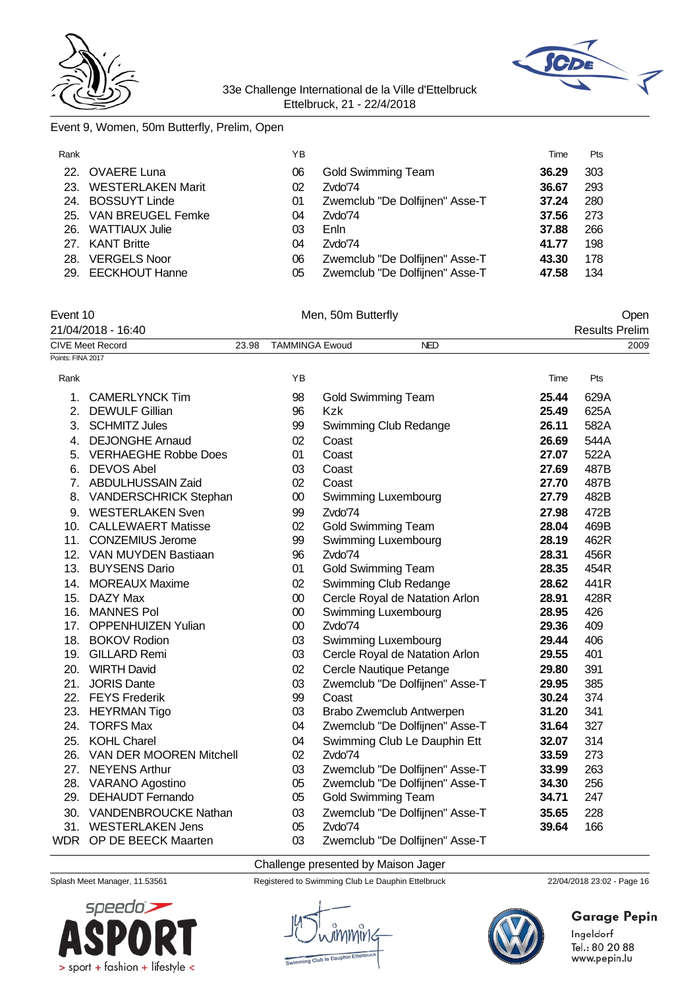



### Event 9, Women, 50m Butterfly, Prelim, Open

| Rank |                          | YΒ |                                | Time  | Pts |
|------|--------------------------|----|--------------------------------|-------|-----|
|      | 22. OVAERE Luna          | 06 | Gold Swimming Team             | 36.29 | 303 |
| 23.  | <b>WESTERLAKEN Marit</b> | 02 | Zvdo'74                        | 36.67 | 293 |
|      | 24. BOSSUYT Linde        | 01 | Zwemclub "De Dolfijnen" Asse-T | 37.24 | 280 |
|      | 25. VAN BREUGEL Femke    | 04 | Zvdo'74                        | 37.56 | 273 |
|      | 26. WATTIAUX Julie       | 03 | Enln                           | 37.88 | 266 |
|      | 27. KANT Britte          | 04 | Zvdo'74                        | 41.77 | 198 |
| 28.  | <b>VERGELS Noor</b>      | 06 | Zwemclub "De Dolfijnen" Asse-T | 43.30 | 178 |
|      | 29. EECKHOUT Hanne       | 05 | Zwemclub "De Dolfijnen" Asse-T | 47.58 | 134 |

### Event 10 Communication of the Men, 50m Butterfly Communication of the Open 21/04/2018 - 16:40 Results Prelim

CIVE Meet Record 23.98 TAMMINGA Ewoud NED 2009

| Points: FINA 2017 |                             |        |                                |       |      |
|-------------------|-----------------------------|--------|--------------------------------|-------|------|
| Rank              |                             | YB     |                                | Time  | Pts  |
| 1.                | <b>CAMERLYNCK Tim</b>       | 98     | Gold Swimming Team             | 25.44 | 629A |
| 2.                | <b>DEWULF Gillian</b>       | 96     | Kzk                            | 25.49 | 625A |
|                   | 3. SCHMITZ Jules            | 99     | Swimming Club Redange          | 26.11 | 582A |
| 4.                | <b>DEJONGHE Arnaud</b>      | 02     | Coast                          | 26.69 | 544A |
| 5.                | <b>VERHAEGHE Robbe Does</b> | 01     | Coast                          | 27.07 | 522A |
| 6.                | <b>DEVOS Abel</b>           | 03     | Coast                          | 27.69 | 487B |
| 7 <sub>1</sub>    | <b>ABDULHUSSAIN Zaid</b>    | 02     | Coast                          | 27.70 | 487B |
|                   | 8. VANDERSCHRICK Stephan    | $00\,$ | Swimming Luxembourg            | 27.79 | 482B |
|                   | 9. WESTERLAKEN Sven         | 99     | Zvdo'74                        | 27.98 | 472B |
| 10.               | <b>CALLEWAERT Matisse</b>   | 02     | <b>Gold Swimming Team</b>      | 28.04 | 469B |
| 11.               | <b>CONZEMIUS Jerome</b>     | 99     | Swimming Luxembourg            | 28.19 | 462R |
|                   | 12. VAN MUYDEN Bastiaan     | 96     | Zvdo'74                        | 28.31 | 456R |
|                   | 13. BUYSENS Dario           | 01     | <b>Gold Swimming Team</b>      | 28.35 | 454R |
|                   | 14. MOREAUX Maxime          | 02     | Swimming Club Redange          | 28.62 | 441R |
| 15.               | DAZY Max                    | $00\,$ | Cercle Royal de Natation Arlon | 28.91 | 428R |
| 16.               | <b>MANNES Pol</b>           | $00\,$ | Swimming Luxembourg            | 28.95 | 426  |
| 17.               | <b>OPPENHUIZEN Yulian</b>   | $00\,$ | Zvdo'74                        | 29.36 | 409  |
|                   | 18. BOKOV Rodion            | 03     | Swimming Luxembourg            | 29.44 | 406  |
|                   | 19. GILLARD Remi            | 03     | Cercle Royal de Natation Arlon | 29.55 | 401  |
| 20.               | <b>WIRTH David</b>          | 02     | Cercle Nautique Petange        | 29.80 | 391  |
| 21.               | <b>JORIS Dante</b>          | 03     | Zwemclub "De Dolfijnen" Asse-T | 29.95 | 385  |
| 22.               | <b>FEYS Frederik</b>        | 99     | Coast                          | 30.24 | 374  |
| 23.               | <b>HEYRMAN Tigo</b>         | 03     | Brabo Zwemclub Antwerpen       | 31.20 | 341  |
| 24.               | <b>TORFS Max</b>            | 04     | Zwemclub "De Dolfijnen" Asse-T | 31.64 | 327  |
|                   | 25. KOHL Charel             | 04     | Swimming Club Le Dauphin Ett   | 32.07 | 314  |
|                   | 26. VAN DER MOOREN Mitchell | 02     | Zvdo'74                        | 33.59 | 273  |
| 27.               | <b>NEYENS Arthur</b>        | 03     | Zwemclub "De Dolfijnen" Asse-T | 33.99 | 263  |
|                   | 28. VARANO Agostino         | 05     | Zwemclub "De Dolfijnen" Asse-T | 34.30 | 256  |
| 29.               | <b>DEHAUDT Fernando</b>     | 05     | <b>Gold Swimming Team</b>      | 34.71 | 247  |
|                   | 30. VANDENBROUCKE Nathan    | 03     | Zwemclub "De Dolfijnen" Asse-T | 35.65 | 228  |
|                   | 31. WESTERLAKEN Jens        | 05     | Zvdo'74                        | 39.64 | 166  |
|                   | WDR OP DE BEECK Maarten     | 03     | Zwemclub "De Dolfijnen" Asse-T |       |      |

Challenge presented by Maison Jager



Splash Meet Manager, 11.53561 Registered to Swimming Club Le Dauphin Ettelbruck 22/04/2018 23:02 - Page 16



# **Garage Pepin**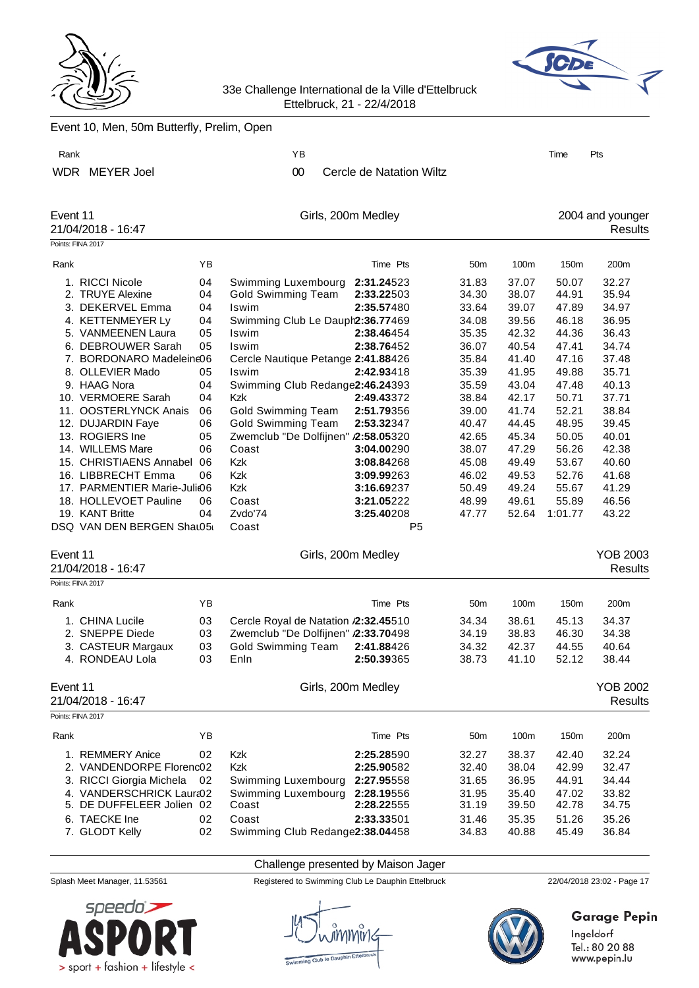



|          | Event 10, Men, 50m Butterfly, Prelim, Open                                                                                                                                                                                                                                                                                                                                                                                                                    |                                                                                                    |                                                                                                                                                                                                                                                                                                                                                                                    |                                                                                                                                                                                                                      |                                                                                                                                                                         |                                                                                                                                                                         |                                                                                                                                                                           |                                                                                                                                                                         |
|----------|---------------------------------------------------------------------------------------------------------------------------------------------------------------------------------------------------------------------------------------------------------------------------------------------------------------------------------------------------------------------------------------------------------------------------------------------------------------|----------------------------------------------------------------------------------------------------|------------------------------------------------------------------------------------------------------------------------------------------------------------------------------------------------------------------------------------------------------------------------------------------------------------------------------------------------------------------------------------|----------------------------------------------------------------------------------------------------------------------------------------------------------------------------------------------------------------------|-------------------------------------------------------------------------------------------------------------------------------------------------------------------------|-------------------------------------------------------------------------------------------------------------------------------------------------------------------------|---------------------------------------------------------------------------------------------------------------------------------------------------------------------------|-------------------------------------------------------------------------------------------------------------------------------------------------------------------------|
| Rank     |                                                                                                                                                                                                                                                                                                                                                                                                                                                               |                                                                                                    | ΥB                                                                                                                                                                                                                                                                                                                                                                                 |                                                                                                                                                                                                                      |                                                                                                                                                                         |                                                                                                                                                                         | Time                                                                                                                                                                      | Pts                                                                                                                                                                     |
|          | WDR MEYER Joel                                                                                                                                                                                                                                                                                                                                                                                                                                                |                                                                                                    | $00\,$                                                                                                                                                                                                                                                                                                                                                                             | Cercle de Natation Wiltz                                                                                                                                                                                             |                                                                                                                                                                         |                                                                                                                                                                         |                                                                                                                                                                           |                                                                                                                                                                         |
| Event 11 | 21/04/2018 - 16:47                                                                                                                                                                                                                                                                                                                                                                                                                                            |                                                                                                    | Girls, 200m Medley                                                                                                                                                                                                                                                                                                                                                                 |                                                                                                                                                                                                                      |                                                                                                                                                                         |                                                                                                                                                                         |                                                                                                                                                                           | 2004 and younger<br>Results                                                                                                                                             |
|          | Points: FINA 2017                                                                                                                                                                                                                                                                                                                                                                                                                                             |                                                                                                    |                                                                                                                                                                                                                                                                                                                                                                                    |                                                                                                                                                                                                                      |                                                                                                                                                                         |                                                                                                                                                                         |                                                                                                                                                                           |                                                                                                                                                                         |
| Rank     |                                                                                                                                                                                                                                                                                                                                                                                                                                                               | YB                                                                                                 |                                                                                                                                                                                                                                                                                                                                                                                    | Time Pts                                                                                                                                                                                                             | 50 <sub>m</sub>                                                                                                                                                         | 100m                                                                                                                                                                    | 150m                                                                                                                                                                      | 200m                                                                                                                                                                    |
|          | 1. RICCI Nicole<br>2. TRUYE Alexine<br>3. DEKERVEL Emma<br>4. KETTENMEYER Ly<br>5. VANMEENEN Laura<br>6. DEBROUWER Sarah<br>7. BORDONARO Madeleine06<br>8. OLLEVIER Mado<br>9. HAAG Nora<br>10. VERMOERE Sarah<br>11. OOSTERLYNCK Anais<br>12. DUJARDIN Faye<br>13. ROGIERS Ine<br>14. WILLEMS Mare<br>15. CHRISTIAENS Annabel<br>16. LIBBRECHT Emma<br>17. PARMENTIER Marie-Juli@6<br>18. HOLLEVOET Pauline<br>19. KANT Britte<br>DSQ VAN DEN BERGEN Shat05t | 04<br>04<br>04<br>04<br>05<br>05<br>05<br>04<br>04<br>06<br>06<br>05<br>06<br>06<br>06<br>06<br>04 | Swimming Luxembourg<br><b>Gold Swimming Team</b><br>Iswim<br>Swimming Club Le Dauph2:36.77469<br>Iswim<br>Iswim<br>Cercle Nautique Petange 2:41.88426<br>Iswim<br>Swimming Club Redange2:46.24393<br>Kzk<br><b>Gold Swimming Team</b><br><b>Gold Swimming Team</b><br>Zwemclub "De Dolfijnen" /2:58.05320<br>Coast<br><b>Kzk</b><br>Kzk<br><b>Kzk</b><br>Coast<br>Zvdo'74<br>Coast | 2:31.24523<br>2:33.22503<br>2:35.57480<br>2:38.46454<br>2:38.76452<br>2:42.93418<br>2:49.43372<br>2:51.79356<br>2:53.32347<br>3:04.00290<br>3:08.84268<br>3:09.99263<br>3:16.69237<br>3:21.05222<br>3:25.40208<br>P5 | 31.83<br>34.30<br>33.64<br>34.08<br>35.35<br>36.07<br>35.84<br>35.39<br>35.59<br>38.84<br>39.00<br>40.47<br>42.65<br>38.07<br>45.08<br>46.02<br>50.49<br>48.99<br>47.77 | 37.07<br>38.07<br>39.07<br>39.56<br>42.32<br>40.54<br>41.40<br>41.95<br>43.04<br>42.17<br>41.74<br>44.45<br>45.34<br>47.29<br>49.49<br>49.53<br>49.24<br>49.61<br>52.64 | 50.07<br>44.91<br>47.89<br>46.18<br>44.36<br>47.41<br>47.16<br>49.88<br>47.48<br>50.71<br>52.21<br>48.95<br>50.05<br>56.26<br>53.67<br>52.76<br>55.67<br>55.89<br>1:01.77 | 32.27<br>35.94<br>34.97<br>36.95<br>36.43<br>34.74<br>37.48<br>35.71<br>40.13<br>37.71<br>38.84<br>39.45<br>40.01<br>42.38<br>40.60<br>41.68<br>41.29<br>46.56<br>43.22 |
| Event 11 | 21/04/2018 - 16:47                                                                                                                                                                                                                                                                                                                                                                                                                                            |                                                                                                    | Girls, 200m Medley                                                                                                                                                                                                                                                                                                                                                                 |                                                                                                                                                                                                                      |                                                                                                                                                                         |                                                                                                                                                                         |                                                                                                                                                                           | <b>YOB 2003</b><br>Results                                                                                                                                              |
|          | Points: FINA 2017                                                                                                                                                                                                                                                                                                                                                                                                                                             |                                                                                                    |                                                                                                                                                                                                                                                                                                                                                                                    |                                                                                                                                                                                                                      |                                                                                                                                                                         |                                                                                                                                                                         |                                                                                                                                                                           |                                                                                                                                                                         |
| Rank     |                                                                                                                                                                                                                                                                                                                                                                                                                                                               | ΥB                                                                                                 |                                                                                                                                                                                                                                                                                                                                                                                    | Time Pts                                                                                                                                                                                                             | 50 <sub>m</sub>                                                                                                                                                         | 100m                                                                                                                                                                    | 150m                                                                                                                                                                      | 200m                                                                                                                                                                    |
|          | 1. CHINA Lucile<br>2. SNEPPE Diede<br>3. CASTEUR Margaux<br>4. RONDEAU Lola                                                                                                                                                                                                                                                                                                                                                                                   | 03<br>03<br>03<br>03                                                                               | Cercle Royal de Natation /2:32.45510<br>Zwemclub "De Dolfijnen" /2:33.70498<br>Gold Swimming Team<br>Enln                                                                                                                                                                                                                                                                          | 2:41.88426<br>2:50.39365                                                                                                                                                                                             | 34.34<br>34.19<br>34.32<br>38.73                                                                                                                                        | 38.61<br>38.83<br>42.37<br>41.10                                                                                                                                        | 45.13<br>46.30<br>44.55<br>52.12                                                                                                                                          | 34.37<br>34.38<br>40.64<br>38.44                                                                                                                                        |
| Event 11 | 21/04/2018 - 16:47                                                                                                                                                                                                                                                                                                                                                                                                                                            |                                                                                                    | Girls, 200m Medley                                                                                                                                                                                                                                                                                                                                                                 |                                                                                                                                                                                                                      |                                                                                                                                                                         |                                                                                                                                                                         |                                                                                                                                                                           | <b>YOB 2002</b><br>Results                                                                                                                                              |
|          | Points: FINA 2017                                                                                                                                                                                                                                                                                                                                                                                                                                             |                                                                                                    |                                                                                                                                                                                                                                                                                                                                                                                    |                                                                                                                                                                                                                      |                                                                                                                                                                         |                                                                                                                                                                         |                                                                                                                                                                           |                                                                                                                                                                         |
| Rank     |                                                                                                                                                                                                                                                                                                                                                                                                                                                               | YB                                                                                                 |                                                                                                                                                                                                                                                                                                                                                                                    | Time Pts                                                                                                                                                                                                             | 50 <sub>m</sub>                                                                                                                                                         | 100m                                                                                                                                                                    | 150m                                                                                                                                                                      | 200m                                                                                                                                                                    |
|          | 1. REMMERY Anice<br>2. VANDENDORPE Florenc02<br>3. RICCI Giorgia Michela<br>4. VANDERSCHRICK Laura02<br>5. DE DUFFELEER Jolien 02<br>6. TAECKE Ine<br>7. GLODT Kelly                                                                                                                                                                                                                                                                                          | 02<br>02<br>02<br>02                                                                               | Kzk<br><b>Kzk</b><br>Swimming Luxembourg<br>Swimming Luxembourg<br>Coast<br>Coast<br>Swimming Club Redange2:38.04458                                                                                                                                                                                                                                                               | 2:25.28590<br>2:25.90582<br>2:27.95558<br>2:28.19556<br>2:28.22555<br>2:33.33501                                                                                                                                     | 32.27<br>32.40<br>31.65<br>31.95<br>31.19<br>31.46<br>34.83                                                                                                             | 38.37<br>38.04<br>36.95<br>35.40<br>39.50<br>35.35<br>40.88                                                                                                             | 42.40<br>42.99<br>44.91<br>47.02<br>42.78<br>51.26<br>45.49                                                                                                               | 32.24<br>32.47<br>34.44<br>33.82<br>34.75<br>35.26<br>36.84                                                                                                             |
|          |                                                                                                                                                                                                                                                                                                                                                                                                                                                               |                                                                                                    |                                                                                                                                                                                                                                                                                                                                                                                    |                                                                                                                                                                                                                      |                                                                                                                                                                         |                                                                                                                                                                         |                                                                                                                                                                           |                                                                                                                                                                         |
|          | Splash Meet Manager, 11.53561                                                                                                                                                                                                                                                                                                                                                                                                                                 |                                                                                                    | Challenge presented by Maison Jager                                                                                                                                                                                                                                                                                                                                                | Registered to Swimming Club Le Dauphin Ettelbruck                                                                                                                                                                    |                                                                                                                                                                         |                                                                                                                                                                         |                                                                                                                                                                           | 22/04/2018 23:02 - Page 17                                                                                                                                              |



uwww a Club le D



Garage Pepin

Ingeldorf<br>Tel.: 80 20 88<br>www.pepin.lu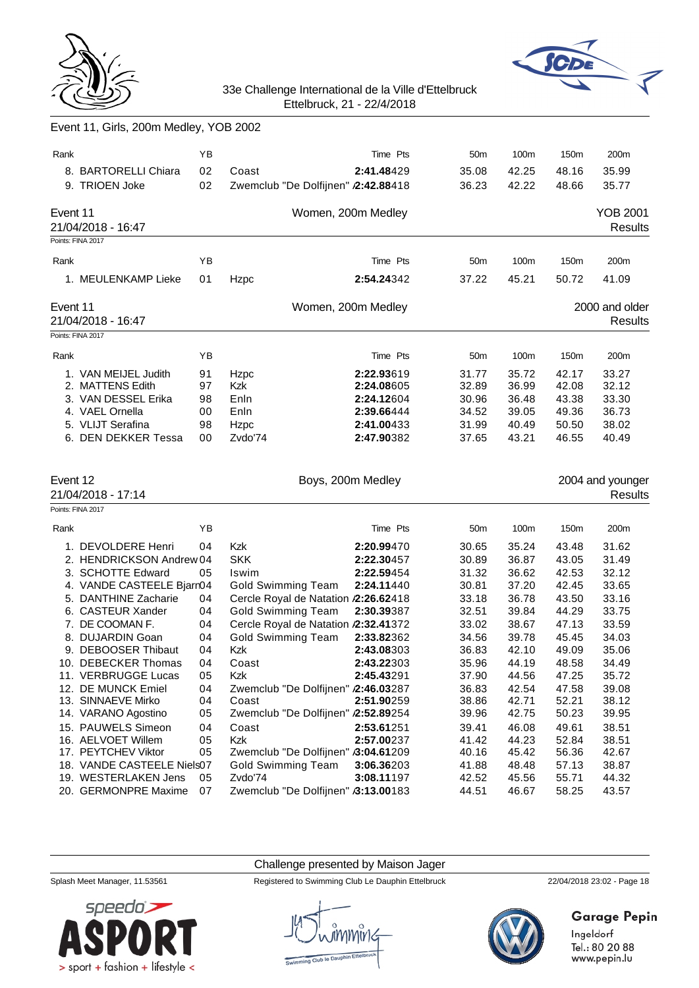



|  |  |  |  | Event 11, Girls, 200m Medley, YOB 2002 |
|--|--|--|--|----------------------------------------|
|--|--|--|--|----------------------------------------|

| Rank     | 8. BARTORELLI Chiara<br>9. TRIOEN Joke                                                                                                                                                                                                                                                                                                                                                                                                                | ΥB<br>02<br>02                                                                               | Coast<br>Zwemclub "De Dolfijnen" /2:42.88418                                                                                                                                                                                                                                                                                                                                                            | Time Pts<br>2:41.48429                                                                                                                                                                           | 50 <sub>m</sub><br>35.08<br>36.23                                                                                                                                       | 100m<br>42.25<br>42.22                                                                                                                                                  | 150m<br>48.16<br>48.66                                                                                                                                                  | 200m<br>35.99<br>35.77                                                                                                                                                  |
|----------|-------------------------------------------------------------------------------------------------------------------------------------------------------------------------------------------------------------------------------------------------------------------------------------------------------------------------------------------------------------------------------------------------------------------------------------------------------|----------------------------------------------------------------------------------------------|---------------------------------------------------------------------------------------------------------------------------------------------------------------------------------------------------------------------------------------------------------------------------------------------------------------------------------------------------------------------------------------------------------|--------------------------------------------------------------------------------------------------------------------------------------------------------------------------------------------------|-------------------------------------------------------------------------------------------------------------------------------------------------------------------------|-------------------------------------------------------------------------------------------------------------------------------------------------------------------------|-------------------------------------------------------------------------------------------------------------------------------------------------------------------------|-------------------------------------------------------------------------------------------------------------------------------------------------------------------------|
| Event 11 | 21/04/2018 - 16:47<br>Points: FINA 2017                                                                                                                                                                                                                                                                                                                                                                                                               |                                                                                              | Women, 200m Medley                                                                                                                                                                                                                                                                                                                                                                                      |                                                                                                                                                                                                  |                                                                                                                                                                         |                                                                                                                                                                         |                                                                                                                                                                         | <b>YOB 2001</b><br><b>Results</b>                                                                                                                                       |
| Rank     |                                                                                                                                                                                                                                                                                                                                                                                                                                                       | YB                                                                                           |                                                                                                                                                                                                                                                                                                                                                                                                         | Time Pts                                                                                                                                                                                         | 50 <sub>m</sub>                                                                                                                                                         | 100m                                                                                                                                                                    | 150m                                                                                                                                                                    | 200m                                                                                                                                                                    |
|          | 1. MEULENKAMP Lieke                                                                                                                                                                                                                                                                                                                                                                                                                                   | 01                                                                                           | Hzpc                                                                                                                                                                                                                                                                                                                                                                                                    | 2:54.24342                                                                                                                                                                                       | 37.22                                                                                                                                                                   | 45.21                                                                                                                                                                   | 50.72                                                                                                                                                                   | 41.09                                                                                                                                                                   |
| Event 11 | 21/04/2018 - 16:47                                                                                                                                                                                                                                                                                                                                                                                                                                    |                                                                                              | Women, 200m Medley                                                                                                                                                                                                                                                                                                                                                                                      |                                                                                                                                                                                                  |                                                                                                                                                                         |                                                                                                                                                                         |                                                                                                                                                                         | 2000 and older<br><b>Results</b>                                                                                                                                        |
|          | Points: FINA 2017                                                                                                                                                                                                                                                                                                                                                                                                                                     |                                                                                              |                                                                                                                                                                                                                                                                                                                                                                                                         |                                                                                                                                                                                                  |                                                                                                                                                                         |                                                                                                                                                                         |                                                                                                                                                                         |                                                                                                                                                                         |
| Rank     | 1. VAN MEIJEL Judith<br>2. MATTENS Edith<br>3. VAN DESSEL Erika<br>4. VAEL Ornella<br>5. VLIJT Serafina<br>6. DEN DEKKER Tessa                                                                                                                                                                                                                                                                                                                        | YB<br>91<br>97<br>98<br>00<br>98<br>00                                                       | Hzpc<br>Kzk<br>Enln<br>Enln<br>Hzpc<br>Zvdo'74                                                                                                                                                                                                                                                                                                                                                          | Time Pts<br>2:22.93619<br>2:24.08605<br>2:24.12604<br>2:39.66444<br>2:41.00433<br>2:47.90382                                                                                                     | 50 <sub>m</sub><br>31.77<br>32.89<br>30.96<br>34.52<br>31.99<br>37.65                                                                                                   | 100m<br>35.72<br>36.99<br>36.48<br>39.05<br>40.49<br>43.21                                                                                                              | 150m<br>42.17<br>42.08<br>43.38<br>49.36<br>50.50<br>46.55                                                                                                              | 200m<br>33.27<br>32.12<br>33.30<br>36.73<br>38.02<br>40.49                                                                                                              |
|          |                                                                                                                                                                                                                                                                                                                                                                                                                                                       |                                                                                              |                                                                                                                                                                                                                                                                                                                                                                                                         |                                                                                                                                                                                                  |                                                                                                                                                                         |                                                                                                                                                                         |                                                                                                                                                                         |                                                                                                                                                                         |
| Event 12 | 21/04/2018 - 17:14                                                                                                                                                                                                                                                                                                                                                                                                                                    |                                                                                              | Boys, 200m Medley                                                                                                                                                                                                                                                                                                                                                                                       |                                                                                                                                                                                                  |                                                                                                                                                                         |                                                                                                                                                                         |                                                                                                                                                                         | 2004 and younger<br><b>Results</b>                                                                                                                                      |
| Rank     | Points: FINA 2017                                                                                                                                                                                                                                                                                                                                                                                                                                     | YB                                                                                           |                                                                                                                                                                                                                                                                                                                                                                                                         | Time Pts                                                                                                                                                                                         | 50 <sub>m</sub>                                                                                                                                                         | 100m                                                                                                                                                                    | 150m                                                                                                                                                                    | 200m                                                                                                                                                                    |
|          | 1. DEVOLDERE Henri<br>2. HENDRICKSON Andrew 04<br>3. SCHOTTE Edward<br>4. VANDE CASTEELE Bjarn04<br>5. DANTHINE Zacharie<br>6. CASTEUR Xander<br>7. DE COOMAN F.<br>8. DUJARDIN Goan<br>9. DEBOOSER Thibaut<br>10. DEBECKER Thomas<br>11. VERBRUGGE Lucas<br>12. DE MUNCK Emiel<br>13. SINNAEVE Mirko<br>14. VARANO Agostino<br>15. PAUWELS Simeon<br>16. AELVOET Willem<br>17. PEYTCHEV Viktor<br>18. VANDE CASTEELE Niels07<br>19. WESTERLAKEN Jens | 04<br>05<br>04<br>04<br>04<br>04<br>04<br>04<br>05<br>04<br>04<br>05<br>04<br>05<br>05<br>05 | Kzk<br><b>SKK</b><br>Iswim<br><b>Gold Swimming Team</b><br>Cercle Royal de Natation /2:26.62418<br><b>Gold Swimming Team</b><br>Cercle Royal de Natation /2:32.41372<br><b>Gold Swimming Team</b><br>Kzk<br>Coast<br>Kzk<br>Zwemclub "De Dolfijnen" /2:46.03287<br>Coast<br>Zwemclub "De Dolfijnen" /2:52.89254<br>Coast<br>Kzk<br>Zwemclub "De Dolfijnen" /3:04.61209<br>Gold Swimming Team<br>Zvdo'74 | 2:20.99470<br>2:22.30457<br>2:22.59454<br>2:24.11440<br>2:30.39387<br>2:33.82362<br>2:43.08303<br>2:43.22303<br>2:45.43291<br>2:51.90259<br>2:53.61251<br>2:57.00237<br>3:06.36203<br>3:08.11197 | 30.65<br>30.89<br>31.32<br>30.81<br>33.18<br>32.51<br>33.02<br>34.56<br>36.83<br>35.96<br>37.90<br>36.83<br>38.86<br>39.96<br>39.41<br>41.42<br>40.16<br>41.88<br>42.52 | 35.24<br>36.87<br>36.62<br>37.20<br>36.78<br>39.84<br>38.67<br>39.78<br>42.10<br>44.19<br>44.56<br>42.54<br>42.71<br>42.75<br>46.08<br>44.23<br>45.42<br>48.48<br>45.56 | 43.48<br>43.05<br>42.53<br>42.45<br>43.50<br>44.29<br>47.13<br>45.45<br>49.09<br>48.58<br>47.25<br>47.58<br>52.21<br>50.23<br>49.61<br>52.84<br>56.36<br>57.13<br>55.71 | 31.62<br>31.49<br>32.12<br>33.65<br>33.16<br>33.75<br>33.59<br>34.03<br>35.06<br>34.49<br>35.72<br>39.08<br>38.12<br>39.95<br>38.51<br>38.51<br>42.67<br>38.87<br>44.32 |

Challenge presented by Maison Jager

Splash Meet Manager, 11.53561 Registered to Swimming Club Le Dauphin Ettelbruck 22/04/2018 23:02 - Page 18



# **Garage Pepin**

Ingeldorf<br>Tel.: 80 20 88<br>www.pepin.lu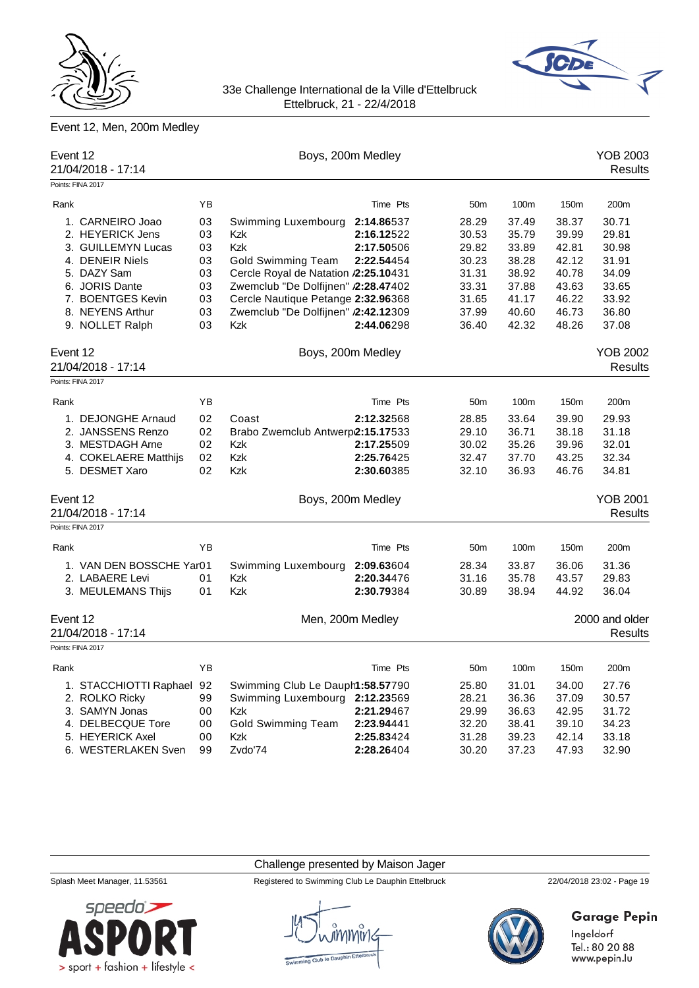



# Event 12, Men, 200m Medley

| Event 12 | 21/04/2018 - 17:14                      |    |                                      | Boys, 200m Medley |                 |       |                  | <b>YOB 2003</b><br><b>Results</b> |
|----------|-----------------------------------------|----|--------------------------------------|-------------------|-----------------|-------|------------------|-----------------------------------|
|          | Points: FINA 2017                       |    |                                      |                   |                 |       |                  |                                   |
| Rank     |                                         | YB |                                      | Time Pts          | 50 <sub>m</sub> | 100m  | 150 <sub>m</sub> | 200m                              |
|          | 1. CARNEIRO Joao                        | 03 | Swimming Luxembourg                  | 2:14.86537        | 28.29           | 37.49 | 38.37            | 30.71                             |
|          | 2. HEYERICK Jens                        | 03 | Kzk                                  | 2:16.12522        | 30.53           | 35.79 | 39.99            | 29.81                             |
|          | 3. GUILLEMYN Lucas                      | 03 | Kzk                                  | 2:17.50506        | 29.82           | 33.89 | 42.81            | 30.98                             |
|          | 4. DENEIR Niels                         | 03 | <b>Gold Swimming Team</b>            | 2:22.54454        | 30.23           | 38.28 | 42.12            | 31.91                             |
|          | 5. DAZY Sam                             | 03 | Cercle Royal de Natation /2:25.10431 |                   | 31.31           | 38.92 | 40.78            | 34.09                             |
|          | 6. JORIS Dante                          | 03 | Zwemclub "De Dolfijnen" /2:28.47402  |                   | 33.31           | 37.88 | 43.63            | 33.65                             |
|          | 7. BOENTGES Kevin                       | 03 | Cercle Nautique Petange 2:32.96368   |                   | 31.65           | 41.17 | 46.22            | 33.92                             |
|          | 8. NEYENS Arthur                        | 03 | Zwemclub "De Dolfijnen" /2:42.12309  |                   | 37.99           | 40.60 | 46.73            | 36.80                             |
|          | 9. NOLLET Ralph                         | 03 | Kzk                                  | 2:44.06298        | 36.40           | 42.32 | 48.26            | 37.08                             |
| Event 12 | 21/04/2018 - 17:14                      |    |                                      | Boys, 200m Medley |                 |       |                  | <b>YOB 2002</b><br><b>Results</b> |
|          | Points: FINA 2017                       |    |                                      |                   |                 |       |                  |                                   |
| Rank     |                                         | ΥB |                                      | Time Pts          | 50 <sub>m</sub> | 100m  | 150 <sub>m</sub> | 200m                              |
|          | 1. DEJONGHE Arnaud                      | 02 | Coast                                | 2:12.32568        | 28.85           | 33.64 | 39.90            | 29.93                             |
|          | 2. JANSSENS Renzo                       | 02 | Brabo Zwemclub Antwerp2:15.17533     |                   | 29.10           | 36.71 | 38.18            | 31.18                             |
|          | 3. MESTDAGH Arne                        | 02 | Kzk                                  | 2:17.25509        | 30.02           | 35.26 | 39.96            | 32.01                             |
|          | 4. COKELAERE Matthijs                   | 02 | Kzk                                  | 2:25.76425        | 32.47           | 37.70 | 43.25            | 32.34                             |
|          | 5. DESMET Xaro                          | 02 | Kzk                                  | 2:30.60385        | 32.10           | 36.93 | 46.76            | 34.81                             |
| Event 12 | 21/04/2018 - 17:14<br>Points: FINA 2017 |    |                                      | Boys, 200m Medley |                 |       |                  | <b>YOB 2001</b><br><b>Results</b> |
| Rank     |                                         | YB |                                      | Time Pts          | 50 <sub>m</sub> | 100m  | 150m             | 200m                              |
|          | 1. VAN DEN BOSSCHE Yar01                |    | Swimming Luxembourg                  | 2:09.63604        | 28.34           | 33.87 | 36.06            | 31.36                             |
|          | 2. LABAERE Levi                         | 01 | <b>Kzk</b>                           | 2:20.34476        | 31.16           | 35.78 | 43.57            | 29.83                             |
|          | 3. MEULEMANS Thijs                      | 01 | Kzk                                  | 2:30.79384        | 30.89           | 38.94 | 44.92            | 36.04                             |
| Event 12 | 21/04/2018 - 17:14                      |    |                                      | Men, 200m Medley  |                 |       |                  | 2000 and older<br>Results         |
|          | Points: FINA 2017                       |    |                                      |                   |                 |       |                  |                                   |
| Rank     |                                         | ΥB |                                      | Time Pts          | 50 <sub>m</sub> | 100m  | 150m             | 200m                              |
|          | 1. STACCHIOTTI Raphael                  | 92 | Swimming Club Le Dauph1:58.57790     |                   | 25.80           | 31.01 | 34.00            | 27.76                             |
|          | 2. ROLKO Ricky                          | 99 | Swimming Luxembourg                  | 2:12.23569        | 28.21           | 36.36 | 37.09            | 30.57                             |
|          | 3. SAMYN Jonas                          | 00 | Kzk                                  | 2:21.29467        | 29.99           | 36.63 | 42.95            | 31.72                             |
|          | 4. DELBECQUE Tore                       | 00 | <b>Gold Swimming Team</b>            | 2:23.94441        | 32.20           | 38.41 | 39.10            | 34.23                             |
|          | 5. HEYERICK Axel                        | 00 | Kzk                                  | 2:25.83424        | 31.28           | 39.23 | 42.14            | 33.18                             |
|          | 6. WESTERLAKEN Sven                     | 99 | Zvdo'74                              | 2:28.26404        | 30.20           | 37.23 | 47.93            | 32.90                             |

## Challenge presented by Maison Jager

Splash Meet Manager, 11.53561 Registered to Swimming Club Le Dauphin Ettelbruck 22/04/2018 23:02 - Page 19



**Garage Pepin** 

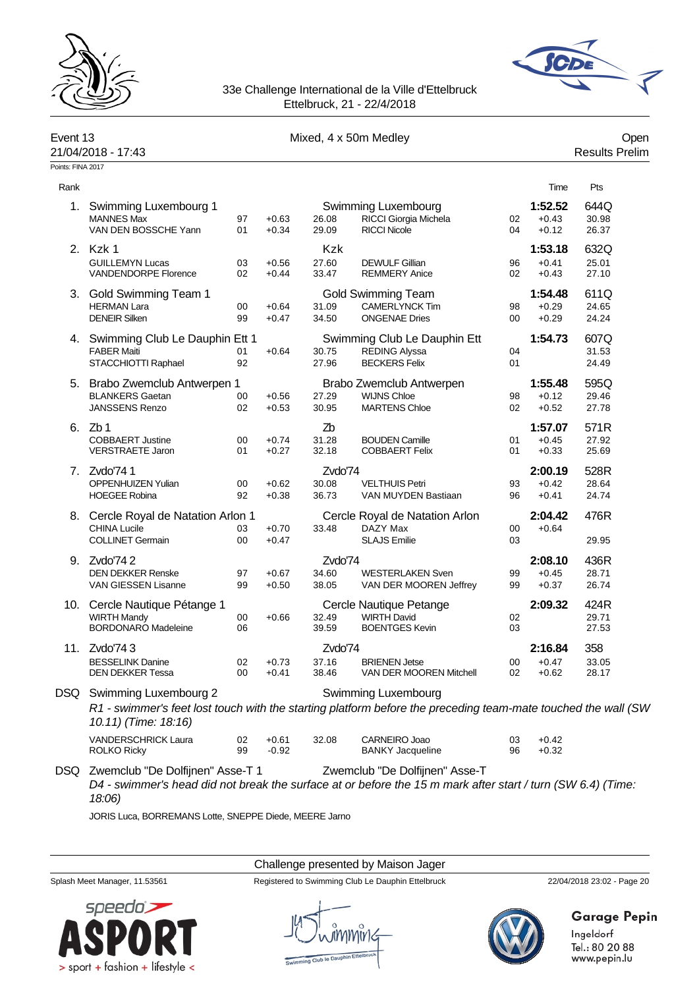



www.pepin.lu

# 33e Challenge International de la Ville d'Ettelbruck Ettelbruck, 21 - 22/4/2018

| Event 13          | 21/04/2018 - 17:43                                                                    |          |                    |                  | Mixed, 4 x 50m Medley                                                                                                                         |              |                               | Open<br><b>Results Prelim</b> |
|-------------------|---------------------------------------------------------------------------------------|----------|--------------------|------------------|-----------------------------------------------------------------------------------------------------------------------------------------------|--------------|-------------------------------|-------------------------------|
| Points: FINA 2017 |                                                                                       |          |                    |                  |                                                                                                                                               |              |                               |                               |
| Rank              |                                                                                       |          |                    |                  |                                                                                                                                               |              | Time                          | Pts                           |
| 1.                | Swimming Luxembourg 1<br><b>MANNES Max</b><br>VAN DEN BOSSCHE Yann                    | 97<br>01 | $+0.63$<br>$+0.34$ | 26.08<br>29.09   | Swimming Luxembourg<br>RICCI Giorgia Michela<br><b>RICCI Nicole</b>                                                                           | 02<br>04     | 1:52.52<br>$+0.43$<br>$+0.12$ | 644Q<br>30.98<br>26.37        |
| 2.                | Kzk 1                                                                                 |          |                    | <b>Kzk</b>       |                                                                                                                                               |              | 1:53.18                       | 632Q                          |
|                   | <b>GUILLEMYN Lucas</b><br>VANDENDORPE Florence                                        | 03<br>02 | $+0.56$<br>$+0.44$ | 27.60<br>33.47   | <b>DEWULF Gillian</b><br><b>REMMERY Anice</b>                                                                                                 | 96<br>02     | $+0.41$<br>$+0.43$            | 25.01<br>27.10                |
|                   | 3. Gold Swimming Team 1<br><b>HERMAN Lara</b><br><b>DENEIR Silken</b>                 | 00<br>99 | $+0.64$<br>$+0.47$ | 31.09<br>34.50   | <b>Gold Swimming Team</b><br>CAMERLYNCK Tim<br><b>ONGENAE Dries</b>                                                                           | 98<br>00     | 1:54.48<br>$+0.29$<br>$+0.29$ | 611Q<br>24.65<br>24.24        |
|                   | 4. Swimming Club Le Dauphin Ett 1<br><b>FABER Maiti</b><br>STACCHIOTTI Raphael        | 01<br>92 | $+0.64$            | 30.75<br>27.96   | Swimming Club Le Dauphin Ett<br><b>REDING Alyssa</b><br><b>BECKERS Felix</b>                                                                  | 04<br>01     | 1:54.73                       | 607Q<br>31.53<br>24.49        |
|                   | 5. Brabo Zwemclub Antwerpen 1                                                         |          |                    |                  | Brabo Zwemclub Antwerpen                                                                                                                      |              | 1:55.48                       | 595Q                          |
|                   | <b>BLANKERS Gaetan</b><br><b>JANSSENS Renzo</b>                                       | 00<br>02 | $+0.56$<br>$+0.53$ | 27.29<br>30.95   | <b>WIJNS Chloe</b><br><b>MARTENS Chloe</b>                                                                                                    | 98<br>02     | $+0.12$<br>$+0.52$            | 29.46<br>27.78                |
| 6.                | Zb 1                                                                                  |          |                    | Zb               |                                                                                                                                               |              | 1:57.07                       | 571R                          |
|                   | <b>COBBAERT Justine</b><br><b>VERSTRAETE Jaron</b>                                    | 00<br>01 | $+0.74$<br>$+0.27$ | 31.28<br>32.18   | <b>BOUDEN Camille</b><br><b>COBBAERT Felix</b>                                                                                                | 01<br>01     | $+0.45$<br>$+0.33$            | 27.92<br>25.69                |
|                   | 7. Zvdo'741                                                                           |          |                    | Zvdo'74          |                                                                                                                                               |              | 2:00.19                       | 528R                          |
|                   | <b>OPPENHUIZEN Yulian</b><br><b>HOEGEE Robina</b>                                     | 00<br>92 | $+0.62$<br>$+0.38$ | 30.08<br>36.73   | <b>VELTHUIS Petri</b><br>VAN MUYDEN Bastiaan                                                                                                  | 93<br>96     | $+0.42$<br>$+0.41$            | 28.64<br>24.74                |
|                   | 8. Cercle Royal de Natation Arlon 1<br><b>CHINA Lucile</b><br><b>COLLINET Germain</b> | 03<br>00 | $+0.70$<br>$+0.47$ | 33.48            | Cercle Royal de Natation Arlon<br>DAZY Max<br><b>SLAJS Emilie</b>                                                                             | 00<br>03     | 2:04.42<br>$+0.64$            | 476R<br>29.95                 |
|                   |                                                                                       |          |                    |                  |                                                                                                                                               |              |                               |                               |
| 9.                | Zvdo'742<br><b>DEN DEKKER Renske</b>                                                  | 97       | $+0.67$            | Zvdo'74<br>34.60 | <b>WESTERLAKEN Sven</b>                                                                                                                       | 99           | 2:08.10<br>$+0.45$            | 436R<br>28.71                 |
|                   | VAN GIESSEN Lisanne                                                                   | 99       | $+0.50$            | 38.05            | VAN DER MOOREN Jeffrey                                                                                                                        | 99           | $+0.37$                       | 26.74                         |
|                   | 10. Cercle Nautique Pétange 1                                                         |          |                    |                  | Cercle Nautique Petange                                                                                                                       |              | 2:09.32                       | 424R                          |
|                   | <b>WIRTH Mandy</b><br><b>BORDONARO Madeleine</b>                                      | 00<br>06 | $+0.66$            | 32.49<br>39.59   | <b>WIRTH David</b><br><b>BOENTGES Kevin</b>                                                                                                   | 02<br>03     |                               | 29.71<br>27.53                |
| 11.               | Zvdo'743                                                                              |          |                    | Zvdo'74          |                                                                                                                                               |              | 2:16.84                       | 358                           |
|                   | <b>BESSELINK Danine</b><br><b>DEN DEKKER Tessa</b>                                    | 02<br>00 | $+0.73$<br>$+0.41$ | 37.16<br>38.46   | <b>BRIENEN Jetse</b><br>VAN DER MOOREN Mitchell                                                                                               | $00\,$<br>02 | $+0.47$<br>$+0.62$            | 33.05<br>28.17                |
|                   | DSQ Swimming Luxembourg 2<br>10.11) (Time: 18:16)                                     |          |                    |                  | Swimming Luxembourg<br>R1 - swimmer's feet lost touch with the starting platform before the preceding team-mate touched the wall (SW          |              |                               |                               |
|                   | VANDERSCHRICK Laura<br><b>ROLKO Ricky</b>                                             | 02<br>99 | $+0.61$<br>$-0.92$ | 32.08            | CARNEIRO Joao<br><b>BANKY Jacqueline</b>                                                                                                      | 03<br>96     | $+0.42$<br>$+0.32$            |                               |
|                   | DSQ Zwemclub "De Dolfijnen" Asse-T 1<br>18:06)                                        |          |                    |                  | Zwemclub "De Dolfijnen" Asse-T<br>D4 - swimmer's head did not break the surface at or before the 15 m mark after start / turn (SW 6.4) (Time: |              |                               |                               |

JORIS Luca, BORREMANS Lotte, SNEPPE Diede, MEERE Jarno

> sport + fashion + lifestyle <

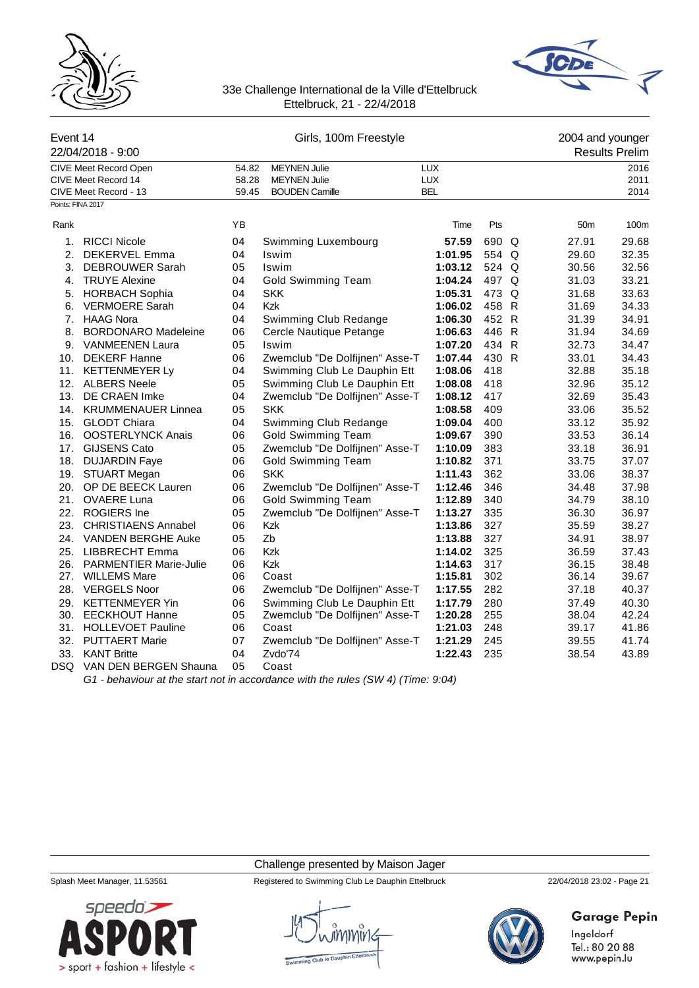



| Event 14          | 22/04/2018 - 9:00                                                     | Girls, 100m Freestyle   |                                                                     |                                        |       |  | 2004 and younger<br><b>Results Prelim</b> |                      |  |
|-------------------|-----------------------------------------------------------------------|-------------------------|---------------------------------------------------------------------|----------------------------------------|-------|--|-------------------------------------------|----------------------|--|
|                   | CIVE Meet Record Open<br>CIVE Meet Record 14<br>CIVE Meet Record - 13 | 54.82<br>58.28<br>59.45 | <b>MEYNEN Julie</b><br><b>MEYNEN Julie</b><br><b>BOUDEN Camille</b> | <b>LUX</b><br><b>LUX</b><br><b>BEL</b> |       |  |                                           | 2016<br>2011<br>2014 |  |
| Points: FINA 2017 |                                                                       |                         |                                                                     |                                        |       |  |                                           |                      |  |
| Rank              |                                                                       | ΥB                      |                                                                     | Time                                   | Pts   |  | 50 <sub>m</sub>                           | 100m                 |  |
| 1.                | <b>RICCI Nicole</b>                                                   | 04                      | Swimming Luxembourg                                                 | 57.59                                  | 690 Q |  | 27.91                                     | 29.68                |  |
| 2.                | <b>DEKERVEL Emma</b>                                                  | 04                      | Iswim                                                               | 1:01.95                                | 554 Q |  | 29.60                                     | 32.35                |  |
| 3.                | <b>DEBROUWER Sarah</b>                                                | 05                      | Iswim                                                               | 1:03.12                                | 524 Q |  | 30.56                                     | 32.56                |  |
|                   | 4. TRUYE Alexine                                                      | 04                      | <b>Gold Swimming Team</b>                                           | 1:04.24                                | 497 Q |  | 31.03                                     | 33.21                |  |
| 5.                | <b>HORBACH Sophia</b>                                                 | 04                      | <b>SKK</b>                                                          | 1:05.31                                | 473 Q |  | 31.68                                     | 33.63                |  |
| 6.                | <b>VERMOERE Sarah</b>                                                 | 04                      | Kzk                                                                 | 1:06.02                                | 458 R |  | 31.69                                     | 34.33                |  |
|                   | 7. HAAG Nora                                                          | 04                      | Swimming Club Redange                                               | 1:06.30                                | 452 R |  | 31.39                                     | 34.91                |  |
| 8.                | <b>BORDONARO Madeleine</b>                                            | 06                      | Cercle Nautique Petange                                             | 1:06.63                                | 446 R |  | 31.94                                     | 34.69                |  |
|                   | 9. VANMEENEN Laura                                                    | 05                      | Iswim                                                               | 1:07.20                                | 434 R |  | 32.73                                     | 34.47                |  |
|                   | 10. DEKERF Hanne                                                      | 06                      | Zwemclub "De Dolfijnen" Asse-T                                      | 1:07.44                                | 430 R |  | 33.01                                     | 34.43                |  |
|                   | 11. KETTENMEYER Ly                                                    | 04                      | Swimming Club Le Dauphin Ett                                        | 1:08.06                                | 418   |  | 32.88                                     | 35.18                |  |
|                   | 12. ALBERS Neele                                                      | 05                      | Swimming Club Le Dauphin Ett                                        | 1:08.08                                | 418   |  | 32.96                                     | 35.12                |  |
|                   | 13. DE CRAEN Imke                                                     | 04                      | Zwemclub "De Dolfijnen" Asse-T                                      | 1:08.12                                | 417   |  | 32.69                                     | 35.43                |  |
|                   | 14. KRUMMENAUER Linnea                                                | 05                      | <b>SKK</b>                                                          | 1:08.58                                | 409   |  | 33.06                                     | 35.52                |  |
| 15.               | <b>GLODT Chiara</b>                                                   | 04                      | Swimming Club Redange                                               | 1:09.04                                | 400   |  | 33.12                                     | 35.92                |  |
|                   | 16. OOSTERLYNCK Anais                                                 | 06                      | <b>Gold Swimming Team</b>                                           | 1:09.67                                | 390   |  | 33.53                                     | 36.14                |  |
|                   | 17. GIJSENS Cato                                                      | 05                      | Zwemclub "De Dolfijnen" Asse-T                                      | 1:10.09                                | 383   |  | 33.18                                     | 36.91                |  |
|                   | 18. DUJARDIN Faye                                                     | 06                      | <b>Gold Swimming Team</b>                                           | 1:10.82                                | 371   |  | 33.75                                     | 37.07                |  |
|                   | 19. STUART Megan                                                      | 06                      | <b>SKK</b>                                                          | 1:11.43                                | 362   |  | 33.06                                     | 38.37                |  |
| 20.               | OP DE BEECK Lauren                                                    | 06                      | Zwemclub "De Dolfijnen" Asse-T                                      | 1:12.46                                | 346   |  | 34.48                                     | 37.98                |  |
|                   | 21. OVAERE Luna                                                       | 06                      | <b>Gold Swimming Team</b>                                           | 1:12.89                                | 340   |  | 34.79                                     | 38.10                |  |
|                   | 22. ROGIERS Ine                                                       | 05                      | Zwemclub "De Dolfijnen" Asse-T                                      | 1:13.27                                | 335   |  | 36.30                                     | 36.97                |  |
|                   | 23. CHRISTIAENS Annabel                                               | 06                      | Kzk                                                                 | 1:13.86                                | 327   |  | 35.59                                     | 38.27                |  |
|                   | 24. VANDEN BERGHE Auke                                                | 05                      | Zb                                                                  | 1:13.88                                | 327   |  | 34.91                                     | 38.97                |  |
|                   | 25. LIBBRECHT Emma                                                    | 06                      | Kzk                                                                 | 1:14.02                                | 325   |  | 36.59                                     | 37.43                |  |
| 26.               | <b>PARMENTIER Marie-Julie</b>                                         | 06                      | Kzk                                                                 | 1:14.63                                | 317   |  | 36.15                                     | 38.48                |  |
|                   | 27. WILLEMS Mare                                                      | 06                      | Coast                                                               | 1:15.81                                | 302   |  | 36.14                                     | 39.67                |  |
|                   | 28. VERGELS Noor                                                      | 06                      | Zwemclub "De Dolfijnen" Asse-T                                      | 1:17.55                                | 282   |  | 37.18                                     | 40.37                |  |
|                   | 29. KETTENMEYER Yin                                                   | 06                      | Swimming Club Le Dauphin Ett                                        | 1:17.79                                | 280   |  | 37.49                                     | 40.30                |  |
|                   | 30. EECKHOUT Hanne                                                    | 05                      | Zwemclub "De Dolfijnen" Asse-T                                      | 1:20.28                                | 255   |  | 38.04                                     | 42.24                |  |
|                   | 31. HOLLEVOET Pauline                                                 | 06                      | Coast                                                               | 1:21.03                                | 248   |  | 39.17                                     | 41.86                |  |
|                   | 32. PUTTAERT Marie                                                    | 07                      | Zwemclub "De Dolfijnen" Asse-T                                      | 1:21.29                                | 245   |  | 39.55                                     | 41.74                |  |
| 33.               | <b>KANT Britte</b>                                                    | 04                      | Zvdo'74                                                             | 1:22.43                                | 235   |  | 38.54                                     | 43.89                |  |
| DSQ.              | VAN DEN BERGEN Shauna                                                 | 05                      | Coast                                                               |                                        |       |  |                                           |                      |  |

*G1 - behaviour at the start not in accordance with the rules (SW 4) (Time: 9:04)*

Challenge presented by Maison Jager



Splash Meet Manager, 11.53561 Registered to Swimming Club Le Dauphin Ettelbruck 22/04/2018 23:02 - Page 21



# **Garage Pepin**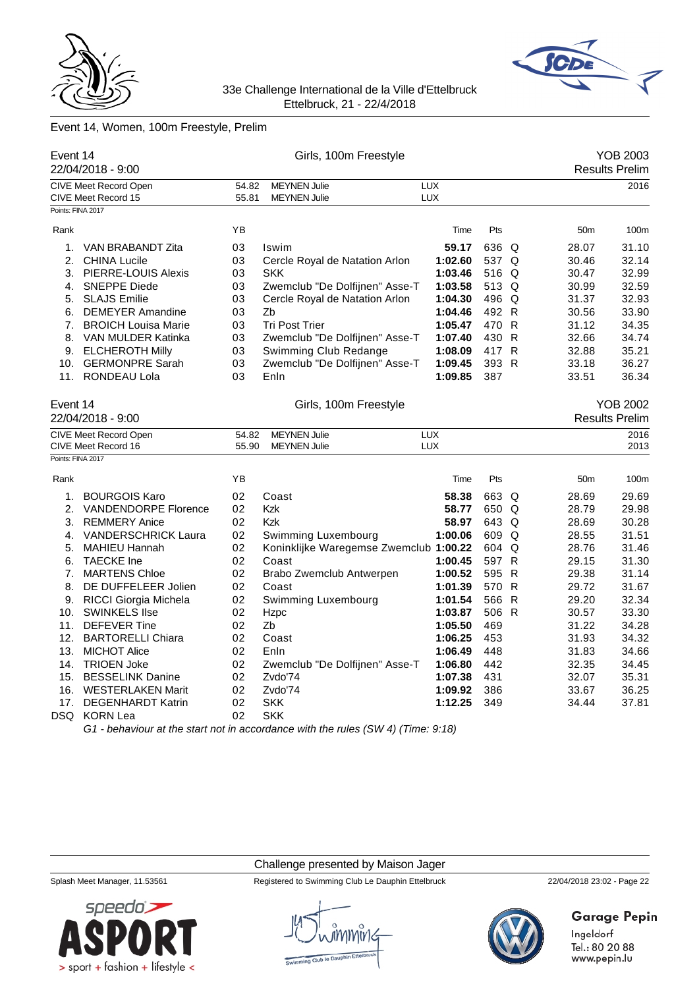



# Event 14, Women, 100m Freestyle, Prelim

|                   | Event 14<br>22/04/2018 - 9:00 |       | Girls, 100m Freestyle                                                            |            |       |   |                 | <b>YOB 2003</b><br><b>Results Prelim</b> |
|-------------------|-------------------------------|-------|----------------------------------------------------------------------------------|------------|-------|---|-----------------|------------------------------------------|
|                   | CIVE Meet Record Open         | 54.82 | <b>MEYNEN Julie</b>                                                              | <b>LUX</b> |       |   |                 | 2016                                     |
|                   | CIVE Meet Record 15           | 55.81 | <b>MEYNEN Julie</b>                                                              | LUX        |       |   |                 |                                          |
| Points: FINA 2017 |                               |       |                                                                                  |            |       |   |                 |                                          |
| Rank              |                               | ΥB    |                                                                                  | Time       | Pts   |   | 50 <sub>m</sub> | 100m                                     |
| 1.                | VAN BRABANDT Zita             | 03    | Iswim                                                                            | 59.17      | 636 Q |   | 28.07           | 31.10                                    |
| 2.                | <b>CHINA Lucile</b>           | 03    | Cercle Royal de Natation Arlon                                                   | 1:02.60    | 537 Q |   | 30.46           | 32.14                                    |
|                   | 3. PIERRE-LOUIS Alexis        | 03    | <b>SKK</b>                                                                       | 1:03.46    | 516 Q |   | 30.47           | 32.99                                    |
| 4.                | <b>SNEPPE Diede</b>           | 03    | Zwemclub "De Dolfijnen" Asse-T                                                   | 1:03.58    | 513 Q |   | 30.99           | 32.59                                    |
| 5.                | <b>SLAJS Emilie</b>           | 03    | Cercle Royal de Natation Arlon                                                   | 1:04.30    | 496 Q |   | 31.37           | 32.93                                    |
| 6.                | <b>DEMEYER Amandine</b>       | 03    | Zb                                                                               | 1:04.46    | 492 R |   | 30.56           | 33.90                                    |
| 7.                | <b>BROICH Louisa Marie</b>    | 03    | <b>Tri Post Trier</b>                                                            | 1:05.47    | 470 R |   | 31.12           | 34.35                                    |
|                   | 8. VAN MULDER Katinka         | 03    | Zwemclub "De Dolfijnen" Asse-T                                                   | 1:07.40    | 430 R |   | 32.66           | 34.74                                    |
| 9.                | <b>ELCHEROTH Milly</b>        | 03    | Swimming Club Redange                                                            | 1:08.09    | 417 R |   | 32.88           | 35.21                                    |
|                   | 10. GERMONPRE Sarah           | 03    | Zwemclub "De Dolfijnen" Asse-T                                                   | 1:09.45    | 393 R |   | 33.18           | 36.27                                    |
|                   | 11. RONDEAU Lola              | 03    | Enln                                                                             | 1:09.85    | 387   |   | 33.51           | 36.34                                    |
| Event 14          |                               |       | Girls, 100m Freestyle                                                            |            |       |   |                 | YOB 2002                                 |
|                   | 22/04/2018 - 9:00             |       |                                                                                  |            |       |   |                 | <b>Results Prelim</b>                    |
|                   | <b>CIVE Meet Record Open</b>  | 54.82 | <b>MEYNEN Julie</b>                                                              | <b>LUX</b> |       |   |                 | 2016                                     |
|                   | CIVE Meet Record 16           | 55.90 | <b>MEYNEN Julie</b>                                                              | <b>LUX</b> |       |   |                 | 2013                                     |
| Points: FINA 2017 |                               |       |                                                                                  |            |       |   |                 |                                          |
| Rank              |                               | YB    |                                                                                  | Time       | Pts   |   | 50 <sub>m</sub> | 100m                                     |
| 1.                | <b>BOURGOIS Karo</b>          | 02    | Coast                                                                            | 58.38      | 663 Q |   | 28.69           | 29.69                                    |
| 2.                | <b>VANDENDORPE Florence</b>   | 02    | <b>Kzk</b>                                                                       | 58.77      | 650 Q |   | 28.79           | 29.98                                    |
| 3.                | <b>REMMERY Anice</b>          | 02    | <b>Kzk</b>                                                                       | 58.97      | 643 Q |   | 28.69           | 30.28                                    |
|                   | 4. VANDERSCHRICK Laura        | 02    | Swimming Luxembourg                                                              | 1:00.06    | 609 Q |   | 28.55           | 31.51                                    |
| 5.                | MAHIEU Hannah                 | 02    | Koninklijke Waregemse Zwemclub 1:00.22                                           |            | 604 Q |   | 28.76           | 31.46                                    |
|                   | 6. TAECKE Ine                 | 02    | Coast                                                                            | 1:00.45    | 597 R |   | 29.15           | 31.30                                    |
| 7.                | <b>MARTENS Chloe</b>          | 02    | Brabo Zwemclub Antwerpen                                                         | 1:00.52    | 595 R |   | 29.38           | 31.14                                    |
| 8.                | DE DUFFELEER Jolien           | 02    | Coast                                                                            | 1:01.39    | 570 R |   | 29.72           | 31.67                                    |
| 9.                | RICCI Giorgia Michela         | 02    | Swimming Luxembourg                                                              | 1:01.54    | 566   | R | 29.20           | 32.34                                    |
| 10.               | <b>SWINKELS IIse</b>          | 02    | Hzpc                                                                             | 1:03.87    | 506 R |   | 30.57           | 33.30                                    |
| 11.               | <b>DEFEVER Tine</b>           | 02    | Zb                                                                               | 1:05.50    | 469   |   | 31.22           | 34.28                                    |
| 12.               | <b>BARTORELLI Chiara</b>      | 02    | Coast                                                                            | 1:06.25    | 453   |   | 31.93           | 34.32                                    |
| 13.               | <b>MICHOT Alice</b>           | 02    | Enln                                                                             | 1:06.49    | 448   |   | 31.83           | 34.66                                    |
| 14.               | <b>TRIOEN Joke</b>            | 02    | Zwemclub "De Dolfijnen" Asse-T                                                   | 1:06.80    | 442   |   | 32.35           | 34.45                                    |
| 15.               | <b>BESSELINK Danine</b>       | 02    | Zvdo'74                                                                          | 1:07.38    | 431   |   | 32.07           | 35.31                                    |
| 16.               | <b>WESTERLAKEN Marit</b>      | 02    | Zvdo'74                                                                          | 1:09.92    | 386   |   | 33.67           | 36.25                                    |
| 17.               | <b>DEGENHARDT Katrin</b>      | 02    | <b>SKK</b>                                                                       | 1:12.25    | 349   |   | 34.44           | 37.81                                    |
| DSQ               | <b>KORN Lea</b>               | 02    | <b>SKK</b>                                                                       |            |       |   |                 |                                          |
|                   |                               |       | G1 - behaviour at the start not in accordance with the rules (SW 4) (Time: 9:18) |            |       |   |                 |                                          |

Challenge presented by Maison Jager



Splash Meet Manager, 11.53561 Registered to Swimming Club Le Dauphin Ettelbruck 22/04/2018 23:02 - Page 22



# **Garage Pepin**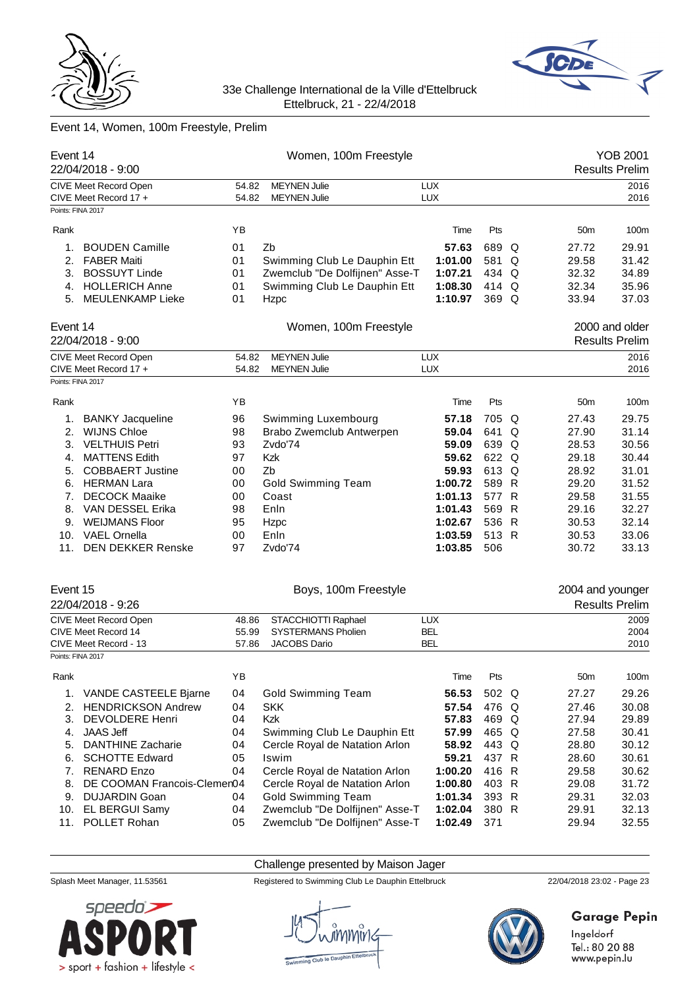



# Event 14, Women, 100m Freestyle, Prelim

| Event 14          | 22/04/2018 - 9:00                              |                | Women, 100m Freestyle                      |                   |       |   |                  | <b>YOB 2001</b><br><b>Results Prelim</b> |
|-------------------|------------------------------------------------|----------------|--------------------------------------------|-------------------|-------|---|------------------|------------------------------------------|
|                   | CIVE Meet Record Open                          | 54.82          | <b>MEYNEN Julie</b>                        | LUX               |       |   |                  | 2016                                     |
|                   | CIVE Meet Record 17 +                          | 54.82          | <b>MEYNEN Julie</b>                        | <b>LUX</b>        |       |   |                  | 2016                                     |
| Points: FINA 2017 |                                                |                |                                            |                   |       |   |                  |                                          |
| Rank              |                                                | ΥB             |                                            | Time              | Pts   |   | 50 <sub>m</sub>  | 100m                                     |
| 1.                | <b>BOUDEN Camille</b>                          | 01             | Zb                                         | 57.63             | 689   | Q | 27.72            | 29.91                                    |
| 2.                | <b>FABER Maiti</b>                             | 01             | Swimming Club Le Dauphin Ett               | 1:01.00           | 581   | Q | 29.58            | 31.42                                    |
| 3.                | <b>BOSSUYT Linde</b>                           | 01             | Zwemclub "De Dolfijnen" Asse-T             | 1:07.21           | 434   | Q | 32.32            | 34.89                                    |
|                   | 4. HOLLERICH Anne                              | 01             | Swimming Club Le Dauphin Ett               | 1:08.30           | 414 Q |   | 32.34            | 35.96                                    |
| 5.                | MEULENKAMP Lieke                               | 01             | Hzpc                                       | 1:10.97           | 369 Q |   | 33.94            | 37.03                                    |
| Event 14          | 22/04/2018 - 9:00                              |                | Women, 100m Freestyle                      |                   |       |   |                  | 2000 and older<br><b>Results Prelim</b>  |
|                   |                                                |                |                                            |                   |       |   |                  |                                          |
|                   | CIVE Meet Record Open<br>CIVE Meet Record 17 + | 54.82<br>54.82 | <b>MEYNEN Julie</b><br><b>MEYNEN Julie</b> | LUX<br><b>LUX</b> |       |   |                  | 2016<br>2016                             |
| Points: FINA 2017 |                                                |                |                                            |                   |       |   |                  |                                          |
|                   |                                                |                |                                            |                   |       |   |                  |                                          |
| Rank              |                                                | ΥB             |                                            | Time              | Pts   |   | 50 <sub>m</sub>  | 100m                                     |
| 1.                | <b>BANKY Jacqueline</b>                        | 96             | Swimming Luxembourg                        | 57.18             | 705   | Q | 27.43            | 29.75                                    |
| 2.                | <b>WIJNS Chloe</b>                             | 98             | Brabo Zwemclub Antwerpen                   | 59.04             | 641   | Q | 27.90            | 31.14                                    |
| 3.                | <b>VELTHUIS Petri</b>                          | 93             | Zvdo'74                                    | 59.09             | 639 Q |   | 28.53            | 30.56                                    |
| 4.                | <b>MATTENS Edith</b>                           | 97             | <b>Kzk</b>                                 | 59.62             | 622 Q |   | 29.18            | 30.44                                    |
| 5.                | <b>COBBAERT Justine</b>                        | 00             | Zb                                         | 59.93             | 613   | Q | 28.92            | 31.01                                    |
| 6.                | <b>HERMAN Lara</b>                             | 00             | <b>Gold Swimming Team</b>                  | 1:00.72           | 589 R |   | 29.20            | 31.52                                    |
| 7.                | <b>DECOCK Maaike</b>                           | 00             | Coast                                      | 1:01.13           | 577 R |   | 29.58            | 31.55                                    |
| 8.                | VAN DESSEL Erika                               | 98             | Enln                                       | 1:01.43           | 569   | R | 29.16            | 32.27                                    |
| 9.                | <b>WEIJMANS Floor</b>                          | 95             | Hzpc                                       | 1:02.67           | 536 R |   | 30.53            | 32.14                                    |
| 10.               | <b>VAEL Ornella</b>                            | 00             | Enln                                       | 1:03.59           | 513 R |   | 30.53            | 33.06                                    |
| 11.               | <b>DEN DEKKER Renske</b>                       | 97             | Zvdo'74                                    | 1:03.85           | 506   |   | 30.72            | 33.13                                    |
| Event 15          |                                                |                | Boys, 100m Freestyle                       |                   |       |   | 2004 and younger |                                          |
|                   | 22/04/2018 - 9:26                              |                |                                            |                   |       |   |                  | <b>Results Prelim</b>                    |
|                   | <b>CIVE Meet Record Open</b>                   | 48.86          | STACCHIOTTI Raphael                        | <b>LUX</b>        |       |   |                  | 2009                                     |
|                   | CIVE Meet Record 14                            | 55.99          | <b>SYSTERMANS Pholien</b>                  | <b>BEL</b>        |       |   |                  | 2004                                     |
|                   | CIVE Meet Record - 13                          | 57.86          | <b>JACOBS Dario</b>                        | <b>BEL</b>        |       |   |                  | 2010                                     |
| Points: FINA 2017 |                                                |                |                                            |                   |       |   |                  |                                          |
| Rank              |                                                | ΥB             |                                            | Time              | Pts   |   | 50m              | 100m                                     |
| 1.                | VANDE CASTEELE Bjarne                          | 04             | <b>Gold Swimming Team</b>                  | 56.53             | 502 Q |   | 27.27            | 29.26                                    |
| 2.                | <b>HENDRICKSON Andrew</b>                      | 04             | <b>SKK</b>                                 | 57.54             | 476 Q |   | 27.46            | 30.08                                    |
| 3.                | <b>DEVOLDERE Henri</b>                         | 04             | Kzk                                        | 57.83             | 469 Q |   | 27.94            | 29.89                                    |
| 4.                | <b>JAAS Jeff</b>                               | 04             | Swimming Club Le Dauphin Ett               | 57.99             | 465 Q |   | 27.58            | 30.41                                    |
| 5.                | <b>DANTHINE Zacharie</b>                       | 04             | Cercle Royal de Natation Arlon             | 58.92             | 443 Q |   | 28.80            | 30.12                                    |
| 6.                | <b>SCHOTTE Edward</b>                          | 05             | Iswim                                      | 59.21             | 437 R |   | 28.60            | 30.61                                    |
| 7.                | <b>RENARD Enzo</b>                             | 04             | Cercle Royal de Natation Arlon             | 1:00.20           | 416   | R | 29.58            | 30.62                                    |
| 8.                | DE COOMAN Francois-Clemen04                    |                | Cercle Royal de Natation Arlon             | 1:00.80           | 403 R |   | 29.08            | 31.72                                    |
| 9.                | <b>DUJARDIN Goan</b>                           | 04             | <b>Gold Swimming Team</b>                  | 1:01.34           | 393 R |   | 29.31            | 32.03                                    |
| 10.               | EL BERGUI Samy                                 | 04             | Zwemclub "De Dolfijnen" Asse-T             | 1:02.04           | 380 R |   | 29.91            | 32.13                                    |
| 11.               | POLLET Rohan                                   | 05             | Zwemclub "De Dolfijnen" Asse-T             | 1:02.49           | 371   |   | 29.94            | 32.55                                    |
|                   |                                                |                |                                            |                   |       |   |                  |                                          |

# Challenge presented by Maison Jager



Splash Meet Manager, 11.53561 Registered to Swimming Club Le Dauphin Ettelbruck 22/04/2018 23:02 - Page 23



**Garage Pepin**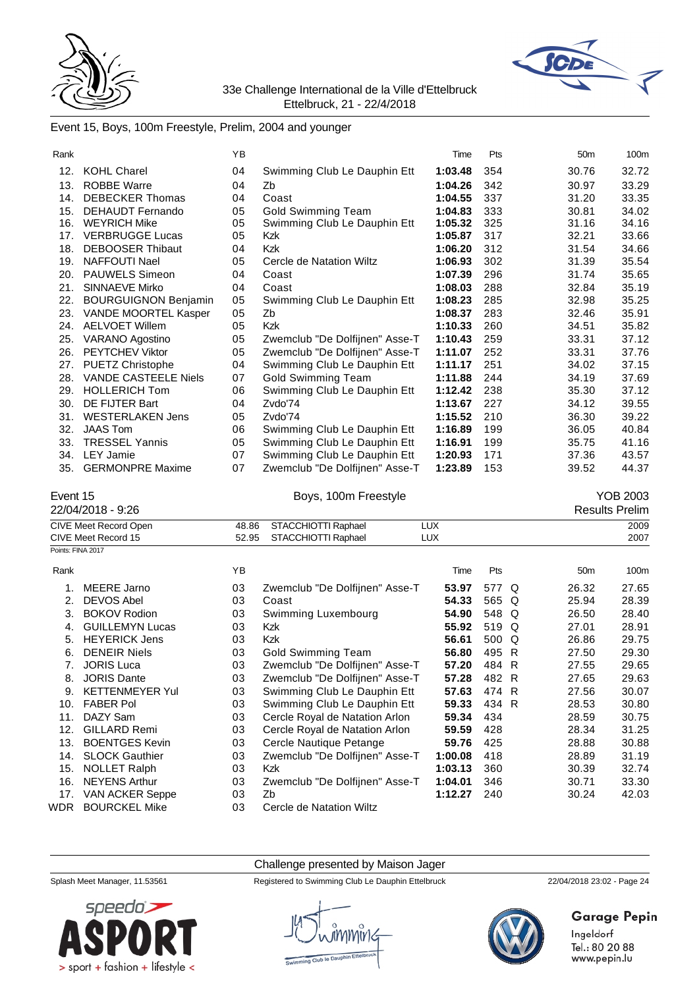



### Event 15, Boys, 100m Freestyle, Prelim, 2004 and younger

| Rank |                             | YB |                                | Time    | Pts | 50 <sub>m</sub> | 100m  |
|------|-----------------------------|----|--------------------------------|---------|-----|-----------------|-------|
|      |                             |    |                                |         |     |                 |       |
| 12.  | <b>KOHL Charel</b>          | 04 | Swimming Club Le Dauphin Ett   | 1:03.48 | 354 | 30.76           | 32.72 |
| 13.  | <b>ROBBE Warre</b>          | 04 | Zb                             | 1:04.26 | 342 | 30.97           | 33.29 |
| 14.  | <b>DEBECKER Thomas</b>      | 04 | Coast                          | 1:04.55 | 337 | 31.20           | 33.35 |
| 15.  | DEHAUDT Fernando            | 05 | <b>Gold Swimming Team</b>      | 1:04.83 | 333 | 30.81           | 34.02 |
| 16.  | <b>WEYRICH Mike</b>         | 05 | Swimming Club Le Dauphin Ett   | 1:05.32 | 325 | 31.16           | 34.16 |
| 17.  | <b>VERBRUGGE Lucas</b>      | 05 | Kzk                            | 1:05.87 | 317 | 32.21           | 33.66 |
| 18.  | <b>DEBOOSER Thibaut</b>     | 04 | Kzk                            | 1:06.20 | 312 | 31.54           | 34.66 |
| 19.  | NAFFOUTI Nael               | 05 | Cercle de Natation Wiltz       | 1:06.93 | 302 | 31.39           | 35.54 |
| 20.  | PAUWELS Simeon              | 04 | Coast                          | 1:07.39 | 296 | 31.74           | 35.65 |
| 21.  | SINNAEVE Mirko              | 04 | Coast                          | 1:08.03 | 288 | 32.84           | 35.19 |
| 22.  | <b>BOURGUIGNON Benjamin</b> | 05 | Swimming Club Le Dauphin Ett   | 1:08.23 | 285 | 32.98           | 35.25 |
| 23.  | VANDE MOORTEL Kasper        | 05 | Zb                             | 1:08.37 | 283 | 32.46           | 35.91 |
| 24.  | <b>AELVOET Willem</b>       | 05 | Kzk                            | 1:10.33 | 260 | 34.51           | 35.82 |
| 25.  | VARANO Agostino             | 05 | Zwemclub "De Dolfijnen" Asse-T | 1:10.43 | 259 | 33.31           | 37.12 |
| 26.  | <b>PEYTCHEV Viktor</b>      | 05 | Zwemclub "De Dolfijnen" Asse-T | 1:11.07 | 252 | 33.31           | 37.76 |
| 27.  | <b>PUETZ Christophe</b>     | 04 | Swimming Club Le Dauphin Ett   | 1:11.17 | 251 | 34.02           | 37.15 |
| 28.  | <b>VANDE CASTEELE Niels</b> | 07 | <b>Gold Swimming Team</b>      | 1:11.88 | 244 | 34.19           | 37.69 |
| 29.  | <b>HOLLERICH Tom</b>        | 06 | Swimming Club Le Dauphin Ett   | 1:12.42 | 238 | 35.30           | 37.12 |
| 30.  | DE FIJTER Bart              | 04 | Zvdo'74                        | 1:13.67 | 227 | 34.12           | 39.55 |
| 31.  | <b>WESTERLAKEN Jens</b>     | 05 | Zvdo'74                        | 1:15.52 | 210 | 36.30           | 39.22 |
| 32.  | <b>JAAS Tom</b>             | 06 | Swimming Club Le Dauphin Ett   | 1:16.89 | 199 | 36.05           | 40.84 |
| 33.  | <b>TRESSEL Yannis</b>       | 05 | Swimming Club Le Dauphin Ett   | 1:16.91 | 199 | 35.75           | 41.16 |
| 34.  | <b>LEY Jamie</b>            | 07 | Swimming Club Le Dauphin Ett   | 1:20.93 | 171 | 37.36           | 43.57 |
| 35.  | <b>GERMONPRE Maxime</b>     | 07 | Zwemclub "De Dolfijnen" Asse-T | 1:23.89 | 153 | 39.52           | 44.37 |

# Event 15 **Boys, 100m Freestyle** Pressure of the VOB 2003 **YOB 2003**<br>Pesults Prelim

Results Prelim

|                   | -- - - - - - - -       |       |                                |            |         |       | ו ו שטשטו       | ----- |
|-------------------|------------------------|-------|--------------------------------|------------|---------|-------|-----------------|-------|
|                   | CIVE Meet Record Open  | 48.86 | STACCHIOTTI Raphael            | <b>LUX</b> |         |       |                 | 2009  |
|                   | CIVE Meet Record 15    | 52.95 | STACCHIOTTI Raphael            | <b>LUX</b> |         |       |                 | 2007  |
| Points: FINA 2017 |                        |       |                                |            |         |       |                 |       |
| Rank              |                        | YB    |                                |            | Time    | Pts   | 50 <sub>m</sub> | 100m  |
|                   | MEERE Jarno            | 03    | Zwemclub "De Dolfijnen" Asse-T |            | 53.97   | 577 Q | 26.32           | 27.65 |
| 2.                | <b>DEVOS Abel</b>      | 03    | Coast                          |            | 54.33   | 565 Q | 25.94           | 28.39 |
| 3.                | <b>BOKOV Rodion</b>    | 03    | Swimming Luxembourg            |            | 54.90   | 548 Q | 26.50           | 28.40 |
| 4.                | <b>GUILLEMYN Lucas</b> | 03    | <b>Kzk</b>                     |            | 55.92   | 519 Q | 27.01           | 28.91 |
| 5.                | <b>HEYERICK Jens</b>   | 03    | <b>Kzk</b>                     |            | 56.61   | 500 Q | 26.86           | 29.75 |
| 6.                | <b>DENEIR Niels</b>    | 03    | Gold Swimming Team             |            | 56.80   | 495 R | 27.50           | 29.30 |
| 7.                | <b>JORIS Luca</b>      | 03    | Zwemclub "De Dolfijnen" Asse-T |            | 57.20   | 484 R | 27.55           | 29.65 |
| 8.                | <b>JORIS Dante</b>     | 03    | Zwemclub "De Dolfijnen" Asse-T |            | 57.28   | 482 R | 27.65           | 29.63 |
| 9.                | <b>KETTENMEYER Yul</b> | 03    | Swimming Club Le Dauphin Ett   |            | 57.63   | 474 R | 27.56           | 30.07 |
| 10.               | <b>FABER Pol</b>       | 03    | Swimming Club Le Dauphin Ett   |            | 59.33   | 434 R | 28.53           | 30.80 |
| 11.               | DAZY Sam               | 03    | Cercle Royal de Natation Arlon |            | 59.34   | 434   | 28.59           | 30.75 |
| 12.               | <b>GILLARD Remi</b>    | 03    | Cercle Royal de Natation Arlon |            | 59.59   | 428   | 28.34           | 31.25 |
| 13.               | <b>BOENTGES Kevin</b>  | 03    | Cercle Nautique Petange        |            | 59.76   | 425   | 28.88           | 30.88 |
| 14.               | <b>SLOCK Gauthier</b>  | 03    | Zwemclub "De Dolfijnen" Asse-T |            | 1:00.08 | 418   | 28.89           | 31.19 |
| 15.               | <b>NOLLET Ralph</b>    | 03    | <b>Kzk</b>                     |            | 1:03.13 | 360   | 30.39           | 32.74 |
| 16.               | <b>NEYENS Arthur</b>   | 03    | Zwemclub "De Dolfijnen" Asse-T |            | 1:04.01 | 346   | 30.71           | 33.30 |
| 17.               | <b>VAN ACKER Seppe</b> | 03    | Zb                             |            | 1:12.27 | 240   | 30.24           | 42.03 |
|                   |                        |       |                                |            |         |       |                 |       |

WDR BOURCKEL Mike 03 Cercle de Natation Wiltz

Challenge presented by Maison Jager

Splash Meet Manager, 11.53561 Registered to Swimming Club Le Dauphin Ettelbruck 22/04/2018 23:02 - Page 24



# **Garage Pepin**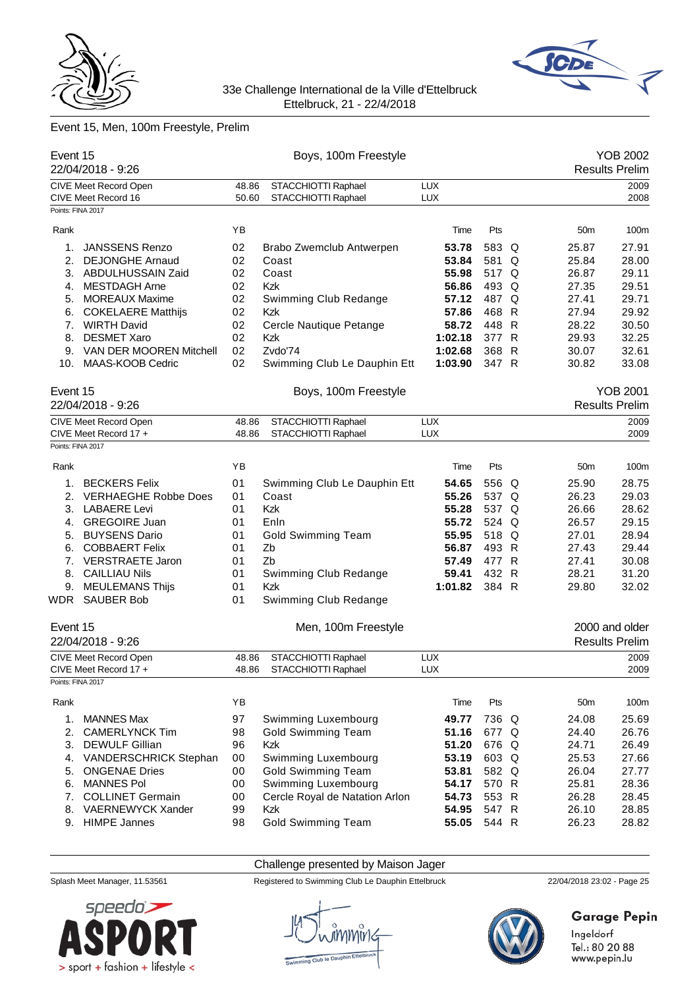



# Event 15, Men, 100m Freestyle, Prelim

| Event 15          | 22/04/2018 - 9:26           |       | Boys, 100m Freestyle           |            |       |              |                 | <b>YOB 2002</b><br><b>Results Prelim</b> |
|-------------------|-----------------------------|-------|--------------------------------|------------|-------|--------------|-----------------|------------------------------------------|
|                   | CIVE Meet Record Open       | 48.86 | STACCHIOTTI Raphael            | <b>LUX</b> |       |              |                 | 2009                                     |
|                   | CIVE Meet Record 16         | 50.60 | STACCHIOTTI Raphael            | <b>LUX</b> |       |              |                 | 2008                                     |
| Points: FINA 2017 |                             |       |                                |            |       |              |                 |                                          |
| Rank              |                             | YB    |                                | Time       | Pts   |              | 50 <sub>m</sub> | 100m                                     |
| 1.                | <b>JANSSENS Renzo</b>       | 02    | Brabo Zwemclub Antwerpen       | 53.78      | 583   | Q            | 25.87           | 27.91                                    |
| 2.                | <b>DEJONGHE Arnaud</b>      | 02    | Coast                          | 53.84      | 581   | Q            | 25.84           | 28.00                                    |
| 3.                | ABDULHUSSAIN Zaid           | 02    | Coast                          | 55.98      | 517   | Q            | 26.87           | 29.11                                    |
| 4.                | <b>MESTDAGH Arne</b>        | 02    | Kzk                            | 56.86      | 493   | Q            | 27.35           | 29.51                                    |
| 5.                | <b>MOREAUX Maxime</b>       | 02    | Swimming Club Redange          | 57.12      | 487 Q |              | 27.41           | 29.71                                    |
| 6.                | <b>COKELAERE Matthijs</b>   | 02    | Kzk                            | 57.86      | 468 R |              | 27.94           | 29.92                                    |
| 7.                | <b>WIRTH David</b>          | 02    | Cercle Nautique Petange        | 58.72      | 448   | $\mathsf{R}$ | 28.22           | 30.50                                    |
| 8.                | <b>DESMET Xaro</b>          | 02    | Kzk                            | 1:02.18    | 377   | $\mathsf{R}$ | 29.93           | 32.25                                    |
| 9.                | VAN DER MOOREN Mitchell     | 02    | Zvdo'74                        | 1:02.68    | 368   | $\mathsf{R}$ | 30.07           | 32.61                                    |
| 10.               | MAAS-KOOB Cedric            | 02    | Swimming Club Le Dauphin Ett   | 1:03.90    | 347 R |              | 30.82           | 33.08                                    |
| Event 15          |                             |       | Boys, 100m Freestyle           |            |       |              |                 | <b>YOB 2001</b>                          |
|                   | 22/04/2018 - 9:26           |       |                                |            |       |              |                 | <b>Results Prelim</b>                    |
|                   | CIVE Meet Record Open       | 48.86 | STACCHIOTTI Raphael            | <b>LUX</b> |       |              |                 | 2009                                     |
|                   | CIVE Meet Record 17 +       | 48.86 | STACCHIOTTI Raphael            | <b>LUX</b> |       |              |                 | 2009                                     |
| Points: FINA 2017 |                             |       |                                |            |       |              |                 |                                          |
| Rank              |                             | YB    |                                | Time       | Pts   |              | 50 <sub>m</sub> | 100m                                     |
| 1.                | <b>BECKERS Felix</b>        | 01    | Swimming Club Le Dauphin Ett   | 54.65      | 556 Q |              | 25.90           | 28.75                                    |
| 2.                | <b>VERHAEGHE Robbe Does</b> | 01    | Coast                          | 55.26      | 537 Q |              | 26.23           | 29.03                                    |
| 3.                | <b>LABAERE Levi</b>         | 01    | Kzk                            | 55.28      | 537 Q |              | 26.66           | 28.62                                    |
| 4.                | <b>GREGOIRE Juan</b>        | 01    | Enln                           | 55.72      | 524 Q |              | 26.57           | 29.15                                    |
| 5.                | <b>BUYSENS Dario</b>        | 01    | <b>Gold Swimming Team</b>      | 55.95      | 518   | Q            | 27.01           | 28.94                                    |
| 6.                | <b>COBBAERT Felix</b>       | 01    | Zb                             | 56.87      | 493 R |              | 27.43           | 29.44                                    |
| 7.                | <b>VERSTRAETE Jaron</b>     | 01    | Zb                             | 57.49      | 477 R |              | 27.41           | 30.08                                    |
| 8.                | <b>CAILLIAU Nils</b>        | 01    | Swimming Club Redange          | 59.41      | 432 R |              | 28.21           | 31.20                                    |
| 9.                | <b>MEULEMANS Thijs</b>      | 01    | Kzk                            | 1:01.82    | 384 R |              | 29.80           | 32.02                                    |
| WDR               | <b>SAUBER Bob</b>           | 01    | Swimming Club Redange          |            |       |              |                 |                                          |
|                   |                             |       |                                |            |       |              |                 |                                          |
| Event 15          |                             |       | Men, 100m Freestyle            |            |       |              |                 | 2000 and older                           |
|                   | 22/04/2018 - 9:26           |       |                                |            |       |              |                 | <b>Results Prelim</b>                    |
|                   | CIVE Meet Record Open       | 48.86 | STACCHIOTTI Raphael            | <b>LUX</b> |       |              |                 | 2009                                     |
|                   | CIVE Meet Record 17 +       | 48.86 | STACCHIOTTI Raphael            | LUX        |       |              |                 | 2009                                     |
| Points: FINA 2017 |                             |       |                                |            |       |              |                 |                                          |
| Rank              |                             | YB    |                                | Time       | Pts   |              | 50 <sub>m</sub> | 100m                                     |
| 1.                | <b>MANNES Max</b>           | 97    | Swimming Luxembourg            | 49.77      | 736 Q |              | 24.08           | 25.69                                    |
| 2.                | <b>CAMERLYNCK Tim</b>       | 98    | <b>Gold Swimming Team</b>      | 51.16      | 677 Q |              | 24.40           | 26.76                                    |
| 3.                | <b>DEWULF Gillian</b>       | 96    | Kzk                            | 51.20      | 676 Q |              | 24.71           | 26.49                                    |
| 4.                | VANDERSCHRICK Stephan       | 00    | Swimming Luxembourg            | 53.19      | 603 Q |              | 25.53           | 27.66                                    |
| 5.                | <b>ONGENAE Dries</b>        | 00    | <b>Gold Swimming Team</b>      | 53.81      | 582 Q |              | 26.04           | 27.77                                    |
| 6.                | <b>MANNES Pol</b>           | 00    | Swimming Luxembourg            | 54.17      | 570 R |              | 25.81           | 28.36                                    |
| 7.                | <b>COLLINET Germain</b>     | 00    | Cercle Royal de Natation Arlon | 54.73      | 553 R |              | 26.28           | 28.45                                    |
| 8.                | VAERNEWYCK Xander           | 99    | Kzk                            | 54.95      | 547 R |              | 26.10           | 28.85                                    |
| 9.                | <b>HIMPE Jannes</b>         | 98    | <b>Gold Swimming Team</b>      | 55.05      | 544 R |              | 26.23           | 28.82                                    |
|                   |                             |       |                                |            |       |              |                 |                                          |

# Challenge presented by Maison Jager



Splash Meet Manager, 11.53561 Registered to Swimming Club Le Dauphin Ettelbruck 22/04/2018 23:02 - Page 25



# **Garage Pepin**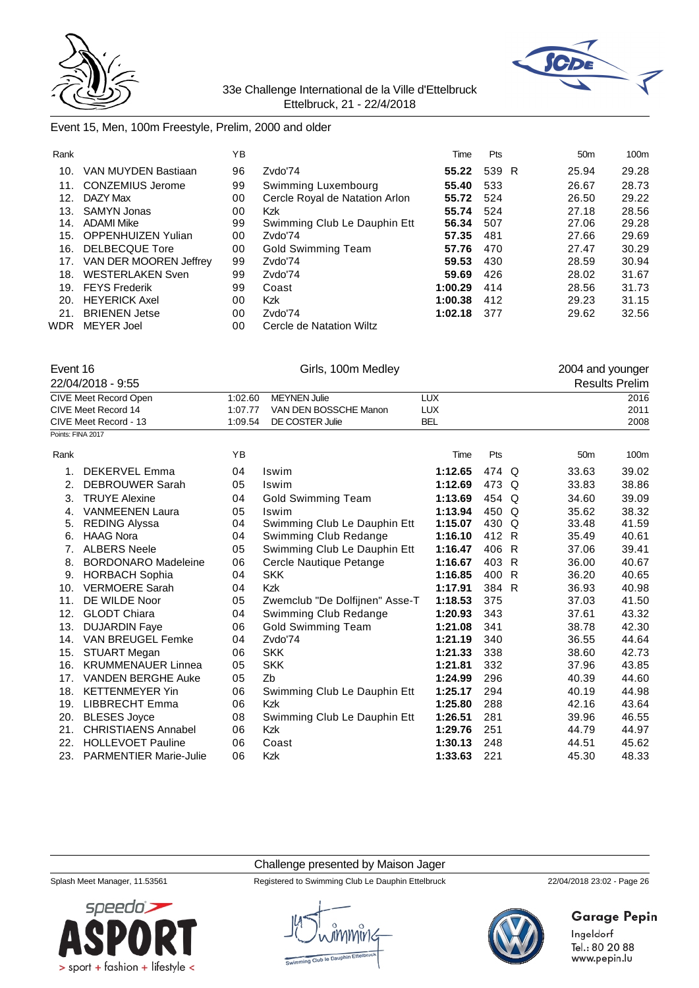



# Event 15, Men, 100m Freestyle, Prelim, 2000 and older

| Rank |                           | ΥB |                                | Time    | Pts   | 50 <sub>m</sub> | 100m  |
|------|---------------------------|----|--------------------------------|---------|-------|-----------------|-------|
| 10.  | VAN MUYDEN Bastiaan       | 96 | Zvdo'74                        | 55.22   | 539 R | 25.94           | 29.28 |
| 11.  | <b>CONZEMIUS Jerome</b>   | 99 | Swimming Luxembourg            | 55.40   | 533   | 26.67           | 28.73 |
| 12.  | DAZY Max                  | 00 | Cercle Royal de Natation Arlon | 55.72   | 524   | 26.50           | 29.22 |
| 13.  | <b>SAMYN Jonas</b>        | 00 | Kzk                            | 55.74   | 524   | 27.18           | 28.56 |
| 14.  | <b>ADAMI Mike</b>         | 99 | Swimming Club Le Dauphin Ett   | 56.34   | 507   | 27.06           | 29.28 |
| 15.  | <b>OPPENHUIZEN Yulian</b> | 00 | Zvdo'74                        | 57.35   | 481   | 27.66           | 29.69 |
| 16.  | DELBECQUE Tore            | 00 | <b>Gold Swimming Team</b>      | 57.76   | 470   | 27.47           | 30.29 |
| 17.  | VAN DER MOOREN Jeffrey    | 99 | Zvdo'74                        | 59.53   | 430   | 28.59           | 30.94 |
| 18.  | <b>WESTERLAKEN Sven</b>   | 99 | Zvdo'74                        | 59.69   | 426   | 28.02           | 31.67 |
| 19.  | <b>FEYS Frederik</b>      | 99 | Coast                          | 1:00.29 | 414   | 28.56           | 31.73 |
| 20.  | <b>HEYERICK Axel</b>      | 00 | <b>Kzk</b>                     | 1:00.38 | 412   | 29.23           | 31.15 |
| 21.  | <b>BRIENEN Jetse</b>      | 00 | Zvdo'74                        | 1:02.18 | 377   | 29.62           | 32.56 |
| WDR  | <b>MEYER Joel</b>         | 00 | Cercle de Natation Wiltz       |         |       |                 |       |

| Event 16              |         | Girls, 100m Medley    |            | 2004 and younger      |
|-----------------------|---------|-----------------------|------------|-----------------------|
| 22/04/2018 - 9:55     |         |                       |            | <b>Results Prelim</b> |
| CIVE Meet Record Open | 1:02.60 | MEYNEN Julie          | LUX        | 2016                  |
| CIVE Meet Record 14   | 1:07.77 | VAN DEN BOSSCHE Manon | <b>LUX</b> | 2011                  |
| CIVE Meet Record - 13 | 1:09.54 | DE COSTER Julie       | BEL        | 2008                  |
| Points: FINA 2017     |         |                       |            |                       |

| Rank |                               | YB. |                                | Time    | Pts   |          | 50 <sub>m</sub> | 100m  |
|------|-------------------------------|-----|--------------------------------|---------|-------|----------|-----------------|-------|
| 1.   | <b>DEKERVEL Emma</b>          | 04  | Iswim                          | 1:12.65 | 474 Q |          | 33.63           | 39.02 |
| 2.   | <b>DEBROUWER Sarah</b>        | 05  | Iswim                          | 1:12.69 | 473   | $\Omega$ | 33.83           | 38.86 |
| 3.   | <b>TRUYE Alexine</b>          | 04  | <b>Gold Swimming Team</b>      | 1:13.69 | 454 Q |          | 34.60           | 39.09 |
| 4.   | <b>VANMEENEN Laura</b>        | 05  | Iswim                          | 1:13.94 | 450   | Q        | 35.62           | 38.32 |
| 5.   | <b>REDING Alyssa</b>          | 04  | Swimming Club Le Dauphin Ett   | 1:15.07 | 430   | Q        | 33.48           | 41.59 |
| 6.   | <b>HAAG Nora</b>              | 04  | Swimming Club Redange          | 1:16.10 | 412 R |          | 35.49           | 40.61 |
|      | <b>ALBERS Neele</b>           | 05  | Swimming Club Le Dauphin Ett   | 1:16.47 | 406 R |          | 37.06           | 39.41 |
| 8.   | <b>BORDONARO Madeleine</b>    | 06  | Cercle Nautique Petange        | 1:16.67 | 403   | -R       | 36.00           | 40.67 |
| 9.   | <b>HORBACH Sophia</b>         | 04  | <b>SKK</b>                     | 1:16.85 | 400   | -R       | 36.20           | 40.65 |
| 10.  | <b>VERMOERE Sarah</b>         | 04  | Kzk                            | 1:17.91 | 384 R |          | 36.93           | 40.98 |
| 11.  | DE WILDE Noor                 | 05  | Zwemclub "De Dolfijnen" Asse-T | 1:18.53 | 375   |          | 37.03           | 41.50 |
| 12.  | <b>GLODT Chiara</b>           | 04  | Swimming Club Redange          | 1:20.93 | 343   |          | 37.61           | 43.32 |
| 13.  | <b>DUJARDIN Faye</b>          | 06  | <b>Gold Swimming Team</b>      | 1:21.08 | 341   |          | 38.78           | 42.30 |
| 14.  | VAN BREUGEL Femke             | 04  | Zvdo'74                        | 1:21.19 | 340   |          | 36.55           | 44.64 |
| 15.  | <b>STUART Megan</b>           | 06  | <b>SKK</b>                     | 1:21.33 | 338   |          | 38.60           | 42.73 |
| 16.  | <b>KRUMMENAUER Linnea</b>     | 05  | <b>SKK</b>                     | 1:21.81 | 332   |          | 37.96           | 43.85 |
| 17.  | <b>VANDEN BERGHE Auke</b>     | 05  | Zb                             | 1:24.99 | 296   |          | 40.39           | 44.60 |
| 18.  | <b>KETTENMEYER Yin</b>        | 06  | Swimming Club Le Dauphin Ett   | 1:25.17 | 294   |          | 40.19           | 44.98 |
| 19.  | LIBBRECHT Emma                | 06  | Kzk                            | 1:25.80 | 288   |          | 42.16           | 43.64 |
| 20.  | <b>BLESES Joyce</b>           | 08  | Swimming Club Le Dauphin Ett   | 1:26.51 | 281   |          | 39.96           | 46.55 |
| 21.  | <b>CHRISTIAENS Annabel</b>    | 06  | Kzk                            | 1:29.76 | 251   |          | 44.79           | 44.97 |
| 22.  | <b>HOLLEVOET Pauline</b>      | 06  | Coast                          | 1:30.13 | 248   |          | 44.51           | 45.62 |
| 23.  | <b>PARMENTIER Marie-Julie</b> | 06  | Kzk                            | 1:33.63 | 221   |          | 45.30           | 48.33 |
|      |                               |     |                                |         |       |          |                 |       |

Challenge presented by Maison Jager



Splash Meet Manager, 11.53561 Registered to Swimming Club Le Dauphin Ettelbruck 22/04/2018 23:02 - Page 26



# **Garage Pepin**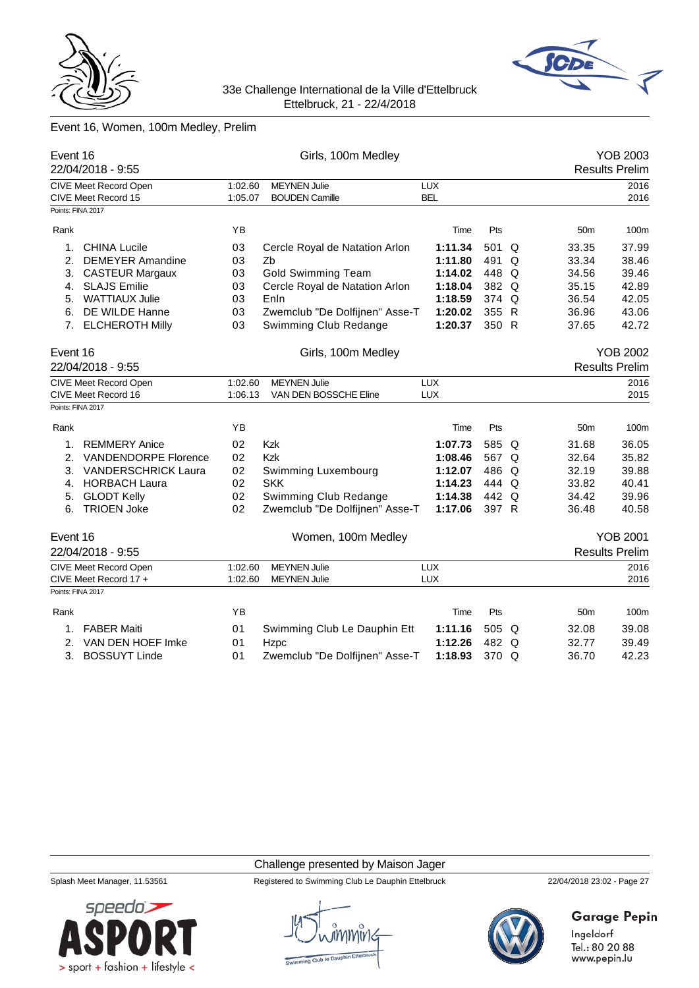



# Event 16, Women, 100m Medley, Prelim

| Event 16          | 22/04/2018 - 9:55                            |                    | Girls, 100m Medley                           |                          |       |   |                 | <b>YOB 2003</b><br><b>Results Prelim</b> |
|-------------------|----------------------------------------------|--------------------|----------------------------------------------|--------------------------|-------|---|-----------------|------------------------------------------|
|                   | CIVE Meet Record Open<br>CIVE Meet Record 15 | 1:02.60<br>1:05.07 | <b>MEYNEN Julie</b><br><b>BOUDEN Camille</b> | <b>LUX</b><br><b>BEL</b> |       |   |                 | 2016<br>2016                             |
| Points: FINA 2017 |                                              |                    |                                              |                          |       |   |                 |                                          |
| Rank              |                                              | YB                 |                                              | Time                     | Pts   |   | 50 <sub>m</sub> | 100m                                     |
| 1.                | <b>CHINA Lucile</b>                          | 03                 | Cercle Royal de Natation Arlon               | 1:11.34                  | 501   | Q | 33.35           | 37.99                                    |
| 2.                | <b>DEMEYER Amandine</b>                      | 03                 | Zb                                           | 1:11.80                  | 491   | Q | 33.34           | 38.46                                    |
| 3.                | <b>CASTEUR Margaux</b>                       | 03                 | <b>Gold Swimming Team</b>                    | 1:14.02                  | 448 Q |   | 34.56           | 39.46                                    |
| 4.                | <b>SLAJS Emilie</b>                          | 03                 | Cercle Royal de Natation Arlon               | 1:18.04                  | 382 Q |   | 35.15           | 42.89                                    |
| 5.                | <b>WATTIAUX Julie</b>                        | 03                 | Enln                                         | 1:18.59                  | 374 Q |   | 36.54           | 42.05                                    |
| 6.                | DE WILDE Hanne                               | 03                 | Zwemclub "De Dolfijnen" Asse-T               | 1:20.02                  | 355 R |   | 36.96           | 43.06                                    |
|                   | 7. ELCHEROTH Milly                           | 03                 | Swimming Club Redange                        | 1:20.37                  | 350 R |   | 37.65           | 42.72                                    |
| Event 16          |                                              |                    | Girls, 100m Medley                           |                          |       |   |                 | <b>YOB 2002</b>                          |
|                   | 22/04/2018 - 9:55                            |                    |                                              |                          |       |   |                 | <b>Results Prelim</b>                    |
|                   | <b>CIVE Meet Record Open</b>                 | 1:02.60            | <b>MEYNEN Julie</b>                          | <b>LUX</b>               |       |   |                 | 2016                                     |
|                   | CIVE Meet Record 16                          | 1:06.13            | VAN DEN BOSSCHE Eline                        | <b>LUX</b>               |       |   |                 | 2015                                     |
| Points: FINA 2017 |                                              |                    |                                              |                          |       |   |                 |                                          |
| Rank              |                                              | YB                 |                                              | Time                     | Pts   |   | 50 <sub>m</sub> | 100m                                     |
| 1.                | <b>REMMERY Anice</b>                         | 02                 | <b>Kzk</b>                                   | 1:07.73                  | 585 Q |   | 31.68           | 36.05                                    |
| 2.                | <b>VANDENDORPE Florence</b>                  | 02                 | Kzk                                          | 1:08.46                  | 567 Q |   | 32.64           | 35.82                                    |
| 3.                | <b>VANDERSCHRICK Laura</b>                   | 02                 | Swimming Luxembourg                          | 1:12.07                  | 486 Q |   | 32.19           | 39.88                                    |
| 4.                | <b>HORBACH Laura</b>                         | 02                 | <b>SKK</b>                                   | 1:14.23                  | 444 Q |   | 33.82           | 40.41                                    |
| 5.                | <b>GLODT Kelly</b>                           | 02                 | Swimming Club Redange                        | 1:14.38                  | 442 Q |   | 34.42           | 39.96                                    |
| 6.                | <b>TRIOEN Joke</b>                           | 02                 | Zwemclub "De Dolfijnen" Asse-T               | 1:17.06                  | 397 R |   | 36.48           | 40.58                                    |
| Event 16          |                                              |                    | Women, 100m Medley                           |                          |       |   |                 | <b>YOB 2001</b>                          |
|                   | 22/04/2018 - 9:55                            |                    |                                              |                          |       |   |                 | <b>Results Prelim</b>                    |
|                   | CIVE Meet Record Open                        | 1:02.60            | <b>MEYNEN Julie</b>                          | <b>LUX</b>               |       |   |                 | 2016                                     |
|                   | CIVE Meet Record 17 +                        | 1:02.60            | <b>MEYNEN Julie</b>                          | <b>LUX</b>               |       |   |                 | 2016                                     |
| Points: FINA 2017 |                                              |                    |                                              |                          |       |   |                 |                                          |
| Rank              |                                              | ΥB                 |                                              | Time                     | Pts   |   | 50 <sub>m</sub> | 100m                                     |
| 1.                | <b>FABER Maiti</b>                           | 01                 | Swimming Club Le Dauphin Ett                 | 1:11.16                  | 505 Q |   | 32.08           | 39.08                                    |
| 2.                | VAN DEN HOEF Imke                            | 01                 | Hzpc                                         | 1:12.26                  | 482 Q |   | 32.77           | 39.49                                    |
|                   | 3. BOSSUYT Linde                             | 01                 | Zwemclub "De Dolfijnen" Asse-T               | 1:18.93                  | 370 Q |   | 36.70           | 42.23                                    |
|                   |                                              |                    |                                              |                          |       |   |                 |                                          |

#### Challenge presented by Maison Jager

Splash Meet Manager, 11.53561 Registered to Swimming Club Le Dauphin Ettelbruck 22/04/2018 23:02 - Page 27



**Garage Pepin** 

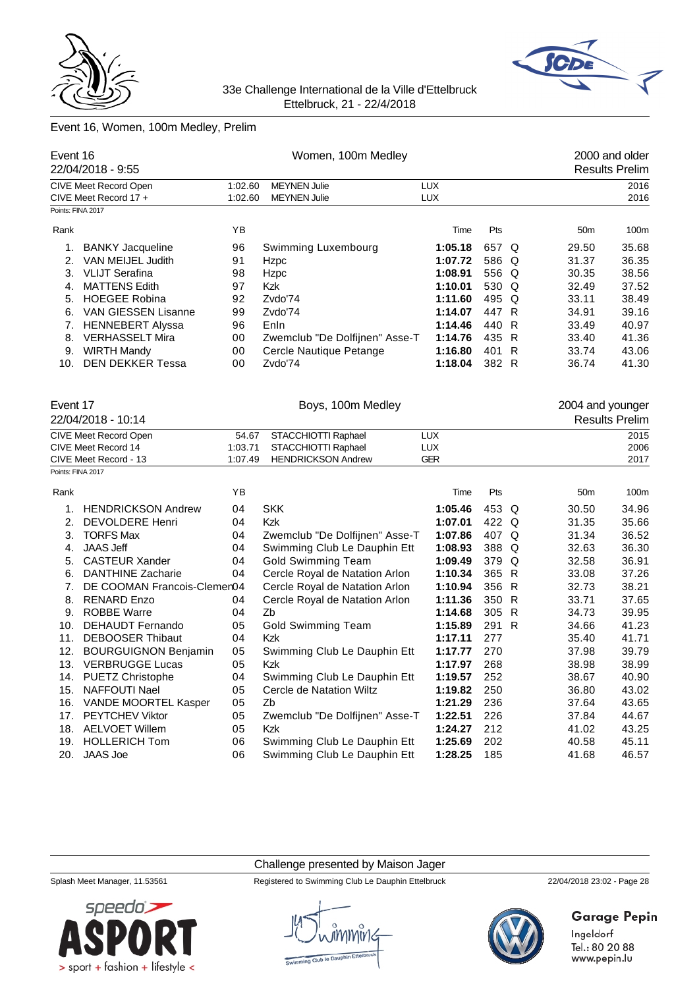



# Event 16, Women, 100m Medley, Prelim

|                     | Event 16<br>22/04/2018 - 9:55 |         | Women, 100m Medley             |            |       |              |                  | 2000 and older<br><b>Results Prelim</b> |
|---------------------|-------------------------------|---------|--------------------------------|------------|-------|--------------|------------------|-----------------------------------------|
|                     | <b>CIVE Meet Record Open</b>  | 1:02.60 | <b>MEYNEN Julie</b>            | <b>LUX</b> |       |              |                  | 2016                                    |
|                     | CIVE Meet Record 17 +         | 1:02.60 | <b>MEYNEN Julie</b>            | <b>LUX</b> |       |              |                  | 2016                                    |
| Points: FINA 2017   |                               |         |                                |            |       |              |                  |                                         |
| Rank                |                               | YB      |                                | Time       | Pts   |              | 50 <sub>m</sub>  | 100m                                    |
| 1.                  | <b>BANKY Jacqueline</b>       | 96      | Swimming Luxembourg            | 1:05.18    | 657 Q |              | 29.50            | 35.68                                   |
| 2.                  | VAN MEIJEL Judith             | 91      | Hzpc                           | 1:07.72    | 586 Q |              | 31.37            | 36.35                                   |
| 3.                  | <b>VLIJT Serafina</b>         | 98      | Hzpc                           | 1:08.91    | 556 Q |              | 30.35            | 38.56                                   |
| 4.                  | <b>MATTENS Edith</b>          | 97      | Kzk                            | 1:10.01    | 530 Q |              | 32.49            | 37.52                                   |
| 5.                  | <b>HOEGEE Robina</b>          | 92      | Zvdo'74                        | 1:11.60    | 495   | Q            | 33.11            | 38.49                                   |
| 6.                  | VAN GIESSEN Lisanne           | 99      | Zvdo'74                        | 1:14.07    | 447 R |              | 34.91            | 39.16                                   |
| 7.                  | <b>HENNEBERT Alyssa</b>       | 96      | Enln                           | 1:14.46    | 440   | $\mathsf{R}$ | 33.49            | 40.97                                   |
| 8.                  | <b>VERHASSELT Mira</b>        | 00      | Zwemclub "De Dolfijnen" Asse-T | 1:14.76    | 435   | R            | 33.40            | 41.36                                   |
| 9.                  | <b>WIRTH Mandy</b>            | 00      | Cercle Nautique Petange        | 1:16.80    | 401 R |              | 33.74            | 43.06                                   |
| 10.                 | <b>DEN DEKKER Tessa</b>       | 00      | Zvdo'74                        | 1:18.04    | 382 R |              | 36.74            | 41.30                                   |
| Event 17            |                               |         | Boys, 100m Medley              |            |       |              | 2004 and younger |                                         |
|                     | 22/04/2018 - 10:14            |         |                                |            |       |              |                  | <b>Results Prelim</b>                   |
|                     | CIVE Meet Record Open         | 54.67   | STACCHIOTTI Raphael            | <b>LUX</b> |       |              |                  | 2015                                    |
| CIVE Meet Record 14 |                               | 1:03.71 | STACCHIOTTI Raphael            | <b>LUX</b> |       |              |                  | 2006                                    |
|                     | CIVE Meet Record - 13         | 1:07.49 | <b>HENDRICKSON Andrew</b>      | <b>GER</b> |       |              |                  | 2017                                    |
| Points: FINA 2017   |                               |         |                                |            |       |              |                  |                                         |
| Rank                |                               | ΥB      |                                | Time       | Pts   |              | 50 <sub>m</sub>  | 100m                                    |
| 1.                  | <b>HENDRICKSON Andrew</b>     | 04      | <b>SKK</b>                     | 1:05.46    | 453 Q |              | 30.50            | 34.96                                   |
| 2.                  | <b>DEVOLDERE Henri</b>        | 04      | <b>Kzk</b>                     | 1:07.01    | 422 Q |              | 31.35            | 35.66                                   |
| 3.                  | <b>TORFS Max</b>              | 04      | Zwemclub "De Dolfijnen" Asse-T | 1:07.86    | 407 Q |              | 31.34            | 36.52                                   |
| 4.                  | <b>JAAS Jeff</b>              | 04      | Swimming Club Le Dauphin Ett   | 1:08.93    | 388 Q |              | 32.63            | 36.30                                   |
| 5.                  | <b>CASTEUR Xander</b>         | 04      | <b>Gold Swimming Team</b>      | 1:09.49    | 379 Q |              | 32.58            | 36.91                                   |
| 6.                  | <b>DANTHINE Zacharie</b>      | 04      | Cercle Royal de Natation Arlon | 1:10.34    | 365 R |              | 33.08            | 37.26                                   |
| 7.                  | DE COOMAN Francois-Clemen04   |         | Cercle Royal de Natation Arlon | 1:10.94    | 356 R |              | 32.73            | 38.21                                   |
| 8.                  | <b>RENARD Enzo</b>            | 04      | Cercle Royal de Natation Arlon | 1:11.36    | 350   | $\mathsf{R}$ | 33.71            | 37.65                                   |
| 9.                  | <b>ROBBE Warre</b>            | 04      | Zb                             | 1:14.68    | 305   | R            | 34.73            | 39.95                                   |
| 10.                 | DEHAUDT Fernando              | 05      | <b>Gold Swimming Team</b>      | 1:15.89    | 291   | $\mathsf{R}$ | 34.66            | 41.23                                   |
| 11.                 | <b>DEBOOSER Thibaut</b>       | 04      | Kzk                            | 1:17.11    | 277   |              | 35.40            | 41.71                                   |
| 12.                 | <b>BOURGUIGNON Benjamin</b>   | 05      | Swimming Club Le Dauphin Ett   | 1:17.77    | 270   |              | 37.98            | 39.79                                   |
| 13.                 | <b>VERBRUGGE Lucas</b>        | 05      | Kzk                            | 1:17.97    | 268   |              | 38.98            | 38.99                                   |
|                     | 14. PUETZ Christophe          | 04      | Swimming Club Le Dauphin Ett   | 1:19.57    | 252   |              | 38.67            | 40.90                                   |
| 15.                 | NAFFOUTI Nael                 | 05      | Cercle de Natation Wiltz       | 1:19.82    | 250   |              | 36.80            | 43.02                                   |
| 16.                 | VANDE MOORTEL Kasper          | 05      | Zb                             | 1:21.29    | 236   |              | 37.64            | 43.65                                   |
| 17.                 | PEYTCHEV Viktor               | 05      | Zwemclub "De Dolfijnen" Asse-T | 1:22.51    | 226   |              | 37.84            | 44.67                                   |
|                     | 18. AELVOET Willem            | 05      | Kzk                            | 1:24.27    | 212   |              | 41.02            | 43.25                                   |
|                     | 19. HOLLERICH Tom             | 06      | Swimming Club Le Dauphin Ett   | 1:25.69    | 202   |              | 40.58            | 45.11                                   |
|                     | 20. JAAS Joe                  | 06      | Swimming Club Le Dauphin Ett   | 1:28.25    | 185   |              | 41.68            | 46.57                                   |
|                     |                               |         |                                |            |       |              |                  |                                         |

Challenge presented by Maison Jager

Splash Meet Manager, 11.53561 Registered to Swimming Club Le Dauphin Ettelbruck 22/04/2018 23:02 - Page 28



# **Garage Pepin**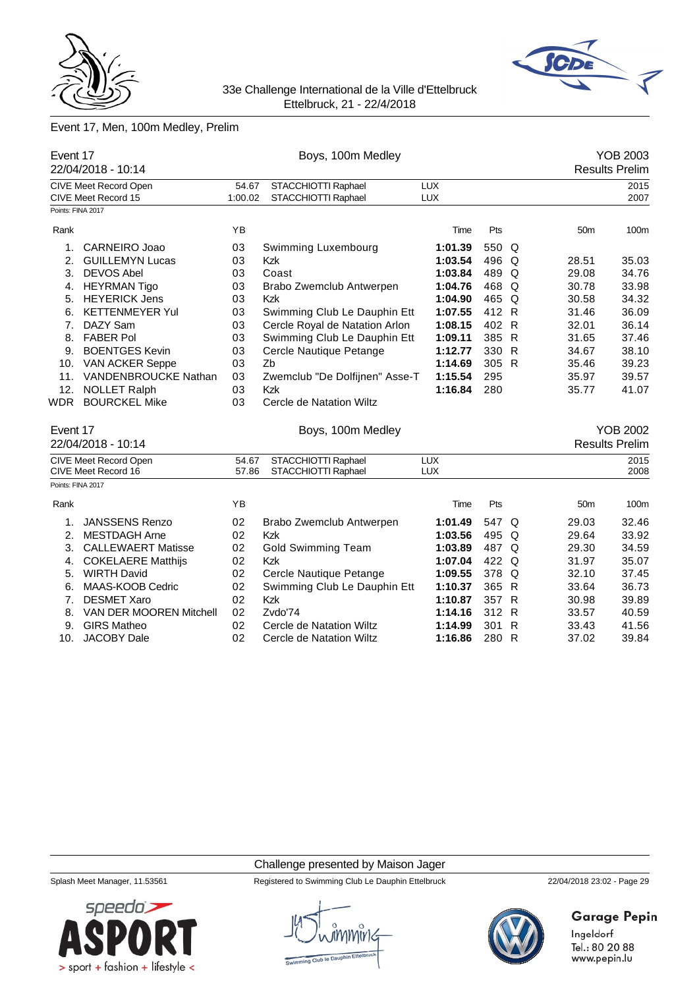



# Event 17, Men, 100m Medley, Prelim

|                   | Event 17<br>22/04/2018 - 10:14                      |                                | Boys, 100m Medley                          |                          |       |              |                 | <b>YOB 2003</b><br><b>Results Prelim</b> |
|-------------------|-----------------------------------------------------|--------------------------------|--------------------------------------------|--------------------------|-------|--------------|-----------------|------------------------------------------|
|                   | CIVE Meet Record Open                               | 54.67                          | STACCHIOTTI Raphael                        | <b>LUX</b>               |       |              |                 | 2015                                     |
|                   | CIVE Meet Record 15                                 | 1:00.02                        | STACCHIOTTI Raphael                        | LUX                      |       |              |                 | 2007                                     |
| Points: FINA 2017 |                                                     |                                |                                            |                          |       |              |                 |                                          |
| Rank              |                                                     | YB                             |                                            | Time                     | Pts   |              | 50 <sub>m</sub> | 100m                                     |
| 1.                | <b>CARNEIRO Joao</b>                                | 03                             | Swimming Luxembourg                        | 1:01.39                  | 550 Q |              |                 |                                          |
| 2.                | <b>GUILLEMYN Lucas</b>                              | 03                             | <b>Kzk</b>                                 | 1:03.54                  | 496   | $\Omega$     | 28.51           | 35.03                                    |
| 3.                | <b>DEVOS Abel</b>                                   | 03                             | Coast                                      | 1:03.84                  | 489   | $\Omega$     | 29.08           | 34.76                                    |
| 4.                | <b>HEYRMAN Tigo</b>                                 | 03                             | Brabo Zwemclub Antwerpen                   | 1:04.76                  | 468   | $\Omega$     | 30.78           | 33.98                                    |
| 5.                | <b>HEYERICK Jens</b>                                | 03                             | <b>Kzk</b>                                 | 1:04.90                  | 465   | $\Omega$     | 30.58           | 34.32                                    |
| 6.                | <b>KETTENMEYER Yul</b>                              | 03                             | Swimming Club Le Dauphin Ett               | 1:07.55                  | 412 R |              | 31.46           | 36.09                                    |
| 7 <sub>1</sub>    | DAZY Sam                                            | 03                             | Cercle Royal de Natation Arlon             | 1:08.15                  | 402 R |              | 32.01           | 36.14                                    |
| 8.                | <b>FABER Pol</b>                                    | 03                             | Swimming Club Le Dauphin Ett               | 1:09.11                  | 385 R |              | 31.65           | 37.46                                    |
| 9.                | <b>BOENTGES Kevin</b>                               | 03                             | Cercle Nautique Petange                    | 1:12.77                  | 330 R |              | 34.67           | 38.10                                    |
| 10.               | <b>VAN ACKER Seppe</b>                              | 1:14.69                        | 305 R                                      |                          | 35.46 | 39.23        |                 |                                          |
| 11.               | <b>VANDENBROUCKE Nathan</b>                         | 03                             | Zwemclub "De Dolfijnen" Asse-T             | 1:15.54                  | 295   |              | 35.97           | 39.57                                    |
| 12.               | <b>NOLLET Ralph</b>                                 | 03                             | Kzk                                        | 1:16.84                  | 280   |              | 35.77           | 41.07                                    |
| WDR               | <b>BOURCKEL Mike</b>                                | 03<br>Cercle de Natation Wiltz |                                            |                          |       |              |                 |                                          |
| Event 17          |                                                     |                                | Boys, 100m Medley                          |                          |       |              |                 | <b>YOB 2002</b>                          |
|                   | 22/04/2018 - 10:14                                  |                                |                                            |                          |       |              |                 | <b>Results Prelim</b>                    |
|                   | <b>CIVE Meet Record Open</b><br>CIVE Meet Record 16 | 54.67<br>57.86                 | STACCHIOTTI Raphael<br>STACCHIOTTI Raphael | <b>LUX</b><br><b>LUX</b> |       |              |                 | 2015<br>2008                             |
| Points: FINA 2017 |                                                     |                                |                                            |                          |       |              |                 |                                          |
| Rank              |                                                     | YB                             |                                            | Time                     | Pts   |              | 50 <sub>m</sub> | 100m                                     |
| 1.                | <b>JANSSENS Renzo</b>                               | 02                             | Brabo Zwemclub Antwerpen                   | 1:01.49                  | 547   | Q            | 29.03           | 32.46                                    |
| 2.                | <b>MESTDAGH Arne</b>                                | 02                             | Kzk                                        | 1:03.56                  | 495   | Q            | 29.64           | 33.92                                    |
| 3.                | <b>CALLEWAERT Matisse</b>                           | 02                             | <b>Gold Swimming Team</b>                  | 1:03.89                  | 487 Q |              | 29.30           | 34.59                                    |
| 4.                | <b>COKELAERE Matthijs</b>                           | 02                             | <b>Kzk</b>                                 | 1:07.04                  | 422   | Q            | 31.97           | 35.07                                    |
| 5.                | <b>WIRTH David</b>                                  | 02                             | Cercle Nautique Petange                    | 1:09.55                  | 378   | Q            | 32.10           | 37.45                                    |
| 6.                | MAAS-KOOB Cedric                                    | 02                             | Swimming Club Le Dauphin Ett               | 1:10.37                  | 365 R |              | 33.64           | 36.73                                    |
| 7.                | <b>DESMET Xaro</b>                                  | 02                             | <b>Kzk</b>                                 | 1:10.87                  | 357 R |              | 30.98           | 39.89                                    |
| 8.                | VAN DER MOOREN Mitchell                             | 02                             | Zvdo'74                                    | 1:14.16                  | 312 R |              | 33.57           | 40.59                                    |
| 9.                | <b>GIRS Matheo</b>                                  | 02                             | Cercle de Natation Wiltz                   | 1:14.99                  | 301   | $\mathsf{R}$ | 33.43           | 41.56                                    |
| 10.               | <b>JACOBY Dale</b>                                  | 02                             | Cercle de Natation Wiltz                   | 1:16.86                  | 280 R |              | 37.02           | 39.84                                    |
|                   |                                                     |                                |                                            |                          |       |              |                 |                                          |

Challenge presented by Maison Jager



Splash Meet Manager, 11.53561 Registered to Swimming Club Le Dauphin Ettelbruck 22/04/2018 23:02 - Page 29



# **Garage Pepin**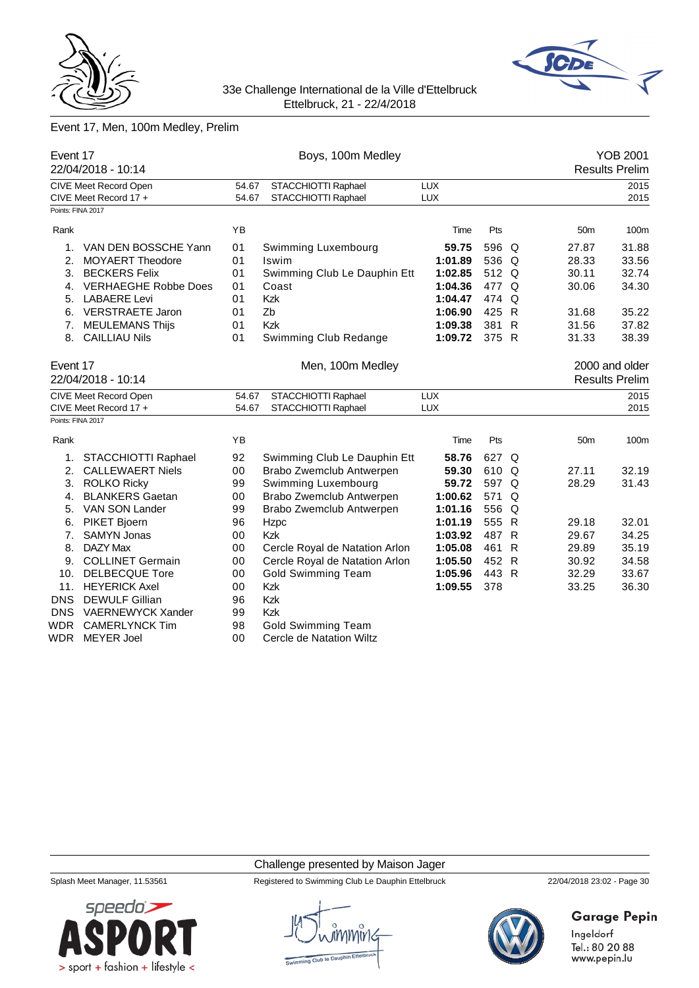



# Event 17, Men, 100m Medley, Prelim

|                       | Event 17<br>22/04/2018 - 10:14             |                       | Boys, 100m Medley              |            |       |       |                 | <b>YOB 2001</b>       |
|-----------------------|--------------------------------------------|-----------------------|--------------------------------|------------|-------|-------|-----------------|-----------------------|
|                       |                                            |                       |                                |            |       |       |                 | <b>Results Prelim</b> |
|                       | <b>CIVE Meet Record Open</b>               | 54.67                 | STACCHIOTTI Raphael            | <b>LUX</b> |       |       |                 | 2015                  |
|                       | CIVE Meet Record 17 +<br>Points: FINA 2017 | 54.67                 | STACCHIOTTI Raphael            | <b>LUX</b> |       |       |                 | 2015                  |
|                       |                                            |                       |                                |            |       |       |                 |                       |
| Rank                  |                                            | YB                    |                                | Time       | Pts   |       | 50 <sub>m</sub> | 100m                  |
| 1.                    | VAN DEN BOSSCHE Yann                       | 01                    | Swimming Luxembourg            | 59.75      | 596 Q |       | 27.87           | 31.88                 |
| 2.                    | <b>MOYAERT Theodore</b>                    | 01                    | Iswim                          | 1:01.89    | 536 Q |       | 28.33           | 33.56                 |
| 3.                    | <b>BECKERS Felix</b>                       | 01                    | Swimming Club Le Dauphin Ett   | 1:02.85    | 512 Q |       | 30.11           | 32.74                 |
| 4.                    | <b>VERHAEGHE Robbe Does</b>                | 01                    | Coast                          | 1:04.36    | 477 Q |       | 30.06           | 34.30                 |
| 5.                    | <b>LABAERE Levi</b>                        | 0 <sub>1</sub>        | Kzk                            | 1:04.47    | 474 Q |       |                 |                       |
| 6.                    | <b>VERSTRAETE Jaron</b>                    |                       | Zb                             | 1:06.90    | 425 R |       | 31.68           | 35.22                 |
| 7.                    | <b>MEULEMANS Thijs</b>                     | 01                    | <b>Kzk</b>                     | 1:09.38    | 381 R |       | 31.56           | 37.82                 |
| 8.                    | <b>CAILLIAU Nils</b>                       | Swimming Club Redange | 1:09.72                        | 375 R      |       | 31.33 | 38.39           |                       |
| Event 17              |                                            |                       | Men, 100m Medley               |            |       |       |                 | 2000 and older        |
|                       | 22/04/2018 - 10:14                         |                       |                                |            |       |       |                 | <b>Results Prelim</b> |
| CIVE Meet Record Open |                                            | 54.67                 | STACCHIOTTI Raphael            | <b>LUX</b> |       |       |                 | 2015                  |
|                       | CIVE Meet Record 17 +                      |                       | STACCHIOTTI Raphael<br>54.67   | <b>LUX</b> |       |       |                 | 2015                  |
|                       | Points: FINA 2017                          |                       |                                |            |       |       |                 |                       |
| Rank                  |                                            | YB                    |                                | Time       | Pts   |       | 50 <sub>m</sub> | 100m                  |
| 1.                    | STACCHIOTTI Raphael                        | 92                    | Swimming Club Le Dauphin Ett   | 58.76      | 627 Q |       |                 |                       |
| 2.                    | <b>CALLEWAERT Niels</b>                    | 00                    | Brabo Zwemclub Antwerpen       | 59.30      | 610 Q |       | 27.11           | 32.19                 |
| 3.                    | <b>ROLKO Ricky</b>                         | 99                    | Swimming Luxembourg            | 59.72      | 597 Q |       | 28.29           | 31.43                 |
| 4.                    | <b>BLANKERS Gaetan</b>                     | 00                    | Brabo Zwemclub Antwerpen       | 1:00.62    | 571   | Q     |                 |                       |
| 5.                    | VAN SON Lander                             | 99                    | Brabo Zwemclub Antwerpen       | 1:01.16    | 556 Q |       |                 |                       |
| 6.                    | <b>PIKET Bjoern</b>                        | 96                    | Hzpc                           | 1:01.19    | 555 R |       | 29.18           | 32.01                 |
| 7.                    | <b>SAMYN Jonas</b>                         | 00                    | <b>Kzk</b>                     | 1:03.92    | 487 R |       | 29.67           | 34.25                 |
| 8.                    | DAZY Max                                   | 00                    | Cercle Royal de Natation Arlon | 1:05.08    | 461 R |       | 29.89           | 35.19                 |
| 9.                    | <b>COLLINET Germain</b>                    | 00                    | Cercle Royal de Natation Arlon | 1:05.50    | 452 R |       | 30.92           | 34.58                 |
| 10.                   | <b>DELBECQUE Tore</b>                      | 00                    | <b>Gold Swimming Team</b>      | 1:05.96    | 443 R |       | 32.29           | 33.67                 |
| 11.                   | <b>HEYERICK Axel</b>                       | 00                    | Kzk                            | 1:09.55    | 378   |       | 33.25           | 36.30                 |
| <b>DNS</b>            | <b>DEWULF Gillian</b>                      | 96                    | Kzk                            |            |       |       |                 |                       |
| <b>DNS</b>            | <b>VAERNEWYCK Xander</b>                   | 99                    | Kzk                            |            |       |       |                 |                       |
| WDR                   | <b>CAMERLYNCK Tim</b>                      | 98                    | <b>Gold Swimming Team</b>      |            |       |       |                 |                       |
| WDR                   | <b>MEYER Joel</b>                          |                       | Cercle de Natation Wiltz       |            |       |       |                 |                       |

#### Challenge presented by Maison Jager



Splash Meet Manager, 11.53561 Registered to Swimming Club Le Dauphin Ettelbruck 22/04/2018 23:02 - Page 30



# **Garage Pepin**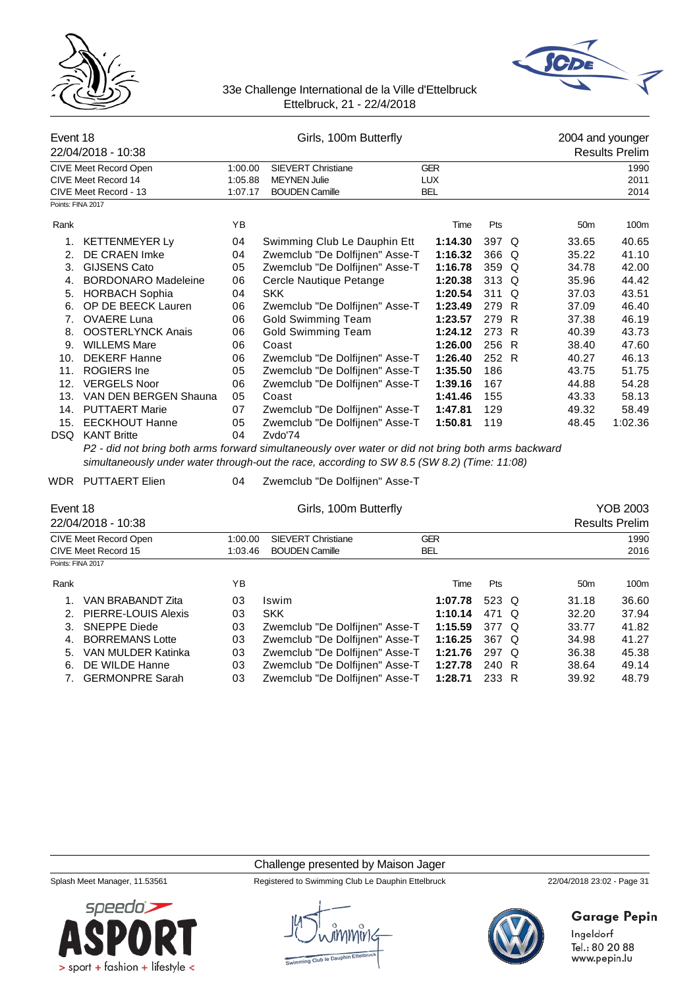



| Event 18          | 22/04/2018 - 10:38                                                    | Girls, 100m Butterfly         |                                                                                                    |                                        |                |  | 2004 and younger<br><b>Results Prelim</b> |                       |  |  |
|-------------------|-----------------------------------------------------------------------|-------------------------------|----------------------------------------------------------------------------------------------------|----------------------------------------|----------------|--|-------------------------------------------|-----------------------|--|--|
|                   | CIVE Meet Record Open<br>CIVE Meet Record 14<br>CIVE Meet Record - 13 | 1:00.00<br>1:05.88<br>1:07.17 | <b>SIEVERT Christiane</b><br><b>MEYNEN Julie</b><br><b>BOUDEN Camille</b>                          | <b>GER</b><br><b>LUX</b><br><b>BEL</b> |                |  |                                           | 1990<br>2011<br>2014  |  |  |
| Points: FINA 2017 |                                                                       |                               |                                                                                                    |                                        |                |  |                                           |                       |  |  |
| Rank              |                                                                       | YB                            |                                                                                                    | Time                                   | Pts            |  | 50 <sub>m</sub>                           | 100m                  |  |  |
| 1.<br>2.          | <b>KETTENMEYER Ly</b><br>DE CRAEN Imke                                | 04<br>04                      | Swimming Club Le Dauphin Ett<br>Zwemclub "De Dolfijnen" Asse-T                                     | 1:14.30<br>1:16.32                     | 397 Q<br>366 Q |  | 33.65<br>35.22                            | 40.65<br>41.10        |  |  |
| 3.                | <b>GIJSENS Cato</b>                                                   | 05                            | Zwemclub "De Dolfijnen" Asse-T                                                                     | 1:16.78                                | 359 Q          |  | 34.78                                     | 42.00                 |  |  |
|                   | 4. BORDONARO Madeleine                                                | 06                            | Cercle Nautique Petange                                                                            | 1:20.38                                | 313 Q          |  | 35.96                                     | 44.42                 |  |  |
| 5.                | <b>HORBACH Sophia</b>                                                 | 04                            | <b>SKK</b>                                                                                         | 1:20.54                                | 311 Q          |  | 37.03                                     | 43.51                 |  |  |
| 6.                | OP DE BEECK Lauren                                                    | 06                            | Zwemclub "De Dolfijnen" Asse-T                                                                     | 1:23.49                                | 279 R          |  | 37.09                                     | 46.40                 |  |  |
| 7.                | <b>OVAERE Luna</b>                                                    | 06                            | <b>Gold Swimming Team</b>                                                                          | 1:23.57                                | 279 R          |  | 37.38                                     | 46.19                 |  |  |
| 8.                | <b>OOSTERLYNCK Anais</b>                                              | 06                            | <b>Gold Swimming Team</b>                                                                          | 1:24.12                                | 273 R          |  | 40.39                                     | 43.73                 |  |  |
|                   | 9. WILLEMS Mare                                                       | 06                            | Coast                                                                                              | 1:26.00                                | 256 R          |  | 38.40                                     | 47.60                 |  |  |
|                   | <b>DEKERF Hanne</b><br>10.                                            |                               | Zwemclub "De Dolfijnen" Asse-T                                                                     | 1:26.40                                | 252 R          |  | 40.27                                     | 46.13                 |  |  |
| 11.               | <b>ROGIERS</b> Ine                                                    | 06<br>05                      | Zwemclub "De Dolfijnen" Asse-T                                                                     | 1:35.50                                | 186            |  | 43.75                                     | 51.75                 |  |  |
| 12.               | <b>VERGELS Noor</b><br>06                                             |                               | Zwemclub "De Dolfijnen" Asse-T                                                                     | 1:39.16                                | 167            |  | 44.88                                     | 54.28                 |  |  |
| 13.               | VAN DEN BERGEN Shauna                                                 | 05                            | Coast                                                                                              | 1:41.46                                | 155            |  | 43.33                                     | 58.13                 |  |  |
| 14.               | <b>PUTTAERT Marie</b>                                                 | 07                            | Zwemclub "De Dolfijnen" Asse-T                                                                     | 1:47.81                                | 129            |  | 49.32                                     | 58.49                 |  |  |
| 15.               | <b>EECKHOUT Hanne</b>                                                 | 05                            | Zwemclub "De Dolfijnen" Asse-T                                                                     | 1:50.81                                | 119            |  | 48.45                                     | 1:02.36               |  |  |
| DSQ               | <b>KANT Britte</b>                                                    | 04                            | Zvdo'74                                                                                            |                                        |                |  |                                           |                       |  |  |
|                   |                                                                       |                               | P2 - did not bring both arms forward simultaneously over water or did not bring both arms backward |                                        |                |  |                                           |                       |  |  |
|                   |                                                                       |                               | simultaneously under water through-out the race, according to SW 8.5 (SW 8.2) (Time: 11:08)        |                                        |                |  |                                           |                       |  |  |
|                   | WDR PUTTAERT Elien                                                    | 04                            | Zwemclub "De Dolfijnen" Asse-T                                                                     |                                        |                |  |                                           |                       |  |  |
| Event 18          |                                                                       |                               | Girls, 100m Butterfly                                                                              |                                        |                |  |                                           | <b>YOB 2003</b>       |  |  |
|                   | 22/04/2018 - 10:38                                                    |                               |                                                                                                    |                                        |                |  |                                           | <b>Results Prelim</b> |  |  |
|                   | CIVE Meet Record Open                                                 | 1:00.00                       | <b>SIEVERT Christiane</b>                                                                          | <b>GER</b>                             |                |  |                                           | 1990                  |  |  |
|                   | CIVE Meet Record 15                                                   | 1:03.46                       | <b>BOUDEN Camille</b>                                                                              | <b>BEL</b>                             |                |  |                                           | 2016                  |  |  |
| Points: FINA 2017 |                                                                       |                               |                                                                                                    |                                        |                |  |                                           |                       |  |  |
| Rank              |                                                                       | ΥB                            |                                                                                                    | Time                                   | Pts            |  | 50 <sub>m</sub>                           | 100m                  |  |  |
| 1.                | VAN BRABANDT Zita                                                     | 03                            | Iswim                                                                                              | 1:07.78                                | 523 Q          |  | 31.18                                     | 36.60                 |  |  |
| 2.                | PIERRE-LOUIS Alexis                                                   | 03                            | <b>SKK</b>                                                                                         | 1:10.14                                | 471 Q          |  | 32.20                                     | 37.94                 |  |  |
| 3.                | <b>SNEPPE Diede</b>                                                   | 03                            | Zwemclub "De Dolfijnen" Asse-T                                                                     | 1:15.59                                | 377 Q          |  | 33.77                                     | 41.82                 |  |  |
| 4.                | <b>BORREMANS Lotte</b>                                                |                               | Zwemclub "De Dolfijnen" Asse-T                                                                     | 1:16.25                                | 367 Q          |  | 34.98                                     | 41.27                 |  |  |
| 5.                | VAN MULDER Katinka                                                    | 03                            | Zwemclub "De Dolfijnen" Asse-T                                                                     | 1:21.76                                | 297 Q          |  | 36.38                                     | 45.38                 |  |  |

|       | <b>IVE Meet Record Open</b> | 1:00.00 | <b>SIEVERT Christiane</b>      | <b>GER</b> |       |  |                 | 1990  |  |
|-------|-----------------------------|---------|--------------------------------|------------|-------|--|-----------------|-------|--|
|       | <b>IVE Meet Record 15</b>   | 1:03.46 | <b>BOUDEN Camille</b>          | <b>BEL</b> |       |  | 2016            |       |  |
|       | bints: FINA 2017            |         |                                |            |       |  |                 |       |  |
| रेank |                             | ΥB      |                                | Time       | Pts   |  | 50 <sub>m</sub> | 100m  |  |
| 1.    | VAN BRABANDT Zita           | 03      | <b>Iswim</b>                   | 1:07.78    | 523 Q |  | 31.18           | 36.60 |  |
|       | 2. PIERRE-LOUIS Alexis      | 03      | <b>SKK</b>                     | 1:10.14    | 471 Q |  | 32.20           | 37.94 |  |
|       | 3. SNEPPE Diede             | 03      | Zwemclub "De Dolfijnen" Asse-T | 1:15.59    | 377 Q |  | 33.77           | 41.82 |  |
|       | 4. BORREMANS Lotte          | 03      | Zwemclub "De Dolfijnen" Asse-T | 1:16.25    | 367 Q |  | 34.98           | 41.27 |  |
| 5.    | VAN MULDER Katinka          | 03      | Zwemclub "De Dolfijnen" Asse-T | 1:21.76    | 297 Q |  | 36.38           | 45.38 |  |
|       | 6. DE WILDE Hanne           | 03      | Zwemclub "De Dolfijnen" Asse-T | 1:27.78    | 240 R |  | 38.64           | 49.14 |  |
|       | 7. GERMONPRE Sarah          | 03      | Zwemclub "De Dolfijnen" Asse-T | 1:28.71    | 233 R |  | 39.92           | 48.79 |  |

### Challenge presented by Maison Jager

Splash Meet Manager, 11.53561 Registered to Swimming Club Le Dauphin Ettelbruck 22/04/2018 23:02 - Page 31



# Garage Pepin

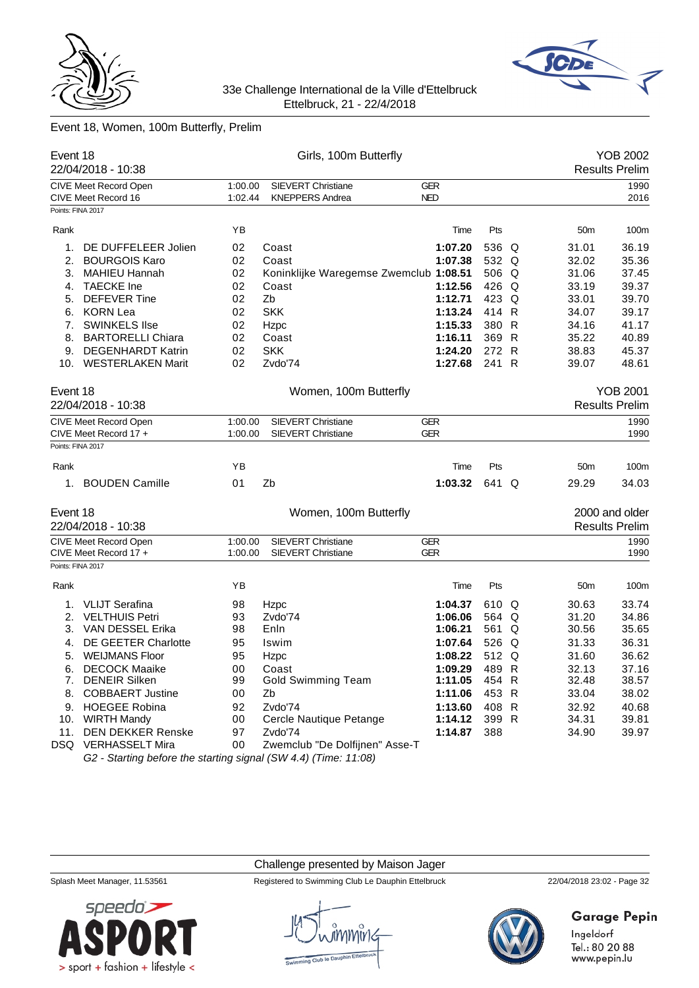



# Event 18, Women, 100m Butterfly, Prelim

| Event 18          | 22/04/2018 - 10:38                                              | Girls, 100m Butterfly |                                        |                 |       |   | <b>YOB 2002</b><br><b>Results Prelim</b> |                       |  |
|-------------------|-----------------------------------------------------------------|-----------------------|----------------------------------------|-----------------|-------|---|------------------------------------------|-----------------------|--|
|                   | CIVE Meet Record Open                                           | 1:00.00               | <b>SIEVERT Christiane</b>              | <b>GER</b>      |       |   |                                          | 1990                  |  |
|                   | CIVE Meet Record 16                                             | 1:02.44               | <b>KNEPPERS Andrea</b>                 | <b>NED</b>      |       |   |                                          | 2016                  |  |
| Points: FINA 2017 |                                                                 |                       |                                        |                 |       |   |                                          |                       |  |
| Rank              |                                                                 | ΥB                    |                                        | Time            | Pts   |   | 50 <sub>m</sub>                          | 100m                  |  |
| 1.                | DE DUFFELEER Jolien                                             | 02                    | Coast                                  | 1:07.20         | 536 Q |   | 31.01                                    | 36.19                 |  |
| 2.                | <b>BOURGOIS Karo</b>                                            | 02                    | Coast                                  | 1:07.38         | 532 Q |   | 32.02                                    | 35.36                 |  |
| 3.                | <b>MAHIEU Hannah</b>                                            | 02                    | Koninklijke Waregemse Zwemclub 1:08.51 |                 | 506 Q |   | 31.06                                    | 37.45                 |  |
| 4.                | <b>TAECKE</b> Ine                                               | 02                    | Coast                                  | 1:12.56         | 426 Q |   | 33.19                                    | 39.37                 |  |
| 5.                | <b>DEFEVER Tine</b>                                             | 02                    | Zb                                     | 1:12.71         | 423 Q |   | 33.01                                    | 39.70                 |  |
| 6.                | <b>KORN Lea</b>                                                 | 02                    | <b>SKK</b>                             | 1:13.24         | 414 R |   | 34.07                                    | 39.17                 |  |
| 7.                | <b>SWINKELS Ilse</b>                                            | 02                    | Hzpc                                   | 1:15.33         | 380 R |   | 34.16                                    | 41.17                 |  |
| 8.                | <b>BARTORELLI Chiara</b>                                        | 02                    | Coast                                  | 1:16.11         | 369 R |   | 35.22                                    | 40.89                 |  |
| 9.                | <b>DEGENHARDT Katrin</b>                                        | 02                    | <b>SKK</b>                             | 1:24.20         | 272 R |   | 38.83                                    | 45.37                 |  |
|                   | 10. WESTERLAKEN Marit                                           | 02                    | Zvdo'74                                | 1:27.68         | 241 R |   | 39.07                                    | 48.61                 |  |
| Event 18          |                                                                 |                       | Women, 100m Butterfly                  |                 |       |   |                                          | <b>YOB 2001</b>       |  |
|                   | 22/04/2018 - 10:38                                              |                       |                                        |                 |       |   |                                          | <b>Results Prelim</b> |  |
|                   | CIVE Meet Record Open                                           | 1:00.00               | <b>SIEVERT Christiane</b>              | <b>GER</b>      |       |   |                                          | 1990                  |  |
|                   | CIVE Meet Record 17 +                                           | 1:00.00               | <b>SIEVERT Christiane</b>              | <b>GER</b>      |       |   |                                          | 1990                  |  |
| Points: FINA 2017 |                                                                 |                       |                                        |                 |       |   |                                          |                       |  |
| Rank              |                                                                 | ΥB                    |                                        | Time            | Pts   |   | 50 <sub>m</sub>                          | 100m                  |  |
|                   | 1. BOUDEN Camille                                               | 01                    | Zb                                     | 1:03.32         | 641 Q |   | 29.29                                    | 34.03                 |  |
| Event 18          |                                                                 |                       | Women, 100m Butterfly                  |                 |       |   |                                          | 2000 and older        |  |
|                   | 22/04/2018 - 10:38                                              |                       |                                        |                 |       |   |                                          | <b>Results Prelim</b> |  |
|                   | CIVE Meet Record Open                                           | 1:00.00               | SIEVERT Christiane                     | <b>GER</b>      |       |   |                                          | 1990                  |  |
|                   | CIVE Meet Record 17 +                                           | 1:00.00               | <b>SIEVERT Christiane</b>              | <b>GER</b>      |       |   |                                          | 1990                  |  |
| Points: FINA 2017 |                                                                 |                       |                                        |                 |       |   |                                          |                       |  |
| Rank              |                                                                 | ΥB                    |                                        | Time            | Pts   |   | 50 <sub>m</sub>                          | 100m                  |  |
| 1.                | <b>VLIJT Serafina</b>                                           | 98                    | Hzpc                                   | 1:04.37         | 610 Q |   | 30.63                                    | 33.74                 |  |
| 2.                | <b>VELTHUIS Petri</b>                                           | 93                    | Zvdo'74                                | 1:06.06         | 564 Q |   | 31.20                                    | 34.86                 |  |
| 3.                | VAN DESSEL Erika                                                | 98                    | Enln                                   | 1:06.21         | 561   | Q | 30.56                                    | 35.65                 |  |
| 4.                | DE GEETER Charlotte                                             | 95                    | Iswim                                  | 1:07.64         | 526 Q |   | 31.33                                    | 36.31                 |  |
| 5.                | <b>WEIJMANS Floor</b>                                           | 95                    | Hzpc                                   | 1:08.22         | 512 Q |   | 31.60                                    | 36.62                 |  |
|                   | 6. DECOCK Maaike                                                | $00\,$                | Coast                                  | 1:09.29 489 R   |       |   | 32.13                                    | 37.16                 |  |
|                   | 7. DENEIR Silken                                                | 99                    | <b>Gold Swimming Team</b>              | 1:11.05 $454$ R |       |   | 32.48                                    | 38.57                 |  |
|                   | 8. COBBAERT Justine                                             | 00                    | Zb                                     | 1:11.06         | 453 R |   | 33.04                                    | 38.02                 |  |
|                   | 9. HOEGEE Robina                                                | 92                    | Zvdo'74                                | 1:13.60         | 408 R |   | 32.92                                    | 40.68                 |  |
|                   | 10. WIRTH Mandy                                                 | 00                    | Cercle Nautique Petange                | 1:14.12         | 399 R |   | 34.31                                    | 39.81                 |  |
| 11.               | <b>DEN DEKKER Renske</b>                                        | 97                    | Zvdo'74                                | 1:14.87         | 388   |   | 34.90                                    | 39.97                 |  |
|                   | DSQ VERHASSELT Mira                                             | 00                    | Zwemclub "De Dolfijnen" Asse-T         |                 |       |   |                                          |                       |  |
|                   | G2 - Starting before the starting signal (SW 4.4) (Time: 11:08) |                       |                                        |                 |       |   |                                          |                       |  |

### Challenge presented by Maison Jager



Splash Meet Manager, 11.53561 Registered to Swimming Club Le Dauphin Ettelbruck 22/04/2018 23:02 - Page 32



# **Garage Pepin**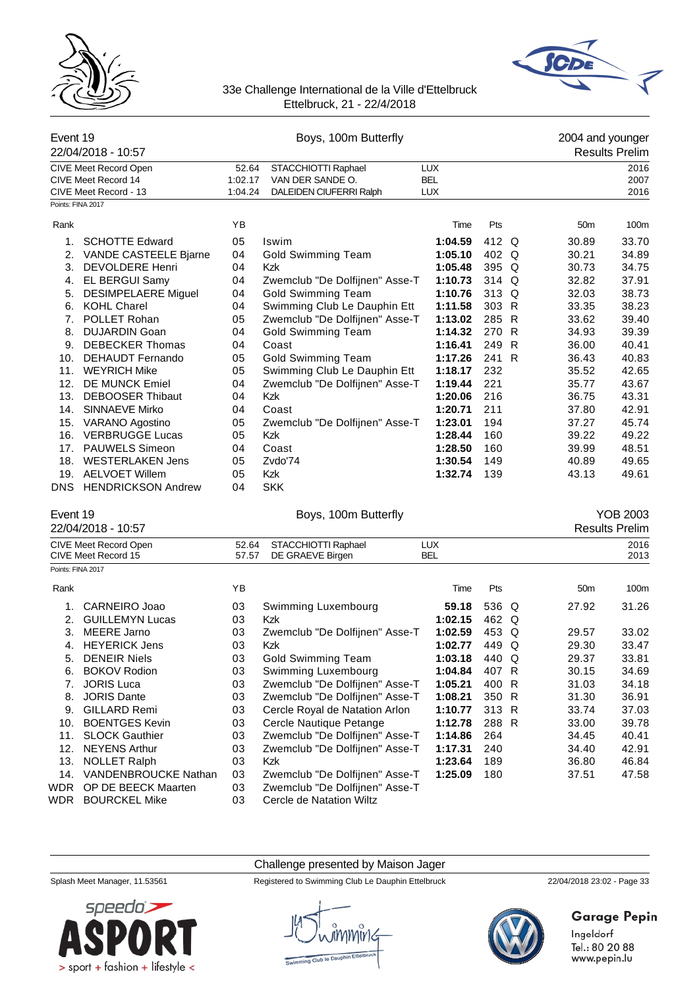



| Event 19          | 22/04/2018 - 10:57           | Boys, 100m Butterfly               |                                |            |       |  | 2004 and younger<br><b>Results Prelim</b> |                  |  |
|-------------------|------------------------------|------------------------------------|--------------------------------|------------|-------|--|-------------------------------------------|------------------|--|
|                   | <b>CIVE Meet Record Open</b> | 52.64                              | STACCHIOTTI Raphael            | <b>LUX</b> |       |  |                                           | 2016             |  |
|                   | CIVE Meet Record 14          | 1:02.17                            | VAN DER SANDE O.               | <b>BEL</b> |       |  |                                           | 2007             |  |
|                   | CIVE Meet Record - 13        | DALEIDEN CIUFERRI Ralph<br>1:04.24 |                                | <b>LUX</b> |       |  |                                           | 2016             |  |
| Points: FINA 2017 |                              |                                    |                                |            |       |  |                                           |                  |  |
| Rank              |                              | YB                                 |                                | Time       | Pts   |  | 50 <sub>m</sub>                           | 100 <sub>m</sub> |  |
| 1.                | <b>SCHOTTE Edward</b>        | 05                                 | Iswim                          | 1:04.59    | 412 Q |  | 30.89                                     | 33.70            |  |
| 2.                | VANDE CASTEELE Bjarne        | 04                                 | Gold Swimming Team             | 1:05.10    | 402 Q |  | 30.21                                     | 34.89            |  |
| 3.                | <b>DEVOLDERE Henri</b>       | 04                                 | <b>Kzk</b>                     | 1:05.48    | 395 Q |  | 30.73                                     | 34.75            |  |
| 4.                | EL BERGUI Samy               | 04                                 | Zwemclub "De Dolfijnen" Asse-T | 1:10.73    | 314 Q |  | 32.82                                     | 37.91            |  |
| 5.                | <b>DESIMPELAERE Miguel</b>   | 04                                 | <b>Gold Swimming Team</b>      | 1:10.76    | 313 Q |  | 32.03                                     | 38.73            |  |
| 6.                | <b>KOHL Charel</b>           | 04                                 | Swimming Club Le Dauphin Ett   | 1:11.58    | 303 R |  | 33.35                                     | 38.23            |  |
| 7.                | POLLET Rohan                 | 05                                 | Zwemclub "De Dolfijnen" Asse-T | 1:13.02    | 285 R |  | 33.62                                     | 39.40            |  |
| 8.                | <b>DUJARDIN Goan</b>         | 04                                 | <b>Gold Swimming Team</b>      | 1:14.32    | 270 R |  | 34.93                                     | 39.39            |  |
| 9.                | <b>DEBECKER Thomas</b>       | 04                                 | Coast                          | 1:16.41    | 249 R |  | 36.00                                     | 40.41            |  |
| 10.               | DEHAUDT Fernando             | 05                                 | <b>Gold Swimming Team</b>      | 1:17.26    | 241 R |  | 36.43                                     | 40.83            |  |
| 11.               | <b>WEYRICH Mike</b>          | 05                                 | Swimming Club Le Dauphin Ett   | 1:18.17    | 232   |  | 35.52                                     | 42.65            |  |
| 12.               | <b>DE MUNCK Emiel</b>        | 04                                 | Zwemclub "De Dolfijnen" Asse-T | 1:19.44    | 221   |  | 35.77                                     | 43.67            |  |
| 13.               | <b>DEBOOSER Thibaut</b>      | 04                                 | <b>Kzk</b>                     | 1:20.06    | 216   |  | 36.75                                     | 43.31            |  |
| 14.               | SINNAEVE Mirko               | 04                                 | Coast                          | 1:20.71    | 211   |  | 37.80                                     | 42.91            |  |
| 15.               | VARANO Agostino              | 05                                 | Zwemclub "De Dolfijnen" Asse-T | 1:23.01    | 194   |  | 37.27                                     | 45.74            |  |
| 16.               | <b>VERBRUGGE Lucas</b>       | 05                                 | <b>Kzk</b>                     | 1:28.44    | 160   |  | 39.22                                     | 49.22            |  |
| 17.               | <b>PAUWELS Simeon</b>        | 04                                 | Coast                          | 1:28.50    | 160   |  | 39.99                                     | 48.51            |  |
| 18.               | <b>WESTERLAKEN Jens</b>      | 05                                 | Zvdo'74                        | 1:30.54    | 149   |  | 40.89                                     | 49.65            |  |
| 19.               | <b>AELVOET Willem</b>        | 05                                 | <b>Kzk</b>                     | 1:32.74    | 139   |  | 43.13                                     | 49.61            |  |
| <b>DNS</b>        | <b>HENDRICKSON Andrew</b>    | 04                                 | <b>SKK</b>                     |            |       |  |                                           |                  |  |

22/04/2018 - 10:57

# Event 19 Boys, 100m Butterfly YOB 2003

|                   | ———————                                             |                |                                         |                   |       |   |                 | י יייייט ייטוייט אי |
|-------------------|-----------------------------------------------------|----------------|-----------------------------------------|-------------------|-------|---|-----------------|---------------------|
|                   | <b>CIVE Meet Record Open</b><br>CIVE Meet Record 15 | 52.64<br>57.57 | STACCHIOTTI Raphael<br>DE GRAEVE Birgen | <b>LUX</b><br>BEL |       |   |                 | 2016<br>2013        |
| Points: FINA 2017 |                                                     |                |                                         |                   |       |   |                 |                     |
| Rank              |                                                     | ΥB             |                                         | Time              | Pts   |   | 50 <sub>m</sub> | 100m                |
| 1.                | CARNEIRO Joao                                       | 03             | Swimming Luxembourg                     | 59.18             | 536 Q |   | 27.92           | 31.26               |
| 2.                | <b>GUILLEMYN Lucas</b>                              | 03             | Kzk                                     | 1:02.15           | 462 Q |   |                 |                     |
| 3.                | MEERE Jarno                                         | 03             | Zwemclub "De Dolfijnen" Asse-T          | 1:02.59           | 453 Q |   | 29.57           | 33.02               |
| 4.                | <b>HEYERICK Jens</b>                                | 03             | Kzk                                     | 1:02.77           | 449   | Q | 29.30           | 33.47               |
| 5.                | <b>DENEIR Niels</b>                                 | 03             | Gold Swimming Team                      | 1:03.18           | 440 Q |   | 29.37           | 33.81               |
| 6.                | <b>BOKOV Rodion</b>                                 | 03             | Swimming Luxembourg                     | 1:04.84           | 407 R |   | 30.15           | 34.69               |
| 7.                | <b>JORIS Luca</b>                                   | 03             | Zwemclub "De Dolfijnen" Asse-T          | 1:05.21           | 400 R |   | 31.03           | 34.18               |
| 8.                | <b>JORIS Dante</b>                                  | 03             | Zwemclub "De Dolfijnen" Asse-T          | 1:08.21           | 350 R |   | 31.30           | 36.91               |
| 9.                | <b>GILLARD Remi</b>                                 | 03             | Cercle Royal de Natation Arlon          | 1:10.77           | 313 R |   | 33.74           | 37.03               |
| 10.               | <b>BOENTGES Kevin</b>                               | 03             | Cercle Nautique Petange                 | 1:12.78           | 288 R |   | 33.00           | 39.78               |
| 11.               | <b>SLOCK Gauthier</b>                               | 03             | Zwemclub "De Dolfijnen" Asse-T          | 1:14.86           | 264   |   | 34.45           | 40.41               |
| 12.               | <b>NEYENS Arthur</b>                                | 03             | Zwemclub "De Dolfijnen" Asse-T          | 1:17.31           | 240   |   | 34.40           | 42.91               |
| 13.               | <b>NOLLET Ralph</b>                                 | 03             | Kzk                                     | 1:23.64           | 189   |   | 36.80           | 46.84               |
| 14.               | VANDENBROUCKE Nathan                                | 03             | Zwemclub "De Dolfijnen" Asse-T          | 1:25.09           | 180   |   | 37.51           | 47.58               |
| WDR               | OP DE BEECK Maarten                                 | 03             | Zwemclub "De Dolfijnen" Asse-T          |                   |       |   |                 |                     |
| WDR               | <b>BOURCKEL Mike</b>                                | 03             | Cercle de Natation Wiltz                |                   |       |   |                 |                     |

Challenge presented by Maison Jager

Splash Meet Manager, 11.53561 Registered to Swimming Club Le Dauphin Ettelbruck 22/04/2018 23:02 - Page 33





# **Garage Pepin**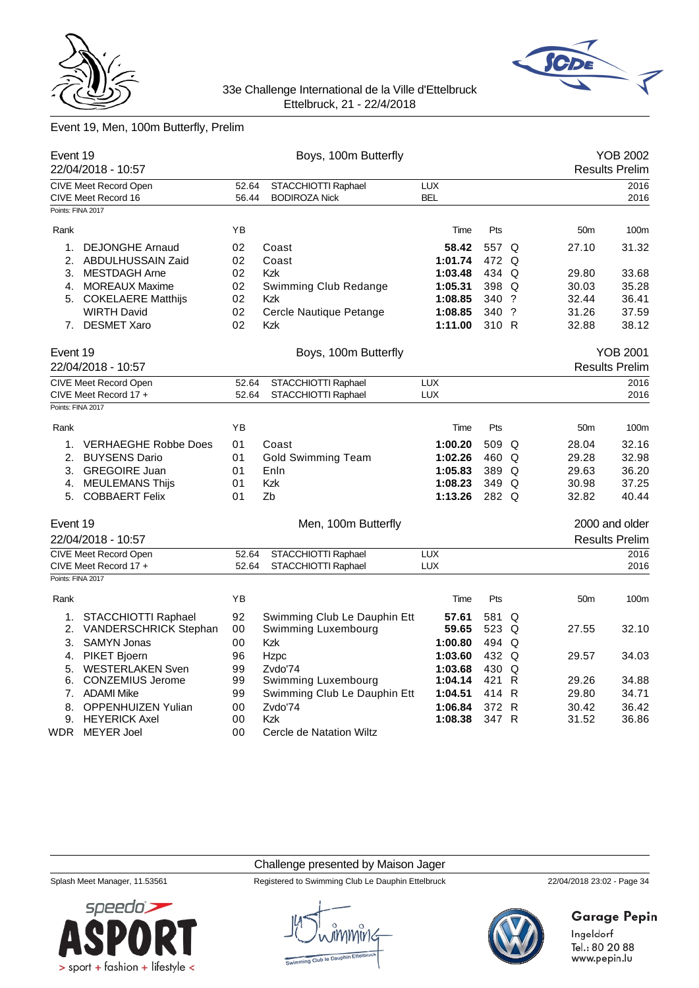



# Event 19, Men, 100m Butterfly, Prelim

|                   | Event 19<br>22/04/2018 - 10:57               |                | Boys, 100m Butterfly                        |                          |       |                 | <b>YOB 2002</b><br><b>Results Prelim</b> |
|-------------------|----------------------------------------------|----------------|---------------------------------------------|--------------------------|-------|-----------------|------------------------------------------|
|                   |                                              |                |                                             |                          |       |                 |                                          |
|                   | CIVE Meet Record Open<br>CIVE Meet Record 16 | 52.64<br>56.44 | STACCHIOTTI Raphael<br><b>BODIROZA Nick</b> | <b>LUX</b><br><b>BEL</b> |       |                 | 2016<br>2016                             |
| Points: FINA 2017 |                                              |                |                                             |                          |       |                 |                                          |
| Rank              |                                              | ΥB             |                                             | Time                     | Pts   | 50 <sub>m</sub> | 100m                                     |
| 1.                | <b>DEJONGHE Arnaud</b>                       | 02             | Coast                                       | 58.42                    | 557 Q | 27.10           | 31.32                                    |
|                   | 2. ABDULHUSSAIN Zaid                         | 02             | Coast                                       | 1:01.74                  | 472 Q |                 |                                          |
|                   | 3. MESTDAGH Arne                             | 02             | <b>Kzk</b>                                  | 1:03.48                  | 434 Q | 29.80           | 33.68                                    |
|                   | 4. MOREAUX Maxime                            | 02             | Swimming Club Redange                       | 1:05.31                  | 398 Q | 30.03           | 35.28                                    |
|                   | 5. COKELAERE Matthijs                        | 02             | <b>Kzk</b>                                  | 1:08.85                  | 340 ? | 32.44           | 36.41                                    |
|                   | <b>WIRTH David</b>                           | 02             | Cercle Nautique Petange                     | 1:08.85                  | 340 ? | 31.26           | 37.59                                    |
| 7.                | <b>DESMET Xaro</b>                           | 02             | <b>Kzk</b>                                  | 1:11.00                  | 310 R | 32.88           | 38.12                                    |
| Event 19          |                                              |                | Boys, 100m Butterfly                        |                          |       |                 | <b>YOB 2001</b>                          |
|                   | 22/04/2018 - 10:57                           |                |                                             |                          |       |                 | <b>Results Prelim</b>                    |
|                   | <b>CIVE Meet Record Open</b>                 | 52.64          | STACCHIOTTI Raphael                         | <b>LUX</b>               |       |                 | 2016                                     |
|                   | CIVE Meet Record 17 +                        | 52.64          | STACCHIOTTI Raphael                         | <b>LUX</b>               |       |                 | 2016                                     |
| Points: FINA 2017 |                                              |                |                                             |                          |       |                 |                                          |
| Rank              |                                              | YB             |                                             | Time                     | Pts   | 50 <sub>m</sub> | 100m                                     |
| 1.                | <b>VERHAEGHE Robbe Does</b>                  | 01             | Coast                                       | 1:00.20                  | 509 Q | 28.04           | 32.16                                    |
| 2.                | <b>BUYSENS Dario</b>                         | 01             | <b>Gold Swimming Team</b>                   |                          | 460 Q | 29.28           | 32.98                                    |
|                   | 3. GREGOIRE Juan                             | 01<br>Enln     |                                             | 1:05.83                  | 389 Q | 29.63           | 36.20                                    |
|                   | 4. MEULEMANS Thijs                           | 01             | Kzk                                         | 1:08.23                  | 349 Q | 30.98           | 37.25                                    |
|                   | 5. COBBAERT Felix                            | 01             | Zb                                          | 1:13.26                  | 282 Q | 32.82           | 40.44                                    |
| Event 19          |                                              |                | Men, 100m Butterfly                         |                          |       |                 | 2000 and older                           |
|                   | 22/04/2018 - 10:57                           |                |                                             |                          |       |                 | <b>Results Prelim</b>                    |
|                   | CIVE Meet Record Open                        | 52.64          | STACCHIOTTI Raphael                         | <b>LUX</b>               |       |                 | 2016                                     |
|                   | CIVE Meet Record 17 +                        | 52.64          | STACCHIOTTI Raphael                         | <b>LUX</b>               |       |                 | 2016                                     |
| Points: FINA 2017 |                                              |                |                                             |                          |       |                 |                                          |
| Rank              |                                              | YB             |                                             | Time                     | Pts   | 50 <sub>m</sub> | 100m                                     |
| 1.                | STACCHIOTTI Raphael                          | 92             | Swimming Club Le Dauphin Ett                | 57.61                    | 581 Q |                 |                                          |
| 2.                | <b>VANDERSCHRICK Stephan</b>                 | 00             | Swimming Luxembourg                         | 59.65                    | 523 Q | 27.55           | 32.10                                    |
| 3.                | <b>SAMYN Jonas</b>                           | 00             | Kzk                                         | 1:00.80                  | 494 Q |                 |                                          |
| 4.                | PIKET Bjoern                                 | 96             | Hzpc                                        | 1:03.60                  | 432 Q | 29.57           | 34.03                                    |
| 5.                | <b>WESTERLAKEN Sven</b>                      | 99             | Zvdo'74                                     | 1:03.68                  | 430 Q |                 |                                          |
| 6.                | <b>CONZEMIUS Jerome</b>                      | 99             | Swimming Luxembourg                         | 1:04.14                  | 421 R | 29.26           | 34.88                                    |
|                   | 7. ADAMI Mike                                | 99             | Swimming Club Le Dauphin Ett                | 1:04.51                  | 414 R | 29.80           | 34.71                                    |
|                   | 8. OPPENHUIZEN Yulian                        | 00             | Zvdo'74                                     | 1:06.84                  | 372 R | 30.42           | 36.42                                    |
|                   | 9. HEYERICK Axel                             | 00             | <b>Kzk</b>                                  | 1:08.38                  | 347 R | 31.52           | 36.86                                    |
|                   | WDR MEYER Joel                               | 00             | Cercle de Natation Wiltz                    |                          |       |                 |                                          |

## Challenge presented by Maison Jager



Splash Meet Manager, 11.53561 Registered to Swimming Club Le Dauphin Ettelbruck 22/04/2018 23:02 - Page 34



# **Garage Pepin**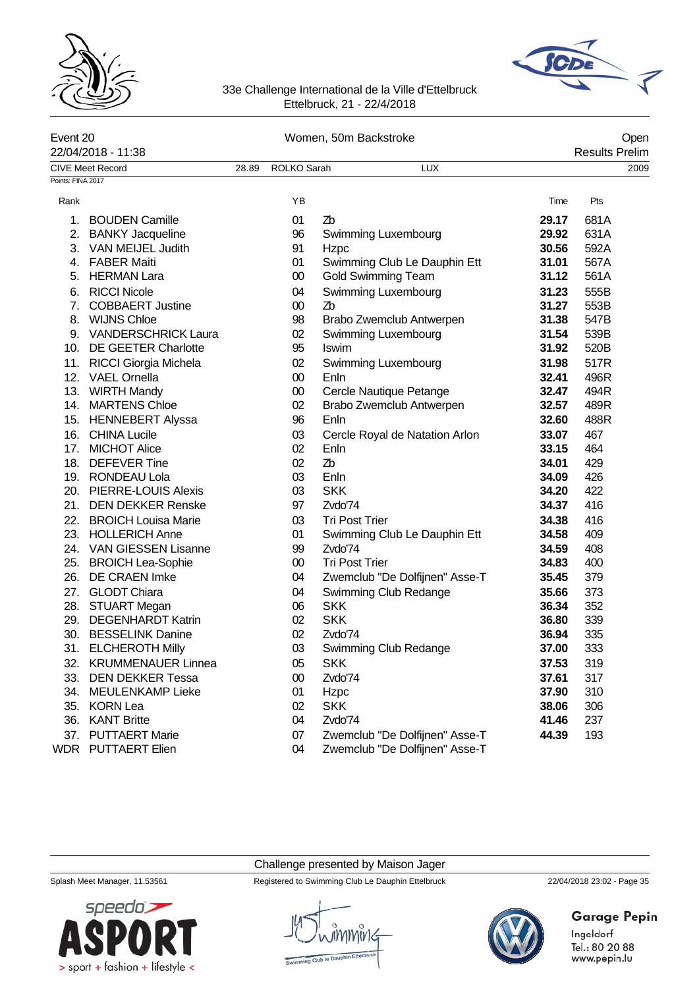



|                   | Event 20<br>22/04/2018 - 11:38 |       | Women, 50m Backstroke |                                | Open<br><b>Results Prelim</b> |      |  |
|-------------------|--------------------------------|-------|-----------------------|--------------------------------|-------------------------------|------|--|
|                   | <b>CIVE Meet Record</b>        | 28.89 | ROLKO Sarah           | <b>LUX</b>                     |                               | 2009 |  |
| Points: FINA 2017 |                                |       |                       |                                |                               |      |  |
| Rank              |                                |       | ΥB                    |                                | Time                          | Pts  |  |
| 1.                | <b>BOUDEN Camille</b>          |       | 01                    | Zb                             | 29.17                         | 681A |  |
| 2.                | <b>BANKY Jacqueline</b>        |       | 96                    | Swimming Luxembourg            | 29.92                         | 631A |  |
| 3.                | VAN MEIJEL Judith              |       | 91                    | Hzpc                           | 30.56                         | 592A |  |
| 4.                | <b>FABER Maiti</b>             |       | 01                    | Swimming Club Le Dauphin Ett   | 31.01                         | 567A |  |
| 5.                | <b>HERMAN Lara</b>             |       | $00\,$                | <b>Gold Swimming Team</b>      | 31.12                         | 561A |  |
| 6.                | <b>RICCI Nicole</b>            |       | 04                    | Swimming Luxembourg            | 31.23                         | 555B |  |
| 7.                | <b>COBBAERT Justine</b>        |       | $00\,$                | Zb                             | 31.27                         | 553B |  |
| 8.                | <b>WIJNS Chloe</b>             |       | 98                    | Brabo Zwemclub Antwerpen       | 31.38                         | 547B |  |
|                   | 9. VANDERSCHRICK Laura         |       | 02                    | Swimming Luxembourg            | 31.54                         | 539B |  |
|                   | 10. DE GEETER Charlotte        |       | 95                    | Iswim                          | 31.92                         | 520B |  |
|                   | 11. RICCI Giorgia Michela      |       | 02                    | Swimming Luxembourg            | 31.98                         | 517R |  |
|                   | 12. VAEL Ornella               |       | $00\,$                | Enln                           | 32.41                         | 496R |  |
|                   | 13. WIRTH Mandy                |       | $00\,$                | Cercle Nautique Petange        | 32.47                         | 494R |  |
|                   | 14. MARTENS Chloe              |       | 02                    | Brabo Zwemclub Antwerpen       | 32.57                         | 489R |  |
|                   | 15. HENNEBERT Alyssa           |       | 96                    | Enln                           | 32.60                         | 488R |  |
|                   | 16. CHINA Lucile               |       | 03                    | Cercle Royal de Natation Arlon | 33.07                         | 467  |  |
|                   | 17. MICHOT Alice               |       | 02                    | Enln                           | 33.15                         | 464  |  |
|                   | 18. DEFEVER Tine               |       | 02                    | Zb                             | 34.01                         | 429  |  |
|                   | 19. RONDEAU Lola               |       | 03                    | Enln                           | 34.09                         | 426  |  |
|                   | 20. PIERRE-LOUIS Alexis        |       | 03                    | <b>SKK</b>                     | 34.20                         | 422  |  |
|                   | 21. DEN DEKKER Renske          |       | 97                    | Zvdo'74                        | 34.37                         | 416  |  |
| 22.               | <b>BROICH Louisa Marie</b>     |       | 03                    | <b>Tri Post Trier</b>          | 34.38                         | 416  |  |
| 23.               | <b>HOLLERICH Anne</b>          |       | 01                    | Swimming Club Le Dauphin Ett   | 34.58                         | 409  |  |
|                   | 24. VAN GIESSEN Lisanne        |       | 99                    | Zvdo'74                        | 34.59                         | 408  |  |
|                   | 25. BROICH Lea-Sophie          |       | $00\,$                | <b>Tri Post Trier</b>          | 34.83                         | 400  |  |
| 26.               | DE CRAEN Imke                  |       | 04                    | Zwemclub "De Dolfijnen" Asse-T | 35.45                         | 379  |  |
| 27.               | <b>GLODT Chiara</b>            |       | 04                    | Swimming Club Redange          | 35.66                         | 373  |  |
|                   | 28. STUART Megan               |       | 06                    | <b>SKK</b>                     | 36.34                         | 352  |  |
| 29.               | <b>DEGENHARDT Katrin</b>       |       | 02                    | <b>SKK</b>                     | 36.80                         | 339  |  |
| 30.               | <b>BESSELINK Danine</b>        |       | 02                    | Zvdo'74                        | 36.94                         | 335  |  |
|                   | 31. ELCHEROTH Milly            |       | 03                    | Swimming Club Redange          | 37.00                         | 333  |  |
|                   | 32. KRUMMENAUER Linnea         |       | 05                    | <b>SKK</b>                     | 37.53                         | 319  |  |
| 33.               | <b>DEN DEKKER Tessa</b>        |       | 00                    | Zvdo'74                        | 37.61                         | 317  |  |
| 34.               | MEULENKAMP Lieke               |       | 01                    | Hzpc                           | 37.90                         | 310  |  |
| 35.               | <b>KORN Lea</b>                |       | 02                    | <b>SKK</b>                     | 38.06                         | 306  |  |
| 36.               | <b>KANT Britte</b>             |       | 04                    | Zvdo'74                        | 41.46                         | 237  |  |
| 37.               | <b>PUTTAERT Marie</b>          |       | 07                    | Zwemclub "De Dolfijnen" Asse-T | 44.39                         | 193  |  |
| <b>WDR</b>        | <b>PUTTAERT Elien</b>          |       | 04                    | Zwemclub "De Dolfijnen" Asse-T |                               |      |  |

# Challenge presented by Maison Jager

Splash Meet Manager, 11.53561 Registered to Swimming Club Le Dauphin Ettelbruck 22/04/2018 23:02 - Page 35

# Garage Pepin

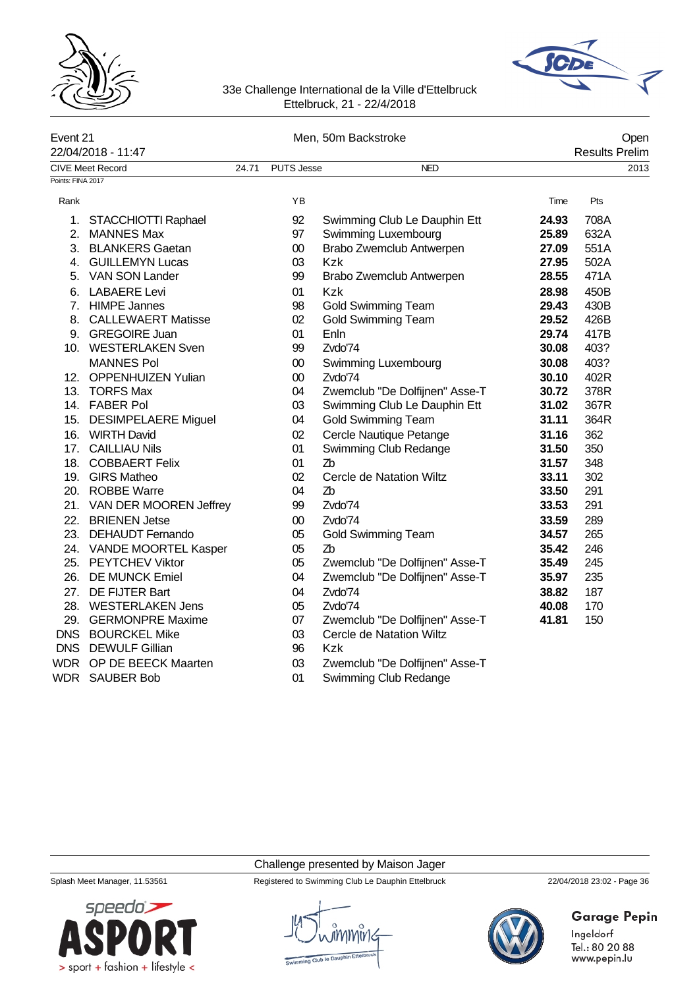



|                   | Event 21                   |       |                   | Men, 50m Backstroke            | Open  |                       |      |
|-------------------|----------------------------|-------|-------------------|--------------------------------|-------|-----------------------|------|
|                   | 22/04/2018 - 11:47         |       |                   |                                |       | <b>Results Prelim</b> |      |
|                   | <b>CIVE Meet Record</b>    | 24.71 | <b>PUTS Jesse</b> | <b>NED</b>                     |       |                       | 2013 |
| Points: FINA 2017 |                            |       |                   |                                |       |                       |      |
| Rank              |                            |       | ΥB                |                                | Time  | Pts                   |      |
| 1.                | STACCHIOTTI Raphael        |       | 92                | Swimming Club Le Dauphin Ett   | 24.93 | 708A                  |      |
|                   | 2. MANNES Max              |       | 97                | Swimming Luxembourg            | 25.89 | 632A                  |      |
|                   | 3. BLANKERS Gaetan         |       | $00\,$            | Brabo Zwemclub Antwerpen       | 27.09 | 551A                  |      |
|                   | 4. GUILLEMYN Lucas         |       | 03                | <b>Kzk</b>                     | 27.95 | 502A                  |      |
|                   | 5. VAN SON Lander          |       | 99                | Brabo Zwemclub Antwerpen       | 28.55 | 471A                  |      |
|                   | 6. LABAERE Levi            |       | 01                | <b>Kzk</b>                     | 28.98 | 450B                  |      |
|                   | 7. HIMPE Jannes            |       | 98                | <b>Gold Swimming Team</b>      | 29.43 | 430B                  |      |
|                   | 8. CALLEWAERT Matisse      |       | 02                | <b>Gold Swimming Team</b>      | 29.52 | 426B                  |      |
|                   | 9. GREGOIRE Juan           |       | 01                | Enln                           | 29.74 | 417B                  |      |
|                   | 10. WESTERLAKEN Sven       |       | 99                | Zvdo'74                        | 30.08 | 403?                  |      |
|                   | <b>MANNES Pol</b>          |       | $00\,$            | Swimming Luxembourg            | 30.08 | 403?                  |      |
|                   | 12. OPPENHUIZEN Yulian     |       | $00\,$            | Zvdo'74                        | 30.10 | 402R                  |      |
|                   | 13. TORFS Max              |       | 04                | Zwemclub "De Dolfijnen" Asse-T | 30.72 | 378R                  |      |
|                   | 14. FABER Pol              |       | 03                | Swimming Club Le Dauphin Ett   | 31.02 | 367R                  |      |
|                   | 15. DESIMPELAERE Miguel    |       | 04                | <b>Gold Swimming Team</b>      | 31.11 | 364R                  |      |
|                   | 16. WIRTH David            |       | 02                | Cercle Nautique Petange        | 31.16 | 362                   |      |
|                   | 17. CAILLIAU Nils          |       | 01                | Swimming Club Redange          | 31.50 | 350                   |      |
|                   | 18. COBBAERT Felix         |       | 01                | Z <sub>b</sub>                 | 31.57 | 348                   |      |
|                   | 19. GIRS Matheo            |       | 02                | Cercle de Natation Wiltz       | 33.11 | 302                   |      |
|                   | 20. ROBBE Warre            |       | 04                | Zb                             | 33.50 | 291                   |      |
|                   | 21. VAN DER MOOREN Jeffrey |       | 99                | Zvdo'74                        | 33.53 | 291                   |      |
|                   | 22. BRIENEN Jetse          |       | $00\,$            | Zvdo'74                        | 33.59 | 289                   |      |
|                   | 23. DEHAUDT Fernando       |       | 05                | <b>Gold Swimming Team</b>      | 34.57 | 265                   |      |
|                   | 24. VANDE MOORTEL Kasper   |       | 05                | Z <sub>b</sub>                 | 35.42 | 246                   |      |
|                   | 25. PEYTCHEV Viktor        |       | 05                | Zwemclub "De Dolfijnen" Asse-T | 35.49 | 245                   |      |
|                   | 26. DE MUNCK Emiel         |       | 04                | Zwemclub "De Dolfijnen" Asse-T | 35.97 | 235                   |      |
|                   | 27. DE FIJTER Bart         |       | 04                | Zvdo'74                        | 38.82 | 187                   |      |
|                   | 28. WESTERLAKEN Jens       |       | 05                | Zvdo'74                        | 40.08 | 170                   |      |
|                   | 29. GERMONPRE Maxime       |       | 07                | Zwemclub "De Dolfijnen" Asse-T | 41.81 | 150                   |      |
|                   | DNS BOURCKEL Mike          |       | 03                | Cercle de Natation Wiltz       |       |                       |      |
|                   | DNS DEWULF Gillian         |       | 96                | <b>Kzk</b>                     |       |                       |      |
|                   | WDR OP DE BEECK Maarten    |       | 03                | Zwemclub "De Dolfijnen" Asse-T |       |                       |      |
|                   | <b>WDR</b> SAUBER Bob      |       | 01                | Swimming Club Redange          |       |                       |      |

### Challenge presented by Maison Jager



Splash Meet Manager, 11.53561 Registered to Swimming Club Le Dauphin Ettelbruck 22/04/2018 23:02 - Page 36



# Garage Pepin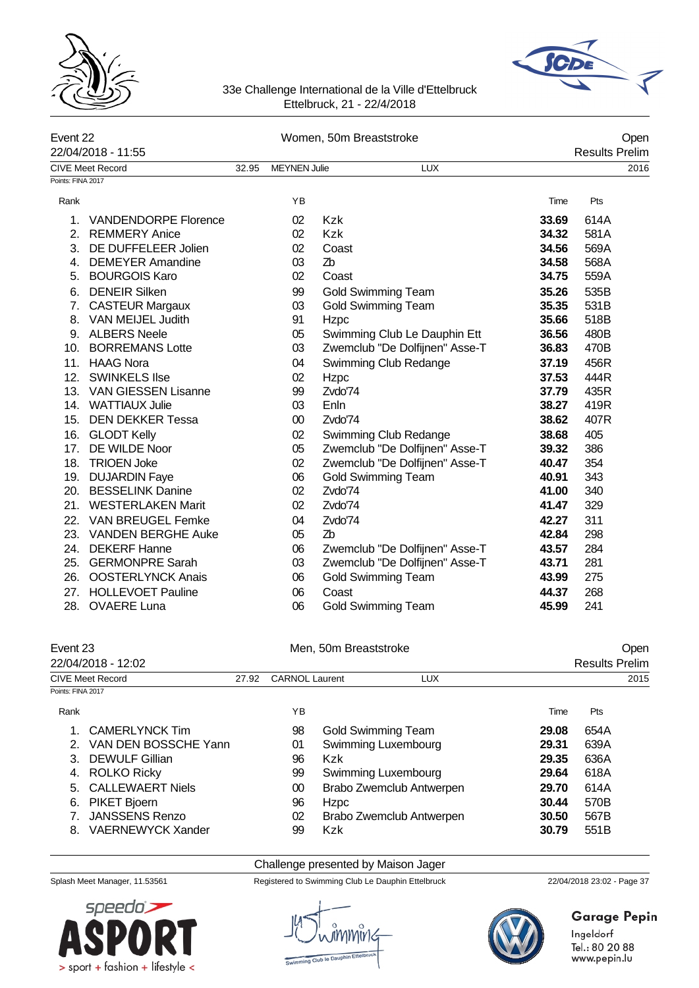



|                   | Event 22<br>22/04/2018 - 11:55 |       | Women, 50m Breaststroke |                                |       | Open                  |
|-------------------|--------------------------------|-------|-------------------------|--------------------------------|-------|-----------------------|
|                   |                                |       |                         |                                |       | <b>Results Prelim</b> |
|                   | <b>CIVE Meet Record</b>        | 32.95 | <b>MEYNEN Julie</b>     | <b>LUX</b>                     |       | 2016                  |
| Points: FINA 2017 |                                |       |                         |                                |       |                       |
| Rank              |                                |       | YB                      |                                | Time  | Pts                   |
| $\mathbf 1$ .     | <b>VANDENDORPE Florence</b>    |       | 02                      | <b>Kzk</b>                     | 33.69 | 614A                  |
| 2.                | <b>REMMERY Anice</b>           |       | 02                      | Kzk                            | 34.32 | 581A                  |
| 3.                | DE DUFFELEER Jolien            |       | 02                      | Coast                          | 34.56 | 569A                  |
| 4.                | <b>DEMEYER Amandine</b>        |       | 03                      | Zb                             | 34.58 | 568A                  |
|                   | 5. BOURGOIS Karo               |       | 02                      | Coast                          | 34.75 | 559A                  |
| 6.                | <b>DENEIR Silken</b>           |       | 99                      | Gold Swimming Team             | 35.26 | 535B                  |
| 7.                | <b>CASTEUR Margaux</b>         |       | 03                      | <b>Gold Swimming Team</b>      | 35.35 | 531B                  |
| 8.                | VAN MEIJEL Judith              |       | 91                      | Hzpc                           | 35.66 | 518B                  |
|                   | 9. ALBERS Neele                |       | 05                      | Swimming Club Le Dauphin Ett   | 36.56 | 480B                  |
|                   | 10. BORREMANS Lotte            |       | 03                      | Zwemclub "De Dolfijnen" Asse-T | 36.83 | 470B                  |
| 11.               | <b>HAAG Nora</b>               |       | 04                      | Swimming Club Redange          | 37.19 | 456R                  |
| 12.               | <b>SWINKELS Ilse</b>           |       | 02                      | Hzpc                           | 37.53 | 444R                  |
|                   | 13. VAN GIESSEN Lisanne        |       | 99                      | Zvdo'74                        | 37.79 | 435R                  |
|                   | 14. WATTIAUX Julie             |       | 03                      | Enln                           | 38.27 | 419R                  |
|                   | 15. DEN DEKKER Tessa           |       | $00\,$                  | Zvdo'74                        | 38.62 | 407R                  |
| 16.               | <b>GLODT Kelly</b>             |       | 02                      | Swimming Club Redange          | 38.68 | 405                   |
| 17.               | DE WILDE Noor                  |       | 05                      | Zwemclub "De Dolfijnen" Asse-T | 39.32 | 386                   |
|                   | 18. TRIOEN Joke                |       | 02                      | Zwemclub "De Dolfijnen" Asse-T | 40.47 | 354                   |
|                   | 19. DUJARDIN Faye              |       | 06                      | <b>Gold Swimming Team</b>      | 40.91 | 343                   |
|                   | 20. BESSELINK Danine           |       | 02                      | Zvdo'74                        | 41.00 | 340                   |
| 21.               | <b>WESTERLAKEN Marit</b>       |       | 02                      | Zvdo'74                        | 41.47 | 329                   |
| 22.               | <b>VAN BREUGEL Femke</b>       |       | 04                      | Zvdo'74                        | 42.27 | 311                   |
|                   | 23. VANDEN BERGHE Auke         |       | 05                      | Z <sub>b</sub>                 | 42.84 | 298                   |
|                   | 24. DEKERF Hanne               |       | 06                      | Zwemclub "De Dolfijnen" Asse-T | 43.57 | 284                   |
| 25.               | <b>GERMONPRE Sarah</b>         |       | 03                      | Zwemclub "De Dolfijnen" Asse-T | 43.71 | 281                   |
| 26.               | <b>OOSTERLYNCK Anais</b>       |       | 06                      | <b>Gold Swimming Team</b>      | 43.99 | 275                   |
| 27.               | <b>HOLLEVOET Pauline</b>       |       | 06                      | Coast                          | 44.37 | 268                   |
| 28.               | <b>OVAERE Luna</b>             |       | 06                      | <b>Gold Swimming Team</b>      | 45.99 | 241                   |

| Event 23<br>22/04/2018 - 12:02 |                         | Men, 50m Breaststroke |                       |                     |                          |                       | Open |  |
|--------------------------------|-------------------------|-----------------------|-----------------------|---------------------|--------------------------|-----------------------|------|--|
|                                |                         |                       |                       |                     |                          | <b>Results Prelim</b> |      |  |
|                                | <b>CIVE Meet Record</b> |                       | <b>CARNOL Laurent</b> |                     | <b>LUX</b>               |                       | 2015 |  |
| Points: FINA 2017              |                         |                       |                       |                     |                          |                       |      |  |
| Rank                           |                         |                       | ΥB                    |                     |                          | Time                  | Pts  |  |
|                                | CAMERLYNCK Tim          |                       | 98                    | Gold Swimming Team  |                          | 29.08                 | 654A |  |
|                                | VAN DEN BOSSCHE Yann    |                       | 01                    | Swimming Luxembourg |                          | 29.31                 | 639A |  |
| 3                              | <b>DEWULF Gillian</b>   |                       | 96                    | <b>Kzk</b>          |                          | 29.35                 | 636A |  |
|                                | <b>ROLKO Ricky</b>      |                       | 99                    | Swimming Luxembourg |                          | 29.64                 | 618A |  |
|                                | 5. CALLEWAERT Niels     |                       | 00                    |                     | Brabo Zwemclub Antwerpen | 29.70                 | 614A |  |
| 6.                             | <b>PIKET Bjoern</b>     |                       | 96                    | <b>Hzpc</b>         |                          | 30.44                 | 570B |  |

7. JANSSENS Renzo 02 Brabo Zwemclub Antwerpen **30.50** 567B 8. VAERNEWYCK Xander **99 Kzk 30.79** 59 FM

#### Challenge presented by Maison Jager

Splash Meet Manager, 11.53561 Registered to Swimming Club Le Dauphin Ettelbruck 22/04/2018 23:02 - Page 37





**Garage Pepin**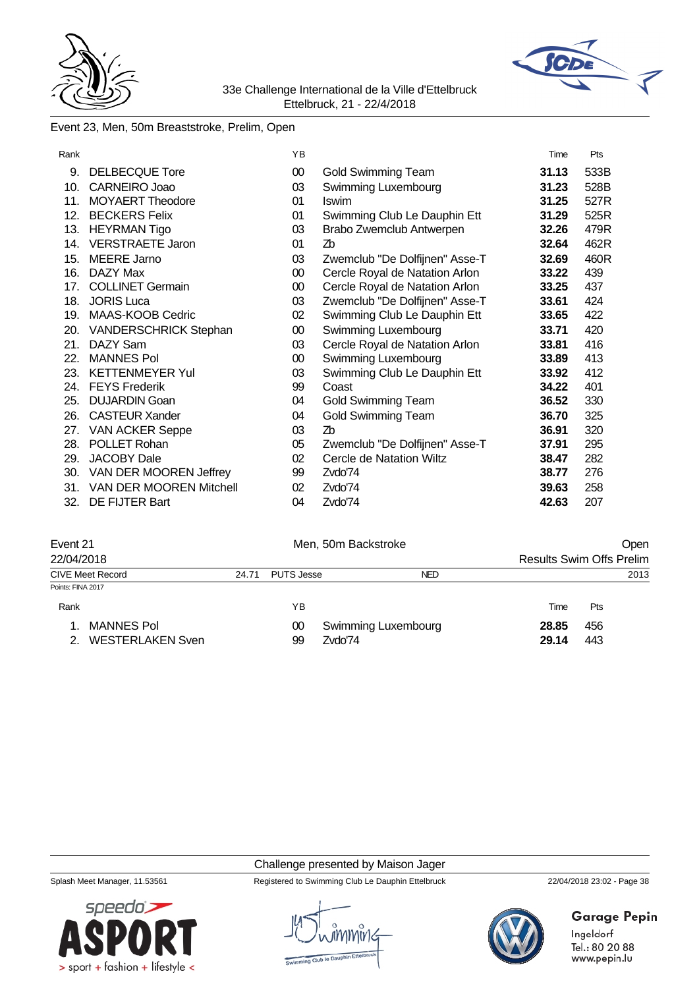



# Event 23, Men, 50m Breaststroke, Prelim, Open

|                              | YB                                                                                                                                                         |                                | Time                           | Pts  |
|------------------------------|------------------------------------------------------------------------------------------------------------------------------------------------------------|--------------------------------|--------------------------------|------|
| DELBECQUE Tore               | 00                                                                                                                                                         | Gold Swimming Team             | 31.13                          | 533B |
| <b>CARNEIRO Joao</b>         | 03                                                                                                                                                         | Swimming Luxembourg            | 31.23                          | 528B |
| <b>MOYAERT Theodore</b>      | 01                                                                                                                                                         | Iswim                          | 31.25                          | 527R |
| <b>BECKERS Felix</b>         | 01                                                                                                                                                         | Swimming Club Le Dauphin Ett   | 31.29                          | 525R |
| <b>HEYRMAN Tigo</b>          | 03                                                                                                                                                         | Brabo Zwemclub Antwerpen       | 32.26                          | 479R |
| <b>VERSTRAETE Jaron</b>      | 01                                                                                                                                                         | Zb                             | 32.64                          | 462R |
| <b>MEERE Jarno</b>           | 03                                                                                                                                                         | Zwemclub "De Dolfijnen" Asse-T | 32.69                          | 460R |
| DAZY Max                     | $00\,$                                                                                                                                                     | Cercle Royal de Natation Arlon | 33.22                          | 439  |
|                              | $00\,$                                                                                                                                                     | Cercle Royal de Natation Arlon | 33.25                          | 437  |
| <b>JORIS Luca</b>            | 03                                                                                                                                                         | Zwemclub "De Dolfijnen" Asse-T | 33.61                          | 424  |
|                              | 02                                                                                                                                                         | Swimming Club Le Dauphin Ett   | 33.65                          | 422  |
| <b>VANDERSCHRICK Stephan</b> | 00                                                                                                                                                         | Swimming Luxembourg            | 33.71                          | 420  |
| DAZY Sam                     | 03                                                                                                                                                         |                                | 33.81                          | 416  |
| <b>MANNES Pol</b>            | 00                                                                                                                                                         | Swimming Luxembourg            | 33.89                          | 413  |
| <b>KETTENMEYER Yul</b>       | 03                                                                                                                                                         | Swimming Club Le Dauphin Ett   | 33.92                          | 412  |
|                              | 99                                                                                                                                                         | Coast                          | 34.22                          | 401  |
| <b>DUJARDIN Goan</b>         |                                                                                                                                                            | Gold Swimming Team             | 36.52                          | 330  |
| <b>CASTEUR Xander</b>        | 04                                                                                                                                                         | <b>Gold Swimming Team</b>      | 36.70                          | 325  |
|                              | 03                                                                                                                                                         | Zb                             | 36.91                          | 320  |
|                              | 05                                                                                                                                                         | Zwemclub "De Dolfijnen" Asse-T | 37.91                          | 295  |
|                              |                                                                                                                                                            | Cercle de Natation Wiltz       | 38.47                          | 282  |
|                              | 99                                                                                                                                                         | Zvdo'74                        | 38.77                          | 276  |
| VAN DER MOOREN Mitchell      | 02                                                                                                                                                         | Zvdo'74                        | 39.63                          | 258  |
| DE FIJTER Bart               | 04                                                                                                                                                         | Zvdo'74                        | 42.63                          | 207  |
| 17.                          | <b>COLLINET Germain</b><br>MAAS-KOOB Cedric<br>24. FEYS Frederik<br><b>VAN ACKER Seppe</b><br>POLLET Rohan<br><b>JACOBY Dale</b><br>VAN DER MOOREN Jeffrey | 04<br>02                       | Cercle Royal de Natation Arlon |      |

| Event 21                |       |            | Men, 50m Backstroke | Oper  |                                 |  |
|-------------------------|-------|------------|---------------------|-------|---------------------------------|--|
| 22/04/2018              |       |            |                     |       | <b>Results Swim Offs Prelim</b> |  |
| <b>CIVE Meet Record</b> | 24.71 | PUTS Jesse | <b>NED</b>          |       | 2013                            |  |
| Points: FINA 2017       |       |            |                     |       |                                 |  |
| Rank                    |       | YΒ         |                     | Time  | Pts                             |  |
| MANNES Pol              |       | 00         | Swimming Luxembourg | 28.85 | 456                             |  |
| <b>WESTERLAKEN Sven</b> |       | 99         | Zvdo'74             | 29.14 | 443                             |  |

#### Challenge presented by Maison Jager

Splash Meet Manager, 11.53561 Registered to Swimming Club Le Dauphin Ettelbruck 22/04/2018 23:02 - Page 38



# **Garage Pepin**

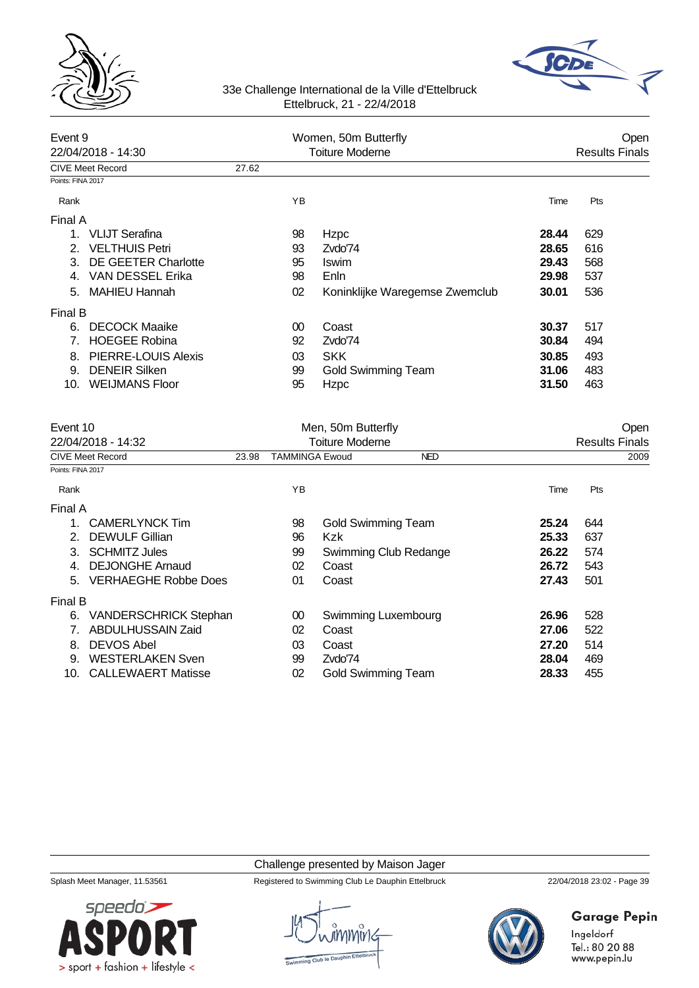



| Event 9<br>22/04/2018 - 14:30                          |       | Women, 50m Butterfly<br><b>Toiture Moderne</b> |                        |                                |       |     | Open<br><b>Results Finals</b> |
|--------------------------------------------------------|-------|------------------------------------------------|------------------------|--------------------------------|-------|-----|-------------------------------|
|                                                        |       |                                                |                        |                                |       |     |                               |
| <b>CIVE Meet Record</b><br>Points: FINA 2017           | 27.62 |                                                |                        |                                |       |     |                               |
|                                                        |       |                                                |                        |                                |       |     |                               |
| Rank                                                   |       | YB                                             |                        |                                | Time  | Pts |                               |
| Final A                                                |       |                                                |                        |                                |       |     |                               |
| VLIJT Serafina<br>$1_{-}$                              |       | 98                                             | Hzpc                   |                                | 28.44 | 629 |                               |
| <b>VELTHUIS Petri</b><br>2 <sup>1</sup>                |       | 93                                             | Zvdo'74                |                                | 28.65 | 616 |                               |
| DE GEETER Charlotte<br>3.                              |       | 95                                             | Iswim                  |                                | 29.43 | 568 |                               |
| VAN DESSEL Erika<br>4 <sub>1</sub>                     |       | 98                                             | Enln                   |                                | 29.98 | 537 |                               |
| <b>MAHIEU Hannah</b><br>5.                             |       | 02                                             |                        | Koninklijke Waregemse Zwemclub | 30.01 | 536 |                               |
| <b>Final B</b>                                         |       |                                                |                        |                                |       |     |                               |
| <b>DECOCK Maaike</b><br>6.                             |       | 00                                             | Coast                  |                                | 30.37 | 517 |                               |
| <b>HOEGEE Robina</b><br>$7_{\scriptscriptstyle{\sim}}$ |       | 92                                             | Zvdo'74                |                                | 30.84 | 494 |                               |
| <b>PIERRE-LOUIS Alexis</b><br>8.                       |       | 03                                             | <b>SKK</b>             |                                | 30.85 | 493 |                               |
| <b>DENEIR Silken</b><br>9.                             |       | 99                                             |                        | <b>Gold Swimming Team</b>      | 31.06 | 483 |                               |
| 10. WEIJMANS Floor                                     |       | 95                                             | Hzpc                   |                                | 31.50 | 463 |                               |
| Event 10                                               |       |                                                | Men, 50m Butterfly     |                                |       |     | Open                          |
| 22/04/2018 - 14:32                                     |       |                                                | <b>Toiture Moderne</b> |                                |       |     | <b>Results Finals</b>         |
| <b>CIVE Meet Record</b>                                | 23.98 | <b>TAMMINGA Ewoud</b>                          |                        | <b>NED</b>                     |       |     | 2009                          |
| Points: FINA 2017                                      |       |                                                |                        |                                |       |     |                               |
| Rank                                                   |       | YB                                             |                        |                                | Time  | Pts |                               |
| Final A                                                |       |                                                |                        |                                |       |     |                               |
| <b>CAMERLYNCK Tim</b><br>1.                            |       | 98                                             |                        | <b>Gold Swimming Team</b>      | 25.24 | 644 |                               |
| ົ<br>DENJII E Cillion                                  |       | OG.                                            | レーレ                    |                                | つに ?? | 627 |                               |

| Filidi A |                              |    |                           |       |     |
|----------|------------------------------|----|---------------------------|-------|-----|
|          | <b>CAMERLYNCK Tim</b>        | 98 | <b>Gold Swimming Team</b> | 25.24 | 644 |
|          | 2. DEWULF Gillian            | 96 | Kzk                       | 25.33 | 637 |
| 3.       | <b>SCHMITZ Jules</b>         | 99 | Swimming Club Redange     | 26.22 | 574 |
|          | 4. DEJONGHE Arnaud           | 02 | Coast                     | 26.72 | 543 |
|          | 5. VERHAEGHE Robbe Does      | 01 | Coast                     | 27.43 | 501 |
| Final B  |                              |    |                           |       |     |
| 6.       | <b>VANDERSCHRICK Stephan</b> | 00 | Swimming Luxembourg       | 26.96 | 528 |
|          | <b>ABDULHUSSAIN Zaid</b>     | 02 | Coast                     | 27.06 | 522 |
| 8.       | <b>DEVOS Abel</b>            | 03 | Coast                     | 27.20 | 514 |
| 9.       | <b>WESTERLAKEN Sven</b>      | 99 | Zvdo74                    | 28.04 | 469 |
| 10.      | <b>CALLEWAERT Matisse</b>    | 02 | Gold Swimming Team        | 28.33 | 455 |

## Challenge presented by Maison Jager

Splash Meet Manager, 11.53561 Registered to Swimming Club Le Dauphin Ettelbruck 22/04/2018 23:02 - Page 39



# **Garage Pepin**

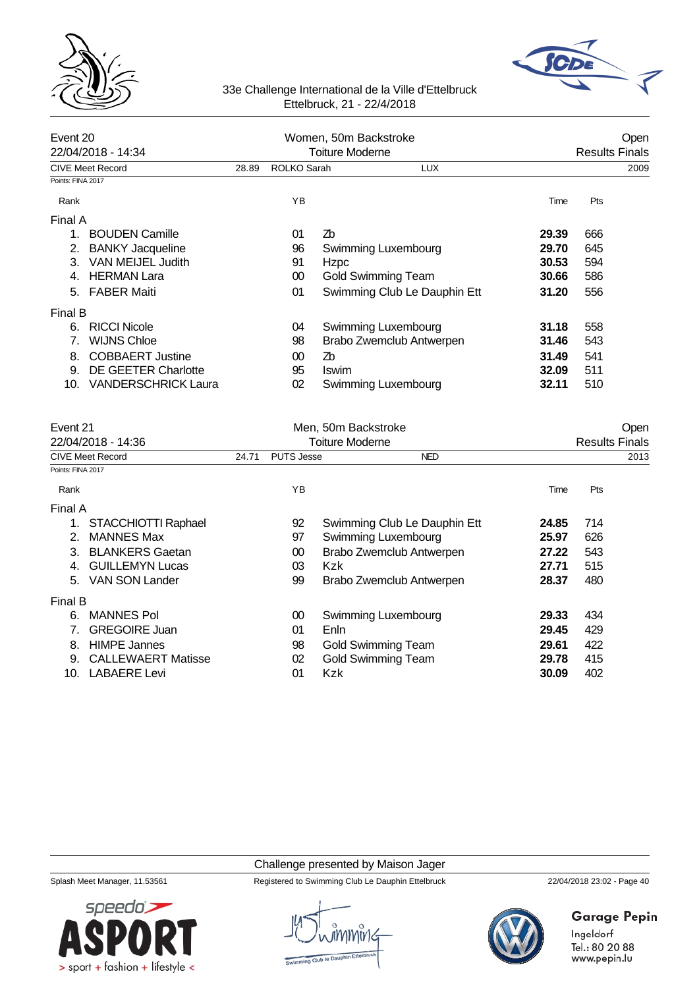



| Event 20          | 22/04/2018 - 14:34         |       | Women, 50m Backstroke<br>Toiture Moderne | Open<br><b>Results Finals</b> |       |      |
|-------------------|----------------------------|-------|------------------------------------------|-------------------------------|-------|------|
|                   | CIVE Meet Record           | 28.89 | ROLKO Sarah                              | <b>LUX</b>                    |       | 2009 |
| Points: FINA 2017 |                            |       |                                          |                               |       |      |
| Rank              |                            |       | YB                                       |                               | Time  | Pts  |
| Final A           |                            |       |                                          |                               |       |      |
| 1.                | <b>BOUDEN Camille</b>      |       | 01                                       | Zb                            | 29.39 | 666  |
| 2.                | <b>BANKY Jacqueline</b>    |       | 96                                       | Swimming Luxembourg           | 29.70 | 645  |
| 3.                | VAN MEIJEL Judith          |       | 91                                       | Hzpc                          | 30.53 | 594  |
|                   | <b>HERMAN Lara</b>         |       | $00\,$                                   | <b>Gold Swimming Team</b>     | 30.66 | 586  |
| 5.                | <b>FABER Maiti</b>         |       | 01                                       | Swimming Club Le Dauphin Ett  | 31.20 | 556  |
| Final B           |                            |       |                                          |                               |       |      |
| 6.                | <b>RICCI Nicole</b>        |       | 04                                       | Swimming Luxembourg           | 31.18 | 558  |
|                   | <b>WIJNS Chloe</b>         |       | 98                                       | Brabo Zwemclub Antwerpen      | 31.46 | 543  |
| 8.                | <b>COBBAERT Justine</b>    |       | 00                                       | Zb                            | 31.49 | 541  |
| 9.                | DE GEETER Charlotte        |       | 95                                       | <b>Iswim</b>                  | 32.09 | 511  |
| 10.               | <b>VANDERSCHRICK Laura</b> |       | 02                                       | Swimming Luxembourg           | 32.11 | 510  |

| Event 21          |                           |       | Men, 50m Backstroke | Open                         |                       |      |  |
|-------------------|---------------------------|-------|---------------------|------------------------------|-----------------------|------|--|
|                   | 22/04/2018 - 14:36        |       |                     | <b>Toiture Moderne</b>       | <b>Results Finals</b> |      |  |
|                   | <b>CIVE Meet Record</b>   | 24.71 | <b>PUTS Jesse</b>   | <b>NED</b>                   |                       | 2013 |  |
| Points: FINA 2017 |                           |       |                     |                              |                       |      |  |
| Rank              |                           |       | YB                  |                              | Time                  | Pts  |  |
| Final A           |                           |       |                     |                              |                       |      |  |
| 1.                | STACCHIOTTI Raphael       |       | 92                  | Swimming Club Le Dauphin Ett | 24.85                 | 714  |  |
| 2.                | <b>MANNES Max</b>         |       | 97                  | Swimming Luxembourg          | 25.97                 | 626  |  |
| 3.                | <b>BLANKERS Gaetan</b>    |       | 00                  | Brabo Zwemclub Antwerpen     | 27.22                 | 543  |  |
| 4.                | <b>GUILLEMYN Lucas</b>    |       | 03                  | Kzk                          | 27.71                 | 515  |  |
| 5.                | <b>VAN SON Lander</b>     |       | 99                  | Brabo Zwemclub Antwerpen     | 28.37                 | 480  |  |
| Final B           |                           |       |                     |                              |                       |      |  |
| 6.                | <b>MANNES Pol</b>         |       | 00                  | Swimming Luxembourg          | 29.33                 | 434  |  |
|                   | <b>GREGOIRE Juan</b>      |       | 01                  | Enln                         | 29.45                 | 429  |  |
| 8.                | <b>HIMPE Jannes</b>       |       | 98                  | <b>Gold Swimming Team</b>    | 29.61                 | 422  |  |
| 9.                | <b>CALLEWAERT Matisse</b> |       | 02                  | <b>Gold Swimming Team</b>    | 29.78                 | 415  |  |
| 10.               | <b>LABAERE Levi</b>       |       | 01                  | <b>Kzk</b>                   | 30.09                 | 402  |  |

### Challenge presented by Maison Jager

Splash Meet Manager, 11.53561 Registered to Swimming Club Le Dauphin Ettelbruck 22/04/2018 23:02 - Page 40



# Garage Pepin

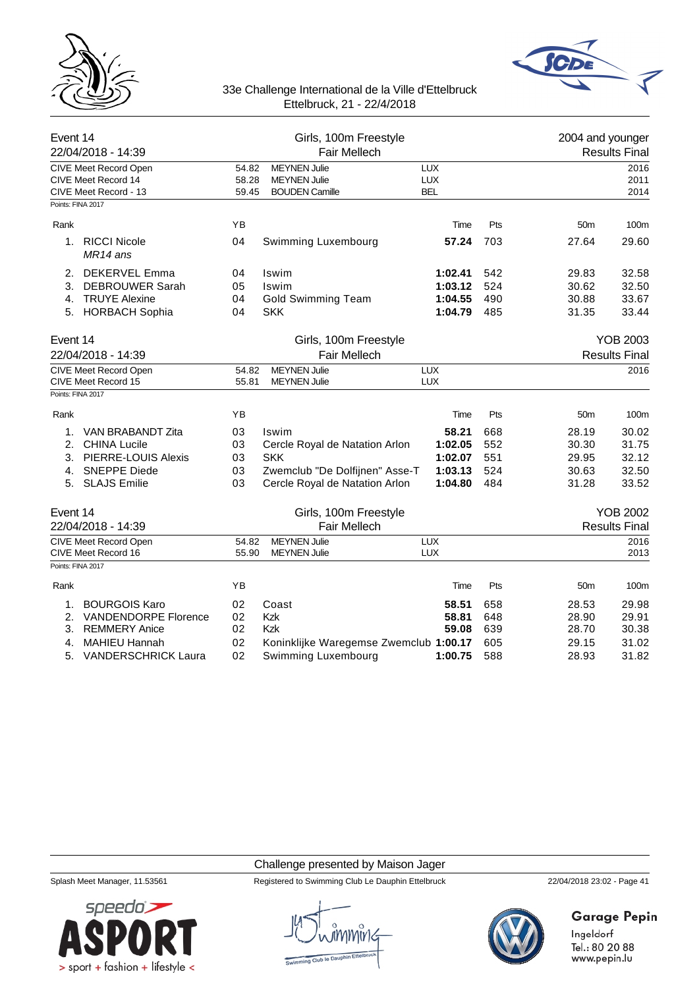



| Event 14<br>22/04/2018 - 14:39                                                                                          |                                       | Girls, 100m Freestyle<br>Fair Mellech                               |                                          |                          | 2004 and younger                        | <b>Results Final</b>             |  |
|-------------------------------------------------------------------------------------------------------------------------|---------------------------------------|---------------------------------------------------------------------|------------------------------------------|--------------------------|-----------------------------------------|----------------------------------|--|
| <b>CIVE Meet Record Open</b><br>CIVE Meet Record 14<br>CIVE Meet Record - 13<br>Points: FINA 2017                       | 54.82<br>58.28<br>59.45               | <b>MEYNEN Julie</b><br><b>MEYNEN Julie</b><br><b>BOUDEN Camille</b> | <b>LUX</b><br><b>LUX</b><br><b>BEL</b>   |                          |                                         | 2016<br>2011<br>2014             |  |
| Rank                                                                                                                    | YB                                    |                                                                     | Time                                     | Pts                      | 50 <sub>m</sub>                         | 100m                             |  |
| <b>RICCI Nicole</b><br>1.<br>MR14 ans                                                                                   | 04                                    | Swimming Luxembourg                                                 | 57.24                                    | 703                      | 27.64                                   | 29.60                            |  |
| <b>DEKERVEL Emma</b><br>2.<br>3.<br><b>DEBROUWER Sarah</b><br><b>TRUYE Alexine</b><br>4.<br><b>HORBACH Sophia</b><br>5. | 04<br>05<br>04<br>04                  | Iswim<br>Iswim<br><b>Gold Swimming Team</b><br><b>SKK</b>           | 1:02.41<br>1:03.12<br>1:04.55<br>1:04.79 | 542<br>524<br>490<br>485 | 29.83<br>30.62<br>30.88<br>31.35        | 32.58<br>32.50<br>33.67<br>33.44 |  |
| Event 14<br>22/04/2018 - 14:39                                                                                          | Girls, 100m Freestyle<br>Fair Mellech |                                                                     |                                          |                          | <b>YOB 2003</b><br><b>Results Final</b> |                                  |  |
| CIVE Meet Record Open<br>CIVE Meet Record 15                                                                            | 54.82<br>55.81                        | <b>MEYNEN Julie</b><br><b>MEYNEN Julie</b>                          | <b>LUX</b><br><b>LUX</b>                 |                          |                                         | 2016                             |  |
| Points: FINA 2017                                                                                                       |                                       |                                                                     |                                          |                          |                                         |                                  |  |
| Rank                                                                                                                    | YB                                    |                                                                     | Time                                     | Pts                      | 50 <sub>m</sub>                         | 100m                             |  |
| VAN BRABANDT Zita<br>1.                                                                                                 | 03                                    | Iswim                                                               | 58.21                                    | 668                      | 28.19                                   | 30.02                            |  |
| <b>CHINA Lucile</b><br>2.                                                                                               | 03                                    | Cercle Royal de Natation Arlon                                      | 1:02.05                                  | 552                      | 30.30                                   | 31.75                            |  |
| <b>PIERRE-LOUIS Alexis</b><br>3.                                                                                        | 03                                    | <b>SKK</b>                                                          | 1:02.07                                  | 551                      | 29.95                                   | 32.12                            |  |
| <b>SNEPPE Diede</b><br>4.<br><b>SLAJS Emilie</b><br>5.                                                                  | 03<br>03                              | Zwemclub "De Dolfijnen" Asse-T<br>Cercle Royal de Natation Arlon    | 1:03.13<br>1:04.80                       | 524<br>484               | 30.63<br>31.28                          | 32.50<br>33.52                   |  |
| Event 14                                                                                                                |                                       | Girls, 100m Freestyle                                               |                                          |                          |                                         | <b>YOB 2002</b>                  |  |
| 22/04/2018 - 14:39                                                                                                      |                                       | Fair Mellech                                                        |                                          |                          |                                         | <b>Results Final</b>             |  |
| <b>CIVE Meet Record Open</b><br>CIVE Meet Record 16                                                                     | 54.82<br>55.90                        | <b>MEYNEN Julie</b><br><b>MEYNEN Julie</b>                          | <b>LUX</b><br><b>LUX</b>                 |                          |                                         | 2016<br>2013                     |  |
| Points: FINA 2017                                                                                                       |                                       |                                                                     |                                          |                          |                                         |                                  |  |
| Rank                                                                                                                    | YB                                    |                                                                     | Time                                     | Pts                      | 50 <sub>m</sub>                         | 100m                             |  |
| <b>BOURGOIS Karo</b><br>1.                                                                                              | 02                                    | Coast                                                               | 58.51                                    | 658                      | 28.53                                   | 29.98                            |  |
| <b>VANDENDORPE Florence</b><br>2.                                                                                       | 02                                    | Kzk                                                                 | 58.81                                    | 648                      | 28.90                                   | 29.91                            |  |
| 3.<br><b>REMMERY Anice</b>                                                                                              | 02                                    | Kzk                                                                 | 59.08                                    | 639                      | 28.70                                   | 30.38                            |  |
| <b>MAHIEU Hannah</b><br>4.                                                                                              | 02                                    | Koninklijke Waregemse Zwemclub 1:00.17                              |                                          | 605                      | 29.15                                   | 31.02                            |  |
| <b>VANDERSCHRICK Laura</b><br>5.                                                                                        | 02                                    | Swimming Luxembourg                                                 | 1:00.75                                  | 588                      | 28.93                                   | 31.82                            |  |

Challenge presented by Maison Jager



Splash Meet Manager, 11.53561 Registered to Swimming Club Le Dauphin Ettelbruck 22/04/2018 23:02 - Page 41



# **Garage Pepin**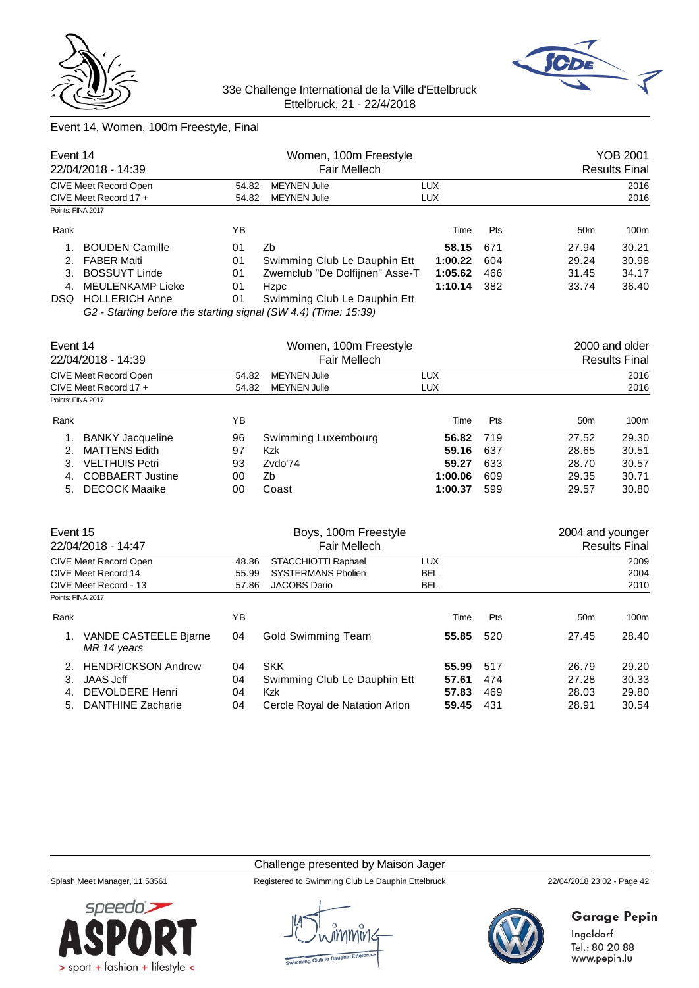



# Event 14, Women, 100m Freestyle, Final

| Event 14<br>22/04/2018 - 14:39                 |                       |                | Women, 100m Freestyle<br>Fair Mellech      |                          | YOB 2001<br><b>Results Final</b> |                 |       |
|------------------------------------------------|-----------------------|----------------|--------------------------------------------|--------------------------|----------------------------------|-----------------|-------|
| CIVE Meet Record Open<br>CIVE Meet Record 17 + |                       | 54.82<br>54.82 | <b>MEYNEN Julie</b><br><b>MEYNEN Julie</b> | <b>LUX</b><br><b>LUX</b> |                                  | 2016<br>2016    |       |
| Points: FINA 2017                              |                       |                |                                            |                          |                                  |                 |       |
| Rank                                           |                       | ΥB             |                                            | Time                     | <b>Pts</b>                       | 50 <sub>m</sub> | 100m  |
|                                                | <b>BOUDEN Camille</b> | 01             | Zb                                         | 58.15                    | 671                              | 27.94           | 30.21 |
|                                                | 2. FABER Maiti        | 01             | Swimming Club Le Dauphin Ett               | 1:00.22                  | 604                              | 29.24           | 30.98 |
| З.                                             | <b>BOSSUYT Linde</b>  | 01             | Zwemclub "De Dolfijnen" Asse-T             | 1:05.62                  | 466                              | 31.45           | 34.17 |
| 4.                                             | MEULENKAMP Lieke      | 01             | <b>Hzpc</b>                                | 1:10.14                  | 382                              | 33.74           | 36.40 |
| DSQ.                                           | <b>HOLLERICH Anne</b> | 01             | Swimming Club Le Dauphin Ett               |                          |                                  |                 |       |

*G2 - Starting before the starting signal (SW 4.4) (Time: 15:39)*

| Event 14<br>22/04/2018 - 14:39<br>CIVE Meet Record Open |                         |       | Women, 100m Freestyle<br>Fair Mellech |            | 2000 and older<br><b>Results Final</b> |                 |       |
|---------------------------------------------------------|-------------------------|-------|---------------------------------------|------------|----------------------------------------|-----------------|-------|
|                                                         |                         | 54.82 | <b>MEYNEN Julie</b>                   | LUX        |                                        | 2016            |       |
| Points: FINA 2017                                       | CIVE Meet Record $17 +$ | 54.82 | <b>MEYNEN Julie</b>                   | <b>LUX</b> |                                        |                 | 2016  |
| Rank                                                    |                         | ΥB    |                                       | Time       | <b>Pts</b>                             | 50 <sub>m</sub> | 100m  |
|                                                         | <b>BANKY Jacqueline</b> | 96    | Swimming Luxembourg                   | 56.82      | 719                                    | 27.52           | 29.30 |
|                                                         | <b>MATTENS Edith</b>    | 97    | Kzk                                   | 59.16      | 637                                    | 28.65           | 30.51 |
| 3.                                                      | <b>VELTHUIS Petri</b>   | 93    | Zvdo'74                               | 59.27      | 633                                    | 28.70           | 30.57 |
| 4.                                                      | <b>COBBAERT Justine</b> | 00    | Zb                                    | 1:00.06    | 609                                    | 29.35           | 30.71 |
| 5.                                                      | <b>DECOCK Maaike</b>    | 00    | Coast                                 | 1:00.37    | 599                                    | 29.57           | 30.80 |

| Event 15                     | 22/04/2018 - 14:47                   | Boys, 100m Freestyle<br><b>Fair Mellech</b> |                                |            |  |     | 2004 and younger<br><b>Results Final</b> |       |  |
|------------------------------|--------------------------------------|---------------------------------------------|--------------------------------|------------|--|-----|------------------------------------------|-------|--|
| <b>CIVE Meet Record Open</b> |                                      | STACCHIOTTI Raphael<br>48.86                |                                | <b>LUX</b> |  |     |                                          | 2009  |  |
|                              | CIVE Meet Record 14                  | 55.99                                       | <b>SYSTERMANS Pholien</b>      | <b>BEL</b> |  |     |                                          | 2004  |  |
| CIVE Meet Record - 13        |                                      | 57.86                                       | <b>JACOBS Dario</b>            | <b>BEL</b> |  |     |                                          | 2010  |  |
| Points: FINA 2017            |                                      |                                             |                                |            |  |     |                                          |       |  |
| Rank                         |                                      | ΥB                                          |                                | Time       |  | Pts | 50 <sub>m</sub>                          | 100m  |  |
|                              | VANDE CASTEELE Bjarne<br>MR 14 years | 04                                          | <b>Gold Swimming Team</b>      | 55.85      |  | 520 | 27.45                                    | 28.40 |  |
| 2.                           | <b>HENDRICKSON Andrew</b>            | 04                                          | <b>SKK</b>                     | 55.99      |  | 517 | 26.79                                    | 29.20 |  |
| 3.                           | JAAS Jeff                            | 04                                          | Swimming Club Le Dauphin Ett   | 57.61      |  | 474 | 27.28                                    | 30.33 |  |
| 4.                           | DEVOLDERE Henri                      | 04                                          | Kzk                            | 57.83      |  | 469 | 28.03                                    | 29.80 |  |
| 5.                           | <b>DANTHINE Zacharie</b>             | 04                                          | Cercle Royal de Natation Arlon | 59.45      |  | 431 | 28.91                                    | 30.54 |  |

#### Challenge presented by Maison Jager

Splash Meet Manager, 11.53561 Registered to Swimming Club Le Dauphin Ettelbruck 22/04/2018 23:02 - Page 42



**Garage Pepin** 

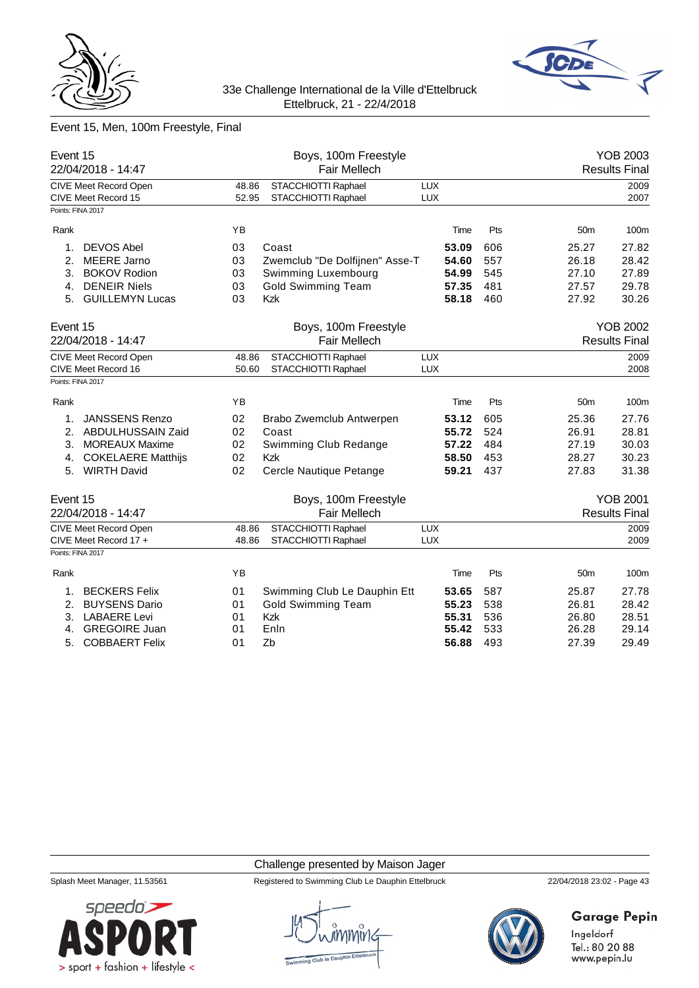



# Event 15, Men, 100m Freestyle, Final

| Event 15                       | 22/04/2018 - 14:47                                    |                | Boys, 100m Freestyle<br><b>Fair Mellech</b> |                          |       |                                         |                 | <b>YOB 2003</b><br><b>Results Final</b> |
|--------------------------------|-------------------------------------------------------|----------------|---------------------------------------------|--------------------------|-------|-----------------------------------------|-----------------|-----------------------------------------|
|                                | CIVE Meet Record Open<br>CIVE Meet Record 15          | 48.86<br>52.95 | STACCHIOTTI Raphael<br>STACCHIOTTI Raphael  | <b>LUX</b><br><b>LUX</b> |       |                                         |                 | 2009<br>2007                            |
|                                | Points: FINA 2017                                     |                |                                             |                          |       |                                         |                 |                                         |
| Rank                           |                                                       | YB             |                                             |                          | Time  | Pts                                     | 50 <sub>m</sub> | 100m                                    |
| 1.                             | <b>DEVOS Abel</b>                                     | 03             | Coast                                       |                          | 53.09 | 606                                     | 25.27           | 27.82                                   |
| 2.                             | <b>MEERE Jarno</b>                                    | 03             | Zwemclub "De Dolfijnen" Asse-T              |                          | 54.60 | 557                                     | 26.18           | 28.42                                   |
| 3.                             | <b>BOKOV Rodion</b>                                   | 03             | Swimming Luxembourg                         |                          | 54.99 | 545                                     | 27.10           | 27.89                                   |
| 4.                             | <b>DENEIR Niels</b>                                   | 03             | <b>Gold Swimming Team</b>                   |                          | 57.35 | 481                                     | 27.57           | 29.78                                   |
| 5.                             | <b>GUILLEMYN Lucas</b>                                | 03             | Kzk                                         |                          | 58.18 | 460                                     | 27.92           | 30.26                                   |
| Event 15<br>22/04/2018 - 14:47 |                                                       |                | Boys, 100m Freestyle<br>Fair Mellech        |                          |       | <b>YOB 2002</b><br><b>Results Final</b> |                 |                                         |
|                                | CIVE Meet Record Open<br>CIVE Meet Record 16          | 48.86<br>50.60 | STACCHIOTTI Raphael<br>STACCHIOTTI Raphael  | <b>LUX</b><br><b>LUX</b> |       |                                         |                 | 2009<br>2008                            |
|                                | Points: FINA 2017                                     |                |                                             |                          |       |                                         |                 |                                         |
| Rank                           |                                                       | ΥB             |                                             |                          | Time  | Pts                                     | 50 <sub>m</sub> | 100m                                    |
| 1.                             | <b>JANSSENS Renzo</b>                                 | 02             | Brabo Zwemclub Antwerpen                    |                          | 53.12 | 605                                     | 25.36           | 27.76                                   |
| 2.                             | ABDULHUSSAIN Zaid                                     | 02             | Coast                                       |                          | 55.72 | 524                                     | 26.91           | 28.81                                   |
| 3.                             | <b>MOREAUX Maxime</b>                                 | 02             | Swimming Club Redange                       |                          | 57.22 | 484                                     | 27.19           | 30.03                                   |
| 4.                             | <b>COKELAERE Matthijs</b>                             | 02             | <b>Kzk</b>                                  |                          | 58.50 | 453                                     | 28.27           | 30.23                                   |
| 5.                             | <b>WIRTH David</b>                                    | 02             | Cercle Nautique Petange                     |                          | 59.21 | 437                                     | 27.83           | 31.38                                   |
| Event 15                       |                                                       |                | Boys, 100m Freestyle                        |                          |       |                                         |                 | <b>YOB 2001</b>                         |
|                                | 22/04/2018 - 14:47                                    |                | Fair Mellech                                |                          |       |                                         |                 | <b>Results Final</b>                    |
|                                | <b>CIVE Meet Record Open</b><br>CIVE Meet Record 17 + | 48.86<br>48.86 | STACCHIOTTI Raphael<br>STACCHIOTTI Raphael  | <b>LUX</b><br><b>LUX</b> |       |                                         |                 | 2009<br>2009                            |
|                                | Points: FINA 2017                                     |                |                                             |                          |       |                                         |                 |                                         |
|                                |                                                       |                |                                             |                          |       |                                         |                 |                                         |
| Rank                           |                                                       | YB             |                                             |                          | Time  | Pts                                     | 50 <sub>m</sub> | 100m                                    |
| 1.                             | <b>BECKERS Felix</b>                                  | 01             | Swimming Club Le Dauphin Ett                |                          | 53.65 | 587                                     | 25.87           | 27.78                                   |
| 2.                             | <b>BUYSENS Dario</b>                                  | 01             | <b>Gold Swimming Team</b>                   |                          | 55.23 | 538                                     | 26.81           | 28.42                                   |
| 3.                             | <b>LABAERE Levi</b>                                   | 01             | <b>Kzk</b>                                  |                          | 55.31 | 536                                     | 26.80           | 28.51                                   |
| 4.                             | <b>GREGOIRE Juan</b>                                  | 01             | Enln                                        |                          | 55.42 | 533                                     | 26.28           | 29.14                                   |
| 5.                             | <b>COBBAERT Felix</b>                                 | 01             | Zb                                          |                          | 56.88 | 493                                     | 27.39           | 29.49                                   |

#### Challenge presented by Maison Jager



Splash Meet Manager, 11.53561 Registered to Swimming Club Le Dauphin Ettelbruck 22/04/2018 23:02 - Page 43



# **Garage Pepin**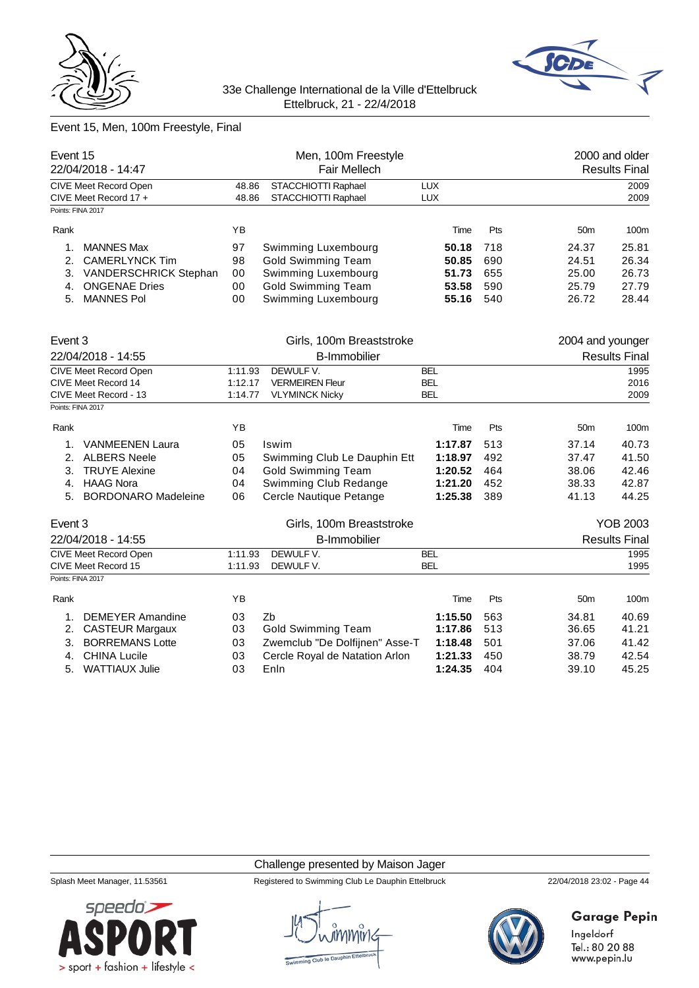



# Event 15, Men, 100m Freestyle, Final

| Event 15<br>22/04/2018 - 14:47 |                            |                              | Men, 100m Freestyle<br><b>Fair Mellech</b> |            |     |                  | 2000 and older<br><b>Results Final</b> |
|--------------------------------|----------------------------|------------------------------|--------------------------------------------|------------|-----|------------------|----------------------------------------|
|                                | CIVE Meet Record Open      | 48.86                        | STACCHIOTTI Raphael                        | <b>LUX</b> |     |                  | 2009                                   |
| Points: FINA 2017              | CIVE Meet Record 17 +      | STACCHIOTTI Raphael<br>48.86 |                                            | <b>LUX</b> |     |                  | 2009                                   |
|                                |                            |                              |                                            |            |     |                  |                                        |
| Rank                           |                            | YB                           |                                            | Time       | Pts | 50 <sub>m</sub>  | 100m                                   |
| 1.                             | <b>MANNES Max</b>          | 97                           | Swimming Luxembourg                        | 50.18      | 718 | 24.37            | 25.81                                  |
| 2.                             | <b>CAMERLYNCK Tim</b>      | 98                           | <b>Gold Swimming Team</b>                  | 50.85      | 690 | 24.51            | 26.34                                  |
| 3.                             | VANDERSCHRICK Stephan      | 00                           | Swimming Luxembourg                        | 51.73      | 655 | 25.00            | 26.73                                  |
| 4.                             | <b>ONGENAE Dries</b>       | 00                           | <b>Gold Swimming Team</b>                  | 53.58      | 590 | 25.79            | 27.79                                  |
| 5.                             | <b>MANNES Pol</b>          | 00                           | Swimming Luxembourg                        | 55.16      | 540 | 26.72            | 28.44                                  |
| Event 3                        |                            |                              | Girls, 100m Breaststroke                   |            |     | 2004 and younger |                                        |
| 22/04/2018 - 14:55             |                            | <b>B-Immobilier</b>          |                                            |            |     |                  | <b>Results Final</b>                   |
|                                | CIVE Meet Record Open      | 1:11.93                      | DEWULF V.                                  | <b>BEL</b> |     |                  | 1995                                   |
| CIVE Meet Record 14            |                            | 1:12.17                      | <b>VERMEIREN Fleur</b>                     | <b>BEL</b> |     |                  | 2016                                   |
|                                | CIVE Meet Record - 13      | 1:14.77                      | <b>VLYMINCK Nicky</b>                      | <b>BEL</b> |     |                  | 2009                                   |
| Points: FINA 2017              |                            |                              |                                            |            |     |                  |                                        |
| Rank                           |                            | YB                           |                                            | Time       | Pts | 50 <sub>m</sub>  | 100m                                   |
| 1.                             | <b>VANMEENEN Laura</b>     | 05                           | Iswim                                      | 1:17.87    | 513 | 37.14            | 40.73                                  |
| 2.                             | <b>ALBERS Neele</b>        | 05                           | Swimming Club Le Dauphin Ett               | 1:18.97    | 492 | 37.47            | 41.50                                  |
| 3.                             | <b>TRUYE Alexine</b>       | 04                           | <b>Gold Swimming Team</b>                  | 1:20.52    | 464 | 38.06            | 42.46                                  |
| 4.                             | <b>HAAG Nora</b>           | 04                           | Swimming Club Redange                      | 1:21.20    | 452 | 38.33            | 42.87                                  |
| 5.                             | <b>BORDONARO Madeleine</b> | 06                           | Cercle Nautique Petange                    | 1:25.38    | 389 | 41.13            | 44.25                                  |
| Event 3                        |                            |                              | Girls, 100m Breaststroke                   |            |     |                  | <b>YOB 2003</b>                        |
|                                | 22/04/2018 - 14:55         |                              | <b>B-Immobilier</b>                        |            |     |                  | <b>Results Final</b>                   |
|                                | CIVE Meet Record Open      | 1:11.93                      | DEWULF V.                                  | <b>BEL</b> |     |                  | 1995                                   |
|                                | CIVE Meet Record 15        | 1:11.93                      | DEWULF V.                                  | <b>BEL</b> |     |                  | 1995                                   |
| Points: FINA 2017              |                            |                              |                                            |            |     |                  |                                        |
| Rank                           |                            | YB                           |                                            | Time       | Pts | 50 <sub>m</sub>  | 100m                                   |
| 1.                             | <b>DEMEYER Amandine</b>    | 03                           | Zb                                         | 1:15.50    | 563 | 34.81            | 40.69                                  |
| 2.                             | <b>CASTEUR Margaux</b>     | 03                           | <b>Gold Swimming Team</b>                  | 1:17.86    | 513 | 36.65            | 41.21                                  |
| 3.                             | <b>BORREMANS Lotte</b>     | 03                           | Zwemclub "De Dolfijnen" Asse-T             | 1:18.48    | 501 | 37.06            | 41.42                                  |
| 4.                             | <b>CHINA Lucile</b>        | 03                           | Cercle Royal de Natation Arlon             | 1:21.33    | 450 | 38.79            | 42.54                                  |
| 5.                             | WATTIAUX Julie             | 03                           | Enln                                       | 1:24.35    | 404 | 39.10            | 45.25                                  |

#### Challenge presented by Maison Jager

Splash Meet Manager, 11.53561 Registered to Swimming Club Le Dauphin Ettelbruck 22/04/2018 23:02 - Page 44



# **Garage Pepin**

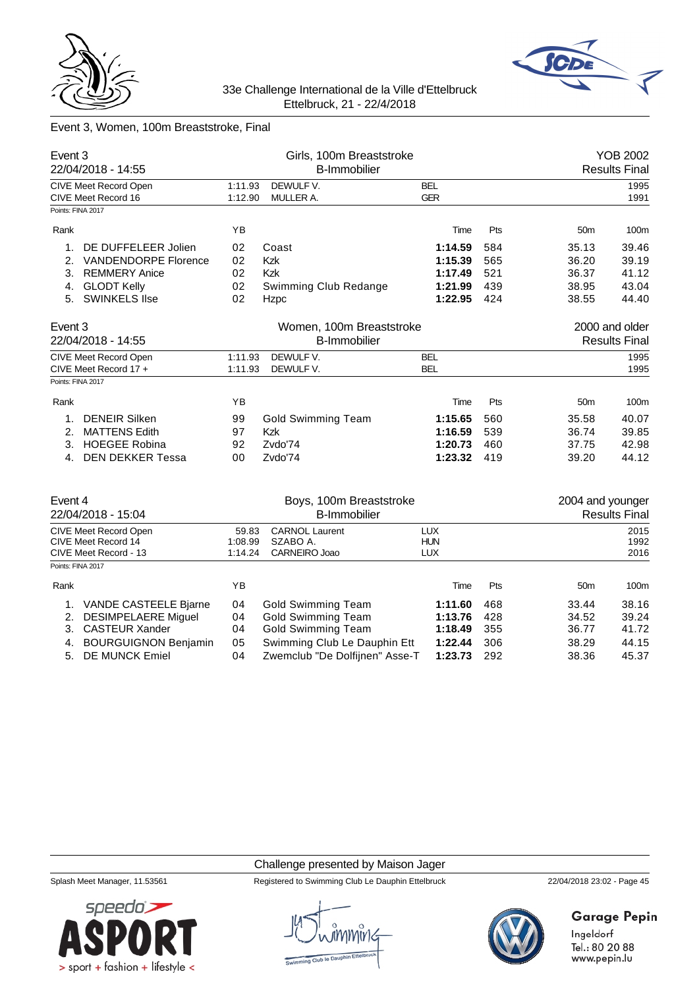



# Event 3, Women, 100m Breaststroke, Final

| Event 3<br>22/04/2018 - 14:55                |                                                |                     | Girls, 100m Breaststroke<br><b>B-Immobilier</b> |                          |     | YOB 2002<br><b>Results Final</b> |                |  |
|----------------------------------------------|------------------------------------------------|---------------------|-------------------------------------------------|--------------------------|-----|----------------------------------|----------------|--|
| CIVE Meet Record Open<br>CIVE Meet Record 16 |                                                | 1:11.93<br>1:12.90  | DEWULF V.<br>MULLER A.                          | <b>BEL</b><br><b>GER</b> |     |                                  | 1995<br>1991   |  |
|                                              | Points: FINA 2017                              |                     |                                                 |                          |     |                                  |                |  |
| Rank                                         |                                                | YB                  |                                                 | Time                     | Pts | 50 <sub>m</sub>                  | 100m           |  |
| 1.                                           | DE DUFFELEER Jolien                            | 02                  | Coast                                           | 1:14.59                  | 584 | 35.13                            | 39.46          |  |
| 2.                                           | <b>VANDENDORPE Florence</b>                    | 02                  | Kzk                                             | 1:15.39                  | 565 | 36.20                            | 39.19          |  |
| 3.                                           | <b>REMMERY Anice</b>                           | 02                  | Kzk                                             | 1:17.49                  | 521 | 36.37                            | 41.12          |  |
| 4.                                           | <b>GLODT Kelly</b>                             | 02                  | Swimming Club Redange                           | 1:21.99                  | 439 | 38.95                            | 43.04          |  |
| 5.                                           | <b>SWINKELS IIse</b>                           | 02                  | Hzpc                                            | 1:22.95                  | 424 | 38.55                            | 44.40          |  |
| Event 3                                      |                                                |                     | Women, 100m Breaststroke                        |                          |     |                                  | 2000 and older |  |
|                                              | 22/04/2018 - 14:55                             | <b>B-Immobilier</b> |                                                 |                          |     | <b>Results Final</b>             |                |  |
|                                              | CIVE Meet Record Open<br>CIVE Meet Record 17 + | 1:11.93<br>1:11.93  | DEWULF V.<br>DEWULF V.                          | <b>BEL</b><br><b>BEL</b> |     |                                  | 1995<br>1995   |  |
| Points: FINA 2017                            |                                                |                     |                                                 |                          |     |                                  |                |  |
| Rank                                         |                                                | YB                  |                                                 | Time                     | Pts | 50 <sub>m</sub>                  | 100m           |  |
| 1.                                           | <b>DENEIR Silken</b>                           | 99                  | Gold Swimming Team                              | 1:15.65                  | 560 | 35.58                            | 40.07          |  |
| 2.                                           | <b>MATTENS Edith</b>                           | 97                  | Kzk                                             | 1:16.59                  | 539 | 36.74                            | 39.85          |  |
| 3.                                           | <b>HOEGEE Robina</b>                           | 92                  | Zvdo'74                                         | 1:20.73                  | 460 | 37.75                            | 42.98          |  |
| 4.                                           | <b>DEN DEKKER Tessa</b>                        | 00                  | Zvdo'74                                         | 1:23.32                  | 419 | 39.20                            | 44.12          |  |
|                                              |                                                |                     |                                                 |                          |     |                                  |                |  |

| Event 4                                      |                                               | Boys, 100m Breaststroke |                                                                |                          | 2004 and younger |                      |                |  |
|----------------------------------------------|-----------------------------------------------|-------------------------|----------------------------------------------------------------|--------------------------|------------------|----------------------|----------------|--|
|                                              | 22/04/2018 - 15:04                            |                         | <b>B-Immobilier</b>                                            |                          |                  | <b>Results Final</b> |                |  |
| CIVE Meet Record Open<br>CIVE Meet Record 14 |                                               | 59.83<br>1:08.99        | <b>CARNOL Laurent</b><br>SZABO A.                              | <b>LUX</b><br><b>HUN</b> |                  |                      | 2015<br>1992   |  |
| Points: FINA 2017                            | CIVE Meet Record - 13                         | 1:14.24                 | CARNEIRO Joao                                                  | <b>LUX</b>               |                  |                      | 2016           |  |
| Rank                                         |                                               | ΥB                      |                                                                | Time                     | <b>Pts</b>       | 50 <sub>m</sub>      | 100m           |  |
|                                              | VANDE CASTEELE Bjarne                         | 04                      | Gold Swimming Team                                             | 1:11.60                  | 468              | 33.44                | 38.16          |  |
| 2.                                           | <b>DESIMPELAERE Miguel</b>                    | 04                      | Gold Swimming Team                                             | 1:13.76                  | 428              | 34.52                | 39.24          |  |
| 3.                                           | <b>CASTEUR Xander</b>                         | 04                      | Gold Swimming Team                                             | 1:18.49                  | 355              | 36.77                | 41.72          |  |
| 4.<br>5.                                     | <b>BOURGUIGNON Benjamin</b><br>DE MUNCK Emiel | 05<br>04                | Swimming Club Le Dauphin Ett<br>Zwemclub "De Dolfijnen" Asse-T | 1:22.44<br>1:23.73       | 306<br>292       | 38.29<br>38.36       | 44.15<br>45.37 |  |

#### Challenge presented by Maison Jager

Splash Meet Manager, 11.53561 Registered to Swimming Club Le Dauphin Ettelbruck 22/04/2018 23:02 - Page 45



# **Garage Pepin**

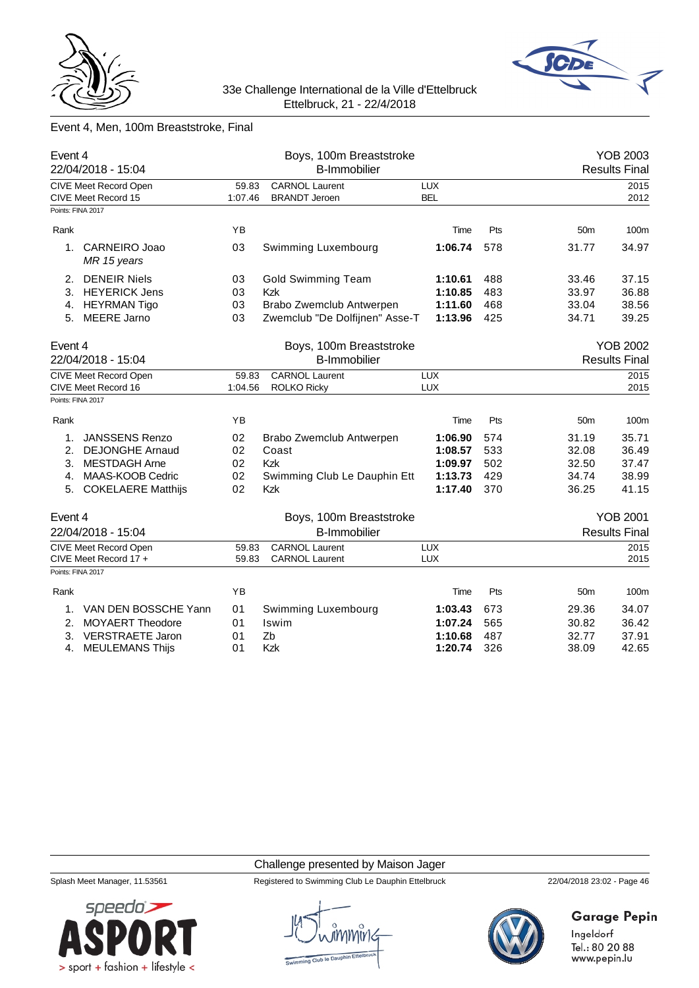



# Event 4, Men, 100m Breaststroke, Final

| Event 4<br>22/04/2018 - 15:04                |                  | Boys, 100m Breaststroke<br><b>B-Immobilier</b> |                          |     |                 | <b>YOB 2003</b><br><b>Results Final</b> |
|----------------------------------------------|------------------|------------------------------------------------|--------------------------|-----|-----------------|-----------------------------------------|
| CIVE Meet Record Open<br>CIVE Meet Record 15 | 59.83<br>1:07.46 | <b>CARNOL Laurent</b><br><b>BRANDT Jeroen</b>  | <b>LUX</b><br><b>BEL</b> |     |                 | 2015<br>2012                            |
| Points: FINA 2017                            |                  |                                                |                          |     |                 |                                         |
| Rank                                         | YB               |                                                | Time                     | Pts | 50 <sub>m</sub> | 100m                                    |
| CARNEIRO Joao<br>1.<br>MR 15 years           | 03               | Swimming Luxembourg                            | 1:06.74                  | 578 | 31.77           | 34.97                                   |
| <b>DENEIR Niels</b><br>2.                    | 03               | <b>Gold Swimming Team</b>                      | 1:10.61                  | 488 | 33.46           | 37.15                                   |
| <b>HEYERICK Jens</b><br>3.                   | 03               | <b>Kzk</b>                                     | 1:10.85                  | 483 | 33.97           | 36.88                                   |
| <b>HEYRMAN Tigo</b><br>4.                    | 03               | Brabo Zwemclub Antwerpen                       | 1:11.60                  | 468 | 33.04           | 38.56                                   |
| <b>MEERE Jarno</b><br>5.                     | 03               | Zwemclub "De Dolfijnen" Asse-T<br>1:13.96      |                          | 425 | 34.71           | 39.25                                   |
| Event 4                                      |                  | Boys, 100m Breaststroke                        |                          |     |                 | <b>YOB 2002</b>                         |
| 22/04/2018 - 15:04                           |                  | <b>B-Immobilier</b>                            |                          |     |                 | <b>Results Final</b>                    |
| CIVE Meet Record Open                        | 59.83            | <b>CARNOL Laurent</b>                          | <b>LUX</b>               |     |                 | 2015                                    |
| CIVE Meet Record 16                          | 1:04.56          | <b>ROLKO Ricky</b>                             | <b>LUX</b>               |     |                 | 2015                                    |
| Points: FINA 2017                            |                  |                                                |                          |     |                 |                                         |
| Rank                                         | YB               |                                                | Time                     | Pts | 50 <sub>m</sub> | 100m                                    |
| <b>JANSSENS Renzo</b><br>1.                  | 02               | Brabo Zwemclub Antwerpen                       | 1:06.90                  | 574 | 31.19           | 35.71                                   |
| 2.<br><b>DEJONGHE Arnaud</b>                 | 02               | Coast                                          | 1:08.57                  | 533 | 32.08           | 36.49                                   |
| 3.<br><b>MESTDAGH Arne</b>                   | 02               | <b>Kzk</b>                                     | 1:09.97                  | 502 | 32.50           | 37.47                                   |
| MAAS-KOOB Cedric<br>4.                       | 02               | Swimming Club Le Dauphin Ett                   | 1:13.73                  | 429 | 34.74           | 38.99                                   |
| 5. COKELAERE Matthijs                        | 02               | Kzk                                            | 1:17.40                  | 370 | 36.25           | 41.15                                   |
| Event 4                                      |                  | Boys, 100m Breaststroke                        |                          |     |                 | <b>YOB 2001</b>                         |
| 22/04/2018 - 15:04                           |                  | <b>B-Immobilier</b>                            |                          |     |                 | <b>Results Final</b>                    |
| CIVE Meet Record Open                        | 59.83            | <b>CARNOL Laurent</b>                          | <b>LUX</b>               |     |                 | 2015                                    |
| CIVE Meet Record 17 +                        | 59.83            | <b>CARNOL Laurent</b>                          | <b>LUX</b>               |     |                 | 2015                                    |
| Points: FINA 2017                            |                  |                                                |                          |     |                 |                                         |
| Rank                                         | YB               |                                                | Time                     | Pts | 50 <sub>m</sub> | 100m                                    |
| VAN DEN BOSSCHE Yann<br>1.                   | 01               | Swimming Luxembourg                            | 1:03.43                  | 673 | 29.36           | 34.07                                   |
| MOYAERT Theodore<br>2.                       | 01               | Iswim                                          | 1:07.24                  | 565 | 30.82           | 36.42                                   |
| 3.<br><b>VERSTRAETE Jaron</b>                | 01               | Zb                                             | 1:10.68                  | 487 | 32.77           | 37.91                                   |
| <b>MEULEMANS Thijs</b><br>4.                 | 01               | Kzk                                            | 1:20.74                  | 326 | 38.09           | 42.65                                   |

#### Challenge presented by Maison Jager



Splash Meet Manager, 11.53561 Registered to Swimming Club Le Dauphin Ettelbruck 22/04/2018 23:02 - Page 46



# **Garage Pepin**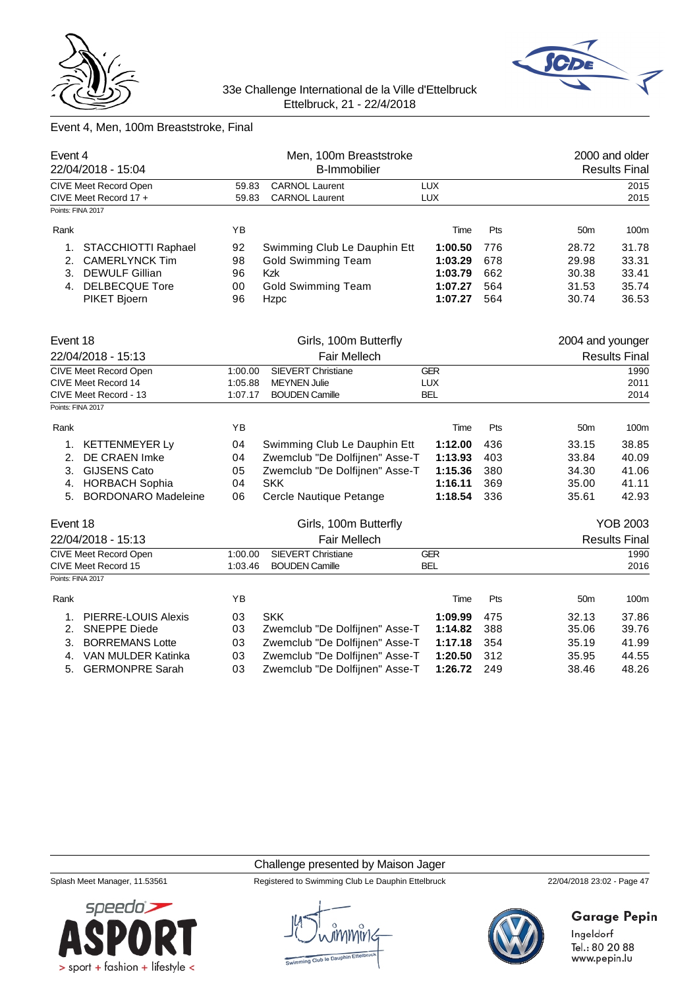



# Event 4, Men, 100m Breaststroke, Final

| Event 4<br>22/04/2018 - 15:04 |                                                       | Men, 100m Breaststroke<br><b>B-Immobilier</b> |                                         |                    |            | 2000 and older<br><b>Results Final</b> |                      |  |
|-------------------------------|-------------------------------------------------------|-----------------------------------------------|-----------------------------------------|--------------------|------------|----------------------------------------|----------------------|--|
|                               |                                                       |                                               | <b>CARNOL Laurent</b>                   | LUX                |            |                                        |                      |  |
|                               | <b>CIVE Meet Record Open</b><br>CIVE Meet Record 17 + | 59.83<br>59.83                                | <b>CARNOL Laurent</b>                   | LUX                |            |                                        | 2015<br>2015         |  |
|                               | Points: FINA 2017                                     |                                               |                                         |                    |            |                                        |                      |  |
| Rank                          |                                                       | ΥB                                            |                                         | Time               | Pts        | 50 <sub>m</sub>                        | 100m                 |  |
|                               |                                                       |                                               |                                         |                    |            |                                        |                      |  |
| 1.                            | STACCHIOTTI Raphael                                   | 92                                            | Swimming Club Le Dauphin Ett            | 1:00.50            | 776        | 28.72                                  | 31.78                |  |
| 2.<br>3.                      | <b>CAMERLYNCK Tim</b><br><b>DEWULF Gillian</b>        | 98<br>96                                      | <b>Gold Swimming Team</b><br><b>Kzk</b> | 1:03.29            | 678<br>662 | 29.98                                  | 33.31<br>33.41       |  |
|                               |                                                       |                                               |                                         | 1:03.79            |            | 30.38                                  |                      |  |
|                               | 4. DELBECQUE Tore                                     | 00                                            | <b>Gold Swimming Team</b>               | 1:07.27<br>1:07.27 | 564        | 31.53                                  | 35.74                |  |
|                               | PIKET Bjoern                                          | 96                                            | Hzpc                                    | 564                | 30.74      | 36.53                                  |                      |  |
| Event 18                      |                                                       |                                               | Girls, 100m Butterfly                   |                    |            | 2004 and younger                       |                      |  |
| 22/04/2018 - 15:13            |                                                       |                                               | Fair Mellech                            |                    |            | <b>Results Final</b>                   |                      |  |
|                               | <b>CIVE Meet Record Open</b>                          | 1:00.00                                       | <b>SIEVERT Christiane</b>               | <b>GER</b>         |            |                                        | 1990                 |  |
|                               | CIVE Meet Record 14                                   | 1:05.88                                       | <b>MEYNEN Julie</b>                     | <b>LUX</b>         |            |                                        | 2011                 |  |
|                               | CIVE Meet Record - 13                                 | 1:07.17                                       | <b>BOUDEN Camille</b>                   | <b>BEL</b>         |            |                                        | 2014                 |  |
|                               | Points: FINA 2017                                     |                                               |                                         |                    |            |                                        |                      |  |
| Rank                          |                                                       | YB                                            |                                         | Time               | Pts        | 50 <sub>m</sub>                        | 100m                 |  |
| 1.                            | <b>KETTENMEYER Ly</b>                                 | 04                                            | Swimming Club Le Dauphin Ett            | 1:12.00            | 436        | 33.15                                  | 38.85                |  |
| 2.                            | <b>DE CRAEN Imke</b>                                  | 04                                            | Zwemclub "De Dolfijnen" Asse-T          | 1:13.93            | 403        | 33.84                                  | 40.09                |  |
| 3.                            | <b>GIJSENS Cato</b>                                   | 05                                            | Zwemclub "De Dolfijnen" Asse-T          | 1:15.36            | 380        | 34.30                                  | 41.06                |  |
| 4.                            | <b>HORBACH Sophia</b>                                 | 04                                            | <b>SKK</b>                              | 1:16.11            | 369        | 35.00                                  | 41.11                |  |
| 5.                            | <b>BORDONARO Madeleine</b>                            | 06                                            | Cercle Nautique Petange                 | 1:18.54            | 336        | 35.61                                  | 42.93                |  |
| Event 18                      |                                                       |                                               | Girls, 100m Butterfly                   |                    |            |                                        | <b>YOB 2003</b>      |  |
|                               | 22/04/2018 - 15:13                                    |                                               | <b>Fair Mellech</b>                     |                    |            |                                        | <b>Results Final</b> |  |
|                               | <b>CIVE Meet Record Open</b>                          | 1:00.00                                       | <b>SIEVERT Christiane</b>               | <b>GER</b>         |            |                                        | 1990                 |  |
|                               | CIVE Meet Record 15                                   | 1:03.46                                       | <b>BOUDEN Camille</b>                   | <b>BEL</b>         |            |                                        | 2016                 |  |
|                               | Points: FINA 2017                                     |                                               |                                         |                    |            |                                        |                      |  |
| Rank                          |                                                       | YB                                            |                                         | Time               | Pts        | 50 <sub>m</sub>                        | 100m                 |  |
| 1.                            | <b>PIERRE-LOUIS Alexis</b>                            | 03                                            | <b>SKK</b>                              | 1:09.99            | 475        | 32.13                                  | 37.86                |  |
| 2.                            | <b>SNEPPE Diede</b>                                   | 03                                            | Zwemclub "De Dolfijnen" Asse-T          | 1:14.82            | 388        | 35.06                                  | 39.76                |  |
| 3.                            | <b>BORREMANS Lotte</b>                                | 03                                            | Zwemclub "De Dolfijnen" Asse-T          | 1:17.18            | 354        | 35.19                                  | 41.99                |  |
| 4.                            | VAN MULDER Katinka                                    | 03                                            | Zwemclub "De Dolfijnen" Asse-T          | 1:20.50            | 312        | 35.95                                  | 44.55                |  |
| 5.                            | <b>GERMONPRE Sarah</b>                                | 03                                            | Zwemclub "De Dolfijnen" Asse-T          | 1:26.72            | 249        | 38.46                                  | 48.26                |  |
|                               |                                                       |                                               |                                         |                    |            |                                        |                      |  |

#### Challenge presented by Maison Jager



Splash Meet Manager, 11.53561 Registered to Swimming Club Le Dauphin Ettelbruck 22/04/2018 23:02 - Page 47



# **Garage Pepin**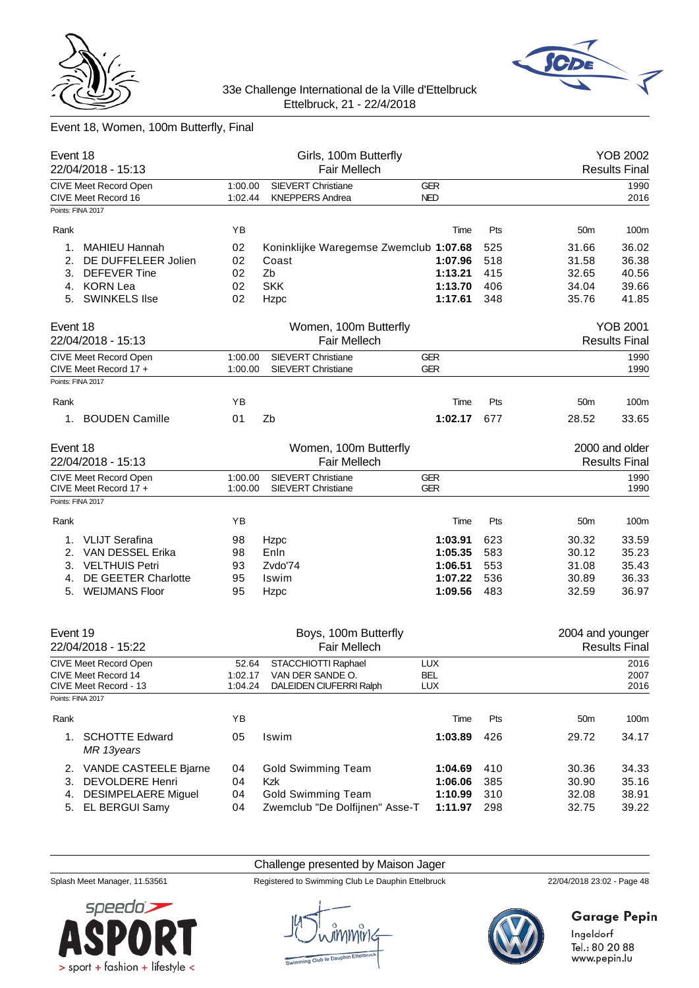



# Event 18, Women, 100m Butterfly, Final

| Event 18<br>22/04/2018 - 15:13   |         | Girls, 100m Butterfly<br><b>Fair Mellech</b> |            |     |                  | <b>YOB 2002</b><br><b>Results Final</b> |
|----------------------------------|---------|----------------------------------------------|------------|-----|------------------|-----------------------------------------|
| CIVE Meet Record Open            | 1:00.00 | <b>SIEVERT Christiane</b>                    | <b>GER</b> |     |                  | 1990                                    |
| CIVE Meet Record 16              | 1:02.44 | <b>KNEPPERS Andrea</b>                       | <b>NED</b> |     |                  | 2016                                    |
| Points: FINA 2017                |         |                                              |            |     |                  |                                         |
| Rank                             | ΥB      |                                              | Time       | Pts | 50 <sub>m</sub>  | 100m                                    |
|                                  |         |                                              |            |     |                  |                                         |
| <b>MAHIEU Hannah</b><br>1.       | 02      | Koninklijke Waregemse Zwemclub 1:07.68       |            | 525 | 31.66            | 36.02                                   |
| 2.<br>DE DUFFELEER Jolien        | 02      | Coast                                        | 1:07.96    | 518 | 31.58            | 36.38                                   |
| 3.<br><b>DEFEVER Tine</b>        | 02      | Zb                                           | 1:13.21    | 415 | 32.65            | 40.56                                   |
| <b>KORN Lea</b><br>4.            | 02      | <b>SKK</b>                                   | 1:13.70    | 406 | 34.04            | 39.66                                   |
| 5. SWINKELS Ilse                 | 02      | Hzpc                                         | 1:17.61    | 348 | 35.76            | 41.85                                   |
| Event 18                         |         | Women, 100m Butterfly                        |            |     |                  | <b>YOB 2001</b>                         |
| 22/04/2018 - 15:13               |         | <b>Fair Mellech</b>                          |            |     |                  | <b>Results Final</b>                    |
| CIVE Meet Record Open            | 1:00.00 | <b>SIEVERT Christiane</b>                    | <b>GER</b> |     |                  | 1990                                    |
| CIVE Meet Record 17 +            | 1:00.00 | <b>SIEVERT Christiane</b>                    | <b>GER</b> |     |                  | 1990                                    |
| Points: FINA 2017                |         |                                              |            |     |                  |                                         |
| Rank                             | ΥB      |                                              | Time       | Pts | 50 <sub>m</sub>  | 100m                                    |
| 1. BOUDEN Camille                | 01      | Zb                                           | 1:02.17    | 677 | 28.52            | 33.65                                   |
| Event 18                         |         | Women, 100m Butterfly                        |            |     |                  | 2000 and older                          |
| 22/04/2018 - 15:13               |         | <b>Fair Mellech</b>                          |            |     |                  | <b>Results Final</b>                    |
| <b>CIVE Meet Record Open</b>     | 1:00.00 | <b>SIEVERT Christiane</b>                    | <b>GER</b> |     |                  | 1990                                    |
| CIVE Meet Record 17 +            | 1:00.00 | <b>SIEVERT Christiane</b>                    | <b>GER</b> |     |                  | 1990                                    |
| Points: FINA 2017                |         |                                              |            |     |                  |                                         |
| Rank                             | ΥB      |                                              | Time       | Pts | 50 <sub>m</sub>  | 100m                                    |
| <b>VLIJT Serafina</b><br>1.      | 98      | Hzpc                                         | 1:03.91    | 623 | 30.32            | 33.59                                   |
| VAN DESSEL Erika<br>2.           | 98      | Enln                                         | 1:05.35    | 583 | 30.12            | 35.23                                   |
| <b>VELTHUIS Petri</b><br>3.      | 93      | Zvdo'74                                      | 1:06.51    | 553 | 31.08            | 35.43                                   |
| DE GEETER Charlotte<br>4.        | 95      | Iswim                                        | 1:07.22    | 536 | 30.89            | 36.33                                   |
| <b>WEIJMANS Floor</b><br>5.      | 95      | Hzpc                                         | 1:09.56    | 483 | 32.59            | 36.97                                   |
| Event 19<br>22/04/2018 - 15:22   |         | Boys, 100m Butterfly<br><b>Fair Mellech</b>  |            |     | 2004 and younger | <b>Results Final</b>                    |
| <b>CIVE Meet Record Open</b>     | 52.64   | STACCHIOTTI Raphael                          | <b>LUX</b> |     |                  | 2016                                    |
| CIVE Meet Record 14              | 1:02.17 | VAN DER SANDE O.                             | <b>BEL</b> |     |                  | 2007                                    |
| CIVE Meet Record - 13            | 1:04.24 | DALEIDEN CIUFERRI Ralph                      | LUX        |     |                  | 2016                                    |
| Points: FINA 2017                |         |                                              |            |     |                  |                                         |
| Rank                             | YB      |                                              | Time       | Pts | 50 <sub>m</sub>  | 100m                                    |
| 1. SCHOTTE Edward<br>MR 13years  | 05      | Iswim                                        | 1:03.89    | 426 | 29.72            | 34.17                                   |
| 2. VANDE CASTEELE Bjarne         | 04      | <b>Gold Swimming Team</b>                    | 1:04.69    | 410 | 30.36            | 34.33                                   |
| <b>DEVOLDERE Henri</b><br>3.     | 04      | Kzk                                          | 1:06.06    | 385 | 30.90            | 35.16                                   |
| <b>DESIMPELAERE Miguel</b><br>4. | 04      | <b>Gold Swimming Team</b>                    | 1:10.99    | 310 | 32.08            | 38.91                                   |
| 5. EL BERGUI Samy                | 04      | Zwemclub "De Dolfijnen" Asse-T               | 1:11.97    | 298 | 32.75            | 39.22                                   |

Challenge presented by Maison Jager



Splash Meet Manager, 11.53561 Registered to Swimming Club Le Dauphin Ettelbruck 22/04/2018 23:02 - Page 48



**Garage Pepin**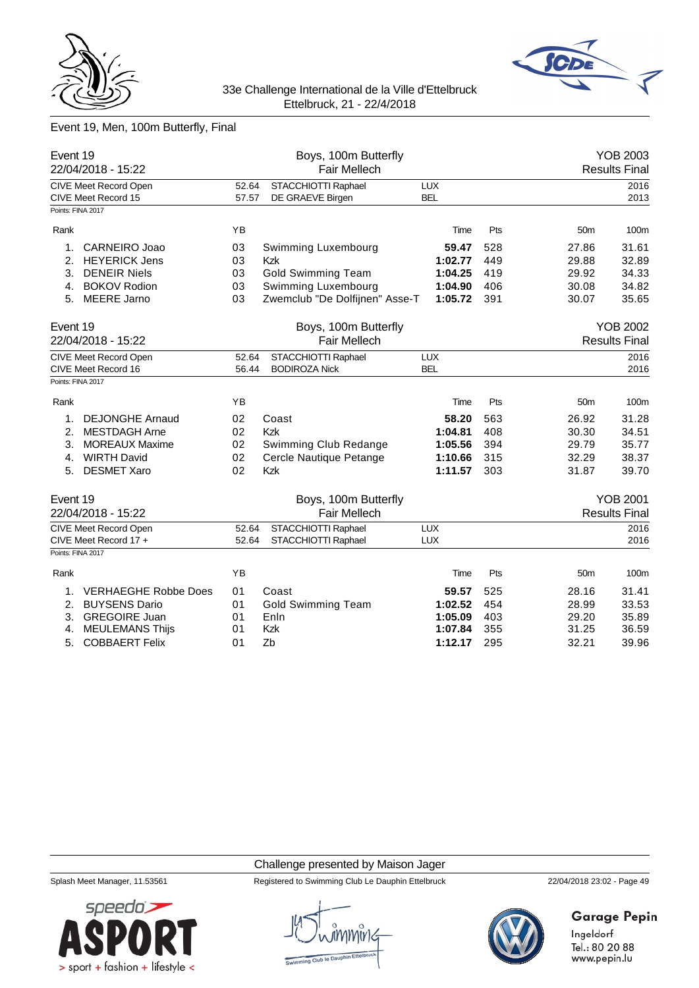



# Event 19, Men, 100m Butterfly, Final

| Event 19<br>22/04/2018 - 15:22                                    |                | Boys, 100m Butterfly<br><b>Fair Mellech</b> |                          |     |                      | <b>YOB 2003</b><br><b>Results Final</b> |  |
|-------------------------------------------------------------------|----------------|---------------------------------------------|--------------------------|-----|----------------------|-----------------------------------------|--|
| CIVE Meet Record Open<br>CIVE Meet Record 15<br>Points: FINA 2017 | 52.64<br>57.57 | STACCHIOTTI Raphael<br>DE GRAEVE Birgen     | <b>LUX</b><br><b>BEL</b> |     |                      | 2016<br>2013                            |  |
|                                                                   |                |                                             |                          |     |                      |                                         |  |
| Rank                                                              | YB             |                                             | Time                     | Pts | 50 <sub>m</sub>      | 100m                                    |  |
| 1.<br>CARNEIRO Joao                                               | 03             | Swimming Luxembourg                         | 59.47                    | 528 | 27.86                | 31.61                                   |  |
| 2.<br><b>HEYERICK Jens</b>                                        | 03             | Kzk                                         | 1:02.77                  | 449 | 29.88                | 32.89                                   |  |
| 3.<br><b>DENEIR Niels</b>                                         | 03             | <b>Gold Swimming Team</b>                   | 1:04.25                  | 419 | 29.92                | 34.33                                   |  |
| <b>BOKOV Rodion</b><br>4.                                         | 03             | Swimming Luxembourg                         | 1:04.90                  | 406 | 30.08                | 34.82                                   |  |
| <b>MEERE Jarno</b><br>5.                                          | 03             | Zwemclub "De Dolfijnen" Asse-T              | 1:05.72                  | 391 | 30.07                | 35.65                                   |  |
| Event 19                                                          |                | Boys, 100m Butterfly                        |                          |     |                      | <b>YOB 2002</b>                         |  |
| 22/04/2018 - 15:22                                                |                | Fair Mellech                                |                          |     | <b>Results Final</b> |                                         |  |
| <b>CIVE Meet Record Open</b><br>CIVE Meet Record 16               | 52.64<br>56.44 | STACCHIOTTI Raphael<br><b>BODIROZA Nick</b> | <b>LUX</b><br><b>BEL</b> |     |                      | 2016<br>2016                            |  |
| Points: FINA 2017                                                 |                |                                             |                          |     |                      |                                         |  |
| Rank                                                              | YB             |                                             | Time                     | Pts | 50 <sub>m</sub>      | 100m                                    |  |
| <b>DEJONGHE Arnaud</b><br>1.                                      | 02             | Coast                                       | 58.20                    | 563 | 26.92                | 31.28                                   |  |
| <b>MESTDAGH Arne</b><br>2.                                        | 02             | Kzk                                         | 1:04.81                  | 408 | 30.30                | 34.51                                   |  |
| 3.<br><b>MOREAUX Maxime</b>                                       | 02             | Swimming Club Redange                       | 1:05.56                  | 394 | 29.79                | 35.77                                   |  |
| <b>WIRTH David</b><br>4.                                          | 02             | Cercle Nautique Petange                     | 1:10.66                  | 315 | 32.29                | 38.37                                   |  |
| <b>DESMET Xaro</b><br>5.                                          | 02             | Kzk                                         | 1:11.57                  | 303 | 31.87                | 39.70                                   |  |
| Event 19                                                          |                | Boys, 100m Butterfly                        |                          |     |                      | <b>YOB 2001</b>                         |  |
| 22/04/2018 - 15:22                                                |                | <b>Fair Mellech</b>                         |                          |     |                      | <b>Results Final</b>                    |  |
| <b>CIVE Meet Record Open</b>                                      | 52.64          | STACCHIOTTI Raphael                         | <b>LUX</b>               |     |                      | 2016                                    |  |
| CIVE Meet Record 17 +                                             | 52.64          | STACCHIOTTI Raphael                         | <b>LUX</b>               |     |                      | 2016                                    |  |
| Points: FINA 2017                                                 |                |                                             |                          |     |                      |                                         |  |
| Rank                                                              | YB             |                                             | Time                     | Pts | 50 <sub>m</sub>      | 100m                                    |  |
| <b>VERHAEGHE Robbe Does</b><br>1.                                 | 01             | Coast                                       | 59.57                    | 525 | 28.16                | 31.41                                   |  |
| 2.<br><b>BUYSENS Dario</b>                                        | 01             | <b>Gold Swimming Team</b>                   | 1:02.52                  | 454 | 28.99                | 33.53                                   |  |
| <b>GREGOIRE Juan</b><br>3.                                        | 01             | Enln                                        | 1:05.09                  | 403 | 29.20                | 35.89                                   |  |
| <b>MEULEMANS Thijs</b><br>4.                                      | 01             | Kzk                                         | 1:07.84                  | 355 | 31.25                | 36.59                                   |  |
| <b>COBBAERT Felix</b><br>5.                                       | 01             | Zb                                          | 1:12.17                  | 295 | 32.21                | 39.96                                   |  |

#### Challenge presented by Maison Jager



Splash Meet Manager, 11.53561 Registered to Swimming Club Le Dauphin Ettelbruck 22/04/2018 23:02 - Page 49



# **Garage Pepin**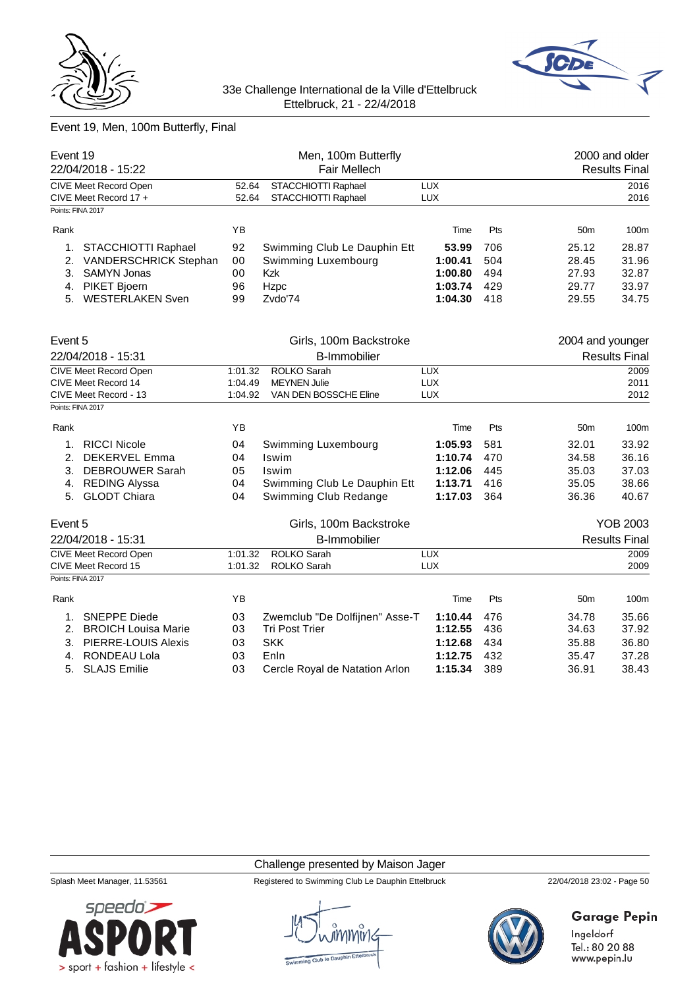



# Event 19, Men, 100m Butterfly, Final

| Event 19<br>22/04/2018 - 15:22 |                            | Men, 100m Butterfly<br>Fair Mellech |                                |            |     |                  | 2000 and older<br><b>Results Final</b> |
|--------------------------------|----------------------------|-------------------------------------|--------------------------------|------------|-----|------------------|----------------------------------------|
|                                | CIVE Meet Record Open      | 52.64                               | STACCHIOTTI Raphael            | <b>LUX</b> |     |                  | 2016                                   |
|                                | CIVE Meet Record 17 +      | 52.64                               | STACCHIOTTI Raphael            | <b>LUX</b> |     |                  | 2016                                   |
| Points: FINA 2017              |                            |                                     |                                |            |     |                  |                                        |
| Rank                           |                            | YB                                  |                                | Time       | Pts | 50 <sub>m</sub>  | 100m                                   |
| 1.                             | STACCHIOTTI Raphael        | 92                                  | Swimming Club Le Dauphin Ett   | 53.99      | 706 | 25.12            | 28.87                                  |
| 2.                             | VANDERSCHRICK Stephan      | 00                                  | Swimming Luxembourg            | 1:00.41    | 504 | 28.45            | 31.96                                  |
| 3.                             | <b>SAMYN Jonas</b>         | 00                                  | <b>Kzk</b>                     | 1:00.80    | 494 | 27.93            | 32.87                                  |
| 4.                             | PIKET Bjoern               | 96                                  | Hzpc                           | 1:03.74    | 429 | 29.77            | 33.97                                  |
| 5.                             | <b>WESTERLAKEN Sven</b>    | 99                                  | Zvdo'74                        | 1:04.30    | 418 | 29.55            | 34.75                                  |
| Event 5                        |                            |                                     | Girls, 100m Backstroke         |            |     | 2004 and younger |                                        |
| 22/04/2018 - 15:31             |                            | <b>B-Immobilier</b>                 |                                |            |     |                  | <b>Results Final</b>                   |
|                                | CIVE Meet Record Open      | 1:01.32                             | ROLKO Sarah                    | <b>LUX</b> |     |                  | 2009                                   |
|                                | CIVE Meet Record 14        | 1:04.49                             | <b>MEYNEN Julie</b>            | <b>LUX</b> |     |                  | 2011                                   |
|                                | CIVE Meet Record - 13      | 1:04.92                             | VAN DEN BOSSCHE Eline          | <b>LUX</b> |     |                  | 2012                                   |
| Points: FINA 2017              |                            |                                     |                                |            |     |                  |                                        |
| Rank                           |                            | YB                                  |                                | Time       | Pts | 50 <sub>m</sub>  | 100m                                   |
| 1.                             | <b>RICCI Nicole</b>        | 04                                  | Swimming Luxembourg            | 1:05.93    | 581 | 32.01            | 33.92                                  |
| 2.                             | <b>DEKERVEL Emma</b>       | 04                                  | Iswim                          | 1:10.74    | 470 | 34.58            | 36.16                                  |
| 3.                             | <b>DEBROUWER Sarah</b>     | 05                                  | <b>Iswim</b>                   | 1:12.06    | 445 | 35.03            | 37.03                                  |
| 4.                             | <b>REDING Alyssa</b>       | 04                                  | Swimming Club Le Dauphin Ett   | 1:13.71    | 416 | 35.05            | 38.66                                  |
|                                | 5. GLODT Chiara            | 04                                  | Swimming Club Redange          | 1:17.03    | 364 | 36.36            | 40.67                                  |
| Event 5                        |                            |                                     | Girls, 100m Backstroke         |            |     |                  | <b>YOB 2003</b>                        |
|                                | 22/04/2018 - 15:31         |                                     | <b>B-Immobilier</b>            |            |     |                  | <b>Results Final</b>                   |
|                                | CIVE Meet Record Open      | 1:01.32                             | ROLKO Sarah                    | <b>LUX</b> |     |                  | 2009                                   |
|                                | CIVE Meet Record 15        | 1:01.32                             | ROLKO Sarah                    | <b>LUX</b> |     |                  | 2009                                   |
|                                | Points: FINA 2017          |                                     |                                |            |     |                  |                                        |
| Rank                           |                            | YB                                  |                                | Time       | Pts | 50 <sub>m</sub>  | 100m                                   |
| 1.                             | <b>SNEPPE Diede</b>        | 03                                  | Zwemclub "De Dolfijnen" Asse-T | 1:10.44    | 476 | 34.78            | 35.66                                  |
|                                | 2. BROICH Louisa Marie     | 03                                  | <b>Tri Post Trier</b>          | 1:12.55    | 436 | 34.63            | 37.92                                  |
| 3.                             | <b>PIERRE-LOUIS Alexis</b> | 03                                  | <b>SKK</b>                     | 1:12.68    | 434 | 35.88            | 36.80                                  |
| 4.                             | <b>RONDEAU Lola</b>        | 03                                  | Enln                           | 1:12.75    | 432 | 35.47            | 37.28                                  |
| 5.                             | <b>SLAJS Emilie</b>        | 03                                  | Cercle Royal de Natation Arlon | 1:15.34    | 389 | 36.91            | 38.43                                  |

#### Challenge presented by Maison Jager

Splash Meet Manager, 11.53561 Registered to Swimming Club Le Dauphin Ettelbruck 22/04/2018 23:02 - Page 50



# **Garage Pepin**

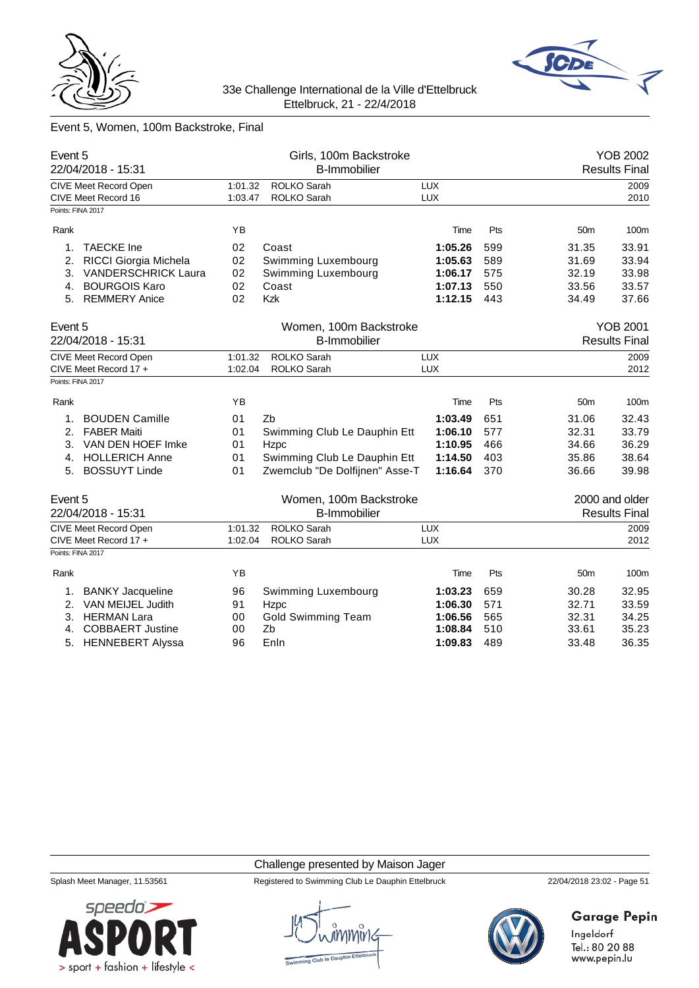



# Event 5, Women, 100m Backstroke, Final

| Event 5<br>22/04/2018 - 15:31 |                                                       |                    | Girls, 100m Backstroke<br><b>B-Immobilier</b> |                   |     |                 | <b>YOB 2002</b><br><b>Results Final</b> |
|-------------------------------|-------------------------------------------------------|--------------------|-----------------------------------------------|-------------------|-----|-----------------|-----------------------------------------|
|                               | CIVE Meet Record Open                                 | 1:01.32            | ROLKO Sarah                                   | <b>LUX</b>        |     |                 | 2009                                    |
|                               | CIVE Meet Record 16<br>Points: FINA 2017              | 1:03.47            | <b>ROLKO Sarah</b>                            | <b>LUX</b>        |     |                 | 2010                                    |
|                               |                                                       |                    |                                               |                   |     |                 |                                         |
| Rank                          |                                                       | YB                 |                                               | Time              | Pts | 50 <sub>m</sub> | 100m                                    |
| 1.                            | <b>TAECKE</b> Ine                                     | 02                 | Coast                                         | 1:05.26           | 599 | 31.35           | 33.91                                   |
| 2.                            | RICCI Giorgia Michela                                 | 02                 | Swimming Luxembourg                           | 1:05.63           | 589 | 31.69           | 33.94                                   |
| 3.                            | <b>VANDERSCHRICK Laura</b>                            | 02                 | Swimming Luxembourg                           | 1:06.17           | 575 | 32.19           | 33.98                                   |
| 4.                            | <b>BOURGOIS Karo</b>                                  | 02                 | Coast                                         | 1:07.13           | 550 | 33.56           | 33.57                                   |
|                               | 5. REMMERY Anice                                      | 02                 | <b>Kzk</b>                                    | 1:12.15           | 443 | 34.49           | 37.66                                   |
| Event 5                       |                                                       |                    | Women, 100m Backstroke                        |                   |     |                 | <b>YOB 2001</b>                         |
|                               | 22/04/2018 - 15:31                                    |                    | <b>B-Immobilier</b>                           |                   |     |                 | <b>Results Final</b>                    |
|                               | <b>CIVE Meet Record Open</b><br>CIVE Meet Record 17 + | 1:01.32<br>1:02.04 | <b>ROLKO Sarah</b><br><b>ROLKO Sarah</b>      | LUX<br><b>LUX</b> |     |                 | 2009<br>2012                            |
|                               | Points: FINA 2017                                     |                    |                                               |                   |     |                 |                                         |
|                               |                                                       |                    |                                               |                   |     |                 |                                         |
| Rank                          |                                                       | YB                 |                                               | Time              | Pts | 50 <sub>m</sub> | 100m                                    |
| 1.                            | <b>BOUDEN Camille</b>                                 | 01                 | Zb                                            | 1:03.49           | 651 | 31.06           | 32.43                                   |
| 2.                            | <b>FABER Maiti</b>                                    | 01                 | Swimming Club Le Dauphin Ett                  | 1:06.10           | 577 | 32.31           | 33.79                                   |
| 3.                            | VAN DEN HOEF Imke                                     | 01                 | Hzpc                                          | 1:10.95           | 466 | 34.66           | 36.29                                   |
| 4.                            | <b>HOLLERICH Anne</b>                                 | 01                 | Swimming Club Le Dauphin Ett                  | 1:14.50           | 403 | 35.86           | 38.64                                   |
| 5.                            | <b>BOSSUYT Linde</b>                                  | 01                 | Zwemclub "De Dolfijnen" Asse-T                | 1:16.64           | 370 | 36.66           | 39.98                                   |
| Event 5                       |                                                       |                    | Women, 100m Backstroke                        |                   |     |                 | 2000 and older                          |
|                               | 22/04/2018 - 15:31                                    |                    | <b>B-Immobilier</b>                           |                   |     |                 | <b>Results Final</b>                    |
|                               | <b>CIVE Meet Record Open</b>                          | 1:01.32            | ROLKO Sarah                                   | <b>LUX</b>        |     |                 | 2009                                    |
|                               | CIVE Meet Record 17 +                                 | 1:02.04            | <b>ROLKO Sarah</b>                            | <b>LUX</b>        |     |                 | 2012                                    |
| Points: FINA 2017             |                                                       |                    |                                               |                   |     |                 |                                         |
| Rank                          |                                                       | ΥB                 |                                               | Time              | Pts | 50 <sub>m</sub> | 100m                                    |
| 1.                            | <b>BANKY Jacqueline</b>                               | 96                 | Swimming Luxembourg                           | 1:03.23           | 659 | 30.28           | 32.95                                   |
| 2.                            | VAN MEIJEL Judith                                     | 91                 | Hzpc                                          | 1:06.30           | 571 | 32.71           | 33.59                                   |
| 3.                            | <b>HERMAN Lara</b>                                    | 00                 | <b>Gold Swimming Team</b>                     | 1:06.56           | 565 | 32.31           | 34.25                                   |
| 4.                            | <b>COBBAERT Justine</b>                               | 00                 | Zb                                            | 1:08.84           | 510 | 33.61           | 35.23                                   |
| 5.                            | <b>HENNEBERT Alyssa</b>                               | 96                 | Enln                                          | 1:09.83           | 489 | 33.48           | 36.35                                   |

### Challenge presented by Maison Jager

Splash Meet Manager, 11.53561 Registered to Swimming Club Le Dauphin Ettelbruck 22/04/2018 23:02 - Page 51



**Garage Pepin** 

Ingeldorf Tel.: 80 20 88 www.pepin.lu

 $s$ *peedo* $\geq$ 

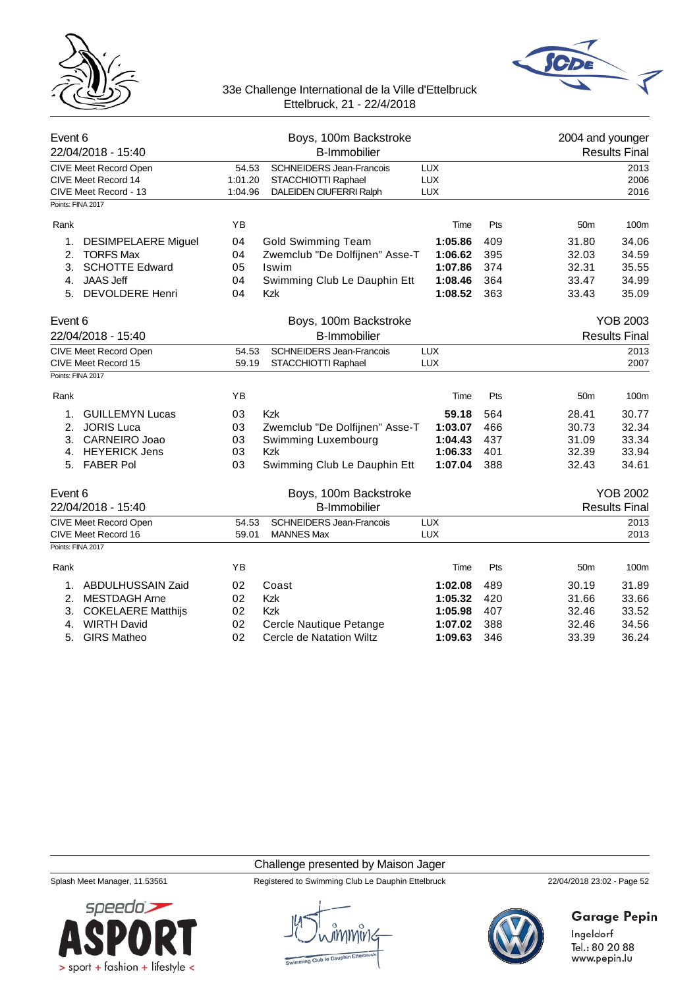



| Event 6<br>22/04/2018 - 15:40                                                              | Boys, 100m Backstroke<br><b>B-Immobilier</b> |                                                                                   |                                        |                      | 2004 and younger | <b>Results Final</b> |
|--------------------------------------------------------------------------------------------|----------------------------------------------|-----------------------------------------------------------------------------------|----------------------------------------|----------------------|------------------|----------------------|
| CIVE Meet Record Open<br>CIVE Meet Record 14<br>CIVE Meet Record - 13<br>Points: FINA 2017 | 54.53<br>1:01.20<br>1:04.96                  | <b>SCHNEIDERS Jean-Francois</b><br>STACCHIOTTI Raphael<br>DALEIDEN CIUFERRI Ralph | <b>LUX</b><br><b>LUX</b><br><b>LUX</b> |                      |                  | 2013<br>2006<br>2016 |
| Rank                                                                                       | YB                                           |                                                                                   | Time                                   | Pts                  | 50 <sub>m</sub>  | 100m                 |
| 1.                                                                                         | 04                                           |                                                                                   | 1:05.86                                | 409                  | 31.80            | 34.06                |
| <b>DESIMPELAERE Miguel</b><br>2.<br><b>TORFS Max</b>                                       | 04                                           | <b>Gold Swimming Team</b><br>Zwemclub "De Dolfijnen" Asse-T                       | 1:06.62                                | 395                  | 32.03            | 34.59                |
| <b>SCHOTTE Edward</b><br>3.                                                                | 05                                           | Iswim                                                                             | 1:07.86                                | 374                  | 32.31            | 35.55                |
| <b>JAAS Jeff</b><br>4.                                                                     | 04                                           | Swimming Club Le Dauphin Ett                                                      | 1:08.46                                | 364                  | 33.47            | 34.99                |
| <b>DEVOLDERE Henri</b><br>5.                                                               | 04                                           | Kzk                                                                               | 1:08.52                                | 363                  | 33.43            | 35.09                |
| Event 6                                                                                    |                                              | Boys, 100m Backstroke                                                             |                                        |                      |                  | <b>YOB 2003</b>      |
| 22/04/2018 - 15:40                                                                         |                                              | <b>B-Immobilier</b>                                                               |                                        | <b>Results Final</b> |                  |                      |
| CIVE Meet Record Open                                                                      | 54.53                                        | SCHNEIDERS Jean-Francois                                                          | <b>LUX</b>                             |                      |                  | 2013                 |
| CIVE Meet Record 15                                                                        | 59.19                                        | STACCHIOTTI Raphael                                                               | <b>LUX</b>                             |                      |                  | 2007                 |
| Points: FINA 2017                                                                          |                                              |                                                                                   |                                        |                      |                  |                      |
| Rank                                                                                       | YB                                           |                                                                                   | Time                                   | Pts                  | 50 <sub>m</sub>  | 100m                 |
| <b>GUILLEMYN Lucas</b><br>1.                                                               | 03                                           | <b>Kzk</b>                                                                        | 59.18                                  | 564                  | 28.41            | 30.77                |
| <b>JORIS Luca</b><br>2.                                                                    | 03                                           | Zwemclub "De Dolfijnen" Asse-T                                                    | 1:03.07                                | 466                  | 30.73            | 32.34                |
| CARNEIRO Joao<br>3.                                                                        | 03                                           | Swimming Luxembourg                                                               | 1:04.43                                | 437                  | 31.09            | 33.34                |
| <b>HEYERICK Jens</b><br>4.                                                                 | 03                                           | <b>Kzk</b>                                                                        | 1:06.33                                | 401                  | 32.39            | 33.94                |
| 5. FABER Pol                                                                               | 03                                           | Swimming Club Le Dauphin Ett                                                      | 1:07.04                                | 388                  | 32.43            | 34.61                |
| Event 6                                                                                    |                                              | Boys, 100m Backstroke                                                             |                                        |                      |                  | <b>YOB 2002</b>      |
| 22/04/2018 - 15:40                                                                         |                                              | <b>B-Immobilier</b>                                                               |                                        |                      |                  | <b>Results Final</b> |
| <b>CIVE Meet Record Open</b>                                                               | 54.53                                        | <b>SCHNEIDERS Jean-Francois</b>                                                   | <b>LUX</b>                             |                      |                  | 2013                 |
| CIVE Meet Record 16                                                                        | 59.01                                        | <b>MANNES Max</b>                                                                 | <b>LUX</b>                             |                      |                  | 2013                 |
| Points: FINA 2017                                                                          |                                              |                                                                                   |                                        |                      |                  |                      |
| Rank                                                                                       | ΥB                                           |                                                                                   | Time                                   | Pts                  | 50 <sub>m</sub>  | 100m                 |
| ABDULHUSSAIN Zaid<br>1.                                                                    | 02                                           | Coast                                                                             | 1:02.08                                | 489                  | 30.19            | 31.89                |
| 2.<br><b>MESTDAGH Arne</b>                                                                 | 02                                           | Kzk                                                                               | 1:05.32                                | 420                  | 31.66            | 33.66                |
| <b>COKELAERE Matthijs</b><br>3.                                                            | 02                                           | Kzk                                                                               | 1:05.98                                | 407                  | 32.46            | 33.52                |
| <b>WIRTH David</b><br>4.                                                                   | 02                                           | Cercle Nautique Petange                                                           | 1:07.02                                | 388                  | 32.46            | 34.56                |
| 5.<br><b>GIRS Matheo</b>                                                                   | 02                                           | Cercle de Natation Wiltz                                                          | 1:09.63                                | 346                  | 33.39            | 36.24                |

Challenge presented by Maison Jager



Splash Meet Manager, 11.53561 Registered to Swimming Club Le Dauphin Ettelbruck 22/04/2018 23:02 - Page 52



# Garage Pepin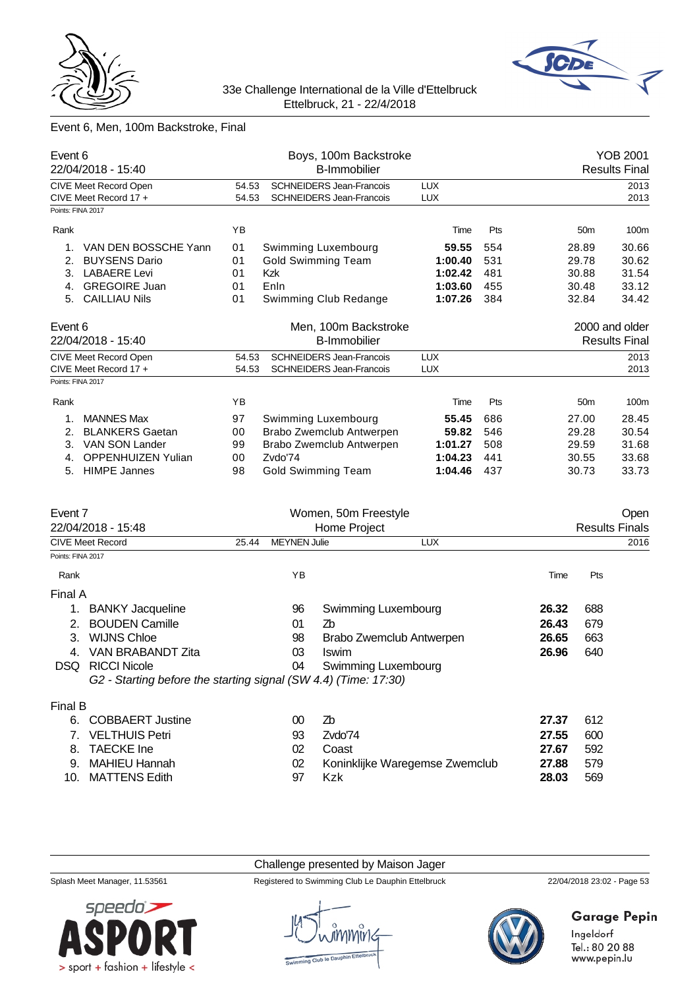



# Event 6, Men, 100m Backstroke, Final

| Event 6<br>22/04/2018 - 15:40 |                              |                                          | Boys, 100m Backstroke<br><b>B-Immobilier</b> |            |     |                 | YOB 2001<br><b>Results Final</b> |
|-------------------------------|------------------------------|------------------------------------------|----------------------------------------------|------------|-----|-----------------|----------------------------------|
|                               | CIVE Meet Record Open        | <b>SCHNEIDERS Jean-Francois</b><br>54.53 |                                              | <b>LUX</b> |     |                 | 2013                             |
|                               | CIVE Meet Record 17 +        | 54.53                                    | <b>SCHNEIDERS Jean-Francois</b>              | <b>LUX</b> |     |                 | 2013                             |
|                               | Points: FINA 2017            |                                          |                                              |            |     |                 |                                  |
| Rank                          |                              | YB                                       |                                              | Time       | Pts | 50 <sub>m</sub> | 100m                             |
| 1.                            | VAN DEN BOSSCHE Yann         | 01                                       | Swimming Luxembourg                          | 59.55      | 554 | 28.89           | 30.66                            |
| 2.                            | <b>BUYSENS Dario</b>         | 01                                       | <b>Gold Swimming Team</b>                    | 1:00.40    | 531 | 29.78           | 30.62                            |
| 3.                            | <b>LABAERE Levi</b>          | 01                                       | <b>Kzk</b>                                   | 1:02.42    | 481 | 30.88           | 31.54                            |
| 4.                            | <b>GREGOIRE Juan</b>         | 01                                       | Enln                                         | 1:03.60    | 455 | 30.48           | 33.12                            |
| 5.                            | <b>CAILLIAU Nils</b>         | 01                                       | Swimming Club Redange                        | 1:07.26    | 384 | 32.84           | 34.42                            |
| Event 6                       |                              |                                          | Men, 100m Backstroke                         |            |     |                 | 2000 and older                   |
| 22/04/2018 - 15:40            |                              |                                          | <b>B-Immobilier</b>                          |            |     |                 | <b>Results Final</b>             |
|                               | <b>CIVE Meet Record Open</b> | <b>SCHNEIDERS Jean-Francois</b><br>54.53 |                                              | <b>LUX</b> |     |                 | 2013                             |
|                               | CIVE Meet Record 17 +        | 54.53                                    | <b>SCHNEIDERS Jean-Francois</b>              | <b>LUX</b> |     |                 | 2013                             |
|                               | Points: FINA 2017            |                                          |                                              |            |     |                 |                                  |
| Rank                          |                              | YB                                       |                                              | Time       | Pts | 50 <sub>m</sub> | 100m                             |
| $\mathbf 1$                   | <b>MANNES Max</b>            | 97                                       | Swimming Luxembourg                          | 55.45      | 686 | 27.00           | 28.45                            |
| 2.                            | <b>BLANKERS Gaetan</b>       | 00                                       | Brabo Zwemclub Antwerpen                     | 59.82      | 546 | 29.28           | 30.54                            |
| 3.                            | VAN SON Lander               | 99                                       | Brabo Zwemclub Antwerpen                     | 1:01.27    | 508 | 29.59           | 31.68                            |
| 4.                            | <b>OPPENHUIZEN Yulian</b>    | 00                                       | Zvdo'74                                      | 1:04.23    | 441 | 30.55           | 33.68                            |
| 5.                            | <b>HIMPE Jannes</b>          | 98                                       | Gold Swimming Team                           | 1:04.46    | 437 | 30.73           | 33.73                            |
| Event 7                       |                              |                                          | Women, 50m Freestyle                         |            |     |                 | Open                             |

|                         |                                                                 |                              |              | -Pu                      |       |      |
|-------------------------|-----------------------------------------------------------------|------------------------------|--------------|--------------------------|-------|------|
|                         | 22/04/2018 - 15:48                                              |                              | Home Project | <b>Results Finals</b>    |       |      |
| <b>CIVE Meet Record</b> |                                                                 | <b>MEYNEN Julie</b><br>25.44 |              | <b>LUX</b>               |       | 2016 |
| Points: FINA 2017       |                                                                 |                              |              |                          |       |      |
| Rank                    |                                                                 |                              | ΥB           |                          | Time  | Pts  |
| Final A                 |                                                                 |                              |              |                          |       |      |
|                         | <b>BANKY</b> Jacqueline                                         |                              | 96           | Swimming Luxembourg      | 26.32 | 688  |
|                         | <b>BOUDEN Camille</b>                                           |                              | 01           | Zb                       | 26.43 | 679  |
| 3.                      | <b>WIJNS Chloe</b>                                              |                              | 98           | Brabo Zwemclub Antwerpen | 26.65 | 663  |
| 4.                      | VAN BRABANDT Zita                                               |                              | 03           | <b>Iswim</b>             | 26.96 | 640  |
| DSQ.                    | <b>RICCI Nicole</b>                                             |                              | 04           | Swimming Luxembourg      |       |      |
|                         | G2 - Starting before the starting signal (SW 4.4) (Time: 17:30) |                              |              |                          |       |      |
| Final B                 |                                                                 |                              |              |                          |       |      |
| 6.                      | <b>COBBAERT Justine</b>                                         |                              | 00           | Zb                       | 27.37 | 612  |
|                         | <b>VELTHUIS Petri</b>                                           |                              | 93           | Zvdo'74                  | 27.55 | 600  |

| 7. VELTHUIS Petri | 93 | Zvdo'74                           | 27.55 | -600  |
|-------------------|----|-----------------------------------|-------|-------|
| 8. TAECKE Ine     | 02 | Coast                             | 27.67 | -592  |
| 9. MAHIEU Hannah  |    | 02 Koninklijke Waregemse Zwemclub | 27.88 | - 579 |
| 10. MATTENS Edith | 97 | Kzk                               | 28.03 | -569  |

Challenge presented by Maison Jager

Splash Meet Manager, 11.53561 Registered to Swimming Club Le Dauphin Ettelbruck 22/04/2018 23:02 - Page 53





# Garage Pepin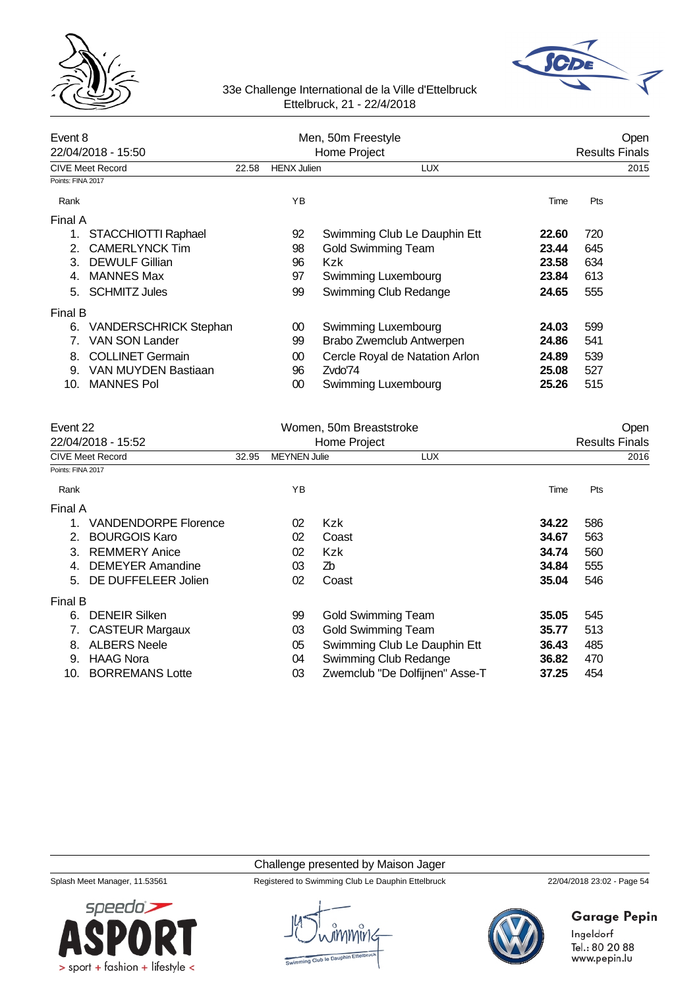



| Event 8<br>22/04/2018 - 15:50 |                              |       | Men, 50m Freestyle<br>Home Project | Open<br><b>Results Finals</b>  |       |      |
|-------------------------------|------------------------------|-------|------------------------------------|--------------------------------|-------|------|
|                               | <b>CIVE Meet Record</b>      | 22.58 | <b>HENX Julien</b>                 | <b>LUX</b>                     |       | 2015 |
| Points: FINA 2017             |                              |       |                                    |                                |       |      |
| Rank                          |                              |       | YB                                 |                                | Time  | Pts  |
| Final A                       |                              |       |                                    |                                |       |      |
| 1.                            | STACCHIOTTI Raphael          |       | 92                                 | Swimming Club Le Dauphin Ett   | 22.60 | 720  |
| 2.                            | <b>CAMERLYNCK Tim</b>        |       | 98                                 | <b>Gold Swimming Team</b>      | 23.44 | 645  |
| 3                             | <b>DEWULF Gillian</b>        |       | 96                                 | Kzk                            | 23.58 | 634  |
| 4.                            | <b>MANNES Max</b>            |       | 97                                 | Swimming Luxembourg            | 23.84 | 613  |
| 5.                            | <b>SCHMITZ Jules</b>         |       | 99                                 | Swimming Club Redange          | 24.65 | 555  |
| Final B                       |                              |       |                                    |                                |       |      |
| 6.                            | <b>VANDERSCHRICK Stephan</b> |       | 00                                 | Swimming Luxembourg            | 24.03 | 599  |
| 7.                            | <b>VAN SON Lander</b>        |       | 99                                 | Brabo Zwemclub Antwerpen       | 24.86 | 541  |
| 8.                            | <b>COLLINET Germain</b>      |       | 00                                 | Cercle Royal de Natation Arlon | 24.89 | 539  |
| 9.                            | VAN MUYDEN Bastiaan          |       | 96                                 | Zvdo'74                        | 25.08 | 527  |
| 10.                           | <b>MANNES Pol</b>            |       | 00                                 | Swimming Luxembourg            | 25.26 | 515  |

| Event 22          |                             |       |                     | Women, 50m Breaststroke        | Open                  |      |  |  |
|-------------------|-----------------------------|-------|---------------------|--------------------------------|-----------------------|------|--|--|
|                   | 22/04/2018 - 15:52          |       |                     | Home Project                   | <b>Results Finals</b> |      |  |  |
|                   | <b>CIVE Meet Record</b>     | 32.95 | <b>MEYNEN Julie</b> | <b>LUX</b>                     |                       | 2016 |  |  |
| Points: FINA 2017 |                             |       |                     |                                |                       |      |  |  |
| Rank              |                             |       | YB                  |                                | Time                  | Pts  |  |  |
| Final A           |                             |       |                     |                                |                       |      |  |  |
| 1.                | <b>VANDENDORPE Florence</b> |       | 02                  | Kzk                            | 34.22                 | 586  |  |  |
| 2.                | <b>BOURGOIS Karo</b>        |       | 02                  | Coast                          | 34.67                 | 563  |  |  |
| 3.                | <b>REMMERY Anice</b>        |       | 02                  | <b>Kzk</b>                     | 34.74                 | 560  |  |  |
| 4.                | <b>DEMEYER Amandine</b>     |       | 03                  | Zb                             | 34.84                 | 555  |  |  |
| 5.                | DE DUFFELEER Jolien         |       | 02                  | Coast                          | 35.04                 | 546  |  |  |
| Final B           |                             |       |                     |                                |                       |      |  |  |
| 6.                | <b>DENEIR Silken</b>        |       | 99                  | <b>Gold Swimming Team</b>      | 35.05                 | 545  |  |  |
|                   | <b>CASTEUR Margaux</b>      |       | 03                  | <b>Gold Swimming Team</b>      | 35.77                 | 513  |  |  |
| 8.                | <b>ALBERS Neele</b>         |       | 05                  | Swimming Club Le Dauphin Ett   | 36.43                 | 485  |  |  |
| 9.                | <b>HAAG Nora</b>            |       | 04                  | Swimming Club Redange          | 36.82                 | 470  |  |  |
| 10.               | <b>BORREMANS Lotte</b>      |       | 03                  | Zwemclub "De Dolfijnen" Asse-T | 37.25                 | 454  |  |  |

## Challenge presented by Maison Jager

Splash Meet Manager, 11.53561 Registered to Swimming Club Le Dauphin Ettelbruck 22/04/2018 23:02 - Page 54

# Garage Pepin

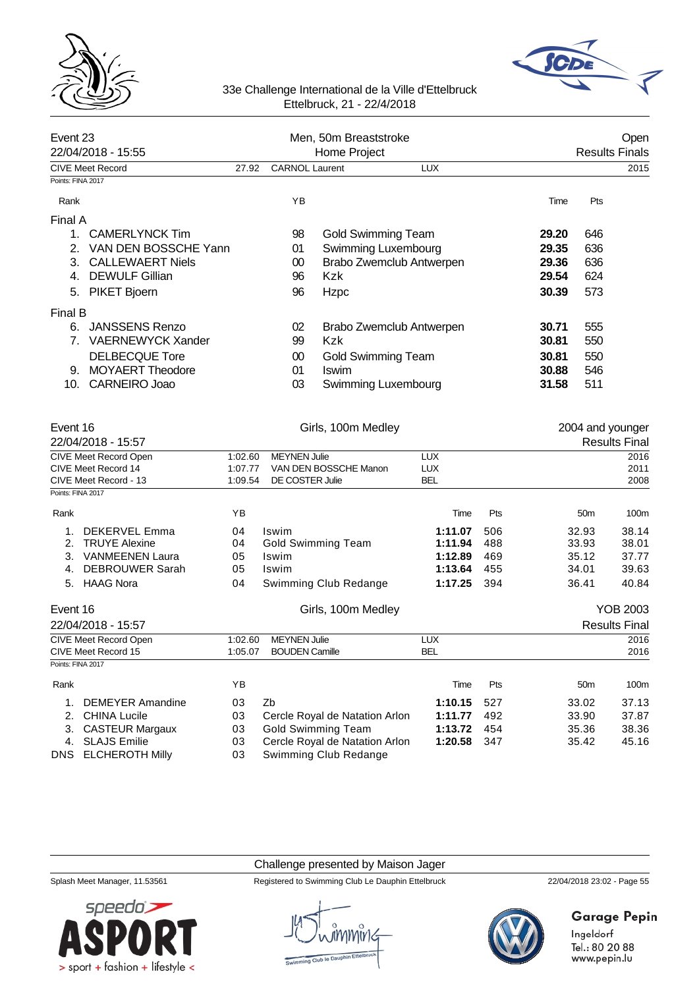



| Event 23<br>22/04/2018 - 15:55 |                                              |                    | Men, 50m Breaststroke                        |                                |                   | Open<br><b>Results Finals</b> |       |                 |                                          |
|--------------------------------|----------------------------------------------|--------------------|----------------------------------------------|--------------------------------|-------------------|-------------------------------|-------|-----------------|------------------------------------------|
|                                | <b>CIVE Meet Record</b>                      | 27.92              | <b>CARNOL</b> Laurent                        | Home Project                   | <b>LUX</b>        |                               |       |                 | 2015                                     |
| Points: FINA 2017              |                                              |                    |                                              |                                |                   |                               |       |                 |                                          |
| Rank                           |                                              |                    | YB                                           |                                |                   |                               | Time  | Pts             |                                          |
| Final A                        |                                              |                    |                                              |                                |                   |                               |       |                 |                                          |
| 1.                             | <b>CAMERLYNCK Tim</b>                        |                    | 98                                           | <b>Gold Swimming Team</b>      |                   |                               | 29.20 | 646             |                                          |
|                                | 2. VAN DEN BOSSCHE Yann                      |                    | 01                                           | Swimming Luxembourg            |                   |                               | 29.35 | 636             |                                          |
| 3.                             | <b>CALLEWAERT Niels</b>                      |                    | 00                                           | Brabo Zwemclub Antwerpen       |                   |                               | 29.36 | 636             |                                          |
| 4.                             | <b>DEWULF Gillian</b>                        |                    | 96                                           | <b>Kzk</b>                     |                   |                               | 29.54 | 624             |                                          |
| 5.                             | PIKET Bjoern                                 |                    | 96                                           | Hzpc                           |                   |                               | 30.39 | 573             |                                          |
|                                |                                              |                    |                                              |                                |                   |                               |       |                 |                                          |
| Final B                        |                                              |                    |                                              |                                |                   |                               |       |                 |                                          |
|                                | 6. JANSSENS Renzo                            |                    | 02                                           | Brabo Zwemclub Antwerpen       |                   |                               | 30.71 | 555             |                                          |
|                                | 7. VAERNEWYCK Xander                         |                    | 99                                           | <b>Kzk</b>                     |                   |                               | 30.81 | 550             |                                          |
|                                | <b>DELBECQUE Tore</b>                        |                    | $00\,$                                       | <b>Gold Swimming Team</b>      |                   |                               | 30.81 | 550             |                                          |
|                                | 9. MOYAERT Theodore                          |                    | 01                                           | <b>Iswim</b>                   |                   |                               | 30.88 | 546             |                                          |
| 10.                            | CARNEIRO Joao                                |                    | 03                                           | Swimming Luxembourg            |                   |                               | 31.58 | 511             |                                          |
| Event 16                       | 22/04/2018 - 15:57                           |                    |                                              | Girls, 100m Medley             |                   |                               |       |                 | 2004 and younger<br><b>Results Final</b> |
|                                | CIVE Meet Record Open                        | 1:02.60            | <b>MEYNEN Julie</b>                          |                                | <b>LUX</b>        |                               |       |                 | 2016                                     |
|                                | CIVE Meet Record 14                          | 1:07.77            |                                              | VAN DEN BOSSCHE Manon          | <b>LUX</b>        |                               |       |                 | 2011                                     |
|                                | CIVE Meet Record - 13                        | 1:09.54            | DE COSTER Julie                              |                                | <b>BEL</b>        |                               |       |                 | 2008                                     |
| Points: FINA 2017              |                                              |                    |                                              |                                |                   |                               |       |                 |                                          |
| Rank                           |                                              | ΥB                 |                                              |                                | Time              | Pts                           |       | 50 <sub>m</sub> | 100m                                     |
| 1.                             | DEKERVEL Emma                                | 04                 | <b>Iswim</b>                                 |                                | 1:11.07           | 506                           |       | 32.93           | 38.14                                    |
| 2.                             | <b>TRUYE Alexine</b>                         | 04                 |                                              | <b>Gold Swimming Team</b>      | 1:11.94           | 488                           |       | 33.93           | 38.01                                    |
|                                | 3. VANMEENEN Laura                           | 05                 | Iswim                                        |                                | 1:12.89           | 469                           |       | 35.12           | 37.77                                    |
| 4.                             | <b>DEBROUWER Sarah</b>                       | 05                 | Iswim                                        |                                | 1:13.64           | 455                           |       | 34.01           | 39.63                                    |
| 5.                             | <b>HAAG Nora</b>                             | 04                 |                                              | Swimming Club Redange          | 1:17.25           | 394                           |       | 36.41           | 40.84                                    |
| Event 16                       |                                              |                    |                                              | Girls, 100m Medley             |                   |                               |       |                 | <b>YOB 2003</b>                          |
|                                | 22/04/2018 - 15:57                           |                    |                                              |                                |                   |                               |       |                 | <b>Results Final</b>                     |
|                                | CIVE Meet Record Open<br>CIVE Meet Record 15 | 1:02.60<br>1:05.07 | <b>MEYNEN Julie</b><br><b>BOUDEN Camille</b> |                                | <b>LUX</b><br>BEL |                               |       |                 | 2016<br>2016                             |
| Points: FINA 2017              |                                              |                    |                                              |                                |                   |                               |       |                 |                                          |
| Rank                           |                                              | YB                 |                                              |                                | Time              | Pts                           |       | 50 <sub>m</sub> | 100m                                     |
| 1.                             | DEMEYER Amandine                             | 03                 | Zb                                           |                                | 1:10.15           | 527                           |       | 33.02           | 37.13                                    |
| 2.                             | <b>CHINA Lucile</b>                          | 03                 |                                              | Cercle Royal de Natation Arlon | 1:11.77           | 492                           |       | 33.90           | 37.87                                    |
| 3.                             | <b>CASTEUR Margaux</b>                       | 03                 |                                              | <b>Gold Swimming Team</b>      | 1:13.72           | 454                           |       | 35.36           | 38.36                                    |
| 4.                             | <b>SLAJS Emilie</b>                          | 03                 |                                              | Cercle Royal de Natation Arlon | 1:20.58           | 347                           |       | 35.42           | 45.16                                    |
| DNS.                           | <b>ELCHEROTH Milly</b>                       | 03                 |                                              | Swimming Club Redange          |                   |                               |       |                 |                                          |

Challenge presented by Maison Jager



Splash Meet Manager, 11.53561 Registered to Swimming Club Le Dauphin Ettelbruck 22/04/2018 23:02 - Page 55



# Garage Pepin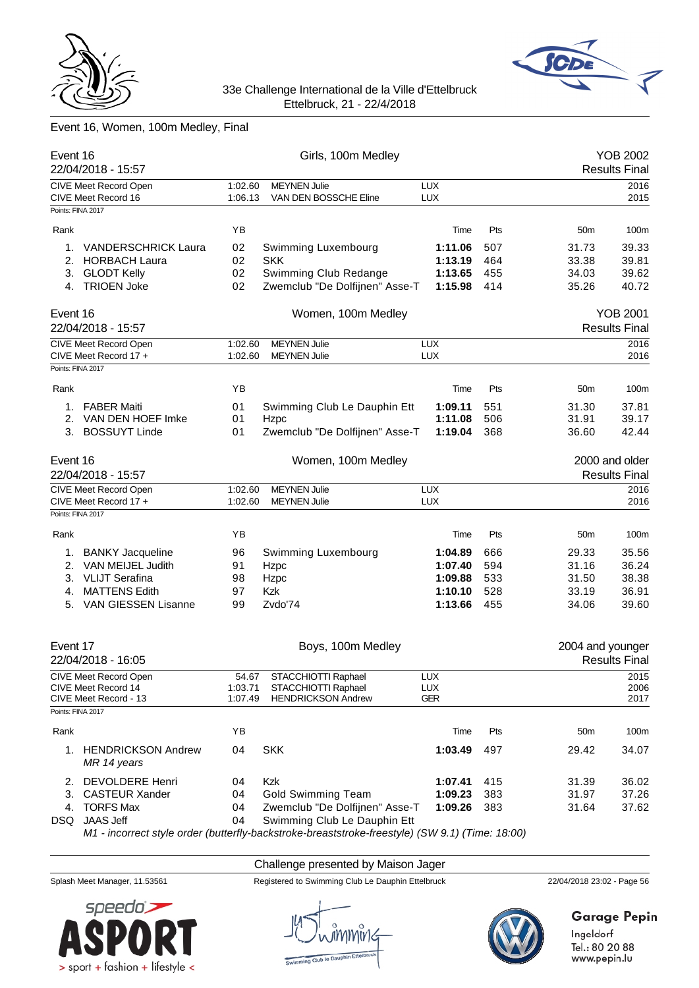



# Event 16, Women, 100m Medley, Final

| Event 16          |                                      |         | Girls, 100m Medley             |            |     |                  | <b>YOB 2002</b>      |
|-------------------|--------------------------------------|---------|--------------------------------|------------|-----|------------------|----------------------|
|                   | 22/04/2018 - 15:57                   |         |                                |            |     |                  | <b>Results Final</b> |
|                   | CIVE Meet Record Open                | 1:02.60 | <b>MEYNEN Julie</b>            | <b>LUX</b> |     |                  | 2016                 |
| Points: FINA 2017 | CIVE Meet Record 16                  | 1:06.13 | VAN DEN BOSSCHE Eline          | <b>LUX</b> |     |                  | 2015                 |
|                   |                                      |         |                                |            |     |                  |                      |
| Rank              |                                      | YB      |                                | Time       | Pts | 50 <sub>m</sub>  | 100m                 |
| 1.                | <b>VANDERSCHRICK Laura</b>           | 02      | Swimming Luxembourg            | 1:11.06    | 507 | 31.73            | 39.33                |
| 2.                | <b>HORBACH Laura</b>                 | 02      | <b>SKK</b>                     | 1:13.19    | 464 | 33.38            | 39.81                |
| 3.                | <b>GLODT Kelly</b>                   | 02      | Swimming Club Redange          | 1:13.65    | 455 | 34.03            | 39.62                |
|                   | 4. TRIOEN Joke                       | 02      | Zwemclub "De Dolfijnen" Asse-T | 1:15.98    | 414 | 35.26            | 40.72                |
|                   |                                      |         |                                |            |     |                  |                      |
| Event 16          |                                      |         | Women, 100m Medley             |            |     |                  | <b>YOB 2001</b>      |
|                   | 22/04/2018 - 15:57                   |         |                                |            |     |                  | <b>Results Final</b> |
|                   | CIVE Meet Record Open                | 1:02.60 | <b>MEYNEN Julie</b>            | <b>LUX</b> |     |                  | 2016                 |
|                   | CIVE Meet Record 17 +                | 1:02.60 | <b>MEYNEN Julie</b>            | <b>LUX</b> |     |                  | 2016                 |
| Points: FINA 2017 |                                      |         |                                |            |     |                  |                      |
|                   |                                      |         |                                |            |     |                  |                      |
| Rank              |                                      | YB      |                                | Time       | Pts | 50 <sub>m</sub>  | 100m                 |
| 1.                | <b>FABER Maiti</b>                   | 01      | Swimming Club Le Dauphin Ett   | 1:09.11    | 551 | 31.30            | 37.81                |
| 2.                | VAN DEN HOEF Imke                    | 01      | Hzpc                           | 1:11.08    | 506 | 31.91            | 39.17                |
| 3.                | <b>BOSSUYT Linde</b>                 | 01      | Zwemclub "De Dolfijnen" Asse-T | 1:19.04    | 368 | 36.60            | 42.44                |
| Event 16          |                                      |         | Women, 100m Medley             |            |     |                  | 2000 and older       |
|                   | 22/04/2018 - 15:57                   |         |                                |            |     |                  | <b>Results Final</b> |
|                   | CIVE Meet Record Open                | 1:02.60 | <b>MEYNEN Julie</b>            | <b>LUX</b> |     |                  | 2016                 |
|                   | CIVE Meet Record 17 +                | 1:02.60 | <b>MEYNEN Julie</b>            | <b>LUX</b> |     |                  | 2016                 |
| Points: FINA 2017 |                                      |         |                                |            |     |                  |                      |
| Rank              |                                      | YB      |                                | Time       | Pts | 50 <sub>m</sub>  | 100m                 |
|                   |                                      |         |                                |            |     |                  |                      |
| 1.                | <b>BANKY Jacqueline</b>              | 96      | Swimming Luxembourg            | 1:04.89    | 666 | 29.33            | 35.56                |
| 2.                | VAN MEIJEL Judith                    | 91      | Hzpc                           | 1:07.40    | 594 | 31.16            | 36.24                |
| 3.                | <b>VLIJT Serafina</b>                | 98      | Hzpc                           | 1:09.88    | 533 | 31.50            | 38.38                |
| 4.                | <b>MATTENS Edith</b>                 | 97      | <b>Kzk</b>                     | 1:10.10    | 528 | 33.19            | 36.91                |
|                   | 5. VAN GIESSEN Lisanne               | 99      | Zvdo'74                        | 1:13.66    | 455 | 34.06            | 39.60                |
| Event 17          |                                      |         | Boys, 100m Medley              |            |     | 2004 and younger |                      |
|                   | 22/04/2018 - 16:05                   |         |                                |            |     |                  | <b>Results Final</b> |
|                   | CIVE Meet Record Open                | 54.67   | STACCHIOTTI Raphael            | <b>LUX</b> |     |                  | 2015                 |
|                   | CIVE Meet Record 14                  | 1:03.71 | STACCHIOTTI Raphael            | LUX        |     |                  | 2006                 |
|                   | CIVE Meet Record - 13                | 1:07.49 | <b>HENDRICKSON Andrew</b>      | <b>GER</b> |     |                  | 2017                 |
| Points: FINA 2017 |                                      |         |                                |            |     |                  |                      |
| Rank              |                                      | YB      |                                | Time       | Pts | 50m              | 100m                 |
|                   | 1. HENDRICKSON Andrew<br>MR 14 years | 04      | <b>SKK</b>                     | 1:03.49    | 497 | 29.42            | 34.07                |
| 2.                | DEVOLDERE Henri                      | 04      | Kzk                            | 1:07.41    | 415 | 31.39            | 36.02                |
| 3.                | <b>CASTEUR Xander</b>                | 04      | <b>Gold Swimming Team</b>      | 1:09.23    | 383 | 31.97            | 37.26                |
| 4.                | <b>TORFS Max</b>                     | 04      | Zwemclub "De Dolfijnen" Asse-T | 1:09.26    | 383 | 31.64            | 37.62                |
| DSQ               | JAAS Jeff                            | 04      | Swimming Club Le Dauphin Ett   |            |     |                  |                      |

*M1 - incorrect style order (butterfly-backstroke-breaststroke-freestyle) (SW 9.1) (Time: 18:00)*

# Challenge presented by Maison Jager

Splash Meet Manager, 11.53561 Registered to Swimming Club Le Dauphin Ettelbruck 22/04/2018 23:02 - Page 56

Ingeldorf Tel.: 80 20 88 www.pepin.lu

**Garage Pepin** 



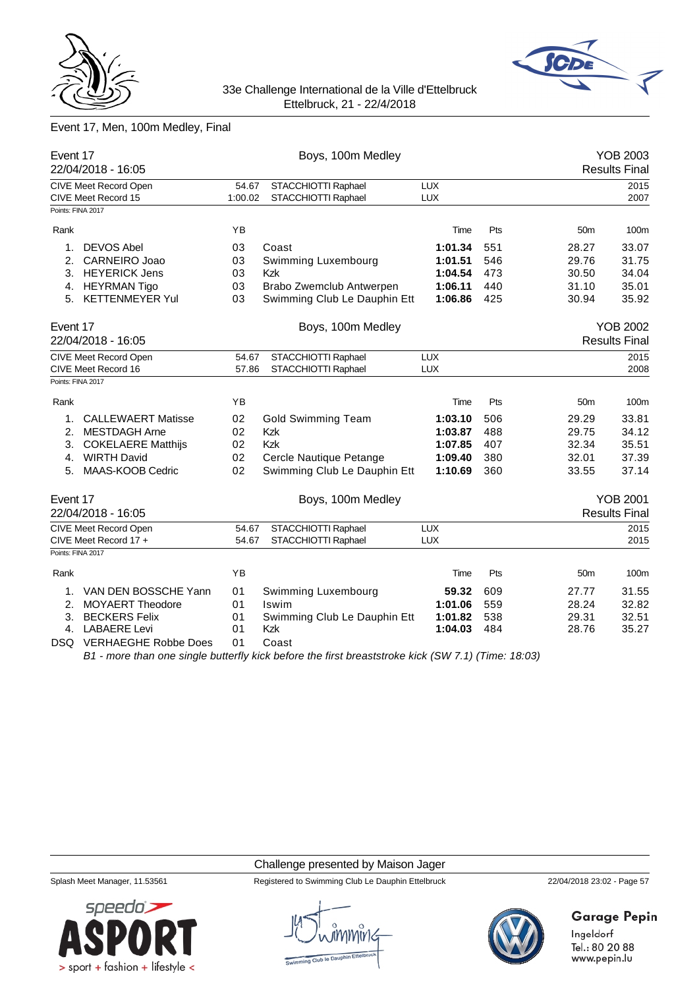



# Event 17, Men, 100m Medley, Final

| Event 17          | 22/04/2018 - 16:05                           |                  | Boys, 100m Medley                                                                                    | <b>YOB 2003</b><br><b>Results Final</b> |     |                 |                      |
|-------------------|----------------------------------------------|------------------|------------------------------------------------------------------------------------------------------|-----------------------------------------|-----|-----------------|----------------------|
|                   | CIVE Meet Record Open<br>CIVE Meet Record 15 | 54.67<br>1:00.02 | STACCHIOTTI Raphael<br>STACCHIOTTI Raphael                                                           | LUX<br><b>LUX</b>                       |     |                 | 2015<br>2007         |
| Points: FINA 2017 |                                              |                  |                                                                                                      |                                         |     |                 |                      |
| Rank              |                                              | ΥB               |                                                                                                      | Time                                    | Pts | 50 <sub>m</sub> | 100m                 |
| 1.                | <b>DEVOS Abel</b>                            | 03               | Coast                                                                                                | 1:01.34                                 | 551 | 28.27           | 33.07                |
| 2.                | CARNEIRO Joao                                | 03               | Swimming Luxembourg                                                                                  | 1:01.51                                 | 546 | 29.76           | 31.75                |
| З.                | <b>HEYERICK Jens</b>                         | 03               | <b>Kzk</b>                                                                                           | 1:04.54                                 | 473 | 30.50           | 34.04                |
| 4.                | <b>HEYRMAN Tigo</b>                          | 03               | Brabo Zwemclub Antwerpen                                                                             | 1:06.11                                 | 440 | 31.10           | 35.01                |
| 5.                | <b>KETTENMEYER Yul</b>                       | 03               | Swimming Club Le Dauphin Ett                                                                         | 1:06.86                                 | 425 | 30.94           | 35.92                |
| Event 17          |                                              |                  | Boys, 100m Medley                                                                                    |                                         |     |                 | <b>YOB 2002</b>      |
|                   | 22/04/2018 - 16:05                           |                  |                                                                                                      |                                         |     |                 | <b>Results Final</b> |
|                   | <b>CIVE Meet Record Open</b>                 | 54.67            | STACCHIOTTI Raphael                                                                                  | LUX                                     |     |                 | 2015                 |
|                   | CIVE Meet Record 16                          | 57.86            | STACCHIOTTI Raphael                                                                                  | LUX                                     |     |                 | 2008                 |
|                   | Points: FINA 2017                            |                  |                                                                                                      |                                         |     |                 |                      |
| Rank              |                                              | ΥB               |                                                                                                      | Time                                    | Pts | 50 <sub>m</sub> | 100m                 |
| 1.                | <b>CALLEWAERT Matisse</b>                    | 02               | <b>Gold Swimming Team</b>                                                                            | 1:03.10                                 | 506 | 29.29           | 33.81                |
| 2.                | <b>MESTDAGH Arne</b>                         | 02               | <b>Kzk</b>                                                                                           | 1:03.87                                 | 488 | 29.75           | 34.12                |
| 3.                | <b>COKELAERE Matthijs</b>                    | 02               | <b>Kzk</b>                                                                                           | 1:07.85                                 | 407 | 32.34           | 35.51                |
| 4.                | <b>WIRTH David</b>                           | 02               | Cercle Nautique Petange                                                                              | 1:09.40                                 | 380 | 32.01           | 37.39                |
| 5.                | MAAS-KOOB Cedric                             | 02               | Swimming Club Le Dauphin Ett                                                                         | 1:10.69                                 | 360 | 33.55           | 37.14                |
| Event 17          |                                              |                  | Boys, 100m Medley                                                                                    |                                         |     |                 | <b>YOB 2001</b>      |
|                   | 22/04/2018 - 16:05                           |                  |                                                                                                      |                                         |     |                 | <b>Results Final</b> |
|                   | <b>CIVE Meet Record Open</b>                 | 54.67            | STACCHIOTTI Raphael                                                                                  | <b>LUX</b>                              |     |                 | 2015                 |
|                   | CIVE Meet Record 17 +                        | 54.67            | STACCHIOTTI Raphael                                                                                  | <b>LUX</b>                              |     |                 | 2015                 |
| Points: FINA 2017 |                                              |                  |                                                                                                      |                                         |     |                 |                      |
| Rank              |                                              | YB               |                                                                                                      | Time                                    | Pts | 50 <sub>m</sub> | 100m                 |
| 1.                | VAN DEN BOSSCHE Yann                         | 01               | Swimming Luxembourg                                                                                  | 59.32                                   | 609 | 27.77           | 31.55                |
| 2.                | <b>MOYAERT Theodore</b>                      | 01               | Iswim                                                                                                | 1:01.06                                 | 559 | 28.24           | 32.82                |
| 3.                | <b>BECKERS Felix</b>                         | 01               | Swimming Club Le Dauphin Ett                                                                         | 1:01.82                                 | 538 | 29.31           | 32.51                |
| 4.                | <b>LABAERE Levi</b>                          | 01               | Kzk                                                                                                  | 1:04.03                                 | 484 | 28.76           | 35.27                |
|                   | DSQ VERHAEGHE Robbe Does                     | 01               | Coast                                                                                                |                                         |     |                 |                      |
|                   |                                              |                  | $R1$ - more than one single butterfly kick before the first breaststroke kick (SW 7.1) (Time: 18:03) |                                         |     |                 |                      |

*B1 - more than one single butterfly kick before the first breaststroke kick (SW 7.1) (Time: 18:03)*

#### Challenge presented by Maison Jager

Splash Meet Manager, 11.53561 Registered to Swimming Club Le Dauphin Ettelbruck 22/04/2018 23:02 - Page 57





**Garage Pepin**